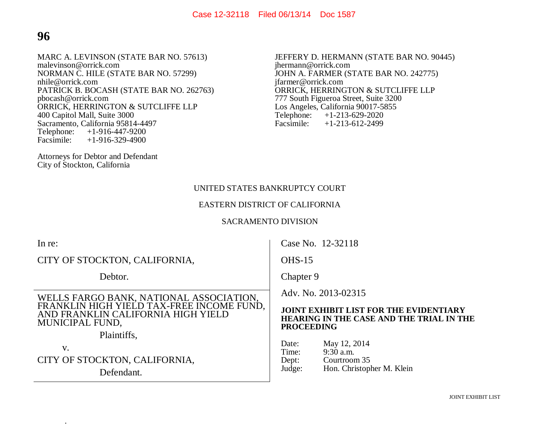# **96**

MARC A. LEVINSON (STATE BAR NO. 57613) malevinson@orrick.com NORMAN C. HILE (STATE BAR NO. 57299) nhile@orrick.com PATRICK B. BOCASH (STATE BAR NO. 262763) pbocash@orrick.com ORRICK, HERRINGTON & SUTCLIFFE LLP 400 Capitol Mall, Suite 3000 Sacramento, California 95814-4497<br>Telephone: +1-916-447-9200 Telephone: +1-916-447-9200<br>Facsimile: +1-916-329-4900  $+1-916-329-4900$ 

Attorneys for Debtor and Defendant City of Stockton, California

JEFFERY D. HERMANN (STATE BAR NO. 90445) jhermann@orrick.com JOHN A. FARMER (STATE BAR NO. 242775) jfarmer@orrick.com ORRICK, HERRINGTON & SUTCLIFFE LLP 777 South Figueroa Street, Suite 3200 Los Angeles, California 90017-5855<br>Telephone: +1-213-629-2020 Telephone: +1-213-629-2020<br>Facsimile: +1-213-612-2499  $+1-213-612-2499$ 

#### UNITED STATES BANKRUPTCY COURT

#### EASTERN DISTRICT OF CALIFORNIA

#### SACRAMENTO DIVISION

| In re:                                                                                             | Case No. 12-32118                                                                                                     |
|----------------------------------------------------------------------------------------------------|-----------------------------------------------------------------------------------------------------------------------|
| CITY OF STOCKTON, CALIFORNIA,                                                                      | $OHS-15$                                                                                                              |
| Debtor.                                                                                            | Chapter 9                                                                                                             |
| WELLS FARGO BANK, NATIONAL ASSOCIATION,                                                            | Adv. No. 2013-02315                                                                                                   |
| FRANKLIN HIGH YIELD TAX-FREE INCOME FUND,<br>AND FRANKLIN CALIFORNIA HIGH YIELD<br>MUNICIPAL FUND, | <b>JOINT EXHIBIT LIST FOR THE EVIDENTIARY</b><br><b>HEARING IN THE CASE AND THE TRIAL IN THE</b><br><b>PROCEEDING</b> |
| Plaintiffs,                                                                                        | May 12, 2014<br>Date:                                                                                                 |
| V.                                                                                                 | $9:30$ a.m.<br>Time:                                                                                                  |
| CITY OF STOCKTON, CALIFORNIA,                                                                      | Courtroom 35<br>Dept:                                                                                                 |
| Defendant.                                                                                         | Hon. Christopher M. Klein<br>Judge:                                                                                   |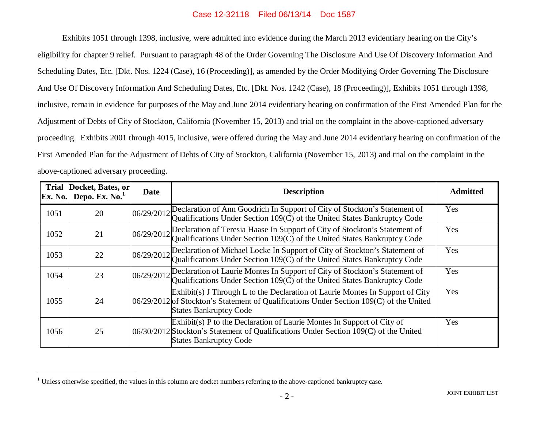Exhibits 1051 through 1398, inclusive, were admitted into evidence during the March 2013 evidentiary hearing on the City's eligibility for chapter 9 relief. Pursuant to paragraph 48 of the Order Governing The Disclosure And Use Of Discovery Information And Scheduling Dates, Etc. [Dkt. Nos. 1224 (Case), 16 (Proceeding)], as amended by the Order Modifying Order Governing The Disclosure And Use Of Discovery Information And Scheduling Dates, Etc. [Dkt. Nos. 1242 (Case), 18 (Proceeding)], Exhibits 1051 through 1398, inclusive, remain in evidence for purposes of the May and June 2014 evidentiary hearing on confirmation of the First Amended Plan for the Adjustment of Debts of City of Stockton, California (November 15, 2013) and trial on the complaint in the above-captioned adversary proceeding. Exhibits 2001 through 4015, inclusive, were offered during the May and June 2014 evidentiary hearing on confirmation of the First Amended Plan for the Adjustment of Debts of City of Stockton, California (November 15, 2013) and trial on the complaint in the above-captioned adversary proceeding.

| <b>Trial</b><br>Ex. No. | Docket, Bates, or<br>Depo. Ex. No. | <b>Date</b> | <b>Description</b>                                                                                                                                                                                            | <b>Admitted</b> |
|-------------------------|------------------------------------|-------------|---------------------------------------------------------------------------------------------------------------------------------------------------------------------------------------------------------------|-----------------|
| 1051                    | 20                                 | 06/29/2012  | Declaration of Ann Goodrich In Support of City of Stockton's Statement of<br>Qualifications Under Section $109(\overline{C})$ of the United States Bankruptcy Code                                            | Yes             |
| 1052                    | 21                                 |             | 06/29/2012 Declaration of Teresia Haase In Support of City of Stockton's Statement of Qualifications Under Section 109(C) of the United States Bankruptcy Code                                                | Yes             |
| 1053                    | 22                                 |             | 06/29/2012 Declaration of Michael Locke In Support of City of Stockton's Statement of Qualifications Under Section 109(C) of the United States Bankruptcy Code                                                | Yes             |
| 1054                    | 23                                 |             | $ 06/29/2012 $ Declaration of Laurie Montes In Support of City of Stockton's Statement of<br>Qualifications Under Section 109(C) of the United States Bankruptcy Code                                         | Yes             |
| 1055                    | 24                                 |             | Exhibit(s) J Through L to the Declaration of Laurie Montes In Support of City<br>$[06/29/2012]$ of Stockton's Statement of Qualifications Under Section 109(C) of the United<br><b>States Bankruptcy Code</b> | Yes             |
| 1056                    | 25                                 |             | $Exhibit(s)$ P to the Declaration of Laurie Montes In Support of City of<br>06/30/2012 Stockton's Statement of Qualifications Under Section 109(C) of the United<br><b>States Bankruptcy Code</b>             | Yes             |

<sup>&</sup>lt;sup>1</sup> Unless otherwise specified, the values in this column are docket numbers referring to the above-captioned bankruptcy case.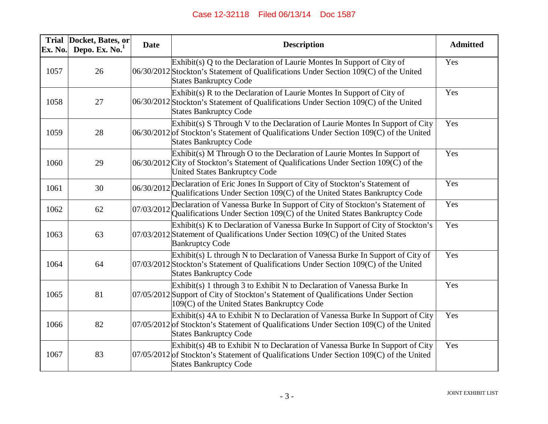| Ex. No. | Trial Docket, Bates, or<br>Depo. Ex. $No.1$ | <b>Date</b> | <b>Description</b>                                                                                                                                                                                          | <b>Admitted</b> |
|---------|---------------------------------------------|-------------|-------------------------------------------------------------------------------------------------------------------------------------------------------------------------------------------------------------|-----------------|
| 1057    | 26                                          |             | Exhibit(s) $Q$ to the Declaration of Laurie Montes In Support of City of<br>06/30/2012 Stockton's Statement of Qualifications Under Section 109(C) of the United<br><b>States Bankruptcy Code</b>           | Yes             |
| 1058    | 27                                          |             | Exhibit(s) R to the Declaration of Laurie Montes In Support of City of<br>06/30/2012 Stockton's Statement of Qualifications Under Section 109(C) of the United<br><b>States Bankruptcy Code</b>             | Yes             |
| 1059    | 28                                          |             | Exhibit(s) S Through V to the Declaration of Laurie Montes In Support of City<br>06/30/2012 of Stockton's Statement of Qualifications Under Section 109(C) of the United<br><b>States Bankruptcy Code</b>   | Yes             |
| 1060    | 29                                          |             | $Exhibit(s)$ M Through O to the Declaration of Laurie Montes In Support of<br>06/30/2012 City of Stockton's Statement of Qualifications Under Section 109(C) of the<br>United States Bankruptcy Code        | Yes             |
| 1061    | 30                                          |             | 06/30/2012 Declaration of Eric Jones In Support of City of Stockton's Statement of<br>Qualifications Under Section 109(C) of the United States Bankruptcy Code                                              | Yes             |
| 1062    | 62                                          | 07/03/2012  | Declaration of Vanessa Burke In Support of City of Stockton's Statement of<br>Qualifications Under Section 109(C) of the United States Bankruptcy Code                                                      | Yes             |
| 1063    | 63                                          |             | Exhibit(s) K to Declaration of Vanessa Burke In Support of City of Stockton's<br>$07/03/2012$ Statement of Qualifications Under Section 109(C) of the United States<br><b>Bankruptcy Code</b>               | Yes             |
| 1064    | 64                                          |             | Exhibit(s) L through N to Declaration of Vanessa Burke In Support of City of<br>07/03/2012 Stockton's Statement of Qualifications Under Section 109(C) of the United<br><b>States Bankruptcy Code</b>       | Yes             |
| 1065    | 81                                          |             | Exhibit(s) 1 through 3 to Exhibit N to Declaration of Vanessa Burke In<br>07/05/2012 Support of City of Stockton's Statement of Qualifications Under Section<br>109(C) of the United States Bankruptcy Code | Yes             |
| 1066    | 82                                          |             | Exhibit(s) 4A to Exhibit N to Declaration of Vanessa Burke In Support of City<br>$07/05/2012$ of Stockton's Statement of Qualifications Under Section 109(C) of the United<br><b>States Bankruptcy Code</b> | Yes             |
| 1067    | 83                                          |             | Exhibit(s) 4B to Exhibit N to Declaration of Vanessa Burke In Support of City<br>$07/05/2012$ of Stockton's Statement of Qualifications Under Section 109(C) of the United<br><b>States Bankruptcy Code</b> | Yes             |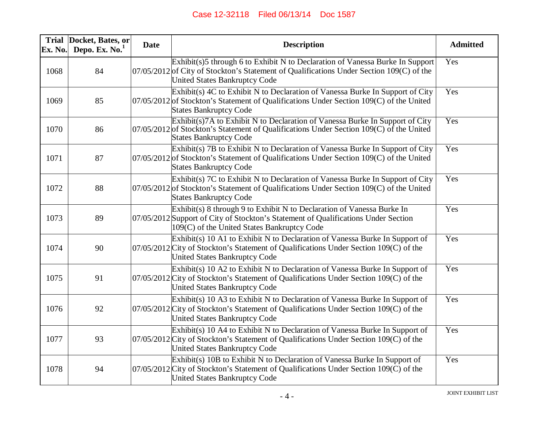| Ex. No. | Trial Docket, Bates, or<br>Depo. Ex. $No.1$ | <b>Date</b> | <b>Description</b>                                                                                                                                                                                                | <b>Admitted</b> |
|---------|---------------------------------------------|-------------|-------------------------------------------------------------------------------------------------------------------------------------------------------------------------------------------------------------------|-----------------|
| 1068    | 84                                          |             | Exhibit(s)5 through 6 to Exhibit N to Declaration of Vanessa Burke In Support<br>07/05/2012 of City of Stockton's Statement of Qualifications Under Section 109(C) of the<br><b>United States Bankruptcy Code</b> | Yes             |
| 1069    | 85                                          |             | Exhibit(s) 4C to Exhibit N to Declaration of Vanessa Burke In Support of City<br>$07/05/2012$ of Stockton's Statement of Qualifications Under Section 109(C) of the United<br><b>States Bankruptcy Code</b>       | Yes             |
| 1070    | 86                                          |             | Exhibit(s)7A to Exhibit N to Declaration of Vanessa Burke In Support of City<br>$07/05/2012$ of Stockton's Statement of Qualifications Under Section 109(C) of the United<br><b>States Bankruptcy Code</b>        | Yes             |
| 1071    | 87                                          |             | Exhibit(s) 7B to Exhibit N to Declaration of Vanessa Burke In Support of City<br>$07/05/2012$ of Stockton's Statement of Qualifications Under Section 109(C) of the United<br><b>States Bankruptcy Code</b>       | Yes             |
| 1072    | 88                                          |             | Exhibit(s) 7C to Exhibit N to Declaration of Vanessa Burke In Support of City<br>$07/05/2012$ of Stockton's Statement of Qualifications Under Section 109(C) of the United<br><b>States Bankruptcy Code</b>       | Yes             |
| 1073    | 89                                          |             | Exhibit(s) 8 through 9 to Exhibit N to Declaration of Vanessa Burke In<br>07/05/2012 Support of City of Stockton's Statement of Qualifications Under Section<br>109(C) of the United States Bankruptcy Code       | Yes             |
| 1074    | 90                                          |             | $Exhibit(s)$ 10 A1 to Exhibit N to Declaration of Vanessa Burke In Support of<br>$07/05/2012$ City of Stockton's Statement of Qualifications Under Section 109(C) of the<br><b>United States Bankruptcy Code</b>  | Yes             |
| 1075    | 91                                          |             | Exhibit(s) 10 A2 to Exhibit N to Declaration of Vanessa Burke In Support of<br>$07/05/2012$ City of Stockton's Statement of Qualifications Under Section 109(C) of the<br><b>United States Bankruptcy Code</b>    | Yes             |
| 1076    | 92                                          |             | Exhibit(s) 10 A3 to Exhibit N to Declaration of Vanessa Burke In Support of<br>$07/05/2012$ City of Stockton's Statement of Qualifications Under Section 109(C) of the<br><b>United States Bankruptcy Code</b>    | Yes             |
| 1077    | 93                                          |             | Exhibit(s) 10 A4 to Exhibit N to Declaration of Vanessa Burke In Support of<br>07/05/2012 City of Stockton's Statement of Qualifications Under Section 109(C) of the<br><b>United States Bankruptcy Code</b>      | Yes             |
| 1078    | 94                                          |             | Exhibit(s) 10B to Exhibit N to Declaration of Vanessa Burke In Support of<br>07/05/2012 City of Stockton's Statement of Qualifications Under Section 109(C) of the<br><b>United States Bankruptcy Code</b>        | Yes             |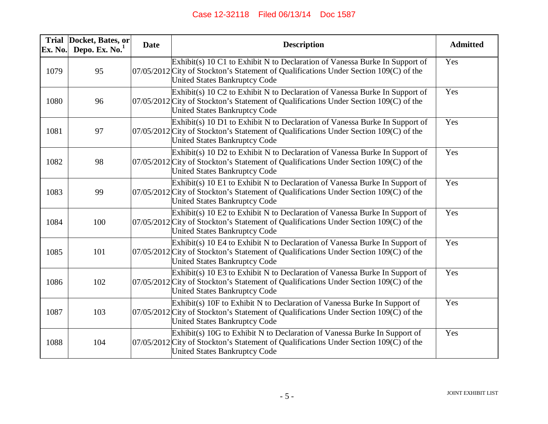| Ex. No. | Trial Docket, Bates, or<br>Depo. Ex. $No.1$ | <b>Date</b> | <b>Description</b>                                                                                                                                                                                             | <b>Admitted</b> |
|---------|---------------------------------------------|-------------|----------------------------------------------------------------------------------------------------------------------------------------------------------------------------------------------------------------|-----------------|
| 1079    | 95                                          |             | Exhibit(s) 10 C1 to Exhibit N to Declaration of Vanessa Burke In Support of<br>07/05/2012 City of Stockton's Statement of Qualifications Under Section 109(C) of the<br><b>United States Bankruptcy Code</b>   | Yes             |
| 1080    | 96                                          |             | Exhibit(s) 10 C2 to Exhibit N to Declaration of Vanessa Burke In Support of<br>07/05/2012 City of Stockton's Statement of Qualifications Under Section 109(C) of the<br><b>United States Bankruptcy Code</b>   | Yes             |
| 1081    | 97                                          |             | Exhibit(s) 10 D1 to Exhibit N to Declaration of Vanessa Burke In Support of<br>07/05/2012 City of Stockton's Statement of Qualifications Under Section 109(C) of the<br><b>United States Bankruptcy Code</b>   | Yes             |
| 1082    | 98                                          |             | Exhibit(s) 10 D2 to Exhibit N to Declaration of Vanessa Burke In Support of<br>07/05/2012 City of Stockton's Statement of Qualifications Under Section 109(C) of the<br><b>United States Bankruptcy Code</b>   | Yes             |
| 1083    | 99                                          |             | Exhibit(s) 10 E1 to Exhibit N to Declaration of Vanessa Burke In Support of<br>07/05/2012 City of Stockton's Statement of Qualifications Under Section 109(C) of the<br><b>United States Bankruptcy Code</b>   | Yes             |
| 1084    | 100                                         |             | Exhibit(s) 10 E2 to Exhibit N to Declaration of Vanessa Burke In Support of<br>$07/05/2012$ City of Stockton's Statement of Qualifications Under Section 109(C) of the<br><b>United States Bankruptcy Code</b> | Yes             |
| 1085    | 101                                         |             | $Exhibit(s)$ 10 E4 to Exhibit N to Declaration of Vanessa Burke In Support of<br>07/05/2012 City of Stockton's Statement of Qualifications Under Section 109(C) of the<br>United States Bankruptcy Code        | Yes             |
| 1086    | 102                                         |             | $Exhibit(s)$ 10 E3 to Exhibit N to Declaration of Vanessa Burke In Support of<br>07/05/2012 City of Stockton's Statement of Qualifications Under Section 109(C) of the<br><b>United States Bankruptcy Code</b> | Yes             |
| 1087    | 103                                         |             | Exhibit(s) 10F to Exhibit N to Declaration of Vanessa Burke In Support of<br>07/05/2012 City of Stockton's Statement of Qualifications Under Section 109(C) of the<br>United States Bankruptcy Code            | Yes             |
| 1088    | 104                                         |             | Exhibit(s) 10G to Exhibit N to Declaration of Vanessa Burke In Support of<br>07/05/2012 City of Stockton's Statement of Qualifications Under Section 109(C) of the<br><b>United States Bankruptcy Code</b>     | Yes             |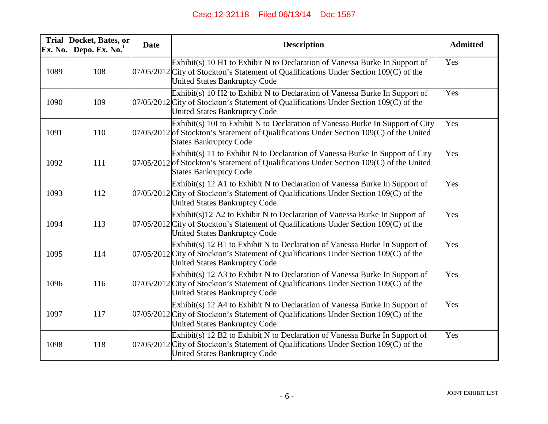| Ex. No. | Trial Docket, Bates, or<br>Depo. Ex. $No.1$ | <b>Date</b> | <b>Description</b>                                                                                                                                                                                              | <b>Admitted</b> |
|---------|---------------------------------------------|-------------|-----------------------------------------------------------------------------------------------------------------------------------------------------------------------------------------------------------------|-----------------|
| 1089    | 108                                         |             | Exhibit(s) 10 H1 to Exhibit N to Declaration of Vanessa Burke In Support of<br>07/05/2012 City of Stockton's Statement of Qualifications Under Section 109(C) of the<br><b>United States Bankruptcy Code</b>    | Yes             |
| 1090    | 109                                         |             | Exhibit(s) 10 H2 to Exhibit N to Declaration of Vanessa Burke In Support of<br>07/05/2012 City of Stockton's Statement of Qualifications Under Section 109(C) of the<br>United States Bankruptcy Code           | Yes             |
| 1091    | 110                                         |             | Exhibit(s) 10I to Exhibit N to Declaration of Vanessa Burke In Support of City<br>$07/05/2012$ of Stockton's Statement of Qualifications Under Section 109(C) of the United<br><b>States Bankruptcy Code</b>    | Yes             |
| 1092    | 111                                         |             | Exhibit(s) 11 to Exhibit N to Declaration of Vanessa Burke In Support of City<br>$07/05/2012$ of Stockton's Statement of Qualifications Under Section 109(C) of the United<br><b>States Bankruptcy Code</b>     | Yes             |
| 1093    | 112                                         |             | Exhibit(s) 12 A1 to Exhibit N to Declaration of Vanessa Burke In Support of<br>07/05/2012 City of Stockton's Statement of Qualifications Under Section 109(C) of the<br><b>United States Bankruptcy Code</b>    | Yes             |
| 1094    | 113                                         |             | $Exhibit(s)12$ A2 to Exhibit N to Declaration of Vanessa Burke In Support of<br>$07/05/2012$ City of Stockton's Statement of Qualifications Under Section 109(C) of the<br><b>United States Bankruptcy Code</b> | Yes             |
| 1095    | 114                                         |             | Exhibit(s) 12 B1 to Exhibit N to Declaration of Vanessa Burke In Support of<br>07/05/2012 City of Stockton's Statement of Qualifications Under Section 109(C) of the<br>United States Bankruptcy Code           | Yes             |
| 1096    | 116                                         |             | Exhibit(s) 12 A3 to Exhibit N to Declaration of Vanessa Burke In Support of<br>07/05/2012 City of Stockton's Statement of Qualifications Under Section 109(C) of the<br><b>United States Bankruptcy Code</b>    | Yes             |
| 1097    | 117                                         |             | Exhibit(s) 12 A4 to Exhibit N to Declaration of Vanessa Burke In Support of<br>07/05/2012 City of Stockton's Statement of Qualifications Under Section 109(C) of the<br>United States Bankruptcy Code           | Yes             |
| 1098    | 118                                         |             | Exhibit(s) 12 B2 to Exhibit N to Declaration of Vanessa Burke In Support of<br>07/05/2012 City of Stockton's Statement of Qualifications Under Section 109(C) of the<br><b>United States Bankruptcy Code</b>    | Yes             |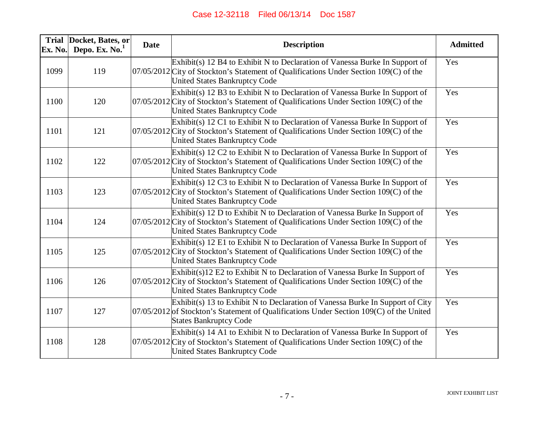| Ex. No. | Trial Docket, Bates, or<br>Depo. Ex. $No.1$ | <b>Date</b> | <b>Description</b>                                                                                                                                                                                             | <b>Admitted</b> |
|---------|---------------------------------------------|-------------|----------------------------------------------------------------------------------------------------------------------------------------------------------------------------------------------------------------|-----------------|
| 1099    | 119                                         |             | Exhibit(s) 12 B4 to Exhibit N to Declaration of Vanessa Burke In Support of<br>$07/05/2012$ City of Stockton's Statement of Qualifications Under Section 109(C) of the<br><b>United States Bankruptcy Code</b> | Yes             |
| 1100    | 120                                         |             | Exhibit(s) 12 B3 to Exhibit N to Declaration of Vanessa Burke In Support of<br>07/05/2012 City of Stockton's Statement of Qualifications Under Section 109(C) of the<br><b>United States Bankruptcy Code</b>   | Yes             |
| 1101    | 121                                         |             | Exhibit(s) 12 C1 to Exhibit N to Declaration of Vanessa Burke In Support of<br>07/05/2012 City of Stockton's Statement of Qualifications Under Section 109(C) of the<br><b>United States Bankruptcy Code</b>   | Yes             |
| 1102    | 122                                         |             | Exhibit(s) 12 C2 to Exhibit N to Declaration of Vanessa Burke In Support of<br>07/05/2012 City of Stockton's Statement of Qualifications Under Section 109(C) of the<br><b>United States Bankruptcy Code</b>   | Yes             |
| 1103    | 123                                         |             | Exhibit(s) 12 C3 to Exhibit N to Declaration of Vanessa Burke In Support of<br>07/05/2012 City of Stockton's Statement of Qualifications Under Section 109(C) of the<br><b>United States Bankruptcy Code</b>   | Yes             |
| 1104    | 124                                         |             | $Exhibit(s)$ 12 D to Exhibit N to Declaration of Vanessa Burke In Support of<br>07/05/2012 City of Stockton's Statement of Qualifications Under Section 109(C) of the<br><b>United States Bankruptcy Code</b>  | Yes             |
| 1105    | 125                                         |             | Exhibit(s) 12 E1 to Exhibit N to Declaration of Vanessa Burke In Support of<br>07/05/2012 City of Stockton's Statement of Qualifications Under Section 109(C) of the<br><b>United States Bankruptcy Code</b>   | Yes             |
| 1106    | 126                                         |             | $Exhibit(s)12 E2$ to Exhibit N to Declaration of Vanessa Burke In Support of<br>07/05/2012 City of Stockton's Statement of Qualifications Under Section 109(C) of the<br>United States Bankruptcy Code         | Yes             |
| 1107    | 127                                         |             | Exhibit(s) 13 to Exhibit N to Declaration of Vanessa Burke In Support of City<br>07/05/2012 of Stockton's Statement of Qualifications Under Section 109(C) of the United<br><b>States Bankruptcy Code</b>      | Yes             |
| 1108    | 128                                         |             | Exhibit(s) 14 A1 to Exhibit N to Declaration of Vanessa Burke In Support of<br>07/05/2012 City of Stockton's Statement of Qualifications Under Section 109(C) of the<br><b>United States Bankruptcy Code</b>   | Yes             |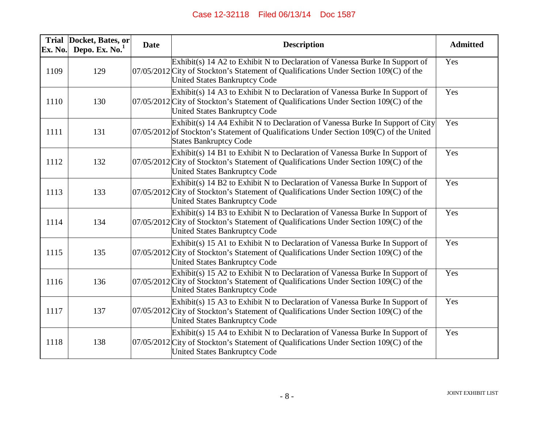| Ex. No. | Trial Docket, Bates, or<br>Depo. Ex. $No.1$ | <b>Date</b> | <b>Description</b>                                                                                                                                                                                             | <b>Admitted</b> |
|---------|---------------------------------------------|-------------|----------------------------------------------------------------------------------------------------------------------------------------------------------------------------------------------------------------|-----------------|
| 1109    | 129                                         |             | Exhibit(s) 14 A2 to Exhibit N to Declaration of Vanessa Burke In Support of<br>07/05/2012 City of Stockton's Statement of Qualifications Under Section 109(C) of the<br><b>United States Bankruptcy Code</b>   | Yes             |
| 1110    | 130                                         |             | Exhibit(s) 14 A3 to Exhibit N to Declaration of Vanessa Burke In Support of<br>$07/05/2012$ City of Stockton's Statement of Qualifications Under Section 109(C) of the<br><b>United States Bankruptcy Code</b> | Yes             |
| 1111    | 131                                         |             | Exhibit(s) 14 A4 Exhibit N to Declaration of Vanessa Burke In Support of City<br>$07/05/2012$ of Stockton's Statement of Qualifications Under Section 109(C) of the United<br><b>States Bankruptcy Code</b>    | Yes             |
| 1112    | 132                                         |             | Exhibit(s) 14 B1 to Exhibit N to Declaration of Vanessa Burke In Support of<br>$07/05/2012$ City of Stockton's Statement of Qualifications Under Section 109(C) of the<br><b>United States Bankruptcy Code</b> | Yes             |
| 1113    | 133                                         |             | Exhibit(s) 14 B2 to Exhibit N to Declaration of Vanessa Burke In Support of<br>$07/05/2012$ City of Stockton's Statement of Qualifications Under Section 109(C) of the<br><b>United States Bankruptcy Code</b> | Yes             |
| 1114    | 134                                         |             | Exhibit(s) 14 B3 to Exhibit N to Declaration of Vanessa Burke In Support of<br>$07/05/2012$ City of Stockton's Statement of Qualifications Under Section 109(C) of the<br><b>United States Bankruptcy Code</b> | Yes             |
| 1115    | 135                                         |             | Exhibit(s) 15 A1 to Exhibit N to Declaration of Vanessa Burke In Support of<br>$07/05/2012$ City of Stockton's Statement of Qualifications Under Section 109(C) of the<br><b>United States Bankruptcy Code</b> | Yes             |
| 1116    | 136                                         |             | Exhibit(s) 15 A2 to Exhibit N to Declaration of Vanessa Burke In Support of<br>$07/05/2012$ City of Stockton's Statement of Qualifications Under Section 109(C) of the<br><b>United States Bankruptcy Code</b> | Yes             |
| 1117    | 137                                         |             | Exhibit(s) 15 A3 to Exhibit N to Declaration of Vanessa Burke In Support of<br>$07/05/2012$ City of Stockton's Statement of Qualifications Under Section 109(C) of the<br><b>United States Bankruptcy Code</b> | Yes             |
| 1118    | 138                                         |             | Exhibit(s) 15 A4 to Exhibit N to Declaration of Vanessa Burke In Support of<br>$07/05/2012$ City of Stockton's Statement of Qualifications Under Section 109(C) of the<br><b>United States Bankruptcy Code</b> | Yes             |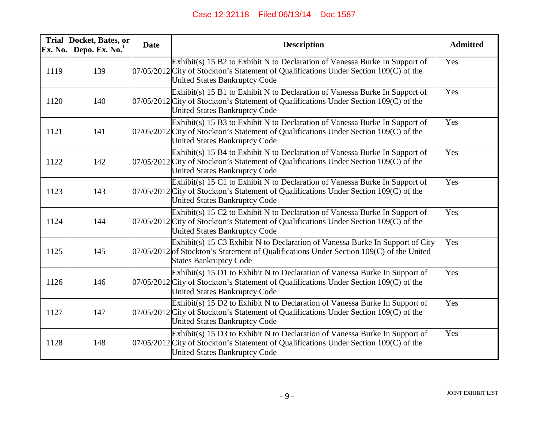| Ex. No. | Trial Docket, Bates, or<br>Depo. Ex. $No.1$ | <b>Date</b> | <b>Description</b>                                                                                                                                                                                             | <b>Admitted</b> |
|---------|---------------------------------------------|-------------|----------------------------------------------------------------------------------------------------------------------------------------------------------------------------------------------------------------|-----------------|
| 1119    | 139                                         |             | Exhibit(s) 15 B2 to Exhibit N to Declaration of Vanessa Burke In Support of<br>07/05/2012 City of Stockton's Statement of Qualifications Under Section 109(C) of the<br><b>United States Bankruptcy Code</b>   | Yes             |
| 1120    | 140                                         |             | Exhibit(s) 15 B1 to Exhibit N to Declaration of Vanessa Burke In Support of<br>07/05/2012 City of Stockton's Statement of Qualifications Under Section 109(C) of the<br><b>United States Bankruptcy Code</b>   | Yes             |
| 1121    | 141                                         |             | Exhibit(s) 15 B3 to Exhibit N to Declaration of Vanessa Burke In Support of<br>07/05/2012 City of Stockton's Statement of Qualifications Under Section 109(C) of the<br><b>United States Bankruptcy Code</b>   | Yes             |
| 1122    | 142                                         |             | $Exhibit(s)$ 15 B4 to Exhibit N to Declaration of Vanessa Burke In Support of<br>07/05/2012 City of Stockton's Statement of Qualifications Under Section 109(C) of the<br><b>United States Bankruptcy Code</b> | Yes             |
| 1123    | 143                                         |             | Exhibit(s) 15 C1 to Exhibit N to Declaration of Vanessa Burke In Support of<br>07/05/2012 City of Stockton's Statement of Qualifications Under Section 109(C) of the<br><b>United States Bankruptcy Code</b>   | Yes             |
| 1124    | 144                                         |             | Exhibit(s) 15 C2 to Exhibit N to Declaration of Vanessa Burke In Support of<br>07/05/2012 City of Stockton's Statement of Qualifications Under Section 109(C) of the<br><b>United States Bankruptcy Code</b>   | Yes             |
| 1125    | 145                                         |             | Exhibit(s) 15 C3 Exhibit N to Declaration of Vanessa Burke In Support of City<br>$07/05/2012$ of Stockton's Statement of Qualifications Under Section 109(C) of the United<br><b>States Bankruptcy Code</b>    | Yes             |
| 1126    | 146                                         |             | Exhibit(s) 15 D1 to Exhibit N to Declaration of Vanessa Burke In Support of<br>$07/05/2012$ City of Stockton's Statement of Qualifications Under Section 109(C) of the<br><b>United States Bankruptcy Code</b> | Yes             |
| 1127    | 147                                         |             | Exhibit(s) 15 D2 to Exhibit N to Declaration of Vanessa Burke In Support of<br>07/05/2012 City of Stockton's Statement of Qualifications Under Section 109(C) of the<br><b>United States Bankruptcy Code</b>   | Yes             |
| 1128    | 148                                         |             | Exhibit(s) 15 D3 to Exhibit N to Declaration of Vanessa Burke In Support of<br>$07/05/2012$ City of Stockton's Statement of Qualifications Under Section 109(C) of the<br><b>United States Bankruptcy Code</b> | Yes             |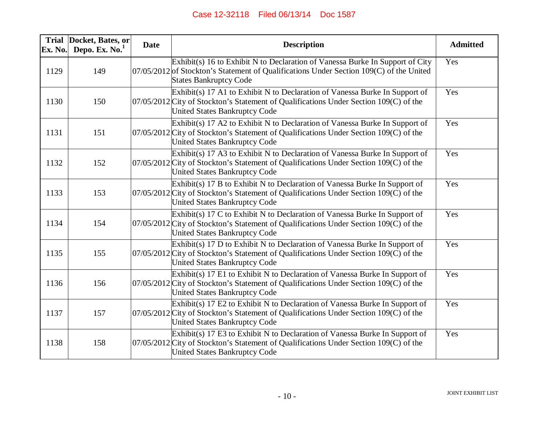| Ex. No. | Trial Docket, Bates, or<br>Depo. Ex. $No.1$ | <b>Date</b> | <b>Description</b>                                                                                                                                                                                              | <b>Admitted</b> |
|---------|---------------------------------------------|-------------|-----------------------------------------------------------------------------------------------------------------------------------------------------------------------------------------------------------------|-----------------|
| 1129    | 149                                         |             | Exhibit(s) 16 to Exhibit N to Declaration of Vanessa Burke In Support of City<br>$07/05/2012$ of Stockton's Statement of Qualifications Under Section 109(C) of the United<br><b>States Bankruptcy Code</b>     | Yes             |
| 1130    | 150                                         |             | Exhibit(s) 17 A1 to Exhibit N to Declaration of Vanessa Burke In Support of<br>$07/05/2012$ City of Stockton's Statement of Qualifications Under Section 109(C) of the<br><b>United States Bankruptcy Code</b>  | Yes             |
| 1131    | 151                                         |             | Exhibit(s) 17 A2 to Exhibit N to Declaration of Vanessa Burke In Support of<br>$07/05/2012$ City of Stockton's Statement of Qualifications Under Section 109(C) of the<br><b>United States Bankruptcy Code</b>  | Yes             |
| 1132    | 152                                         |             | Exhibit(s) 17 A3 to Exhibit N to Declaration of Vanessa Burke In Support of<br>$07/05/2012$ City of Stockton's Statement of Qualifications Under Section 109(C) of the<br><b>United States Bankruptcy Code</b>  | Yes             |
| 1133    | 153                                         |             | $Exhibit(s)$ 17 B to Exhibit N to Declaration of Vanessa Burke In Support of<br>$07/05/2012$ City of Stockton's Statement of Qualifications Under Section 109(C) of the<br><b>United States Bankruptcy Code</b> | Yes             |
| 1134    | 154                                         |             | Exhibit(s) 17 C to Exhibit N to Declaration of Vanessa Burke In Support of<br>$07/05/2012$ City of Stockton's Statement of Qualifications Under Section 109(C) of the<br><b>United States Bankruptcy Code</b>   | Yes             |
| 1135    | 155                                         |             | $Exhibit(s)$ 17 D to Exhibit N to Declaration of Vanessa Burke In Support of<br>$07/05/2012$ City of Stockton's Statement of Qualifications Under Section 109(C) of the<br>United States Bankruptcy Code        | Yes             |
| 1136    | 156                                         |             | Exhibit(s) 17 E1 to Exhibit N to Declaration of Vanessa Burke In Support of<br>$07/05/2012$ City of Stockton's Statement of Qualifications Under Section 109(C) of the<br><b>United States Bankruptcy Code</b>  | Yes             |
| 1137    | 157                                         |             | Exhibit(s) 17 E2 to Exhibit N to Declaration of Vanessa Burke In Support of<br>07/05/2012 City of Stockton's Statement of Qualifications Under Section 109(C) of the<br>United States Bankruptcy Code           | Yes             |
| 1138    | 158                                         |             | Exhibit(s) 17 E3 to Exhibit N to Declaration of Vanessa Burke In Support of<br>07/05/2012 City of Stockton's Statement of Qualifications Under Section 109(C) of the<br><b>United States Bankruptcy Code</b>    | Yes             |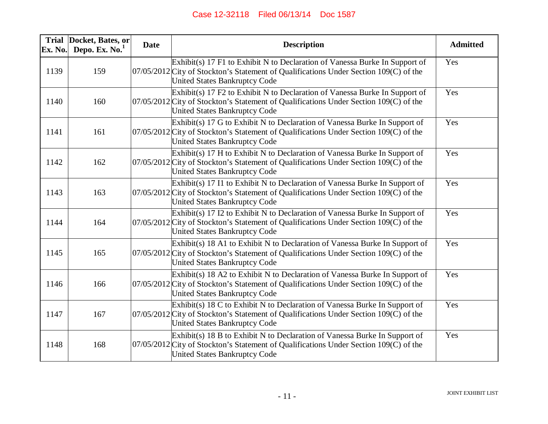| Ex. No. | Trial Docket, Bates, or<br>Depo. Ex. No. <sup>1</sup> | <b>Date</b> | <b>Description</b>                                                                                                                                                                                              | <b>Admitted</b> |
|---------|-------------------------------------------------------|-------------|-----------------------------------------------------------------------------------------------------------------------------------------------------------------------------------------------------------------|-----------------|
| 1139    | 159                                                   |             | Exhibit(s) 17 F1 to Exhibit N to Declaration of Vanessa Burke In Support of<br>07/05/2012 City of Stockton's Statement of Qualifications Under Section 109(C) of the<br><b>United States Bankruptcy Code</b>    | Yes             |
| 1140    | 160                                                   |             | Exhibit(s) 17 F2 to Exhibit N to Declaration of Vanessa Burke In Support of<br>07/05/2012 City of Stockton's Statement of Qualifications Under Section 109(C) of the<br><b>United States Bankruptcy Code</b>    | Yes             |
| 1141    | 161                                                   |             | $Exhibit(s)$ 17 G to Exhibit N to Declaration of Vanessa Burke In Support of<br>$07/05/2012$ City of Stockton's Statement of Qualifications Under Section 109(C) of the<br>United States Bankruptcy Code        | Yes             |
| 1142    | 162                                                   |             | $Exhibit(s)$ 17 H to Exhibit N to Declaration of Vanessa Burke In Support of<br>07/05/2012 City of Stockton's Statement of Qualifications Under Section 109(C) of the<br><b>United States Bankruptcy Code</b>   | Yes             |
| 1143    | 163                                                   |             | Exhibit(s) 17 I1 to Exhibit N to Declaration of Vanessa Burke In Support of<br>07/05/2012 City of Stockton's Statement of Qualifications Under Section 109(C) of the<br><b>United States Bankruptcy Code</b>    | Yes             |
| 1144    | 164                                                   |             | Exhibit(s) 17 I2 to Exhibit N to Declaration of Vanessa Burke In Support of<br>07/05/2012 City of Stockton's Statement of Qualifications Under Section 109(C) of the<br>United States Bankruptcy Code           | Yes             |
| 1145    | 165                                                   |             | Exhibit(s) 18 A1 to Exhibit N to Declaration of Vanessa Burke In Support of<br>07/05/2012 City of Stockton's Statement of Qualifications Under Section 109(C) of the<br><b>United States Bankruptcy Code</b>    | Yes             |
| 1146    | 166                                                   |             | Exhibit(s) 18 A2 to Exhibit N to Declaration of Vanessa Burke In Support of<br>07/05/2012 City of Stockton's Statement of Qualifications Under Section 109(C) of the<br><b>United States Bankruptcy Code</b>    | Yes             |
| 1147    | 167                                                   |             | Exhibit(s) 18 C to Exhibit N to Declaration of Vanessa Burke In Support of<br>07/05/2012 City of Stockton's Statement of Qualifications Under Section 109(C) of the<br><b>United States Bankruptcy Code</b>     | Yes             |
| 1148    | 168                                                   |             | $Exhibit(s)$ 18 B to Exhibit N to Declaration of Vanessa Burke In Support of<br>$07/05/2012$ City of Stockton's Statement of Qualifications Under Section 109(C) of the<br><b>United States Bankruptcy Code</b> | Yes             |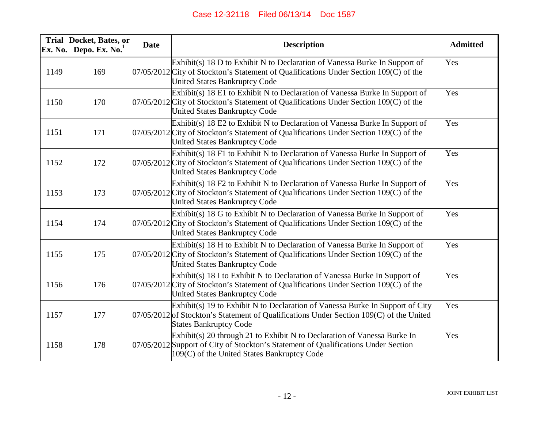| Ex. No. | Trial Docket, Bates, or<br>Depo. Ex. $No.1$ | <b>Date</b> | <b>Description</b>                                                                                                                                                                                             | <b>Admitted</b> |
|---------|---------------------------------------------|-------------|----------------------------------------------------------------------------------------------------------------------------------------------------------------------------------------------------------------|-----------------|
| 1149    | 169                                         |             | $Exhibit(s)$ 18 D to Exhibit N to Declaration of Vanessa Burke In Support of<br>07/05/2012 City of Stockton's Statement of Qualifications Under Section 109(C) of the<br><b>United States Bankruptcy Code</b>  | Yes             |
| 1150    | 170                                         |             | $Exhibit(s)$ 18 E1 to Exhibit N to Declaration of Vanessa Burke In Support of<br>07/05/2012 City of Stockton's Statement of Qualifications Under Section 109(C) of the<br><b>United States Bankruptcy Code</b> | Yes             |
| 1151    | 171                                         |             | Exhibit(s) 18 E2 to Exhibit N to Declaration of Vanessa Burke In Support of<br>07/05/2012 City of Stockton's Statement of Qualifications Under Section 109(C) of the<br>United States Bankruptcy Code          | Yes             |
| 1152    | 172                                         |             | Exhibit(s) 18 F1 to Exhibit N to Declaration of Vanessa Burke In Support of<br>07/05/2012 City of Stockton's Statement of Qualifications Under Section 109(C) of the<br><b>United States Bankruptcy Code</b>   | Yes             |
| 1153    | 173                                         |             | Exhibit(s) 18 F2 to Exhibit N to Declaration of Vanessa Burke In Support of<br>07/05/2012 City of Stockton's Statement of Qualifications Under Section 109(C) of the<br><b>United States Bankruptcy Code</b>   | Yes             |
| 1154    | 174                                         |             | $Exhibit(s)$ 18 G to Exhibit N to Declaration of Vanessa Burke In Support of<br>07/05/2012 City of Stockton's Statement of Qualifications Under Section 109(C) of the<br><b>United States Bankruptcy Code</b>  | Yes             |
| 1155    | 175                                         |             | $Exhibit(s)$ 18 H to Exhibit N to Declaration of Vanessa Burke In Support of<br>07/05/2012 City of Stockton's Statement of Qualifications Under Section 109(C) of the<br><b>United States Bankruptcy Code</b>  | Yes             |
| 1156    | 176                                         |             | Exhibit(s) 18 I to Exhibit N to Declaration of Vanessa Burke In Support of<br>$07/05/2012$ City of Stockton's Statement of Qualifications Under Section 109(C) of the<br><b>United States Bankruptcy Code</b>  | Yes             |
| 1157    | 177                                         |             | $Exhibit(s)$ 19 to Exhibit N to Declaration of Vanessa Burke In Support of City<br>$07/05/2012$ of Stockton's Statement of Qualifications Under Section 109(C) of the United<br><b>States Bankruptcy Code</b>  | Yes             |
| 1158    | 178                                         |             | Exhibit(s) 20 through 21 to Exhibit N to Declaration of Vanessa Burke In<br>07/05/2012 Support of City of Stockton's Statement of Qualifications Under Section<br>109(C) of the United States Bankruptcy Code  | Yes             |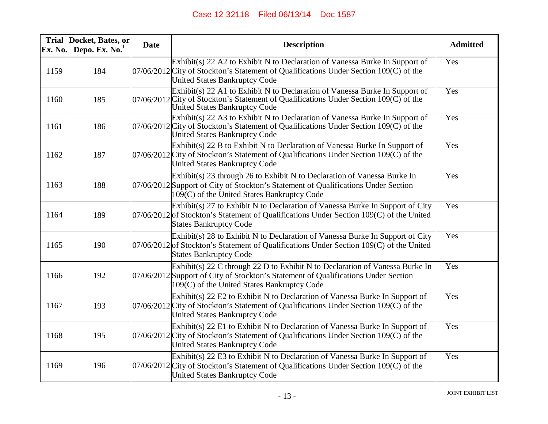| Ex. No. | Trial Docket, Bates, or<br>Depo. Ex. $No.1$ | <b>Date</b> | <b>Description</b>                                                                                                                                                                                                | <b>Admitted</b> |
|---------|---------------------------------------------|-------------|-------------------------------------------------------------------------------------------------------------------------------------------------------------------------------------------------------------------|-----------------|
| 1159    | 184                                         |             | Exhibit(s) 22 A2 to Exhibit N to Declaration of Vanessa Burke In Support of<br>07/06/2012 City of Stockton's Statement of Qualifications Under Section 109(C) of the<br><b>United States Bankruptcy Code</b>      | Yes             |
| 1160    | 185                                         |             | Exhibit(s) 22 A1 to Exhibit N to Declaration of Vanessa Burke In Support of<br>$07/06/2012$ City of Stockton's Statement of Qualifications Under Section 109(C) of the<br><b>United States Bankruptcy Code</b>    | Yes             |
| 1161    | 186                                         |             | Exhibit(s) 22 A3 to Exhibit N to Declaration of Vanessa Burke In Support of<br>$07/06/2012$ City of Stockton's Statement of Qualifications Under Section 109(C) of the<br>United States Bankruptcy Code           | Yes             |
| 1162    | 187                                         |             | $Exhibit(s)$ 22 B to Exhibit N to Declaration of Vanessa Burke In Support of<br>07/06/2012 City of Stockton's Statement of Qualifications Under Section 109(C) of the<br><b>United States Bankruptcy Code</b>     | Yes             |
| 1163    | 188                                         |             | Exhibit(s) 23 through 26 to Exhibit N to Declaration of Vanessa Burke In<br>07/06/2012 Support of City of Stockton's Statement of Qualifications Under Section<br>109(C) of the United States Bankruptcy Code     | Yes             |
| 1164    | 189                                         |             | Exhibit(s) 27 to Exhibit N to Declaration of Vanessa Burke In Support of City<br>$07/06/2012$ of Stockton's Statement of Qualifications Under Section 109(C) of the United<br><b>States Bankruptcy Code</b>       | Yes             |
| 1165    | 190                                         |             | Exhibit(s) 28 to Exhibit N to Declaration of Vanessa Burke In Support of City<br>$07/06/2012$ of Stockton's Statement of Qualifications Under Section 109(C) of the United<br><b>States Bankruptcy Code</b>       | Yes             |
| 1166    | 192                                         |             | Exhibit(s) 22 C through 22 D to Exhibit N to Declaration of Vanessa Burke In<br>07/06/2012 Support of City of Stockton's Statement of Qualifications Under Section<br>109(C) of the United States Bankruptcy Code | Yes             |
| 1167    | 193                                         |             | Exhibit(s) 22 E2 to Exhibit N to Declaration of Vanessa Burke In Support of<br>07/06/2012 City of Stockton's Statement of Qualifications Under Section 109(C) of the<br>United States Bankruptcy Code             | Yes             |
| 1168    | 195                                         |             | Exhibit(s) 22 E1 to Exhibit N to Declaration of Vanessa Burke In Support of<br>$07/06/2012$ City of Stockton's Statement of Qualifications Under Section 109(C) of the<br><b>United States Bankruptcy Code</b>    | Yes             |
| 1169    | 196                                         |             | Exhibit(s) 22 E3 to Exhibit N to Declaration of Vanessa Burke In Support of<br>$07/06/2012$ City of Stockton's Statement of Qualifications Under Section 109(C) of the<br><b>United States Bankruptcy Code</b>    | Yes             |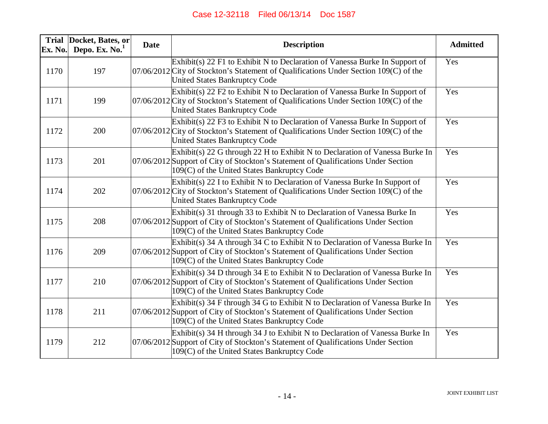| Ex. No. | Trial Docket, Bates, or<br>Depo. Ex. $No.1$ | <b>Date</b> | <b>Description</b>                                                                                                                                                                                                | <b>Admitted</b> |
|---------|---------------------------------------------|-------------|-------------------------------------------------------------------------------------------------------------------------------------------------------------------------------------------------------------------|-----------------|
| 1170    | 197                                         |             | $Exhibit(s)$ 22 F1 to Exhibit N to Declaration of Vanessa Burke In Support of<br>07/06/2012 City of Stockton's Statement of Qualifications Under Section 109(C) of the<br><b>United States Bankruptcy Code</b>    | Yes             |
| 1171    | 199                                         |             | $Exhibit(s)$ 22 F2 to Exhibit N to Declaration of Vanessa Burke In Support of<br>07/06/2012 City of Stockton's Statement of Qualifications Under Section 109(C) of the<br><b>United States Bankruptcy Code</b>    | Yes             |
| 1172    | 200                                         |             | Exhibit(s) 22 F3 to Exhibit N to Declaration of Vanessa Burke In Support of<br>07/06/2012 City of Stockton's Statement of Qualifications Under Section 109(C) of the<br><b>United States Bankruptcy Code</b>      | Yes             |
| 1173    | 201                                         |             | Exhibit(s) 22 G through 22 H to Exhibit N to Declaration of Vanessa Burke In<br>07/06/2012 Support of City of Stockton's Statement of Qualifications Under Section<br>109(C) of the United States Bankruptcy Code | Yes             |
| 1174    | 202                                         |             | Exhibit(s) 22 I to Exhibit N to Declaration of Vanessa Burke In Support of<br>07/06/2012 City of Stockton's Statement of Qualifications Under Section 109(C) of the<br><b>United States Bankruptcy Code</b>       | Yes             |
| 1175    | 208                                         |             | Exhibit(s) 31 through 33 to Exhibit N to Declaration of Vanessa Burke In<br>07/06/2012 Support of City of Stockton's Statement of Qualifications Under Section<br>109(C) of the United States Bankruptcy Code     | Yes             |
| 1176    | 209                                         |             | Exhibit(s) 34 A through 34 C to Exhibit N to Declaration of Vanessa Burke In<br>07/06/2012 Support of City of Stockton's Statement of Qualifications Under Section<br>109(C) of the United States Bankruptcy Code | Yes             |
| 1177    | 210                                         |             | Exhibit(s) 34 D through 34 E to Exhibit N to Declaration of Vanessa Burke In<br>07/06/2012 Support of City of Stockton's Statement of Qualifications Under Section<br>109(C) of the United States Bankruptcy Code | Yes             |
| 1178    | 211                                         |             | Exhibit(s) 34 F through 34 G to Exhibit N to Declaration of Vanessa Burke In<br>07/06/2012 Support of City of Stockton's Statement of Qualifications Under Section<br>109(C) of the United States Bankruptcy Code | Yes             |
| 1179    | 212                                         |             | Exhibit(s) 34 H through 34 J to Exhibit N to Declaration of Vanessa Burke In<br>07/06/2012 Support of City of Stockton's Statement of Qualifications Under Section<br>109(C) of the United States Bankruptcy Code | Yes             |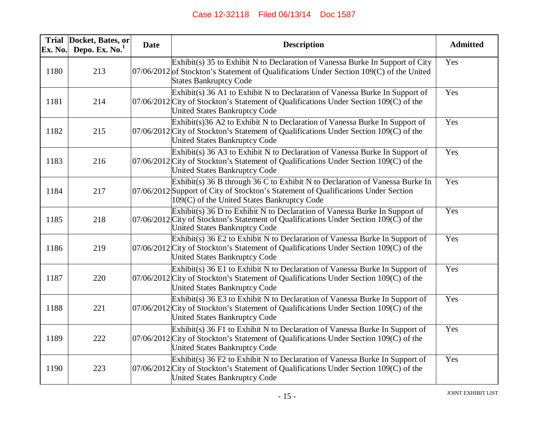| Ex. No. | Trial Docket, Bates, or<br>Depo. Ex. $No.1$ | <b>Date</b> | <b>Description</b>                                                                                                                                                                                                                 | <b>Admitted</b> |
|---------|---------------------------------------------|-------------|------------------------------------------------------------------------------------------------------------------------------------------------------------------------------------------------------------------------------------|-----------------|
| 1180    | 213                                         |             | Exhibit(s) 35 to Exhibit N to Declaration of Vanessa Burke In Support of City<br>$07/06/2012$ of Stockton's Statement of Qualifications Under Section 109(C) of the United<br><b>States Bankruptcy Code</b>                        | Yes             |
| 1181    | 214                                         |             | Exhibit(s) 36 A1 to Exhibit N to Declaration of Vanessa Burke In Support of<br>07/06/2012 City of Stockton's Statement of Qualifications Under Section 109(C) of the<br><b>United States Bankruptcy Code</b>                       | Yes             |
| 1182    | 215                                         |             | $Exhibit(s)36 A2$ to Exhibit N to Declaration of Vanessa Burke In Support of<br>07/06/2012 City of Stockton's Statement of Qualifications Under Section 109(C) of the<br><b>United States Bankruptcy Code</b>                      | Yes             |
| 1183    | 216                                         |             | Exhibit(s) 36 A3 to Exhibit N to Declaration of Vanessa Burke In Support of<br>07/06/2012 City of Stockton's Statement of Qualifications Under Section 109(C) of the<br><b>United States Bankruptcy Code</b>                       | Yes             |
| 1184    | 217                                         |             | Exhibit(s) 36 B through 36 C to Exhibit N to Declaration of Vanessa Burke In<br>07/06/2012 Support of City of Stockton's Statement of Qualifications Under Section<br>109(C) of the United States Bankruptcy Code                  | Yes             |
| 1185    | 218                                         |             | Exhibit(s) 36 D to Exhibit N to Declaration of Vanessa Burke In Support of<br>$07/06/2012$ City of Stockton's Statement of Qualifications Under Section 109( $\overrightarrow{C}$ ) of the<br><b>United States Bankruptcy Code</b> | Yes             |
| 1186    | 219                                         |             | Exhibit(s) 36 E2 to Exhibit N to Declaration of Vanessa Burke In Support of<br>$07/06/2012$ City of Stockton's Statement of Qualifications Under Section 109(C) of the<br><b>United States Bankruptcy Code</b>                     | Yes             |
| 1187    | 220                                         |             | Exhibit(s) 36 E1 to Exhibit N to Declaration of Vanessa Burke In Support of<br>07/06/2012 City of Stockton's Statement of Qualifications Under Section 109(C) of the<br>United States Bankruptcy Code                              | Yes             |
| 1188    | 221                                         |             | Exhibit(s) 36 E3 to Exhibit N to Declaration of Vanessa Burke In Support of<br>$07/06/2012$ City of Stockton's Statement of Qualifications Under Section 109(C) of the<br><b>United States Bankruptcy Code</b>                     | Yes             |
| 1189    | 222                                         |             | Exhibit(s) 36 F1 to Exhibit N to Declaration of Vanessa Burke In Support of<br>07/06/2012 City of Stockton's Statement of Qualifications Under Section 109(C) of the<br><b>United States Bankruptcy Code</b>                       | Yes             |
| 1190    | 223                                         |             | Exhibit(s) 36 F2 to Exhibit N to Declaration of Vanessa Burke In Support of<br>$07/06/2012$ City of Stockton's Statement of Qualifications Under Section 109(C) of the<br><b>United States Bankruptcy Code</b>                     | Yes             |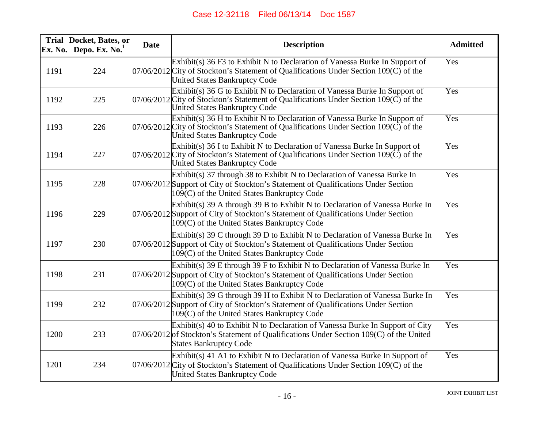| Ex. No. | Trial Docket, Bates, or<br>Depo. Ex. $No.1$ | <b>Date</b> | <b>Description</b>                                                                                                                                                                                                          | <b>Admitted</b> |
|---------|---------------------------------------------|-------------|-----------------------------------------------------------------------------------------------------------------------------------------------------------------------------------------------------------------------------|-----------------|
| 1191    | 224                                         |             | Exhibit(s) 36 F3 to Exhibit N to Declaration of Vanessa Burke In Support of<br>07/06/2012 City of Stockton's Statement of Qualifications Under Section 109(C) of the<br><b>United States Bankruptcy Code</b>                | Yes             |
| 1192    | 225                                         |             | Exhibit(s) 36 G to Exhibit N to Declaration of Vanessa Burke In Support of<br>$07/06/2012$ City of Stockton's Statement of Qualifications Under Section 109( $\overrightarrow{C}$ ) of the<br>United States Bankruptcy Code | Yes             |
| 1193    | 226                                         |             | $Exhibit(s)$ 36 H to Exhibit N to Declaration of Vanessa Burke In Support of<br>$07/06/2012$ City of Stockton's Statement of Qualifications Under Section 109( $\check{C}$ ) of the<br><b>United States Bankruptcy Code</b> | Yes             |
| 1194    | 227                                         |             | Exhibit(s) 36 I to Exhibit N to Declaration of Vanessa Burke In Support of<br>07/06/2012 City of Stockton's Statement of Qualifications Under Section 109(C) of the<br><b>United States Bankruptcy Code</b>                 | Yes             |
| 1195    | 228                                         |             | Exhibit(s) 37 through 38 to Exhibit N to Declaration of Vanessa Burke In<br>07/06/2012 Support of City of Stockton's Statement of Qualifications Under Section<br>109(C) of the United States Bankruptcy Code               | Yes             |
| 1196    | 229                                         |             | Exhibit(s) 39 A through 39 B to Exhibit N to Declaration of Vanessa Burke In<br>07/06/2012 Support of City of Stockton's Statement of Qualifications Under Section<br>109(C) of the United States Bankruptcy Code           | Yes             |
| 1197    | 230                                         |             | Exhibit(s) 39 C through 39 D to Exhibit N to Declaration of Vanessa Burke In<br>07/06/2012 Support of City of Stockton's Statement of Qualifications Under Section<br>109(C) of the United States Bankruptcy Code           | Yes             |
| 1198    | 231                                         |             | Exhibit(s) 39 E through 39 F to Exhibit N to Declaration of Vanessa Burke In<br>07/06/2012 Support of City of Stockton's Statement of Qualifications Under Section<br>109(C) of the United States Bankruptcy Code           | Yes             |
| 1199    | 232                                         |             | Exhibit(s) 39 G through 39 H to Exhibit N to Declaration of Vanessa Burke In<br>07/06/2012 Support of City of Stockton's Statement of Qualifications Under Section<br>109(C) of the United States Bankruptcy Code           | Yes             |
| 1200    | 233                                         |             | Exhibit(s) 40 to Exhibit N to Declaration of Vanessa Burke In Support of City<br>$07/06/2012$ of Stockton's Statement of Qualifications Under Section 109(C) of the United<br><b>States Bankruptcy Code</b>                 | Yes             |
| 1201    | 234                                         |             | Exhibit(s) 41 A1 to Exhibit N to Declaration of Vanessa Burke In Support of<br>$07/06/2012$ City of Stockton's Statement of Qualifications Under Section 109(C) of the<br><b>United States Bankruptcy Code</b>              | Yes             |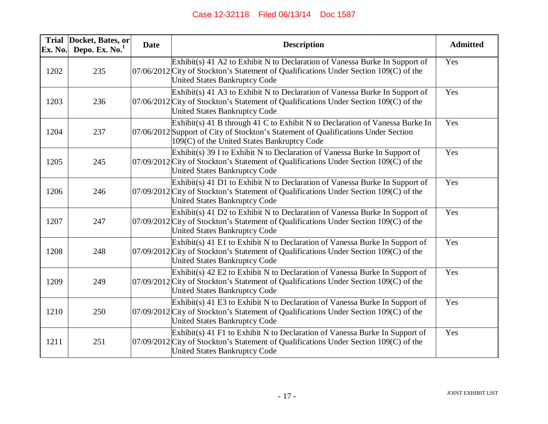| Ex. No. | Trial Docket, Bates, or<br>Depo. Ex. $No.1$ | <b>Date</b> | <b>Description</b>                                                                                                                                                                                                | <b>Admitted</b> |
|---------|---------------------------------------------|-------------|-------------------------------------------------------------------------------------------------------------------------------------------------------------------------------------------------------------------|-----------------|
| 1202    | 235                                         |             | Exhibit(s) 41 A2 to Exhibit N to Declaration of Vanessa Burke In Support of<br>07/06/2012 City of Stockton's Statement of Qualifications Under Section 109(C) of the<br><b>United States Bankruptcy Code</b>      | Yes             |
| 1203    | 236                                         |             | Exhibit(s) 41 A3 to Exhibit N to Declaration of Vanessa Burke In Support of<br>07/06/2012 City of Stockton's Statement of Qualifications Under Section 109(C) of the<br><b>United States Bankruptcy Code</b>      | Yes             |
| 1204    | 237                                         |             | Exhibit(s) 41 B through 41 C to Exhibit N to Declaration of Vanessa Burke In<br>07/06/2012 Support of City of Stockton's Statement of Qualifications Under Section<br>109(C) of the United States Bankruptcy Code | Yes             |
| 1205    | 245                                         |             | Exhibit(s) 39 I to Exhibit N to Declaration of Vanessa Burke In Support of<br>$07/09/2012$ City of Stockton's Statement of Qualifications Under Section 109(C) of the<br><b>United States Bankruptcy Code</b>     | Yes             |
| 1206    | 246                                         |             | $Exhibit(s)$ 41 D1 to Exhibit N to Declaration of Vanessa Burke In Support of<br>07/09/2012 City of Stockton's Statement of Qualifications Under Section 109(C) of the<br><b>United States Bankruptcy Code</b>    | Yes             |
| 1207    | 247                                         |             | Exhibit(s) 41 D2 to Exhibit N to Declaration of Vanessa Burke In Support of<br>07/09/2012 City of Stockton's Statement of Qualifications Under Section 109(C) of the<br><b>United States Bankruptcy Code</b>      | Yes             |
| 1208    | 248                                         |             | $Exhibit(s)$ 41 E1 to Exhibit N to Declaration of Vanessa Burke In Support of<br>07/09/2012 City of Stockton's Statement of Qualifications Under Section 109(C) of the<br><b>United States Bankruptcy Code</b>    | Yes             |
| 1209    | 249                                         |             | $Exhibit(s)$ 42 E2 to Exhibit N to Declaration of Vanessa Burke In Support of<br>07/09/2012 City of Stockton's Statement of Qualifications Under Section 109(C) of the<br>United States Bankruptcy Code           | Yes             |
| 1210    | 250                                         |             | $Exhibit(s)$ 41 E3 to Exhibit N to Declaration of Vanessa Burke In Support of<br>07/09/2012 City of Stockton's Statement of Qualifications Under Section 109(C) of the<br>United States Bankruptcy Code           | Yes             |
| 1211    | 251                                         |             | Exhibit(s) 41 F1 to Exhibit N to Declaration of Vanessa Burke In Support of<br>07/09/2012 City of Stockton's Statement of Qualifications Under Section 109(C) of the<br><b>United States Bankruptcy Code</b>      | Yes             |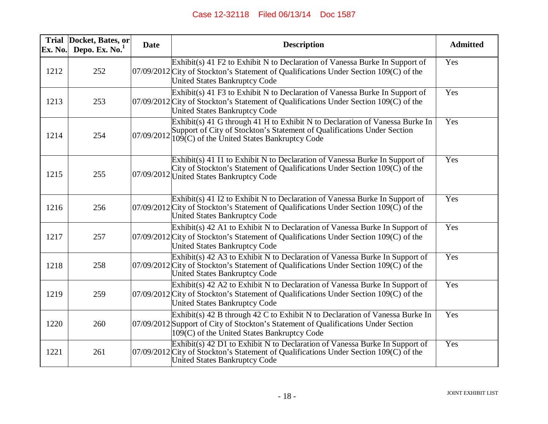| Ex. No. | Trial Docket, Bates, or<br>Depo. Ex. $No.1$ | <b>Date</b> | <b>Description</b>                                                                                                                                                                                                    | <b>Admitted</b> |
|---------|---------------------------------------------|-------------|-----------------------------------------------------------------------------------------------------------------------------------------------------------------------------------------------------------------------|-----------------|
| 1212    | 252                                         |             | $Exhibit(s)$ 41 F2 to Exhibit N to Declaration of Vanessa Burke In Support of<br>07/09/2012 City of Stockton's Statement of Qualifications Under Section 109(C) of the<br><b>United States Bankruptcy Code</b>        | Yes             |
| 1213    | 253                                         |             | Exhibit(s) 41 F3 to Exhibit N to Declaration of Vanessa Burke In Support of<br>07/09/2012 City of Stockton's Statement of Qualifications Under Section 109(C) of the<br><b>United States Bankruptcy Code</b>          | Yes             |
| 1214    | 254                                         |             | Exhibit(s) 41 G through 41 H to Exhibit N to Declaration of Vanessa Burke In<br>Support of City of Stockton's Statement of Qualifications Under Section<br>$07/09/2012$ $109(C)$ of the United States Bankruptcy Code | Yes             |
| 1215    | 255                                         |             | Exhibit(s) 41 I1 to Exhibit N to Declaration of Vanessa Burke In Support of<br>City of Stockton's Statement of Qualifications Under Section $109(\tilde{C})$ of the<br>07/09/2012 United States Bankruptcy Code       | Yes             |
| 1216    | 256                                         |             | $Exhibit(s)$ 41 I2 to Exhibit N to Declaration of Vanessa Burke In Support of<br>07/09/2012 City of Stockton's Statement of Qualifications Under Section 109(C) of the<br><b>United States Bankruptcy Code</b>        | Yes             |
| 1217    | 257                                         |             | Exhibit(s) 42 A1 to Exhibit N to Declaration of Vanessa Burke In Support of<br>07/09/2012 City of Stockton's Statement of Qualifications Under Section 109(C) of the<br><b>United States Bankruptcy Code</b>          | Yes             |
| 1218    | 258                                         |             | Exhibit(s) 42 A3 to Exhibit N to Declaration of Vanessa Burke In Support of<br>$07/09/2012$ City of Stockton's Statement of Qualifications Under Section 109(C) of the<br><b>United States Bankruptcy Code</b>        | Yes             |
| 1219    | 259                                         |             | Exhibit(s) 42 A2 to Exhibit N to Declaration of Vanessa Burke In Support of<br>07/09/2012 City of Stockton's Statement of Qualifications Under Section 109(C) of the<br><b>United States Bankruptcy Code</b>          | Yes             |
| 1220    | 260                                         |             | Exhibit(s) 42 B through 42 C to Exhibit N to Declaration of Vanessa Burke In<br>07/09/2012 Support of City of Stockton's Statement of Qualifications Under Section<br>109(C) of the United States Bankruptcy Code     | Yes             |
| 1221    | 261                                         |             | Exhibit(s) 42 D1 to Exhibit N to Declaration of Vanessa Burke In Support of<br>$07/09/2012$ City of Stockton's Statement of Qualifications Under Section 109(C) of the<br>United States Bankruptcy Code               | Yes             |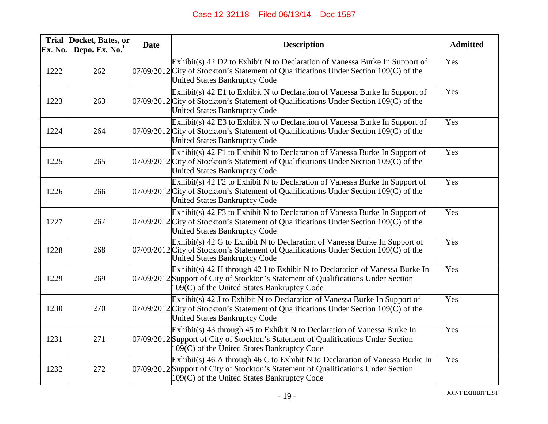| Ex. No. | Trial Docket, Bates, or<br>Depo. Ex. $No.1$ | <b>Date</b> | <b>Description</b>                                                                                                                                                                                                          | <b>Admitted</b>   |
|---------|---------------------------------------------|-------------|-----------------------------------------------------------------------------------------------------------------------------------------------------------------------------------------------------------------------------|-------------------|
| 1222    | 262                                         |             | Exhibit(s) 42 D2 to Exhibit N to Declaration of Vanessa Burke In Support of<br>07/09/2012 City of Stockton's Statement of Qualifications Under Section 109(C) of the<br><b>United States Bankruptcy Code</b>                | Yes               |
| 1223    | 263                                         |             | Exhibit(s) $42$ E1 to Exhibit N to Declaration of Vanessa Burke In Support of<br>$07/09/2012$ City of Stockton's Statement of Qualifications Under Section 109(C) of the<br><b>United States Bankruptcy Code</b>            | Yes               |
| 1224    | 264                                         |             | $Exhibit(s)$ 42 E3 to Exhibit N to Declaration of Vanessa Burke In Support of<br>07/09/2012 City of Stockton's Statement of Qualifications Under Section 109(C) of the<br><b>United States Bankruptcy Code</b>              | Yes               |
| 1225    | 265                                         |             | Exhibit(s) 42 F1 to Exhibit N to Declaration of Vanessa Burke In Support of<br>07/09/2012 City of Stockton's Statement of Qualifications Under Section 109(C) of the<br><b>United States Bankruptcy Code</b>                | Yes               |
| 1226    | 266                                         |             | $Exhibit(s)$ 42 F2 to Exhibit N to Declaration of Vanessa Burke In Support of<br>07/09/2012 City of Stockton's Statement of Qualifications Under Section 109(C) of the<br><b>United States Bankruptcy Code</b>              | Yes               |
| 1227    | 267                                         |             | Exhibit(s) 42 F3 to Exhibit N to Declaration of Vanessa Burke In Support of<br>07/09/2012 City of Stockton's Statement of Qualifications Under Section 109(C) of the<br><b>United States Bankruptcy Code</b>                | Yes               |
| 1228    | 268                                         |             | Exhibit(s) 42 G to Exhibit N to Declaration of Vanessa Burke In Support of<br>$07/09/2012$ City of Stockton's Statement of Qualifications Under Section 109( $\overrightarrow{C}$ ) of the<br>United States Bankruptcy Code | Yes               |
| 1229    | 269                                         |             | Exhibit(s) 42 H through 42 I to Exhibit N to Declaration of Vanessa Burke In<br>07/09/2012 Support of City of Stockton's Statement of Qualifications Under Section<br>109(C) of the United States Bankruptcy Code           | $\overline{Y}$ es |
| 1230    | 270                                         |             | $Exhibit(s)$ 42 J to Exhibit N to Declaration of Vanessa Burke In Support of<br>$07/09/2012$ City of Stockton's Statement of Qualifications Under Section 109(C) of the<br><b>United States Bankruptcy Code</b>             | Yes               |
| 1231    | 271                                         |             | Exhibit(s) 43 through 45 to Exhibit N to Declaration of Vanessa Burke In<br>07/09/2012 Support of City of Stockton's Statement of Qualifications Under Section<br>109(C) of the United States Bankruptcy Code               | Yes               |
| 1232    | 272                                         |             | Exhibit(s) 46 A through 46 C to Exhibit N to Declaration of Vanessa Burke In<br>07/09/2012 Support of City of Stockton's Statement of Qualifications Under Section<br>109(C) of the United States Bankruptcy Code           | Yes               |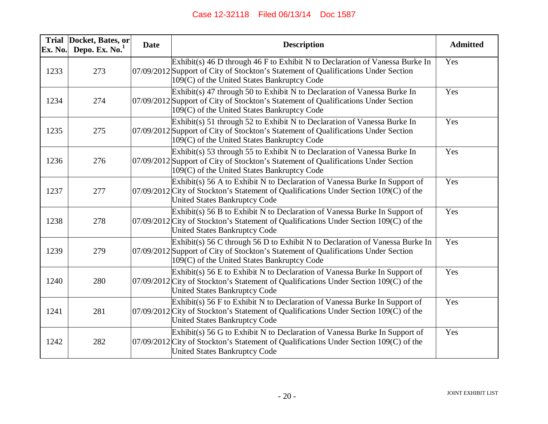| Ex. No. | Trial Docket, Bates, or<br>Depo. Ex. $No.1$ | <b>Date</b> | <b>Description</b>                                                                                                                                                                                                | <b>Admitted</b> |
|---------|---------------------------------------------|-------------|-------------------------------------------------------------------------------------------------------------------------------------------------------------------------------------------------------------------|-----------------|
| 1233    | 273                                         |             | Exhibit(s) 46 D through 46 F to Exhibit N to Declaration of Vanessa Burke In<br>07/09/2012 Support of City of Stockton's Statement of Qualifications Under Section<br>109(C) of the United States Bankruptcy Code | Yes             |
| 1234    | 274                                         |             | Exhibit(s) 47 through 50 to Exhibit N to Declaration of Vanessa Burke In<br>07/09/2012 Support of City of Stockton's Statement of Qualifications Under Section<br>109(C) of the United States Bankruptcy Code     | Yes             |
| 1235    | 275                                         |             | Exhibit(s) 51 through 52 to Exhibit N to Declaration of Vanessa Burke In<br>07/09/2012 Support of City of Stockton's Statement of Qualifications Under Section<br>109(C) of the United States Bankruptcy Code     | Yes             |
| 1236    | 276                                         |             | Exhibit(s) 53 through 55 to Exhibit N to Declaration of Vanessa Burke In<br>07/09/2012 Support of City of Stockton's Statement of Qualifications Under Section<br>109(C) of the United States Bankruptcy Code     | Yes             |
| 1237    | 277                                         |             | Exhibit(s) 56 A to Exhibit N to Declaration of Vanessa Burke In Support of<br>07/09/2012 City of Stockton's Statement of Qualifications Under Section 109(C) of the<br><b>United States Bankruptcy Code</b>       | Yes             |
| 1238    | 278                                         |             | Exhibit(s) 56 B to Exhibit N to Declaration of Vanessa Burke In Support of<br>$07/09/2012$ City of Stockton's Statement of Qualifications Under Section 109(C) of the<br><b>United States Bankruptcy Code</b>     | Yes             |
| 1239    | 279                                         |             | Exhibit(s) 56 C through 56 D to Exhibit N to Declaration of Vanessa Burke In<br>07/09/2012 Support of City of Stockton's Statement of Qualifications Under Section<br>109(C) of the United States Bankruptcy Code | Yes             |
| 1240    | 280                                         |             | Exhibit(s) 56 E to Exhibit N to Declaration of Vanessa Burke In Support of<br>$07/09/2012$ City of Stockton's Statement of Qualifications Under Section 109(C) of the<br><b>United States Bankruptcy Code</b>     | Yes             |
| 1241    | 281                                         |             | $Exhibit(s)$ 56 F to Exhibit N to Declaration of Vanessa Burke In Support of<br>07/09/2012 City of Stockton's Statement of Qualifications Under Section 109(C) of the<br><b>United States Bankruptcy Code</b>     | Yes             |
| 1242    | 282                                         |             | Exhibit(s) 56 G to Exhibit N to Declaration of Vanessa Burke In Support of<br>$07/09/2012$ City of Stockton's Statement of Qualifications Under Section 109(C) of the<br><b>United States Bankruptcy Code</b>     | Yes             |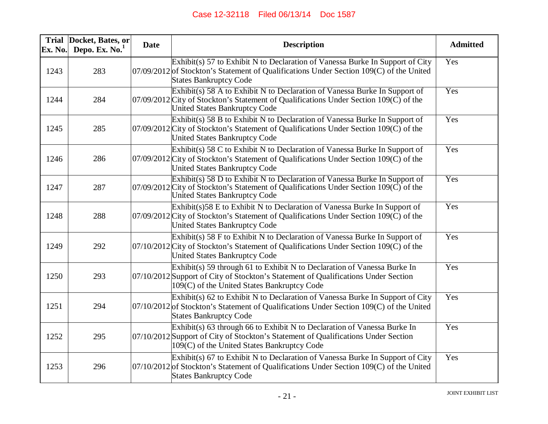| Ex. No. | Trial Docket, Bates, or<br>Depo. Ex. $No.1$ | <b>Date</b> | <b>Description</b>                                                                                                                                                                                                        | <b>Admitted</b> |
|---------|---------------------------------------------|-------------|---------------------------------------------------------------------------------------------------------------------------------------------------------------------------------------------------------------------------|-----------------|
| 1243    | 283                                         |             | Exhibit(s) 57 to Exhibit N to Declaration of Vanessa Burke In Support of City<br>$07/09/2012$ of Stockton's Statement of Qualifications Under Section 109(C) of the United<br><b>States Bankruptcy Code</b>               | Yes             |
| 1244    | 284                                         |             | Exhibit(s) 58 A to Exhibit N to Declaration of Vanessa Burke In Support of<br>$07/09/2012$ City of Stockton's Statement of Qualifications Under Section 109( $\check{C}$ ) of the<br><b>United States Bankruptcy Code</b> | Yes             |
| 1245    | 285                                         |             | $Exhibit(s)$ 58 B to Exhibit N to Declaration of Vanessa Burke In Support of<br>07/09/2012 City of Stockton's Statement of Qualifications Under Section 109(C) of the<br><b>United States Bankruptcy Code</b>             | Yes             |
| 1246    | 286                                         |             | $Exhibit(s)$ 58 C to Exhibit N to Declaration of Vanessa Burke In Support of<br>07/09/2012 City of Stockton's Statement of Qualifications Under Section 109(C) of the<br><b>United States Bankruptcy Code</b>             | Yes             |
| 1247    | 287                                         |             | $Exhibit(s)$ 58 D to Exhibit N to Declaration of Vanessa Burke In Support of<br>$07/09/2012$ City of Stockton's Statement of Qualifications Under Section 109( $\overline{C}$ ) of the<br>United States Bankruptcy Code   | Yes             |
| 1248    | 288                                         |             | $Exhibit(s)$ 58 E to Exhibit N to Declaration of Vanessa Burke In Support of<br>07/09/2012 City of Stockton's Statement of Qualifications Under Section 109(C) of the<br><b>United States Bankruptcy Code</b>             | Yes             |
| 1249    | 292                                         |             | $Exhibit(s)$ 58 F to Exhibit N to Declaration of Vanessa Burke In Support of<br>07/10/2012 City of Stockton's Statement of Qualifications Under Section 109(C) of the<br><b>United States Bankruptcy Code</b>             | Yes             |
| 1250    | 293                                         |             | Exhibit(s) 59 through 61 to Exhibit N to Declaration of Vanessa Burke In<br>07/10/2012 Support of City of Stockton's Statement of Qualifications Under Section<br>109(C) of the United States Bankruptcy Code             | Yes             |
| 1251    | 294                                         |             | Exhibit(s) 62 to Exhibit N to Declaration of Vanessa Burke In Support of City<br>$07/10/2012$ of Stockton's Statement of Qualifications Under Section 109(C) of the United<br><b>States Bankruptcy Code</b>               | Yes             |
| 1252    | 295                                         |             | Exhibit(s) 63 through 66 to Exhibit N to Declaration of Vanessa Burke In<br>07/10/2012 Support of City of Stockton's Statement of Qualifications Under Section<br>109(C) of the United States Bankruptcy Code             | Yes             |
| 1253    | 296                                         |             | Exhibit(s) 67 to Exhibit N to Declaration of Vanessa Burke In Support of City<br>$07/10/2012$ of Stockton's Statement of Qualifications Under Section 109(C) of the United<br><b>States Bankruptcy Code</b>               | Yes             |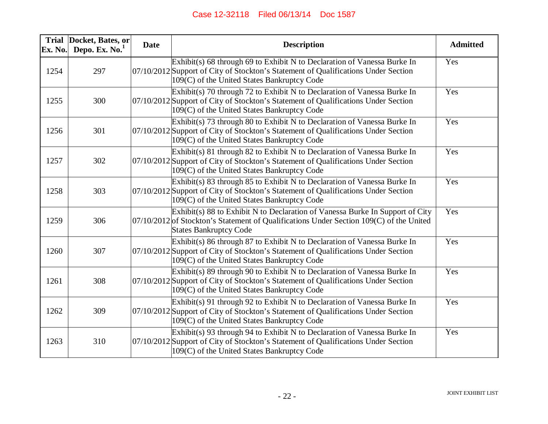| Ex. No. | Trial Docket, Bates, or<br>Depo. Ex. $No.1$ | <b>Date</b> | <b>Description</b>                                                                                                                                                                                            | <b>Admitted</b> |
|---------|---------------------------------------------|-------------|---------------------------------------------------------------------------------------------------------------------------------------------------------------------------------------------------------------|-----------------|
| 1254    | 297                                         |             | Exhibit(s) 68 through 69 to Exhibit N to Declaration of Vanessa Burke In<br>07/10/2012 Support of City of Stockton's Statement of Qualifications Under Section<br>109(C) of the United States Bankruptcy Code | Yes             |
| 1255    | 300                                         |             | Exhibit(s) 70 through 72 to Exhibit N to Declaration of Vanessa Burke In<br>07/10/2012 Support of City of Stockton's Statement of Qualifications Under Section<br>109(C) of the United States Bankruptcy Code | Yes             |
| 1256    | 301                                         |             | Exhibit(s) 73 through 80 to Exhibit N to Declaration of Vanessa Burke In<br>07/10/2012 Support of City of Stockton's Statement of Qualifications Under Section<br>109(C) of the United States Bankruptcy Code | Yes             |
| 1257    | 302                                         |             | Exhibit(s) 81 through 82 to Exhibit N to Declaration of Vanessa Burke In<br>07/10/2012 Support of City of Stockton's Statement of Qualifications Under Section<br>109(C) of the United States Bankruptcy Code | Yes             |
| 1258    | 303                                         |             | Exhibit(s) 83 through 85 to Exhibit N to Declaration of Vanessa Burke In<br>07/10/2012 Support of City of Stockton's Statement of Qualifications Under Section<br>109(C) of the United States Bankruptcy Code | Yes             |
| 1259    | 306                                         |             | Exhibit(s) 88 to Exhibit N to Declaration of Vanessa Burke In Support of City<br>$07/10/2012$ of Stockton's Statement of Qualifications Under Section 109(C) of the United<br><b>States Bankruptcy Code</b>   | Yes             |
| 1260    | 307                                         |             | Exhibit(s) 86 through 87 to Exhibit N to Declaration of Vanessa Burke In<br>07/10/2012 Support of City of Stockton's Statement of Qualifications Under Section<br>109(C) of the United States Bankruptcy Code | Yes             |
| 1261    | 308                                         |             | Exhibit(s) 89 through 90 to Exhibit N to Declaration of Vanessa Burke In<br>07/10/2012 Support of City of Stockton's Statement of Qualifications Under Section<br>109(C) of the United States Bankruptcy Code | Yes             |
| 1262    | 309                                         |             | Exhibit(s) 91 through 92 to Exhibit N to Declaration of Vanessa Burke In<br>07/10/2012 Support of City of Stockton's Statement of Qualifications Under Section<br>109(C) of the United States Bankruptcy Code | Yes             |
| 1263    | 310                                         |             | Exhibit(s) 93 through 94 to Exhibit N to Declaration of Vanessa Burke In<br>07/10/2012 Support of City of Stockton's Statement of Qualifications Under Section<br>109(C) of the United States Bankruptcy Code | Yes             |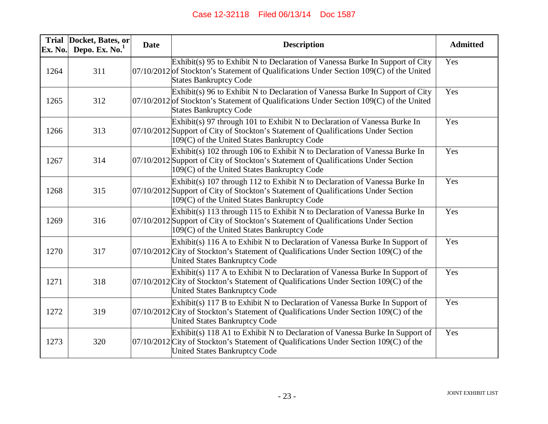| Ex. No. | Trial Docket, Bates, or<br>Depo. Ex. $No.1$ | <b>Date</b> | <b>Description</b>                                                                                                                                                                                               | <b>Admitted</b> |
|---------|---------------------------------------------|-------------|------------------------------------------------------------------------------------------------------------------------------------------------------------------------------------------------------------------|-----------------|
| 1264    | 311                                         |             | Exhibit(s) 95 to Exhibit N to Declaration of Vanessa Burke In Support of City<br>$07/10/2012$ of Stockton's Statement of Qualifications Under Section 109(C) of the United<br><b>States Bankruptcy Code</b>      | Yes             |
| 1265    | 312                                         |             | Exhibit(s) 96 to Exhibit N to Declaration of Vanessa Burke In Support of City<br>$07/10/2012$ of Stockton's Statement of Qualifications Under Section 109(C) of the United<br><b>States Bankruptcy Code</b>      | Yes             |
| 1266    | 313                                         |             | Exhibit(s) 97 through 101 to Exhibit N to Declaration of Vanessa Burke In<br>07/10/2012 Support of City of Stockton's Statement of Qualifications Under Section<br>109(C) of the United States Bankruptcy Code   | Yes             |
| 1267    | 314                                         |             | Exhibit(s) 102 through 106 to Exhibit N to Declaration of Vanessa Burke In<br>07/10/2012 Support of City of Stockton's Statement of Qualifications Under Section<br>109(C) of the United States Bankruptcy Code  | Yes             |
| 1268    | 315                                         |             | Exhibit(s) 107 through 112 to Exhibit N to Declaration of Vanessa Burke In<br>07/10/2012 Support of City of Stockton's Statement of Qualifications Under Section<br>109(C) of the United States Bankruptcy Code  | Yes             |
| 1269    | 316                                         |             | Exhibit(s) 113 through 115 to Exhibit N to Declaration of Vanessa Burke In<br>07/10/2012 Support of City of Stockton's Statement of Qualifications Under Section<br>109(C) of the United States Bankruptcy Code  | Yes             |
| 1270    | 317                                         |             | Exhibit(s) 116 A to Exhibit N to Declaration of Vanessa Burke In Support of<br>07/10/2012 City of Stockton's Statement of Qualifications Under Section 109(C) of the<br><b>United States Bankruptcy Code</b>     | Yes             |
| 1271    | 318                                         |             | Exhibit(s) 117 A to Exhibit N to Declaration of Vanessa Burke In Support of<br>$07/10/2012$ City of Stockton's Statement of Qualifications Under Section 109(C) of the<br><b>United States Bankruptcy Code</b>   | Yes             |
| 1272    | 319                                         |             | Exhibit(s) 117 B to Exhibit N to Declaration of Vanessa Burke In Support of<br>$ 07/10/2012 $ City of Stockton's Statement of Qualifications Under Section 109(C) of the<br><b>United States Bankruptcy Code</b> | Yes             |
| 1273    | 320                                         |             | Exhibit(s) 118 A1 to Exhibit N to Declaration of Vanessa Burke In Support of<br>07/10/2012 City of Stockton's Statement of Qualifications Under Section 109(C) of the<br><b>United States Bankruptcy Code</b>    | Yes             |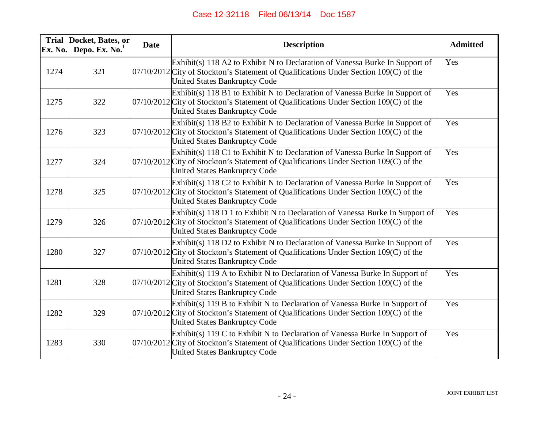| Ex. No. | Trial Docket, Bates, or<br>Depo. Ex. $No.1$ | <b>Date</b> | <b>Description</b>                                                                                                                                                                                                | <b>Admitted</b> |
|---------|---------------------------------------------|-------------|-------------------------------------------------------------------------------------------------------------------------------------------------------------------------------------------------------------------|-----------------|
| 1274    | 321                                         |             | Exhibit(s) 118 A2 to Exhibit N to Declaration of Vanessa Burke In Support of<br>$07/10/2012$ City of Stockton's Statement of Qualifications Under Section 109(C) of the<br><b>United States Bankruptcy Code</b>   | Yes             |
| 1275    | 322                                         |             | Exhibit(s) 118 B1 to Exhibit N to Declaration of Vanessa Burke In Support of<br>$07/10/2012$ City of Stockton's Statement of Qualifications Under Section 109(C) of the<br><b>United States Bankruptcy Code</b>   | Yes             |
| 1276    | 323                                         |             | Exhibit(s) 118 B2 to Exhibit N to Declaration of Vanessa Burke In Support of<br>07/10/2012 City of Stockton's Statement of Qualifications Under Section 109(C) of the<br><b>United States Bankruptcy Code</b>     | Yes             |
| 1277    | 324                                         |             | Exhibit(s) 118 C1 to Exhibit N to Declaration of Vanessa Burke In Support of<br>$07/10/2012$ City of Stockton's Statement of Qualifications Under Section 109(C) of the<br><b>United States Bankruptcy Code</b>   | Yes             |
| 1278    | 325                                         |             | Exhibit(s) 118 C2 to Exhibit N to Declaration of Vanessa Burke In Support of<br>$ 07/10/2012 $ City of Stockton's Statement of Qualifications Under Section 109(C) of the<br><b>United States Bankruptcy Code</b> | Yes             |
| 1279    | 326                                         |             | Exhibit(s) 118 D 1 to Exhibit N to Declaration of Vanessa Burke In Support of<br>$07/10/2012$ City of Stockton's Statement of Qualifications Under Section 109(C) of the<br><b>United States Bankruptcy Code</b>  | Yes             |
| 1280    | 327                                         |             | Exhibit(s) 118 D2 to Exhibit N to Declaration of Vanessa Burke In Support of<br>07/10/2012 City of Stockton's Statement of Qualifications Under Section 109(C) of the<br><b>United States Bankruptcy Code</b>     | Yes             |
| 1281    | 328                                         |             | Exhibit(s) 119 A to Exhibit N to Declaration of Vanessa Burke In Support of<br>$07/10/2012$ City of Stockton's Statement of Qualifications Under Section 109(C) of the<br><b>United States Bankruptcy Code</b>    | Yes             |
| 1282    | 329                                         |             | Exhibit(s) 119 B to Exhibit N to Declaration of Vanessa Burke In Support of<br>$07/10/2012$ City of Stockton's Statement of Qualifications Under Section 109(C) of the<br>United States Bankruptcy Code           | Yes             |
| 1283    | 330                                         |             | Exhibit(s) 119 C to Exhibit N to Declaration of Vanessa Burke In Support of<br>07/10/2012 City of Stockton's Statement of Qualifications Under Section 109(C) of the<br><b>United States Bankruptcy Code</b>      | Yes             |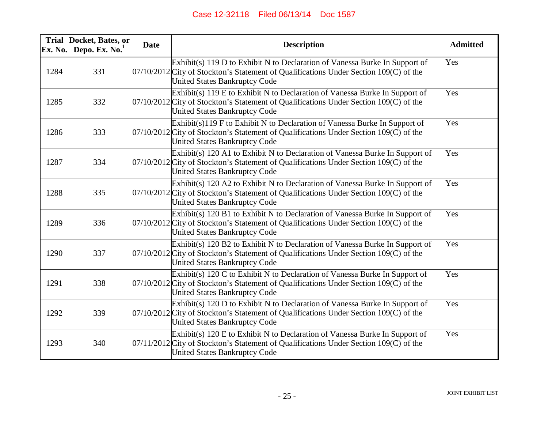| Ex. No. | Trial Docket, Bates, or<br>Depo. Ex. $No.1$ | <b>Date</b> | <b>Description</b>                                                                                                                                                                                                | <b>Admitted</b> |
|---------|---------------------------------------------|-------------|-------------------------------------------------------------------------------------------------------------------------------------------------------------------------------------------------------------------|-----------------|
| 1284    | 331                                         |             | Exhibit(s) 119 D to Exhibit N to Declaration of Vanessa Burke In Support of<br>$07/10/2012$ City of Stockton's Statement of Qualifications Under Section 109(C) of the<br><b>United States Bankruptcy Code</b>    | Yes             |
| 1285    | 332                                         |             | Exhibit(s) 119 E to Exhibit N to Declaration of Vanessa Burke In Support of<br>$07/10/2012$ City of Stockton's Statement of Qualifications Under Section 109(C) of the<br><b>United States Bankruptcy Code</b>    | Yes             |
| 1286    | 333                                         |             | Exhibit(s)119 F to Exhibit N to Declaration of Vanessa Burke In Support of<br>$07/10/2012$ City of Stockton's Statement of Qualifications Under Section 109(C) of the<br><b>United States Bankruptcy Code</b>     | Yes             |
| 1287    | 334                                         |             | Exhibit(s) 120 A1 to Exhibit N to Declaration of Vanessa Burke In Support of<br>$07/10/2012$ City of Stockton's Statement of Qualifications Under Section 109(C) of the<br><b>United States Bankruptcy Code</b>   | Yes             |
| 1288    | 335                                         |             | Exhibit(s) 120 A2 to Exhibit N to Declaration of Vanessa Burke In Support of<br>$07/10/2012$ City of Stockton's Statement of Qualifications Under Section 109(C) of the<br><b>United States Bankruptcy Code</b>   | Yes             |
| 1289    | 336                                         |             | $Exhibit(s)$ 120 B1 to Exhibit N to Declaration of Vanessa Burke In Support of<br>$07/10/2012$ City of Stockton's Statement of Qualifications Under Section 109(C) of the<br><b>United States Bankruptcy Code</b> | Yes             |
| 1290    | 337                                         |             | Exhibit(s) 120 B2 to Exhibit N to Declaration of Vanessa Burke In Support of<br>$07/10/2012$ City of Stockton's Statement of Qualifications Under Section 109(C) of the<br>United States Bankruptcy Code          | Yes             |
| 1291    | 338                                         |             | Exhibit(s) 120 C to Exhibit N to Declaration of Vanessa Burke In Support of<br>$07/10/2012$ City of Stockton's Statement of Qualifications Under Section 109(C) of the<br><b>United States Bankruptcy Code</b>    | Yes             |
| 1292    | 339                                         |             | Exhibit(s) 120 D to Exhibit N to Declaration of Vanessa Burke In Support of<br>07/10/2012 City of Stockton's Statement of Qualifications Under Section 109(C) of the<br><b>United States Bankruptcy Code</b>      | Yes             |
| 1293    | 340                                         |             | Exhibit(s) 120 E to Exhibit N to Declaration of Vanessa Burke In Support of<br>07/11/2012 City of Stockton's Statement of Qualifications Under Section 109(C) of the<br><b>United States Bankruptcy Code</b>      | Yes             |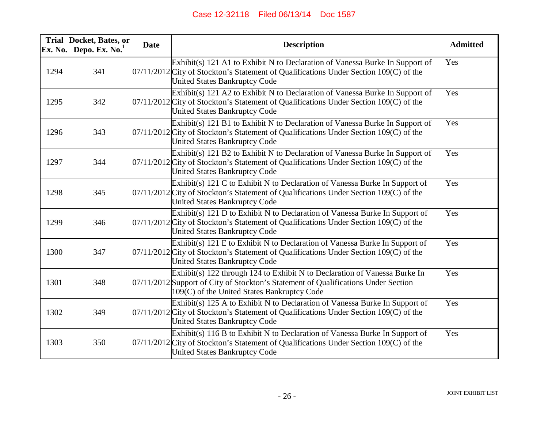| Ex. No. | Trial Docket, Bates, or<br>Depo. Ex. $No.1$ | <b>Date</b> | <b>Description</b>                                                                                                                                                                                              | <b>Admitted</b> |
|---------|---------------------------------------------|-------------|-----------------------------------------------------------------------------------------------------------------------------------------------------------------------------------------------------------------|-----------------|
| 1294    | 341                                         |             | Exhibit(s) 121 A1 to Exhibit N to Declaration of Vanessa Burke In Support of<br>07/11/2012 City of Stockton's Statement of Qualifications Under Section 109(C) of the<br>United States Bankruptcy Code          | Yes             |
| 1295    | 342                                         |             | Exhibit(s) 121 A2 to Exhibit N to Declaration of Vanessa Burke In Support of<br>$07/11/2012$ City of Stockton's Statement of Qualifications Under Section 109(C) of the<br><b>United States Bankruptcy Code</b> | Yes             |
| 1296    | 343                                         |             | Exhibit(s) 121 B1 to Exhibit N to Declaration of Vanessa Burke In Support of<br>07/11/2012 City of Stockton's Statement of Qualifications Under Section 109(C) of the<br><b>United States Bankruptcy Code</b>   | Yes             |
| 1297    | 344                                         |             | Exhibit(s) 121 B2 to Exhibit N to Declaration of Vanessa Burke In Support of<br>07/11/2012 City of Stockton's Statement of Qualifications Under Section 109(C) of the<br><b>United States Bankruptcy Code</b>   | Yes             |
| 1298    | 345                                         |             | Exhibit(s) 121 C to Exhibit N to Declaration of Vanessa Burke In Support of<br>07/11/2012 City of Stockton's Statement of Qualifications Under Section 109(C) of the<br><b>United States Bankruptcy Code</b>    | Yes             |
| 1299    | 346                                         |             | Exhibit(s) 121 D to Exhibit N to Declaration of Vanessa Burke In Support of<br>$07/11/2012$ City of Stockton's Statement of Qualifications Under Section 109(C) of the<br><b>United States Bankruptcy Code</b>  | Yes             |
| 1300    | 347                                         |             | Exhibit(s) 121 E to Exhibit N to Declaration of Vanessa Burke In Support of<br>07/11/2012 City of Stockton's Statement of Qualifications Under Section 109(C) of the<br><b>United States Bankruptcy Code</b>    | Yes             |
| 1301    | 348                                         |             | Exhibit(s) 122 through 124 to Exhibit N to Declaration of Vanessa Burke In<br>07/11/2012 Support of City of Stockton's Statement of Qualifications Under Section<br>109(C) of the United States Bankruptcy Code | Yes             |
| 1302    | 349                                         |             | Exhibit(s) 125 A to Exhibit N to Declaration of Vanessa Burke In Support of<br>$07/11/2012$ City of Stockton's Statement of Qualifications Under Section 109(C) of the<br><b>United States Bankruptcy Code</b>  | Yes             |
| 1303    | 350                                         |             | Exhibit(s) 116 B to Exhibit N to Declaration of Vanessa Burke In Support of<br>$07/11/2012$ City of Stockton's Statement of Qualifications Under Section 109(C) of the<br><b>United States Bankruptcy Code</b>  | Yes             |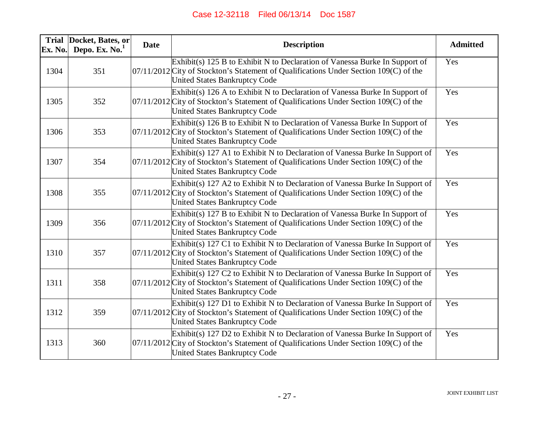| Ex. No. | Trial Docket, Bates, or<br>Depo. Ex. $No.1$ | <b>Date</b> | <b>Description</b>                                                                                                                                                                                              | <b>Admitted</b> |
|---------|---------------------------------------------|-------------|-----------------------------------------------------------------------------------------------------------------------------------------------------------------------------------------------------------------|-----------------|
| 1304    | 351                                         |             | Exhibit(s) 125 B to Exhibit N to Declaration of Vanessa Burke In Support of<br>07/11/2012 City of Stockton's Statement of Qualifications Under Section 109(C) of the<br><b>United States Bankruptcy Code</b>    | Yes             |
| 1305    | 352                                         |             | Exhibit(s) 126 A to Exhibit N to Declaration of Vanessa Burke In Support of<br>$07/11/2012$ City of Stockton's Statement of Qualifications Under Section 109(C) of the<br><b>United States Bankruptcy Code</b>  | Yes             |
| 1306    | 353                                         |             | Exhibit(s) 126 B to Exhibit N to Declaration of Vanessa Burke In Support of<br>07/11/2012 City of Stockton's Statement of Qualifications Under Section 109(C) of the<br><b>United States Bankruptcy Code</b>    | Yes             |
| 1307    | 354                                         |             | Exhibit(s) 127 A1 to Exhibit N to Declaration of Vanessa Burke In Support of<br>$07/11/2012$ City of Stockton's Statement of Qualifications Under Section 109(C) of the<br><b>United States Bankruptcy Code</b> | Yes             |
| 1308    | 355                                         |             | Exhibit(s) 127 A2 to Exhibit N to Declaration of Vanessa Burke In Support of<br>$07/11/2012$ City of Stockton's Statement of Qualifications Under Section 109(C) of the<br><b>United States Bankruptcy Code</b> | Yes             |
| 1309    | 356                                         |             | Exhibit(s) 127 B to Exhibit N to Declaration of Vanessa Burke In Support of<br>$07/11/2012$ City of Stockton's Statement of Qualifications Under Section 109(C) of the<br><b>United States Bankruptcy Code</b>  | Yes             |
| 1310    | 357                                         |             | Exhibit(s) 127 C1 to Exhibit N to Declaration of Vanessa Burke In Support of<br>07/11/2012 City of Stockton's Statement of Qualifications Under Section 109(C) of the<br><b>United States Bankruptcy Code</b>   | Yes             |
| 1311    | 358                                         |             | Exhibit(s) 127 C2 to Exhibit N to Declaration of Vanessa Burke In Support of<br>$07/11/2012$ City of Stockton's Statement of Qualifications Under Section 109(C) of the<br><b>United States Bankruptcy Code</b> | Yes             |
| 1312    | 359                                         |             | Exhibit(s) 127 D1 to Exhibit N to Declaration of Vanessa Burke In Support of<br>$07/11/2012$ City of Stockton's Statement of Qualifications Under Section 109(C) of the<br><b>United States Bankruptcy Code</b> | Yes             |
| 1313    | 360                                         |             | Exhibit(s) 127 D2 to Exhibit N to Declaration of Vanessa Burke In Support of<br>$07/11/2012$ City of Stockton's Statement of Qualifications Under Section 109(C) of the<br><b>United States Bankruptcy Code</b> | Yes             |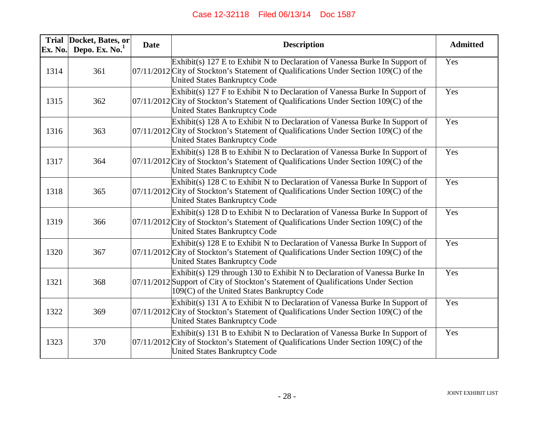| Ex. No. | Trial Docket, Bates, or<br>Depo. Ex. $No.1$ | <b>Date</b> | <b>Description</b>                                                                                                                                                                                               | <b>Admitted</b> |
|---------|---------------------------------------------|-------------|------------------------------------------------------------------------------------------------------------------------------------------------------------------------------------------------------------------|-----------------|
| 1314    | 361                                         |             | Exhibit(s) 127 E to Exhibit N to Declaration of Vanessa Burke In Support of<br>07/11/2012 City of Stockton's Statement of Qualifications Under Section 109(C) of the<br>United States Bankruptcy Code            | Yes             |
| 1315    | 362                                         |             | Exhibit(s) 127 F to Exhibit N to Declaration of Vanessa Burke In Support of<br>07/11/2012 City of Stockton's Statement of Qualifications Under Section 109(C) of the<br><b>United States Bankruptcy Code</b>     | Yes             |
| 1316    | 363                                         |             | Exhibit(s) 128 A to Exhibit N to Declaration of Vanessa Burke In Support of<br>07/11/2012 City of Stockton's Statement of Qualifications Under Section 109(C) of the<br><b>United States Bankruptcy Code</b>     | Yes             |
| 1317    | 364                                         |             | Exhibit(s) 128 B to Exhibit N to Declaration of Vanessa Burke In Support of<br>07/11/2012 City of Stockton's Statement of Qualifications Under Section 109(C) of the<br><b>United States Bankruptcy Code</b>     | Yes             |
| 1318    | 365                                         |             | Exhibit(s) 128 C to Exhibit N to Declaration of Vanessa Burke In Support of<br>07/11/2012 City of Stockton's Statement of Qualifications Under Section 109(C) of the<br><b>United States Bankruptcy Code</b>     | Yes             |
| 1319    | 366                                         |             | Exhibit(s) 128 D to Exhibit N to Declaration of Vanessa Burke In Support of<br>$07/11/2012$ City of Stockton's Statement of Qualifications Under Section 109(C) of the<br><b>United States Bankruptcy Code</b>   | Yes             |
| 1320    | 367                                         |             | Exhibit(s) $128$ E to Exhibit N to Declaration of Vanessa Burke In Support of<br>$07/11/2012$ City of Stockton's Statement of Qualifications Under Section 109(C) of the<br><b>United States Bankruptcy Code</b> | Yes             |
| 1321    | 368                                         |             | Exhibit(s) 129 through 130 to Exhibit N to Declaration of Vanessa Burke In<br>07/11/2012 Support of City of Stockton's Statement of Qualifications Under Section<br>109(C) of the United States Bankruptcy Code  | Yes             |
| 1322    | 369                                         |             | Exhibit(s) 131 A to Exhibit N to Declaration of Vanessa Burke In Support of<br>07/11/2012 City of Stockton's Statement of Qualifications Under Section 109(C) of the<br><b>United States Bankruptcy Code</b>     | Yes             |
| 1323    | 370                                         |             | Exhibit(s) 131 B to Exhibit N to Declaration of Vanessa Burke In Support of<br>$07/11/2012$ City of Stockton's Statement of Qualifications Under Section 109(C) of the<br><b>United States Bankruptcy Code</b>   | Yes             |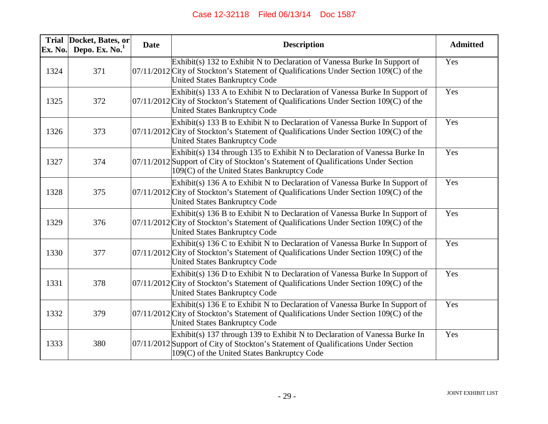| Ex. No. | Trial Docket, Bates, or<br>Depo. Ex. $No.1$ | <b>Date</b> | <b>Description</b>                                                                                                                                                                                              | <b>Admitted</b> |
|---------|---------------------------------------------|-------------|-----------------------------------------------------------------------------------------------------------------------------------------------------------------------------------------------------------------|-----------------|
| 1324    | 371                                         |             | Exhibit(s) 132 to Exhibit N to Declaration of Vanessa Burke In Support of<br>07/11/2012 City of Stockton's Statement of Qualifications Under Section 109(C) of the<br>United States Bankruptcy Code             | Yes             |
| 1325    | 372                                         |             | Exhibit(s) 133 A to Exhibit N to Declaration of Vanessa Burke In Support of<br>07/11/2012 City of Stockton's Statement of Qualifications Under Section 109(C) of the<br><b>United States Bankruptcy Code</b>    | Yes             |
| 1326    | 373                                         |             | Exhibit(s) 133 B to Exhibit N to Declaration of Vanessa Burke In Support of<br>07/11/2012 City of Stockton's Statement of Qualifications Under Section 109(C) of the<br><b>United States Bankruptcy Code</b>    | Yes             |
| 1327    | 374                                         |             | Exhibit(s) 134 through 135 to Exhibit N to Declaration of Vanessa Burke In<br>07/11/2012 Support of City of Stockton's Statement of Qualifications Under Section<br>109(C) of the United States Bankruptcy Code | Yes             |
| 1328    | 375                                         |             | Exhibit(s) 136 A to Exhibit N to Declaration of Vanessa Burke In Support of<br>07/11/2012 City of Stockton's Statement of Qualifications Under Section 109(C) of the<br>United States Bankruptcy Code           | Yes             |
| 1329    | 376                                         |             | Exhibit(s) 136 B to Exhibit N to Declaration of Vanessa Burke In Support of<br>07/11/2012 City of Stockton's Statement of Qualifications Under Section 109(C) of the<br><b>United States Bankruptcy Code</b>    | Yes             |
| 1330    | 377                                         |             | Exhibit(s) 136 C to Exhibit N to Declaration of Vanessa Burke In Support of<br>07/11/2012 City of Stockton's Statement of Qualifications Under Section 109(C) of the<br>United States Bankruptcy Code           | Yes             |
| 1331    | 378                                         |             | Exhibit(s) 136 D to Exhibit N to Declaration of Vanessa Burke In Support of<br>$07/11/2012$ City of Stockton's Statement of Qualifications Under Section 109(C) of the<br><b>United States Bankruptcy Code</b>  | Yes             |
| 1332    | 379                                         |             | Exhibit(s) 136 E to Exhibit N to Declaration of Vanessa Burke In Support of<br>07/11/2012 City of Stockton's Statement of Qualifications Under Section 109(C) of the<br>United States Bankruptcy Code           | Yes             |
| 1333    | 380                                         |             | Exhibit(s) 137 through 139 to Exhibit N to Declaration of Vanessa Burke In<br>07/11/2012 Support of City of Stockton's Statement of Qualifications Under Section<br>109(C) of the United States Bankruptcy Code | Yes             |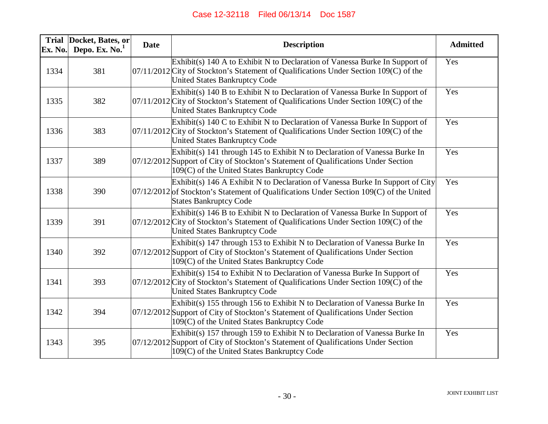| Ex. No. | Trial Docket, Bates, or<br>Depo. Ex. $No.1$ | <b>Date</b> | <b>Description</b>                                                                                                                                                                                              | <b>Admitted</b> |
|---------|---------------------------------------------|-------------|-----------------------------------------------------------------------------------------------------------------------------------------------------------------------------------------------------------------|-----------------|
| 1334    | 381                                         |             | Exhibit(s) 140 A to Exhibit N to Declaration of Vanessa Burke In Support of<br>07/11/2012 City of Stockton's Statement of Qualifications Under Section 109(C) of the<br><b>United States Bankruptcy Code</b>    | Yes             |
| 1335    | 382                                         |             | Exhibit(s) 140 B to Exhibit N to Declaration of Vanessa Burke In Support of<br>07/11/2012 City of Stockton's Statement of Qualifications Under Section 109(C) of the<br><b>United States Bankruptcy Code</b>    | Yes             |
| 1336    | 383                                         |             | Exhibit(s) 140 C to Exhibit N to Declaration of Vanessa Burke In Support of<br>07/11/2012 City of Stockton's Statement of Qualifications Under Section 109(C) of the<br><b>United States Bankruptcy Code</b>    | Yes             |
| 1337    | 389                                         |             | Exhibit(s) 141 through 145 to Exhibit N to Declaration of Vanessa Burke In<br>07/12/2012 Support of City of Stockton's Statement of Qualifications Under Section<br>109(C) of the United States Bankruptcy Code | Yes             |
| 1338    | 390                                         |             | Exhibit(s) 146 A Exhibit N to Declaration of Vanessa Burke In Support of City<br>$07/12/2012$ of Stockton's Statement of Qualifications Under Section 109(C) of the United<br><b>States Bankruptcy Code</b>     | Yes             |
| 1339    | 391                                         |             | Exhibit(s) 146 B to Exhibit N to Declaration of Vanessa Burke In Support of<br>07/12/2012 City of Stockton's Statement of Qualifications Under Section 109(C) of the<br><b>United States Bankruptcy Code</b>    | Yes             |
| 1340    | 392                                         |             | Exhibit(s) 147 through 153 to Exhibit N to Declaration of Vanessa Burke In<br>07/12/2012 Support of City of Stockton's Statement of Qualifications Under Section<br>109(C) of the United States Bankruptcy Code | Yes             |
| 1341    | 393                                         |             | Exhibit(s) 154 to Exhibit N to Declaration of Vanessa Burke In Support of<br>$07/12/2012$ City of Stockton's Statement of Qualifications Under Section 109(C) of the<br><b>United States Bankruptcy Code</b>    | Yes             |
| 1342    | 394                                         |             | Exhibit(s) 155 through 156 to Exhibit N to Declaration of Vanessa Burke In<br>07/12/2012 Support of City of Stockton's Statement of Qualifications Under Section<br>109(C) of the United States Bankruptcy Code | Yes             |
| 1343    | 395                                         |             | Exhibit(s) 157 through 159 to Exhibit N to Declaration of Vanessa Burke In<br>07/12/2012 Support of City of Stockton's Statement of Qualifications Under Section<br>109(C) of the United States Bankruptcy Code | Yes             |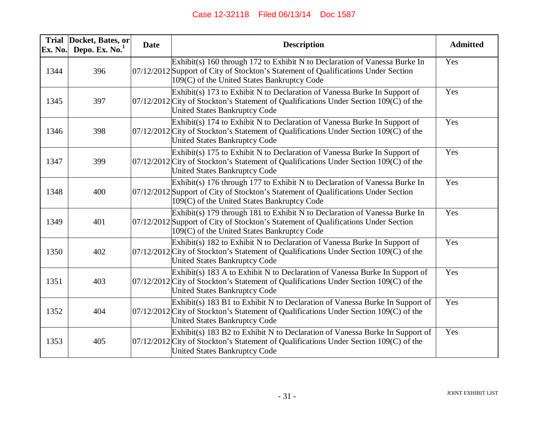| Ex. No. | Trial Docket, Bates, or<br>Depo. Ex. $No.1$ | <b>Date</b> | <b>Description</b>                                                                                                                                                                                              | <b>Admitted</b> |
|---------|---------------------------------------------|-------------|-----------------------------------------------------------------------------------------------------------------------------------------------------------------------------------------------------------------|-----------------|
| 1344    | 396                                         |             | Exhibit(s) 160 through 172 to Exhibit N to Declaration of Vanessa Burke In<br>07/12/2012 Support of City of Stockton's Statement of Qualifications Under Section<br>109(C) of the United States Bankruptcy Code | Yes             |
| 1345    | 397                                         |             | Exhibit(s) 173 to Exhibit N to Declaration of Vanessa Burke In Support of<br>$07/12/2012$ City of Stockton's Statement of Qualifications Under Section 109(C) of the<br>United States Bankruptcy Code           | Yes             |
| 1346    | 398                                         |             | Exhibit(s) 174 to Exhibit N to Declaration of Vanessa Burke In Support of<br>07/12/2012 City of Stockton's Statement of Qualifications Under Section 109(C) of the<br><b>United States Bankruptcy Code</b>      | Yes             |
| 1347    | 399                                         |             | Exhibit(s) 175 to Exhibit N to Declaration of Vanessa Burke In Support of<br>$07/12/2012$ City of Stockton's Statement of Qualifications Under Section 109(C) of the<br><b>United States Bankruptcy Code</b>    | Yes             |
| 1348    | 400                                         |             | Exhibit(s) 176 through 177 to Exhibit N to Declaration of Vanessa Burke In<br>07/12/2012 Support of City of Stockton's Statement of Qualifications Under Section<br>109(C) of the United States Bankruptcy Code | Yes             |
| 1349    | 401                                         |             | Exhibit(s) 179 through 181 to Exhibit N to Declaration of Vanessa Burke In<br>07/12/2012 Support of City of Stockton's Statement of Qualifications Under Section<br>109(C) of the United States Bankruptcy Code | Yes             |
| 1350    | 402                                         |             | Exhibit(s) 182 to Exhibit N to Declaration of Vanessa Burke In Support of<br>07/12/2012 City of Stockton's Statement of Qualifications Under Section 109(C) of the<br>United States Bankruptcy Code             | Yes             |
| 1351    | 403                                         |             | Exhibit(s) 183 A to Exhibit N to Declaration of Vanessa Burke In Support of<br>07/12/2012 City of Stockton's Statement of Qualifications Under Section 109(C) of the<br><b>United States Bankruptcy Code</b>    | Yes             |
| 1352    | 404                                         |             | Exhibit(s) 183 B1 to Exhibit N to Declaration of Vanessa Burke In Support of<br>07/12/2012 City of Stockton's Statement of Qualifications Under Section 109(C) of the<br><b>United States Bankruptcy Code</b>   | Yes             |
| 1353    | 405                                         |             | Exhibit(s) 183 B2 to Exhibit N to Declaration of Vanessa Burke In Support of<br>07/12/2012 City of Stockton's Statement of Qualifications Under Section 109(C) of the<br>United States Bankruptcy Code          | Yes             |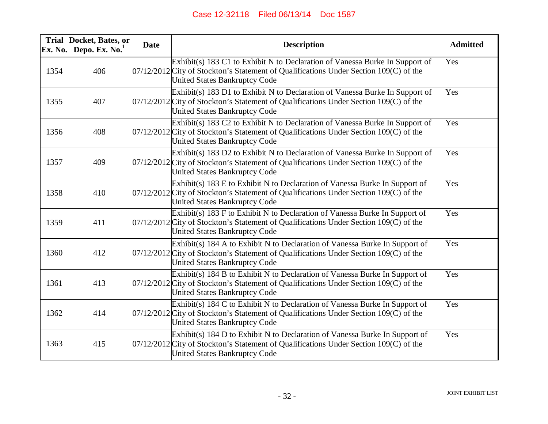| Ex. No. | Trial Docket, Bates, or<br>Depo. Ex. $No.1$ | <b>Date</b> | <b>Description</b>                                                                                                                                                                                                | <b>Admitted</b> |
|---------|---------------------------------------------|-------------|-------------------------------------------------------------------------------------------------------------------------------------------------------------------------------------------------------------------|-----------------|
| 1354    | 406                                         |             | Exhibit(s) 183 C1 to Exhibit N to Declaration of Vanessa Burke In Support of<br>07/12/2012 City of Stockton's Statement of Qualifications Under Section 109(C) of the<br><b>United States Bankruptcy Code</b>     | Yes             |
| 1355    | 407                                         |             | $Exhibit(s)$ 183 D1 to Exhibit N to Declaration of Vanessa Burke In Support of<br>$07/12/2012$ City of Stockton's Statement of Qualifications Under Section 109(C) of the<br><b>United States Bankruptcy Code</b> | Yes             |
| 1356    | 408                                         |             | Exhibit(s) 183 C2 to Exhibit N to Declaration of Vanessa Burke In Support of<br>07/12/2012 City of Stockton's Statement of Qualifications Under Section 109(C) of the<br><b>United States Bankruptcy Code</b>     | Yes             |
| 1357    | 409                                         |             | Exhibit(s) 183 D2 to Exhibit N to Declaration of Vanessa Burke In Support of<br>$07/12/2012$ City of Stockton's Statement of Qualifications Under Section 109(C) of the<br><b>United States Bankruptcy Code</b>   | Yes             |
| 1358    | 410                                         |             | Exhibit(s) 183 E to Exhibit N to Declaration of Vanessa Burke In Support of<br>$07/12/2012$ City of Stockton's Statement of Qualifications Under Section 109(C) of the<br><b>United States Bankruptcy Code</b>    | Yes             |
| 1359    | 411                                         |             | Exhibit(s) 183 F to Exhibit N to Declaration of Vanessa Burke In Support of<br>07/12/2012 City of Stockton's Statement of Qualifications Under Section 109(C) of the<br>United States Bankruptcy Code             | Yes             |
| 1360    | 412                                         |             | Exhibit(s) 184 A to Exhibit N to Declaration of Vanessa Burke In Support of<br>$07/12/2012$ City of Stockton's Statement of Qualifications Under Section 109(C) of the<br><b>United States Bankruptcy Code</b>    | Yes             |
| 1361    | 413                                         |             | $Exhibit(s)$ 184 B to Exhibit N to Declaration of Vanessa Burke In Support of<br>07/12/2012 City of Stockton's Statement of Qualifications Under Section 109(C) of the<br><b>United States Bankruptcy Code</b>    | Yes             |
| 1362    | 414                                         |             | Exhibit(s) 184 C to Exhibit N to Declaration of Vanessa Burke In Support of<br>07/12/2012 City of Stockton's Statement of Qualifications Under Section 109(C) of the<br><b>United States Bankruptcy Code</b>      | Yes             |
| 1363    | 415                                         |             | Exhibit(s) 184 D to Exhibit N to Declaration of Vanessa Burke In Support of<br>07/12/2012 City of Stockton's Statement of Qualifications Under Section 109(C) of the<br><b>United States Bankruptcy Code</b>      | Yes             |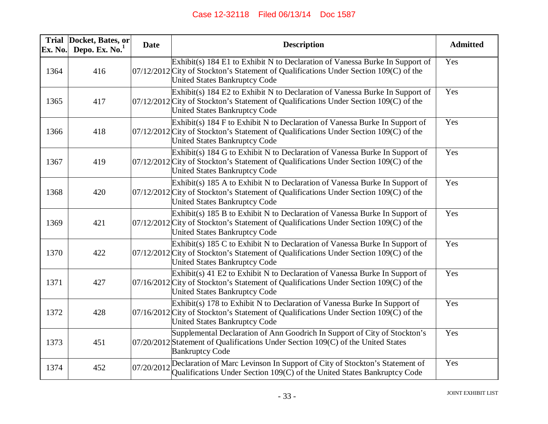| Ex. No. | Trial Docket, Bates, or<br>Depo. Ex. $No.1$ | <b>Date</b> | <b>Description</b>                                                                                                                                                                                              | <b>Admitted</b> |
|---------|---------------------------------------------|-------------|-----------------------------------------------------------------------------------------------------------------------------------------------------------------------------------------------------------------|-----------------|
| 1364    | 416                                         |             | Exhibit(s) 184 E1 to Exhibit N to Declaration of Vanessa Burke In Support of<br>$07/12/2012$ City of Stockton's Statement of Qualifications Under Section 109(C) of the<br><b>United States Bankruptcy Code</b> | Yes             |
| 1365    | 417                                         |             | Exhibit(s) 184 E2 to Exhibit N to Declaration of Vanessa Burke In Support of<br>$07/12/2012$ City of Stockton's Statement of Qualifications Under Section 109(C) of the<br><b>United States Bankruptcy Code</b> | Yes             |
| 1366    | 418                                         |             | Exhibit(s) 184 F to Exhibit N to Declaration of Vanessa Burke In Support of<br>$07/12/2012$ City of Stockton's Statement of Qualifications Under Section 109(C) of the<br><b>United States Bankruptcy Code</b>  | Yes             |
| 1367    | 419                                         |             | Exhibit(s) 184 G to Exhibit N to Declaration of Vanessa Burke In Support of<br>07/12/2012 City of Stockton's Statement of Qualifications Under Section 109(C) of the<br><b>United States Bankruptcy Code</b>    | Yes             |
| 1368    | 420                                         |             | Exhibit(s) 185 A to Exhibit N to Declaration of Vanessa Burke In Support of<br>$07/12/2012$ City of Stockton's Statement of Qualifications Under Section 109(C) of the<br><b>United States Bankruptcy Code</b>  | Yes             |
| 1369    | 421                                         |             | Exhibit(s) 185 B to Exhibit N to Declaration of Vanessa Burke In Support of<br>$07/12/2012$ City of Stockton's Statement of Qualifications Under Section 109(C) of the<br><b>United States Bankruptcy Code</b>  | Yes             |
| 1370    | 422                                         |             | Exhibit(s) 185 C to Exhibit N to Declaration of Vanessa Burke In Support of<br>$07/12/2012$ City of Stockton's Statement of Qualifications Under Section 109(C) of the<br><b>United States Bankruptcy Code</b>  | Yes             |
| 1371    | 427                                         |             | Exhibit(s) 41 E2 to Exhibit N to Declaration of Vanessa Burke In Support of<br>$07/16/2012$ City of Stockton's Statement of Qualifications Under Section 109(C) of the<br><b>United States Bankruptcy Code</b>  | Yes             |
| 1372    | 428                                         |             | Exhibit(s) 178 to Exhibit N to Declaration of Vanessa Burke In Support of<br>07/16/2012 City of Stockton's Statement of Qualifications Under Section 109(C) of the<br><b>United States Bankruptcy Code</b>      | Yes             |
| 1373    | 451                                         |             | Supplemental Declaration of Ann Goodrich In Support of City of Stockton's<br>07/20/2012 Statement of Qualifications Under Section 109(C) of the United States<br><b>Bankruptcy Code</b>                         | Yes             |
| 1374    | 452                                         | 07/20/2012  | Declaration of Marc Levinson In Support of City of Stockton's Statement of<br>Qualifications Under Section 109(C) of the United States Bankruptcy Code                                                          | Yes             |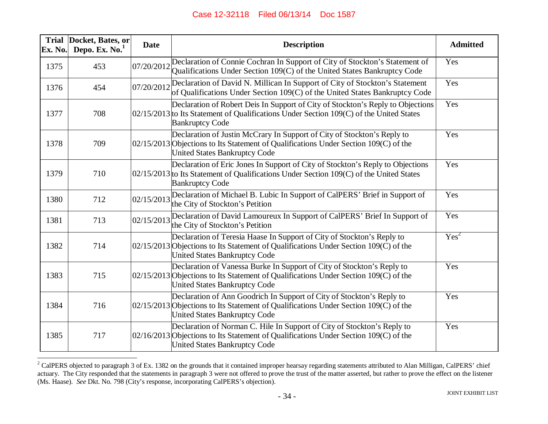| <b>Trial</b><br>Ex. No. | Docket, Bates, or<br>Depo. Ex. No. <sup>1</sup> | <b>Date</b> | <b>Description</b>                                                                                                                                                                                      | <b>Admitted</b>  |
|-------------------------|-------------------------------------------------|-------------|---------------------------------------------------------------------------------------------------------------------------------------------------------------------------------------------------------|------------------|
| 1375                    | 453                                             | 07/20/2012  | Declaration of Connie Cochran In Support of City of Stockton's Statement of<br>Qualifications Under Section 109(C) of the United States Bankruptcy Code                                                 | Yes              |
| 1376                    | 454                                             | 07/20/2012  | Declaration of David N. Millican In Support of City of Stockton's Statement<br>of Qualifications Under Section 109(C) of the United States Bankruptcy Code                                              | Yes              |
| 1377                    | 708                                             |             | Declaration of Robert Deis In Support of City of Stockton's Reply to Objections<br>02/15/2013 to Its Statement of Qualifications Under Section 109(C) of the United States<br><b>Bankruptcy Code</b>    | Yes              |
| 1378                    | 709                                             |             | Declaration of Justin McCrary In Support of City of Stockton's Reply to<br>02/15/2013 Objections to Its Statement of Qualifications Under Section 109(C) of the<br><b>United States Bankruptcy Code</b> | Yes              |
| 1379                    | 710                                             |             | Declaration of Eric Jones In Support of City of Stockton's Reply to Objections<br>$02/15/2013$ to Its Statement of Qualifications Under Section 109(C) of the United States<br><b>Bankruptcy Code</b>   | Yes              |
| 1380                    | 712                                             | 02/15/2013  | Declaration of Michael B. Lubic In Support of CalPERS' Brief in Support of<br>the City of Stockton's Petition                                                                                           | Yes              |
| 1381                    | 713                                             | 02/15/2013  | Declaration of David Lamoureux In Support of CalPERS' Brief In Support of<br>the City of Stockton's Petition                                                                                            | Yes              |
| 1382                    | 714                                             |             | Declaration of Teresia Haase In Support of City of Stockton's Reply to<br>02/15/2013 Objections to Its Statement of Qualifications Under Section 109(C) of the<br><b>United States Bankruptcy Code</b>  | Yes <sup>2</sup> |
| 1383                    | 715                                             |             | Declaration of Vanessa Burke In Support of City of Stockton's Reply to<br>02/15/2013 Objections to Its Statement of Qualifications Under Section 109(C) of the<br><b>United States Bankruptcy Code</b>  | Yes              |
| 1384                    | 716                                             |             | Declaration of Ann Goodrich In Support of City of Stockton's Reply to<br>02/15/2013 Objections to Its Statement of Qualifications Under Section 109(C) of the<br><b>United States Bankruptcy Code</b>   | Yes              |
| 1385                    | 717                                             |             | Declaration of Norman C. Hile In Support of City of Stockton's Reply to<br>02/16/2013 Objections to Its Statement of Qualifications Under Section 109(C) of the<br><b>United States Bankruptcy Code</b> | Yes              |

<sup>&</sup>lt;sup>2</sup> CalPERS objected to paragraph 3 of Ex. 1382 on the grounds that it contained improper hearsay regarding statements attributed to Alan Milligan, CalPERS' chief actuary. The City responded that the statements in paragraph 3 were not offered to prove the trust of the matter asserted, but rather to prove the effect on the listener (Ms. Haase). *See* Dkt. No. 798 (City's response, incorporating CalPERS's objection).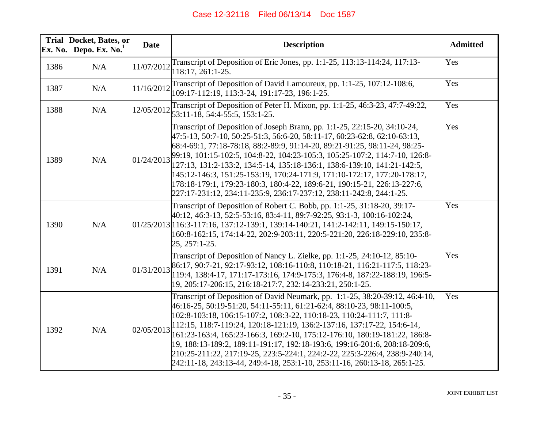| Ex. No. | Trial Docket, Bates, or<br>Depo. Ex. No. <sup>1</sup> | <b>Date</b> | <b>Description</b>                                                                                                                                                                                                                                                                                                                                                                                                                                                                                                                                                                                                                 | <b>Admitted</b> |
|---------|-------------------------------------------------------|-------------|------------------------------------------------------------------------------------------------------------------------------------------------------------------------------------------------------------------------------------------------------------------------------------------------------------------------------------------------------------------------------------------------------------------------------------------------------------------------------------------------------------------------------------------------------------------------------------------------------------------------------------|-----------------|
| 1386    | N/A                                                   | 11/07/2012  | Transcript of Deposition of Eric Jones, pp. 1:1-25, 113:13-114:24, 117:13-<br>118:17, 261:1-25.                                                                                                                                                                                                                                                                                                                                                                                                                                                                                                                                    | Yes             |
| 1387    | N/A                                                   | 11/16/2012  | Transcript of Deposition of David Lamoureux, pp. 1:1-25, 107:12-108:6,<br>109:17-112:19, 113:3-24, 191:17-23, 196:1-25.                                                                                                                                                                                                                                                                                                                                                                                                                                                                                                            | Yes             |
| 1388    | N/A                                                   |             | Transcript of Deposition of Peter H. Mixon, pp. 1:1-25, 46:3-23, 47:7-49:22,<br>$12/05/2012$ 53:11-18, 54:4-55:5, 153:1-25.                                                                                                                                                                                                                                                                                                                                                                                                                                                                                                        | Yes             |
| 1389    | N/A                                                   | 01/24/2013  | Transcript of Deposition of Joseph Brann, pp. 1:1-25, 22:15-20, 34:10-24,<br>47:5-13, 50:7-10, 50:25-51:3, 56:6-20, 58:11-17, 60:23-62:8, 62:10-63:13,<br>68:4-69:1, 77:18-78:18, 88:2-89:9, 91:14-20, 89:21-91:25, 98:11-24, 98:25-<br>99:19, 101:15-102:5, 104:8-22, 104:23-105:3, 105:25-107:2, 114:7-10, 126:8-<br>127:13, 131:2-133:2, 134:5-14, 135:18-136:1, 138:6-139:10, 141:21-142:5,<br>145:12-146:3, 151:25-153:19, 170:24-171:9, 171:10-172:17, 177:20-178:17,<br>178:18-179:1, 179:23-180:3, 180:4-22, 189:6-21, 190:15-21, 226:13-227:6,<br>227:17-231:12, 234:11-235:9, 236:17-237:12, 238:11-242:8, 244:1-25.     | Yes             |
| 1390    | N/A                                                   |             | Transcript of Deposition of Robert C. Bobb, pp. 1:1-25, 31:18-20, 39:17-<br>40:12, 46:3-13, 52:5-53:16, 83:4-11, 89:7-92:25, 93:1-3, 100:16-102:24,<br>$[01/25/2013]$ 16:3-117:16, 137:12-139:1, 139:14-140:21, 141:2-142:11, 149:15-150:17,<br>160:8-162:15, 174:14-22, 202:9-203:11, 220:5-221:20, 226:18-229:10, 235:8-<br>25, 257:1-25.                                                                                                                                                                                                                                                                                        | Yes             |
| 1391    | N/A                                                   | 01/31/2013  | Transcript of Deposition of Nancy L. Zielke, pp. 1:1-25, 24:10-12, 85:10-<br>86:17, 90:7-21, 92:17-93:12, 108:16-110:8, 110:18-21, 116:21-117:5, 118:23-<br>119:4, 138:4-17, 171:17-173:16, 174:9-175:3, 176:4-8, 187:22-188:19, 196:5-<br>19, 205:17-206:15, 216:18-217:7, 232:14-233:21, 250:1-25.                                                                                                                                                                                                                                                                                                                               | Yes             |
| 1392    | N/A                                                   | 02/05/2013  | Transcript of Deposition of David Neumark, pp. 1:1-25, 38:20-39:12, 46:4-10,<br>46:16-25, 50:19-51:20, 54:11-55:11, 61:21-62:4, 88:10-23, 98:11-100:5,<br>102:8-103:18, 106:15-107:2, 108:3-22, 110:18-23, 110:24-111:7, 111:8-<br>112:15, 118:7-119:24, 120:18-121:19, 136:2-137:16, 137:17-22, 154:6-14,<br>161:23-163:4, 165:23-166:3, 169:2-10, 175:12-176:10, 180:19-181:22, 186:8-<br>19, 188:13-189:2, 189:11-191:17, 192:18-193:6, 199:16-201:6, 208:18-209:6,<br>210:25-211:22, 217:19-25, 223:5-224:1, 224:2-22, 225:3-226:4, 238:9-240:14,<br>242:11-18, 243:13-44, 249:4-18, 253:1-10, 253:11-16, 260:13-18, 265:1-25. | Yes             |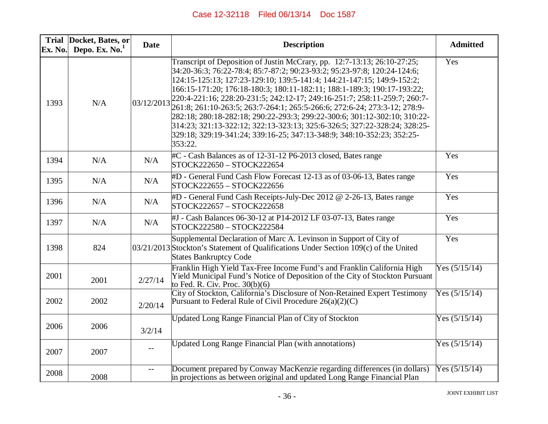| Ex. No. | Trial Docket, Bates, or<br>Depo. Ex. $No.1$ | <b>Date</b>              | <b>Description</b>                                                                                                                                                                                                                                                                                                                                                                                                                                                                                                                                                                                                                                                                                                 | <b>Admitted</b> |
|---------|---------------------------------------------|--------------------------|--------------------------------------------------------------------------------------------------------------------------------------------------------------------------------------------------------------------------------------------------------------------------------------------------------------------------------------------------------------------------------------------------------------------------------------------------------------------------------------------------------------------------------------------------------------------------------------------------------------------------------------------------------------------------------------------------------------------|-----------------|
| 1393    | N/A                                         | 03/12/2013               | Transcript of Deposition of Justin McCrary, pp. 12:7-13:13; 26:10-27:25;<br>34:20-36:3; 76:22-78:4; 85:7-87:2; 90:23-93:2; 95:23-97:8; 120:24-124:6;<br>124:15-125:13; 127:23-129:10; 139:5-141:4; 144:21-147:15; 149:9-152:2;<br>166:15-171:20; 176:18-180:3; 180:11-182:11; 188:1-189:3; 190:17-193:22;<br>220:4-221:16; 228:20-231:5; 242:12-17; 249:16-251:7; 258:11-259:7; 260:7-<br>261:8; 261:10-263:5; 263:7-264:1; 265:5-266:6; 272:6-24; 273:3-12; 278:9-<br>282:18; 280:18-282:18; 290:22-293:3; 299:22-300:6; 301:12-302:10; 310:22-<br>314:23; 321:13-322:12; 322:13-323:13; 325:6-326:5; 327:22-328:24; 328:25-<br>329:18; 329:19-341:24; 339:16-25; 347:13-348:9; 348:10-352:23; 352:25-<br>353:22. | Yes             |
| 1394    | N/A                                         | N/A                      | #C - Cash Balances as of 12-31-12 P6-2013 closed, Bates range<br>STOCK222650 - STOCK222654                                                                                                                                                                                                                                                                                                                                                                                                                                                                                                                                                                                                                         | Yes             |
| 1395    | N/A                                         | N/A                      | #D - General Fund Cash Flow Forecast 12-13 as of 03-06-13, Bates range<br>STOCK222655 - STOCK222656                                                                                                                                                                                                                                                                                                                                                                                                                                                                                                                                                                                                                | Yes             |
| 1396    | N/A                                         | N/A                      | #D - General Fund Cash Receipts-July-Dec 2012 @ 2-26-13, Bates range<br>STOCK222657 - STOCK222658                                                                                                                                                                                                                                                                                                                                                                                                                                                                                                                                                                                                                  | Yes             |
| 1397    | N/A                                         | N/A                      | #J - Cash Balances 06-30-12 at P14-2012 LF 03-07-13, Bates range<br>STOCK222580 - STOCK222584                                                                                                                                                                                                                                                                                                                                                                                                                                                                                                                                                                                                                      | Yes             |
| 1398    | 824                                         |                          | Supplemental Declaration of Marc A. Levinson in Support of City of<br>$03/21/2013$ Stockton's Statement of Qualifications Under Section 109(c) of the United<br><b>States Bankruptcy Code</b>                                                                                                                                                                                                                                                                                                                                                                                                                                                                                                                      | Yes             |
| 2001    | 2001                                        | 2/27/14                  | Franklin High Yield Tax-Free Income Fund's and Franklin California High<br>Yield Municipal Fund's Notice of Deposition of the City of Stockton Pursuant<br>to Fed. R. Civ. Proc. $30(b)(6)$                                                                                                                                                                                                                                                                                                                                                                                                                                                                                                                        | Yes $(5/15/14)$ |
| 2002    | 2002                                        | 2/20/14                  | City of Stockton, California's Disclosure of Non-Retained Expert Testimony<br>Pursuant to Federal Rule of Civil Procedure $26(a)(2)(C)$                                                                                                                                                                                                                                                                                                                                                                                                                                                                                                                                                                            | Yes $(5/15/14)$ |
| 2006    | 2006                                        | 3/2/14                   | <b>Updated Long Range Financial Plan of City of Stockton</b>                                                                                                                                                                                                                                                                                                                                                                                                                                                                                                                                                                                                                                                       | Yes $(5/15/14)$ |
| 2007    | 2007                                        | $- -$                    | <b>Updated Long Range Financial Plan (with annotations)</b>                                                                                                                                                                                                                                                                                                                                                                                                                                                                                                                                                                                                                                                        | Yes $(5/15/14)$ |
| 2008    | 2008                                        | $\overline{\phantom{a}}$ | Document prepared by Conway MacKenzie regarding differences (in dollars)<br>in projections as between original and updated Long Range Financial Plan                                                                                                                                                                                                                                                                                                                                                                                                                                                                                                                                                               | Yes $(5/15/14)$ |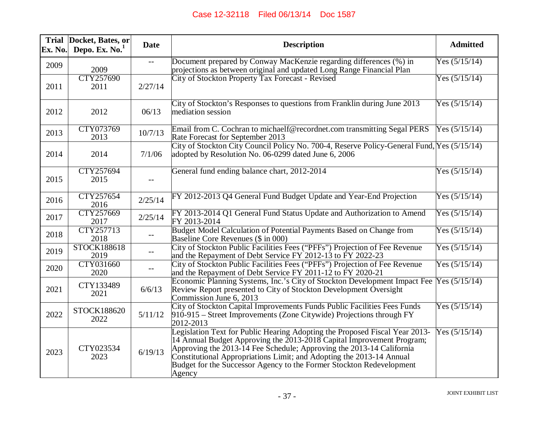| Ex. No. | Trial Docket, Bates, or<br>Depo. Ex. $No.1$ | <b>Date</b> | <b>Description</b>                                                                                                                                                                                                                                                                                                                                                                           | <b>Admitted</b> |
|---------|---------------------------------------------|-------------|----------------------------------------------------------------------------------------------------------------------------------------------------------------------------------------------------------------------------------------------------------------------------------------------------------------------------------------------------------------------------------------------|-----------------|
| 2009    | 2009                                        |             | Document prepared by Conway MacKenzie regarding differences (%) in<br>projections as between original and updated Long Range Financial Plan                                                                                                                                                                                                                                                  | Yes $(5/15/14)$ |
| 2011    | CTY257690<br>2011                           | 2/27/14     | City of Stockton Property Tax Forecast - Revised                                                                                                                                                                                                                                                                                                                                             | Yes $(5/15/14)$ |
| 2012    | 2012                                        | 06/13       | City of Stockton's Responses to questions from Franklin during June 2013<br>mediation session                                                                                                                                                                                                                                                                                                | Yes $(5/15/14)$ |
| 2013    | CTY073769<br>2013                           | 10/7/13     | Email from C. Cochran to michaelf@recordnet.com transmitting Segal PERS<br>Rate Forecast for September 2013                                                                                                                                                                                                                                                                                  | Yes $(5/15/14)$ |
| 2014    | 2014                                        | 7/1/06      | City of Stockton City Council Policy No. 700-4, Reserve Policy-General Fund, Yes (5/15/14)<br>adopted by Resolution No. 06-0299 dated June 6, 2006                                                                                                                                                                                                                                           |                 |
| 2015    | CTY257694<br>2015                           | $-$         | General fund ending balance chart, 2012-2014                                                                                                                                                                                                                                                                                                                                                 | Yes $(5/15/14)$ |
| 2016    | CTY257654<br>2016                           | 2/25/14     | FY 2012-2013 Q4 General Fund Budget Update and Year-End Projection                                                                                                                                                                                                                                                                                                                           | Yes $(5/15/14)$ |
| 2017    | CTY257669<br>2017                           | 2/25/14     | FY 2013-2014 Q1 General Fund Status Update and Authorization to Amend<br>FY 2013-2014                                                                                                                                                                                                                                                                                                        | Yes $(5/15/14)$ |
| 2018    | CTY257713<br>2018                           |             | Budget Model Calculation of Potential Payments Based on Change from<br>Baseline Core Revenues (\$ in 000)                                                                                                                                                                                                                                                                                    | Yes $(5/15/14)$ |
| 2019    | STOCK188618<br>2019                         |             | City of Stockton Public Facilities Fees ("PFFs") Projection of Fee Revenue<br>and the Repayment of Debt Service FY 2012-13 to FY 2022-23                                                                                                                                                                                                                                                     | Yes $(5/15/14)$ |
| 2020    | CTY031660<br>2020                           | $- -$       | City of Stockton Public Facilities Fees ("PFFs") Projection of Fee Revenue<br>and the Repayment of Debt Service FY 2011-12 to FY 2020-21                                                                                                                                                                                                                                                     | Yes $(5/15/14)$ |
| 2021    | CTY133489<br>2021                           | 6/6/13      | Economic Planning Systems, Inc.'s City of Stockton Development Impact Fee<br>Review Report presented to City of Stockton Development Oversight<br>Commission June 6, 2013                                                                                                                                                                                                                    | Yes $(5/15/14)$ |
| 2022    | STOCK188620<br>2022                         | 5/11/12     | City of Stockton Capital Improvements Funds Public Facilities Fees Funds<br>$910-915$ – Street Improvements (Zone Citywide) Projections through FY<br>2012-2013                                                                                                                                                                                                                              | Yes $(5/15/14)$ |
| 2023    | CTY023534<br>2023                           | 6/19/13     | Legislation Text for Public Hearing Adopting the Proposed Fiscal Year 2013-<br>14 Annual Budget Approving the $2013 - 2018$ Capital Improvement Program;<br>Approving the $2013-14$ Fee Schedule; Approving the 2013-14 California<br>Constitutional Appropriations Limit; and Adopting the 2013-14 Annual<br>Budget for the Successor Agency to the Former Stockton Redevelopment<br>Agency | Yes $(5/15/14)$ |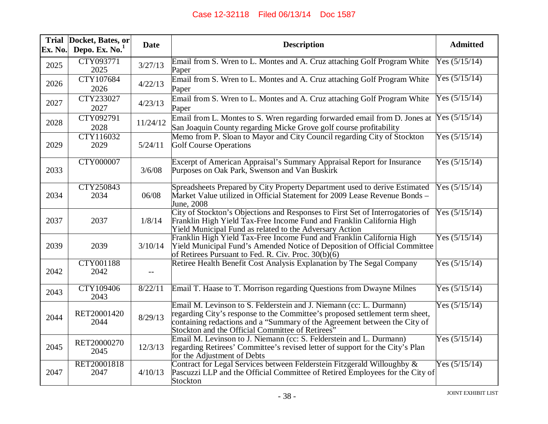| Ex. No. | Trial Docket, Bates, or<br>Depo. Ex. $No.1$ | <b>Date</b> | <b>Description</b>                                                                                                                                                                                                                                                                   | <b>Admitted</b> |
|---------|---------------------------------------------|-------------|--------------------------------------------------------------------------------------------------------------------------------------------------------------------------------------------------------------------------------------------------------------------------------------|-----------------|
| 2025    | CTY093771<br>2025                           | 3/27/13     | Email from S. Wren to L. Montes and A. Cruz attaching Golf Program White<br>Paper                                                                                                                                                                                                    | Yes $(5/15/14)$ |
| 2026    | CTY107684<br>2026                           | 4/22/13     | Email from S. Wren to L. Montes and A. Cruz attaching Golf Program White<br>Paper                                                                                                                                                                                                    | Yes $(5/15/14)$ |
| 2027    | CTY233027<br>2027                           | 4/23/13     | Email from S. Wren to L. Montes and A. Cruz attaching Golf Program White<br>Paper                                                                                                                                                                                                    | Yes $(5/15/14)$ |
| 2028    | CTY092791<br>2028                           | 11/24/12    | Email from L. Montes to S. Wren regarding forwarded email from D. Jones at<br>San Joaquin County regarding Micke Grove golf course profitability                                                                                                                                     | Yes $(5/15/14)$ |
| 2029    | CTY116032<br>2029                           | 5/24/11     | Memo from P. Sloan to Mayor and City Council regarding City of Stockton<br><b>Golf Course Operations</b>                                                                                                                                                                             | Yes $(5/15/14)$ |
| 2033    | <b>CTY000007</b>                            | 3/6/08      | Excerpt of American Appraisal's Summary Appraisal Report for Insurance<br>Purposes on Oak Park, Swenson and Van Buskirk                                                                                                                                                              | Yes $(5/15/14)$ |
| 2034    | CTY250843<br>2034                           | 06/08       | Spreadsheets Prepared by City Property Department used to derive Estimated<br>Market Value utilized in Official Statement for 2009 Lease Revenue Bonds –<br>June, 2008                                                                                                               | Yes $(5/15/14)$ |
| 2037    | 2037                                        | 1/8/14      | City of Stockton's Objections and Responses to First Set of Interrogatories of<br>Franklin High Yield Tax-Free Income Fund and Franklin California High<br>Yield Municipal Fund as related to the Adversary Action                                                                   | Yes $(5/15/14)$ |
| 2039    | 2039                                        | 3/10/14     | Franklin High Yield Tax-Free Income Fund and Franklin California High<br>Yield Municipal Fund's Amended Notice of Deposition of Official Committee<br>of Retirees Pursuant to Fed. R. Civ. Proc. 30(b)(6)                                                                            | Yes $(5/15/14)$ |
| 2042    | <b>CTY001188</b><br>2042                    |             | Retiree Health Benefit Cost Analysis Explanation by The Segal Company                                                                                                                                                                                                                | Yes $(5/15/14)$ |
| 2043    | <b>CTY109406</b><br>2043                    | 8/22/11     | Email T. Haase to T. Morrison regarding Questions from Dwayne Milnes                                                                                                                                                                                                                 | Yes $(5/15/14)$ |
| 2044    | RET20001420<br>2044                         | 8/29/13     | Email M. Levinson to S. Felderstein and J. Niemann (cc: L. Durmann)<br>regarding City's response to the Committee's proposed settlement term sheet,<br>containing redactions and a "Summary of the Agreement between the City of<br>Stockton and the Official Committee of Retirees" | Yes $(5/15/14)$ |
| 2045    | RET20000270<br>2045                         | 12/3/13     | Email M. Levinson to J. Niemann (cc: S. Felderstein and L. Durmann)<br>regarding Retirees' Committee's revised letter of support for the City's Plan<br>for the Adjustment of Debts                                                                                                  | Yes $(5/15/14)$ |
| 2047    | RET20001818<br>2047                         | 4/10/13     | Contract for Legal Services between Felderstein Fitzgerald Willoughby &<br>Pascuzzi LLP and the Official Committee of Retired Employees for the City of<br>Stockton                                                                                                                  | Yes $(5/15/14)$ |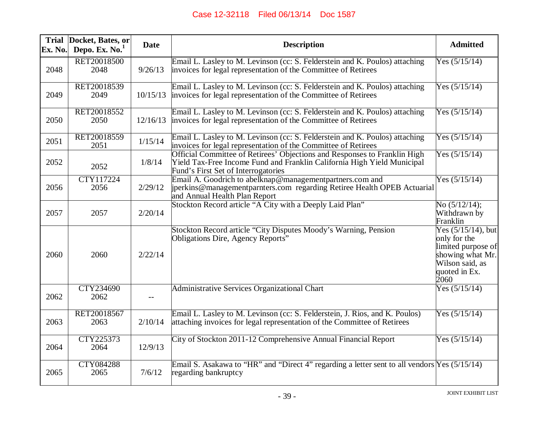| Ex. No. | Trial Docket, Bates, or<br>Depo. Ex. No. <sup>1</sup> | <b>Date</b> | <b>Description</b>                                                                                                                                                                          | <b>Admitted</b>                                                                                                             |
|---------|-------------------------------------------------------|-------------|---------------------------------------------------------------------------------------------------------------------------------------------------------------------------------------------|-----------------------------------------------------------------------------------------------------------------------------|
| 2048    | RET20018500<br>2048                                   | 9/26/13     | Email L. Lasley to M. Levinson (cc: S. Felderstein and K. Poulos) attaching<br>invoices for legal representation of the Committee of Retirees                                               | Yes $(5/15/14)$                                                                                                             |
| 2049    | RET20018539<br>2049                                   | 10/15/13    | Email L. Lasley to M. Levinson (cc: S. Felderstein and K. Poulos) attaching<br>invoices for legal representation of the Committee of Retirees                                               | Yes $(5/15/14)$                                                                                                             |
| 2050    | RET20018552<br>2050                                   | 12/16/13    | Email L. Lasley to M. Levinson (cc: S. Felderstein and K. Poulos) attaching<br>invoices for legal representation of the Committee of Retirees                                               | Yes $(5/15/14)$                                                                                                             |
| 2051    | RET20018559<br>2051                                   | 1/15/14     | Email L. Lasley to M. Levinson (cc: S. Felderstein and K. Poulos) attaching<br>invoices for legal representation of the Committee of Retirees                                               | Yes $(5/15/14)$                                                                                                             |
| 2052    | 2052                                                  | 1/8/14      | Official Committee of Retirees' Objections and Responses to Franklin High<br>Yield Tax-Free Income Fund and Franklin California High Yield Municipal<br>Fund's First Set of Interrogatories | Yes $(5/15/14)$                                                                                                             |
| 2056    | CTY117224<br>2056                                     | 2/29/12     | Email A. Goodrich to abelknap@managementpartners.com and<br>perkins@managementparnters.com regarding Retiree Health OPEB Actuarial<br>and Annual Health Plan Report                         | Yes $(5/15/14)$                                                                                                             |
| 2057    | 2057                                                  | 2/20/14     | Stockton Record article "A City with a Deeply Laid Plan"                                                                                                                                    | No $(5/12/14)$ ;<br>Withdrawn by<br>Franklin                                                                                |
| 2060    | 2060                                                  | 2/22/14     | Stockton Record article "City Disputes Moody's Warning, Pension<br>Obligations Dire, Agency Reports"                                                                                        | Yes $(5/15/14)$ , but<br>only for the<br>limited purpose of<br>showing what Mr.<br>Wilson said, as<br>quoted in Ex.<br>2060 |
| 2062    | CTY234690<br>2062                                     | $-$         | Administrative Services Organizational Chart                                                                                                                                                | Yes $(5/15/14)$                                                                                                             |
| 2063    | RET20018567<br>2063                                   | 2/10/14     | Email L. Lasley to M. Levinson (cc: S. Felderstein, J. Rios, and K. Poulos)<br>attaching invoices for legal representation of the Committee of Retirees                                     | Yes $(5/15/14)$                                                                                                             |
| 2064    | CTY225373<br>2064                                     | 12/9/13     | City of Stockton 2011-12 Comprehensive Annual Financial Report                                                                                                                              | Yes $(5/15/14)$                                                                                                             |
| 2065    | <b>CTY084288</b><br>2065                              | 7/6/12      | Email S. Asakawa to "HR" and "Direct 4" regarding a letter sent to all vendors $Yes (5/15/14)$<br>regarding bankruptcy                                                                      |                                                                                                                             |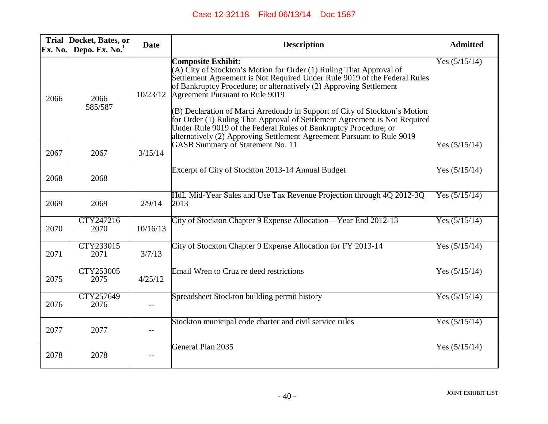| Ex. No. | Trial Docket, Bates, or<br>Depo. Ex. $No.1$ | <b>Date</b> | <b>Description</b>                                                                                                                                                                                                                                                                                                                                                                                                                                                                                                                                                                               | <b>Admitted</b> |
|---------|---------------------------------------------|-------------|--------------------------------------------------------------------------------------------------------------------------------------------------------------------------------------------------------------------------------------------------------------------------------------------------------------------------------------------------------------------------------------------------------------------------------------------------------------------------------------------------------------------------------------------------------------------------------------------------|-----------------|
| 2066    | 2066<br>585/587                             | 10/23/12    | <b>Composite Exhibit:</b><br>(A) City of Stockton's Motion for Order (1) Ruling That Approval of<br>Settlement Agreement is Not Required Under Rule 9019 of the Federal Rules<br>of Bankruptcy Procedure; or alternatively (2) Approving Settlement<br>Agreement Pursuant to Rule 9019<br>(B) Declaration of Marci Arredondo in Support of City of Stockton's Motion<br>for Order (1) Ruling That Approval of Settlement Agreement is Not Required<br>Under Rule 9019 of the Federal Rules of Bankruptcy Procedure; or<br>alternatively (2) Approving Settlement Agreement Pursuant to Rule 9019 | Yes $(5/15/14)$ |
| 2067    | 2067                                        | 3/15/14     | <b>GASB Summary of Statement No. 11</b>                                                                                                                                                                                                                                                                                                                                                                                                                                                                                                                                                          | Yes $(5/15/14)$ |
| 2068    | 2068                                        |             | Excerpt of City of Stockton 2013-14 Annual Budget                                                                                                                                                                                                                                                                                                                                                                                                                                                                                                                                                | Yes $(5/15/14)$ |
| 2069    | 2069                                        | 2/9/14      | HdL Mid-Year Sales and Use Tax Revenue Projection through 4Q 2012-3Q<br>2013                                                                                                                                                                                                                                                                                                                                                                                                                                                                                                                     | Yes $(5/15/14)$ |
| 2070    | CTY247216<br>2070                           | 10/16/13    | City of Stockton Chapter 9 Expense Allocation—Year End 2012-13                                                                                                                                                                                                                                                                                                                                                                                                                                                                                                                                   | Yes $(5/15/14)$ |
| 2071    | CTY233015<br>2071                           | 3/7/13      | City of Stockton Chapter 9 Expense Allocation for FY 2013-14                                                                                                                                                                                                                                                                                                                                                                                                                                                                                                                                     | Yes $(5/15/14)$ |
| 2075    | CTY253005<br>2075                           | 4/25/12     | Email Wren to Cruz re deed restrictions                                                                                                                                                                                                                                                                                                                                                                                                                                                                                                                                                          | Yes $(5/15/14)$ |
| 2076    | CTY257649<br>2076                           |             | Spreadsheet Stockton building permit history                                                                                                                                                                                                                                                                                                                                                                                                                                                                                                                                                     | Yes $(5/15/14)$ |
| 2077    | 2077                                        |             | Stockton municipal code charter and civil service rules                                                                                                                                                                                                                                                                                                                                                                                                                                                                                                                                          | Yes $(5/15/14)$ |
| 2078    | 2078                                        |             | General Plan 2035                                                                                                                                                                                                                                                                                                                                                                                                                                                                                                                                                                                | Yes $(5/15/14)$ |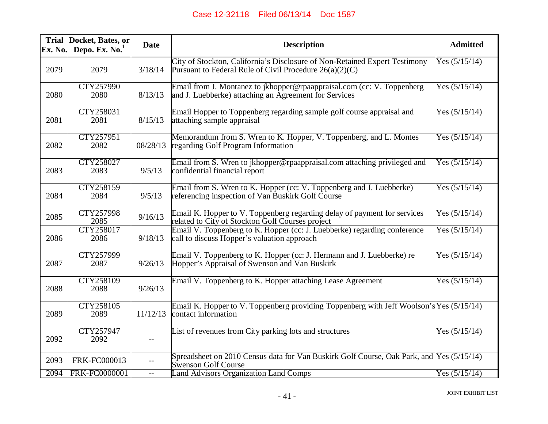| Ex. No. | Trial Docket, Bates, or<br>Depo. Ex. $No.1$ | <b>Date</b> | <b>Description</b>                                                                                                                      | <b>Admitted</b> |
|---------|---------------------------------------------|-------------|-----------------------------------------------------------------------------------------------------------------------------------------|-----------------|
| 2079    | 2079                                        | 3/18/14     | City of Stockton, California's Disclosure of Non-Retained Expert Testimony<br>Pursuant to Federal Rule of Civil Procedure $26(a)(2)(C)$ | Yes $(5/15/14)$ |
| 2080    | <b>CTY257990</b><br>2080                    | 8/13/13     | Email from J. Montanez to jkhopper@rpaappraisal.com (cc: V. Toppenberg<br>and J. Luebberke) attaching an Agreement for Services         | Yes $(5/15/14)$ |
| 2081    | CTY258031<br>2081                           | 8/15/13     | Email Hopper to Toppenberg regarding sample golf course appraisal and<br>attaching sample appraisal                                     | Yes $(5/15/14)$ |
| 2082    | CTY257951<br>2082                           | 08/28/13    | Memorandum from S. Wren to K. Hopper, V. Toppenberg, and L. Montes<br>regarding Golf Program Information                                | Yes $(5/15/14)$ |
| 2083    | CTY258027<br>2083                           | 9/5/13      | Email from S. Wren to jkhopper@rpaappraisal.com attaching privileged and<br>confidential financial report                               | Yes $(5/15/14)$ |
| 2084    | CTY258159<br>2084                           | 9/5/13      | Email from S. Wren to K. Hopper (cc: V. Toppenberg and J. Luebberke)<br>referencing inspection of Van Buskirk Golf Course               | Yes $(5/15/14)$ |
| 2085    | CTY257998<br>2085                           | 9/16/13     | Email K. Hopper to V. Toppenberg regarding delay of payment for services<br>related to City of Stockton Golf Courses project            | Yes $(5/15/14)$ |
| 2086    | <b>CTY258017</b><br>2086                    | 9/18/13     | Email V. Toppenberg to K. Hopper (cc: J. Luebberke) regarding conference<br>call to discuss Hopper's valuation approach                 | Yes $(5/15/14)$ |
| 2087    | <b>CTY257999</b><br>2087                    | 9/26/13     | Email V. Toppenberg to K. Hopper (cc: J. Hermann and J. Luebberke) re<br>Hopper's Appraisal of Swenson and Van Buskirk                  | Yes $(5/15/14)$ |
| 2088    | <b>CTY258109</b><br>2088                    | 9/26/13     | Email V. Toppenberg to K. Hopper attaching Lease Agreement                                                                              | Yes $(5/15/14)$ |
| 2089    | <b>CTY258105</b><br>2089                    | 11/12/13    | Email K. Hopper to V. Toppenberg providing Toppenberg with Jeff Woolson's $Yes (5/15/14)$<br>contact information                        |                 |
| 2092    | <b>CTY257947</b><br>2092                    | $--$        | List of revenues from City parking lots and structures                                                                                  | Yes $(5/15/14)$ |
| 2093    | <b>FRK-FC000013</b>                         | $- -$       | Spreadsheet on 2010 Census data for Van Buskirk Golf Course, Oak Park, and Yes (5/15/14)<br><b>Swenson Golf Course</b>                  |                 |
| 2094    | <b>FRK-FC0000001</b>                        | $- -$       | <b>Land Advisors Organization Land Comps</b>                                                                                            | Yes $(5/15/14)$ |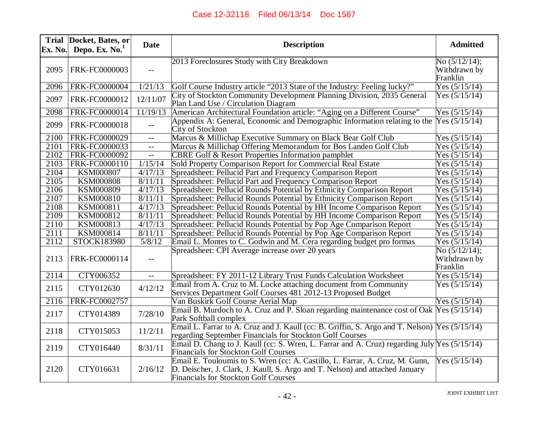| Ex. No. | Trial Docket, Bates, or<br>Depo. Ex. $No.1$ | <b>Date</b>              | <b>Description</b>                                                                                                                                                                                          | <b>Admitted</b>                             |
|---------|---------------------------------------------|--------------------------|-------------------------------------------------------------------------------------------------------------------------------------------------------------------------------------------------------------|---------------------------------------------|
| 2095    | FRK-FC0000003                               | $-$                      | 2013 Foreclosures Study with City Breakdown                                                                                                                                                                 | No $(5/12/14);$<br>Withdrawn by<br>Franklin |
| 2096    | <b>FRK-FC0000004</b>                        | 1/21/13                  | Golf Course Industry article "2013 State of the Industry: Feeling lucky?"                                                                                                                                   | Yes $(5/15/14)$                             |
| 2097    | FRK-FC0000012                               | 12/11/07                 | City of Stockton Community Development Planning Division, 2035 General<br>Plan Land Use / Circulation Diagram                                                                                               | Yes $(5/15/14)$                             |
| 2098    | FRK-FC0000014                               | 11/19/13                 | American Architectural Foundation article: "Aging on a Different Course"                                                                                                                                    | Yes $(5/15/14)$                             |
| 2099    | FRK-FC0000018                               | $-$                      | Appendix A: General, Economic and Demographic Information relating to the<br>City of Stockton                                                                                                               | Yes $(5/15/14)$                             |
| 2100    | <b>FRK-FC0000029</b>                        | $ -$                     | Marcus & Millichap Executive Summary on Black Bear Golf Club                                                                                                                                                | Yes $(5/15/14)$                             |
| 2101    | FRK-FC0000033                               | $\overline{\phantom{a}}$ | Marcus & Millichap Offering Memorandum for Bos Landen Golf Club                                                                                                                                             | Yes $(5/15/14)$                             |
| 2102    | FRK-FC0000092                               | $-$                      | CBRE Golf & Resort Properties Information pamphlet                                                                                                                                                          | Yes $(5/15/14)$                             |
| 2103    | FRK-FC0000110                               | 1/15/14                  | Sold Property Comparison Report for Commercial Real Estate                                                                                                                                                  | Yes $(5/15/14)$                             |
| 2104    | <b>KSM000807</b>                            | 4/17/13                  | Spreadsheet: Pellucid Part and Frequency Comparison Report                                                                                                                                                  | Yes $(5/15/14)$                             |
| 2105    | <b>KSM000808</b>                            | 8/11/11                  | Spreadsheet: Pellucid Part and Frequency Comparison Report                                                                                                                                                  | Yes $(5/15/14)$                             |
| 2106    | <b>KSM000809</b>                            | 4/17/13                  | Spreadsheet: Pellucid Rounds Potential by Ethnicity Comparison Report                                                                                                                                       | Yes $(5/15/14)$                             |
| 2107    | KSM000810                                   | 8/11/11                  | Spreadsheet: Pellucid Rounds Potential by Ethnicity Comparison Report                                                                                                                                       | Yes $(5/15/14)$                             |
| 2108    | <b>KSM000811</b>                            | 4/17/13                  | Spreadsheet: Pellucid Rounds Potential by HH Income Comparison Report                                                                                                                                       | Yes $(5/15/14)$                             |
| 2109    | KSM000812                                   | 8/11/11                  | Spreadsheet: Pellucid Rounds Potential by HH Income Comparison Report                                                                                                                                       | Yes $(5/15/14)$                             |
| 2110    | KSM000813                                   | 4/17/13                  | Spreadsheet: Pellucid Rounds Potential by Pop Age Comparison Report                                                                                                                                         | Yes $(5/15/14)$                             |
| 2111    | KSM000814                                   | 8/11/11                  | Spreadsheet: Pellucid Rounds Potential by Pop Age Comparison Report                                                                                                                                         | Yes $(5/15/14)$                             |
| 2112    | <b>STOCK183980</b>                          | 5/8/12                   | Email L. Montes to C. Godwin and M. Cera regarding budget pro formas                                                                                                                                        | Yes $(5/15/14)$                             |
| 2113    | FRK-FC0000114                               | $-$                      | Spreadsheet: CPI Average increase over 20 years                                                                                                                                                             | No $(5/12/14);$<br>Withdrawn by<br>Franklin |
| 2114    | CTY006352                                   | $-\,-$                   | Spreadsheet: FY 2011-12 Library Trust Funds Calculation Worksheet                                                                                                                                           | Yes $(5/15/14)$                             |
| 2115    | CTY012630                                   | 4/12/12                  | Email from A. Cruz to M. Locke attaching document from Community<br>Services Department Golf Courses 481 2012-13 Proposed Budget                                                                            | Yes $(5/15/14)$                             |
| 2116    | FRK-FC0002757                               |                          | Van Buskirk Golf Course Aerial Map                                                                                                                                                                          | Yes (5/15/14)                               |
| 2117    | CTY014389                                   | 7/28/10                  | Email B. Murdoch to A. Cruz and P. Sloan regarding maintenance cost of Oak $Yes (5/15/14)$<br>Park Softball complex                                                                                         |                                             |
| 2118    | CTY015053                                   | 11/2/11                  | Email L. Farrar to A. Cruz and J. Kaull (cc: B. Griffin, S. Argo and T. Nelson) Yes (5/15/14)<br>regarding September Financials for Stockton Golf Courses                                                   |                                             |
| 2119    | CTY016440                                   | 8/31/11                  | Email D. Chang to J. Kaull (cc: S. Wren, L. Farrar and A. Cruz) regarding July $Y$ es (5/15/14)<br><b>Financials for Stockton Golf Courses</b>                                                              |                                             |
| 2120    | CTY016631                                   | 2/16/12                  | Email E. Touloumis to S. Wren (cc: A. Castillo, L. Farrar, A. Cruz, M. Gunn,<br>D. Deischer, J. Clark, J. Kaull, S. Argo and T. Nelson) and attached January<br><b>Financials for Stockton Golf Courses</b> | Yes $(5/15/14)$                             |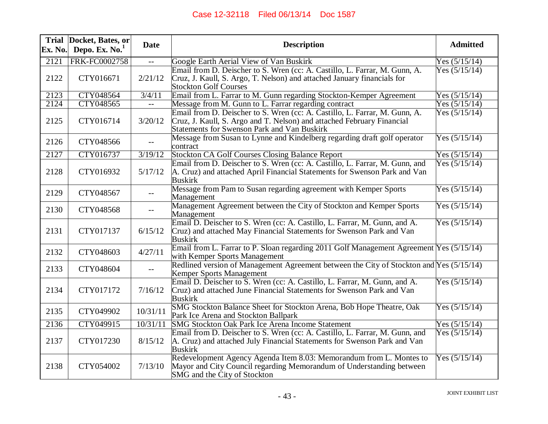|                   | Trial Docket, Bates, or | <b>Date</b>              | <b>Description</b>                                                                      | <b>Admitted</b> |
|-------------------|-------------------------|--------------------------|-----------------------------------------------------------------------------------------|-----------------|
| Ex. No.           | Depo. Ex. $No.1$        |                          |                                                                                         |                 |
| 2121              | <b>FRK-FC0002758</b>    |                          | Google Earth Aerial View of Van Buskirk                                                 | Yes $(5/15/14)$ |
|                   |                         |                          | Email from D. Deischer to S. Wren (cc: A. Castillo, L. Farrar, M. Gunn, A.              | Yes $(5/15/14)$ |
| 2122              | CTY016671               | 2/21/12                  | Cruz, J. Kaull, S. Argo, T. Nelson) and attached January financials for                 |                 |
|                   |                         |                          | <b>Stockton Golf Courses</b>                                                            |                 |
| $21\overline{23}$ | CTY048564               | 3/4/11                   | Email from L. Farrar to M. Gunn regarding Stockton-Kemper Agreement                     | Yes $(5/15/14)$ |
| 2124              | CTY048565               | $\overline{\phantom{a}}$ | Message from M. Gunn to L. Farrar regarding contract                                    | Yes $(5/15/14)$ |
|                   |                         |                          | Email from D. Deischer to S. Wren (cc: A. Castillo, L. Farrar, M. Gunn, A.              | Yes $(5/15/14)$ |
| 2125              | CTY016714               | 3/20/12                  | Cruz, J. Kaull, S. Argo and T. Nelson) and attached February Financial                  |                 |
|                   |                         |                          | Statements for Swenson Park and Van Buskirk                                             |                 |
| 2126              | CTY048566               |                          | Message from Susan to Lynne and Kindelberg regarding draft golf operator                | Yes $(5/15/14)$ |
|                   |                         |                          | contract                                                                                |                 |
| 2127              | CTY016737               | 3/19/12                  | Stockton CA Golf Courses Closing Balance Report                                         | Yes $(5/15/14)$ |
|                   |                         |                          | Email from D. Deischer to S. Wren (cc: A. Castillo, L. Farrar, M. Gunn, and             | Yes $(5/15/14)$ |
| 2128              | CTY016932               | 5/17/12                  | A. Cruz) and attached April Financial Statements for Swenson Park and Van               |                 |
|                   |                         |                          | <b>Buskirk</b>                                                                          |                 |
| 2129              | CTY048567               |                          | Message from Pam to Susan regarding agreement with Kemper Sports                        | Yes $(5/15/14)$ |
|                   |                         | $- -$                    | Management                                                                              |                 |
| 2130              | CTY048568               |                          | Management Agreement between the City of Stockton and Kemper Sports                     | Yes $(5/15/14)$ |
|                   |                         |                          | Management                                                                              |                 |
|                   |                         |                          | Email D. Deischer to S. Wren (cc: A. Castillo, L. Farrar, M. Gunn, and A.               | Yes $(5/15/14)$ |
| 2131              | CTY017137               | 6/15/12                  | Cruz) and attached May Financial Statements for Swenson Park and Van                    |                 |
|                   |                         |                          | <b>Buskirk</b>                                                                          |                 |
| 2132              | CTY048603               | 4/27/11                  | Email from L. Farrar to P. Sloan regarding 2011 Golf Management Agreement Yes (5/15/14) |                 |
|                   |                         |                          | with Kemper Sports Management                                                           |                 |
| 2133              | CTY048604               | $--$                     | Redlined version of Management Agreement between the City of Stockton and Yes (5/15/14) |                 |
|                   |                         |                          | Kemper Sports Management                                                                |                 |
|                   |                         |                          | Email D. Deischer to S. Wren (cc: A. Castillo, L. Farrar, M. Gunn, and A.               | Yes $(5/15/14)$ |
| 2134              | CTY017172               | 7/16/12                  | Cruz) and attached June Financial Statements for Swenson Park and Van                   |                 |
|                   |                         |                          | <b>Buskirk</b>                                                                          |                 |
| 2135              | CTY049902               | 10/31/11                 | SMG Stockton Balance Sheet for Stockton Arena, Bob Hope Theatre, Oak                    | Yes $(5/15/14)$ |
|                   |                         |                          | Park Ice Arena and Stockton Ballpark                                                    |                 |
| 2136              | CTY049915               | 10/31/11                 | SMG Stockton Oak Park Ice Arena Income Statement                                        | Yes $(5/15/14)$ |
|                   |                         |                          | Email from D. Deischer to S. Wren (cc: A. Castillo, L. Farrar, M. Gunn, and             | Yes $(5/15/14)$ |
| 2137              | CTY017230               | 8/15/12                  | A. Cruz) and attached July Financial Statements for Swenson Park and Van                |                 |
|                   |                         |                          | <b>Buskirk</b>                                                                          |                 |
|                   |                         |                          | Redevelopment Agency Agenda Item 8.03: Memorandum from L. Montes to                     | Yes $(5/15/14)$ |
| 2138              | CTY054002               | 7/13/10                  | Mayor and City Council regarding Memorandum of Understanding between                    |                 |
|                   |                         |                          | SMG and the City of Stockton                                                            |                 |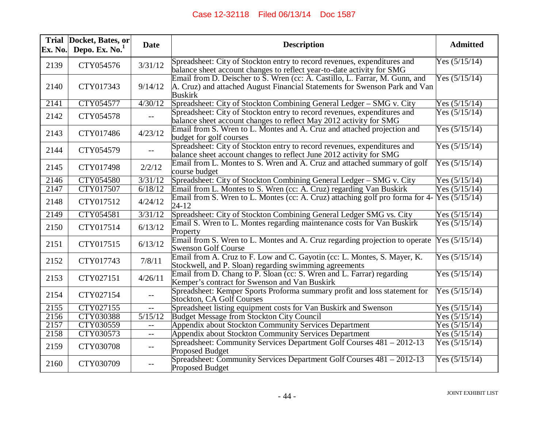| Ex. No. | Trial Docket, Bates, or<br>Depo. Ex. $No.1$ | <b>Date</b>                                   | <b>Description</b>                                                                                                                                                          | <b>Admitted</b> |
|---------|---------------------------------------------|-----------------------------------------------|-----------------------------------------------------------------------------------------------------------------------------------------------------------------------------|-----------------|
| 2139    | CTY054576                                   | 3/31/12                                       | Spreadsheet: City of Stockton entry to record revenues, expenditures and<br>balance sheet account changes to reflect year-to-date activity for SMG                          | Yes $(5/15/14)$ |
| 2140    | CTY017343                                   | 9/14/12                                       | Email from D. Deischer to S. Wren (cc: A. Castillo, L. Farrar, M. Gunn, and<br>A. Cruz) and attached August Financial Statements for Swenson Park and Van<br><b>Buskirk</b> | Yes $(5/15/14)$ |
| 2141    | CTY054577                                   | 4/30/12                                       | Spreadsheet: City of Stockton Combining General Ledger – SMG v. City                                                                                                        | Yes $(5/15/14)$ |
| 2142    | CTY054578                                   | $\overline{\phantom{m}}$                      | Spreadsheet: City of Stockton entry to record revenues, expenditures and<br>balance sheet account changes to reflect May 2012 activity for SMG                              | Yes $(5/15/14)$ |
| 2143    | CTY017486                                   | 4/23/12                                       | Email from S. Wren to L. Montes and A. Cruz and attached projection and<br>budget for golf courses                                                                          | Yes $(5/15/14)$ |
| 2144    | CTY054579                                   |                                               | Spreadsheet: City of Stockton entry to record revenues, expenditures and<br>balance sheet account changes to reflect June 2012 activity for SMG                             | Yes $(5/15/14)$ |
| 2145    | CTY017498                                   | 2/2/12                                        | Email from L. Montes to S. Wren and A. Cruz and attached summary of golf<br>course budget                                                                                   | Yes $(5/15/14)$ |
| 2146    | CTY054580                                   | 3/31/12                                       | Spreadsheet: City of Stockton Combining General Ledger – SMG v. City                                                                                                        | Yes $(5/15/14)$ |
| 2147    | CTY017507                                   | 6/18/12                                       | Email from L. Montes to S. Wren (cc: A. Cruz) regarding Van Buskirk                                                                                                         | Yes $(5/15/14)$ |
| 2148    | CTY017512                                   | 4/24/12                                       | Email from S. Wren to L. Montes (cc: A. Cruz) attaching golf pro forma for 4-<br>$24 - 12$                                                                                  | Yes $(5/15/14)$ |
| 2149    | <b>CTY054581</b>                            | 3/31/12                                       | Spreadsheet: City of Stockton Combining General Ledger SMG vs. City                                                                                                         | Yes $(5/15/14)$ |
| 2150    | CTY017514                                   | 6/13/12                                       | Email S. Wren to L. Montes regarding maintenance costs for Van Buskirk<br>Property                                                                                          | Yes $(5/15/14)$ |
| 2151    | CTY017515                                   | 6/13/12                                       | Email from S. Wren to L. Montes and A. Cruz regarding projection to operate<br><b>Swenson Golf Course</b>                                                                   | Yes $(5/15/14)$ |
| 2152    | CTY017743                                   | 7/8/11                                        | Email from A. Cruz to F. Low and C. Gayotin (cc: L. Montes, S. Mayer, K.<br>Stockwell, and P. Sloan) regarding swimming agreements                                          | Yes $(5/15/14)$ |
| 2153    | CTY027151                                   | 4/26/11                                       | Email from D. Chang to P. Sloan (cc: S. Wren and L. Farrar) regarding<br>Kemper's contract for Swenson and Van Buskirk                                                      | Yes $(5/15/14)$ |
| 2154    | CTY027154                                   |                                               | Spreadsheet: Kemper Sports Proforma summary profit and loss statement for<br>Stockton, CA Golf Courses                                                                      | Yes $(5/15/14)$ |
| 2155    | CTY027155                                   | $- -$                                         | Spreadsheet listing equipment costs for Van Buskirk and Swenson                                                                                                             | Yes $(5/15/14)$ |
| 2156    | CTY030388                                   | 5/15/12                                       | Budget Message from Stockton City Council                                                                                                                                   | Yes $(5/15/14)$ |
| 2157    | CTY030559                                   | $-$                                           | Appendix about Stockton Community Services Department                                                                                                                       | Yes $(5/15/14)$ |
| 2158    | CTY030573                                   | $\mathord{\hspace{1pt}\text{--}\hspace{1pt}}$ | Appendix about Stockton Community Services Department                                                                                                                       | Yes $(5/15/14)$ |
| 2159    | CTY030708                                   | $-\,-$                                        | Spreadsheet: Community Services Department Golf Courses 481 – 2012-13<br><b>Proposed Budget</b>                                                                             | Yes $(5/15/14)$ |
| 2160    | CTY030709                                   | $--$                                          | Spreadsheet: Community Services Department Golf Courses 481 - 2012-13<br><b>Proposed Budget</b>                                                                             | Yes $(5/15/14)$ |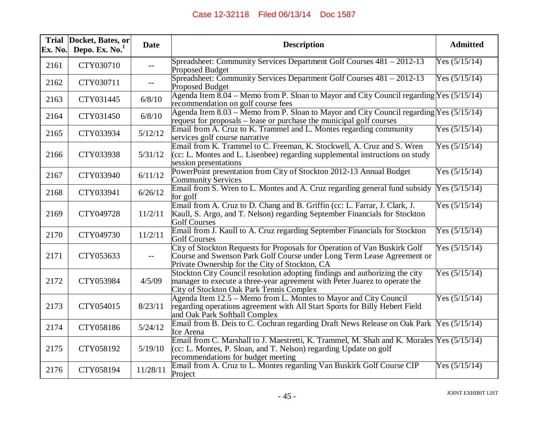| Ex. No. | Trial Docket, Bates, or<br>Depo. Ex. $No.1$ | <b>Date</b>       | <b>Description</b>                                                                                                                                                                                    | <b>Admitted</b> |
|---------|---------------------------------------------|-------------------|-------------------------------------------------------------------------------------------------------------------------------------------------------------------------------------------------------|-----------------|
| 2161    | CTY030710                                   | $\qquad \qquad -$ | Spreadsheet: Community Services Department Golf Courses 481 – 2012-13<br>Proposed Budget                                                                                                              | Yes $(5/15/14)$ |
| 2162    | CTY030711                                   |                   | Spreadsheet: Community Services Department Golf Courses 481 - 2012-13<br><b>Proposed Budget</b>                                                                                                       | Yes $(5/15/14)$ |
| 2163    | CTY031445                                   | 6/8/10            | Agenda Item 8.04 – Memo from P. Sloan to Mayor and City Council regarding $Yes (5/15/14)$<br>recommendation on golf course fees                                                                       |                 |
| 2164    | CTY031450                                   | 6/8/10            | Agenda Item $8.03 -$ Memo from P. Sloan to Mayor and City Council regarding Yes (5/15/14)<br>request for proposals – lease or purchase the municipal golf courses                                     |                 |
| 2165    | CTY033934                                   | 5/12/12           | Email from A. Cruz to K. Trammel and L. Montes regarding community<br>services golf course narrative                                                                                                  | Yes $(5/15/14)$ |
| 2166    | CTY033938                                   | 5/31/12           | Email from K. Trammel to C. Freeman, K. Stockwell, A. Cruz and S. Wren<br>(cc: L. Montes and L. Lisenbee) regarding supplemental instructions on study<br>session presentations                       | Yes $(5/15/14)$ |
| 2167    | CTY033940                                   | 6/11/12           | PowerPoint presentation from City of Stockton 2012-13 Annual Budget<br><b>Community Services</b>                                                                                                      | Yes $(5/15/14)$ |
| 2168    | CTY033941                                   | 6/26/12           | Email from S. Wren to L. Montes and A. Cruz regarding general fund subsidy<br>for golf                                                                                                                | Yes $(5/15/14)$ |
| 2169    | CTY049728                                   | 11/2/11           | Email from A. Cruz to D. Chang and B. Griffin (cc: L. Farrar, J. Clark, J.<br>Kaull, S. Argo, and T. Nelson) regarding September Financials for Stockton<br><b>Golf Courses</b>                       | Yes $(5/15/14)$ |
| 2170    | CTY049730                                   | 11/2/11           | Email from J. Kaull to A. Cruz regarding September Financials for Stockton<br><b>Golf Courses</b>                                                                                                     | Yes $(5/15/14)$ |
| 2171    | CTY053633                                   |                   | City of Stockton Requests for Proposals for Operation of Van Buskirk Golf<br>Course and Swenson Park Golf Course under Long Term Lease Agreement or<br>Private Ownership for the City of Stockton, CA | Yes $(5/15/14)$ |
| 2172    | CTY053984                                   | 4/5/09            | Stockton City Council resolution adopting findings and authorizing the city<br>manager to execute a three-year agreement with Peter Juarez to operate the<br>City of Stockton Oak Park Tennis Complex | Yes $(5/15/14)$ |
| 2173    | CTY054015                                   | 8/23/11           | Agenda Item 12.5 – Memo from L. Montes to Mayor and City Council<br>regarding operations agreement with All Start Sports for Billy Hebert Field<br>and Oak Park Softball Complex                      | Yes $(5/15/14)$ |
| 2174    | CTY058186                                   | 5/24/12           | Email from B. Deis to C. Cochran regarding Draft News Release on Oak Park<br>Ice Arena                                                                                                                | Yes $(5/15/14)$ |
| 2175    | CTY058192                                   | 5/19/10           | Email from C. Marshall to J. Maestretti, K. Trammel, M. Shah and K. Morales Yes (5/15/14)<br>(cc: L. Montes, P. Sloan, and T. Nelson) regarding Update on golf<br>recommendations for budget meeting  |                 |
| 2176    | CTY058194                                   | 11/28/11          | Email from A. Cruz to L. Montes regarding Van Buskirk Golf Course CIP<br>Project                                                                                                                      | Yes $(5/15/14)$ |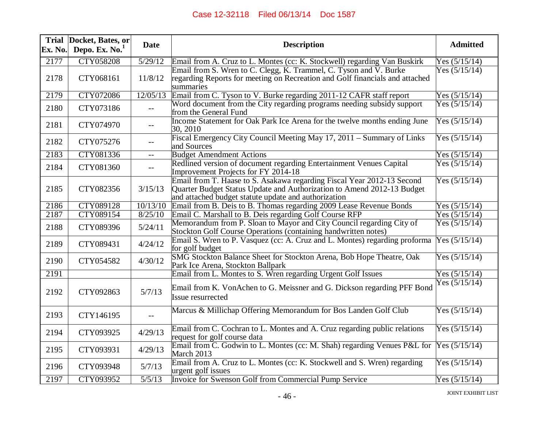| Ex. No. | Trial Docket, Bates, or<br>Depo. Ex. $No.1$ | <b>Date</b>                                   | <b>Description</b>                                                                                                                                                                                       | <b>Admitted</b> |
|---------|---------------------------------------------|-----------------------------------------------|----------------------------------------------------------------------------------------------------------------------------------------------------------------------------------------------------------|-----------------|
| 2177    | <b>CTY058208</b>                            | 5/29/12                                       | Email from A. Cruz to L. Montes (cc: K. Stockwell) regarding Van Buskirk                                                                                                                                 | Yes $(5/15/14)$ |
| 2178    | CTY068161                                   | 11/8/12                                       | Email from S. Wren to C. Clegg, K. Trammel, C. Tyson and V. Burke<br>regarding Reports for meeting on Recreation and Golf financials and attached<br>summaries                                           | Yes $(5/15/14)$ |
| 2179    | CTY072086                                   | 12/05/13                                      | Email from C. Tyson to V. Burke regarding 2011-12 CAFR staff report                                                                                                                                      | Yes $(5/15/14)$ |
| 2180    | CTY073186                                   |                                               | Word document from the City regarding programs needing subsidy support<br>from the General Fund                                                                                                          | Yes $(5/15/14)$ |
| 2181    | CTY074970                                   | $- -$                                         | Income Statement for Oak Park Ice Arena for the twelve months ending June<br>30, 2010                                                                                                                    | Yes $(5/15/14)$ |
| 2182    | CTY075276                                   | $- -$                                         | Fiscal Emergency City Council Meeting May 17, 2011 – Summary of Links<br>and Sources                                                                                                                     | Yes $(5/15/14)$ |
| 2183    | CTY081336                                   | $-$                                           | <b>Budget Amendment Actions</b>                                                                                                                                                                          | Yes $(5/15/14)$ |
| 2184    | CTY081360                                   | $\mathord{\hspace{1pt}\text{--}\hspace{1pt}}$ | Redlined version of document regarding Entertainment Venues Capital<br>Improvement Projects for FY 2014-18                                                                                               | Yes $(5/15/14)$ |
| 2185    | CTY082356                                   | 3/15/13                                       | Email from T. Haase to S. Asakawa regarding Fiscal Year 2012-13 Second<br>Quarter Budget Status Update and Authorization to Amend 2012-13 Budget<br>and attached budget statute update and authorization | Yes $(5/15/14)$ |
| 2186    | CTY089128                                   | 10/13/10                                      | Email from B. Deis to B. Thomas regarding 2009 Lease Revenue Bonds                                                                                                                                       | Yes (5/15/14)   |
| 2187    | CTY089154                                   | 8/25/10                                       | Email C. Marshall to B. Deis regarding Golf Course RFP                                                                                                                                                   | Yes $(5/15/14)$ |
| 2188    | CTY089396                                   | 5/24/11                                       | Memorandum from P. Sloan to Mayor and City Council regarding City of<br>Stockton Golf Course Operations (containing handwritten notes)                                                                   | Yes $(5/15/14)$ |
| 2189    | CTY089431                                   | 4/24/12                                       | Email S. Wren to P. Vasquez (cc: A. Cruz and L. Montes) regarding proforma<br>for golf budget                                                                                                            | Yes $(5/15/14)$ |
| 2190    | CTY054582                                   | 4/30/12                                       | SMG Stockton Balance Sheet for Stockton Arena, Bob Hope Theatre, Oak<br>Park Ice Arena, Stockton Ballpark                                                                                                | Yes $(5/15/14)$ |
| 2191    |                                             |                                               | Email from L. Montes to S. Wren regarding Urgent Golf Issues                                                                                                                                             | Yes $(5/15/14)$ |
| 2192    | CTY092863                                   | 5/7/13                                        | Email from K. VonAchen to G. Meissner and G. Dickson regarding PFF Bond<br>Issue resurrected                                                                                                             | Yes $(5/15/14)$ |
| 2193    | CTY146195                                   | $- -$                                         | Marcus & Millichap Offering Memorandum for Bos Landen Golf Club                                                                                                                                          | Yes $(5/15/14)$ |
| 2194    | CTY093925                                   | 4/29/13                                       | Email from C. Cochran to L. Montes and A. Cruz regarding public relations<br>request for golf course data                                                                                                | Yes $(5/15/14)$ |
| 2195    | CTY093931                                   | 4/29/13                                       | Email from C. Godwin to L. Montes (cc: M. Shah) regarding Venues P&L for<br>March 2013                                                                                                                   | Yes $(5/15/14)$ |
| 2196    | CTY093948                                   | 5/7/13                                        | Email from A. Cruz to L. Montes (cc: K. Stockwell and S. Wren) regarding<br>urgent golf issues                                                                                                           | Yes $(5/15/14)$ |
| 2197    | CTY093952                                   | 5/5/13                                        | <b>Invoice for Swenson Golf from Commercial Pump Service</b>                                                                                                                                             | Yes $(5/15/14)$ |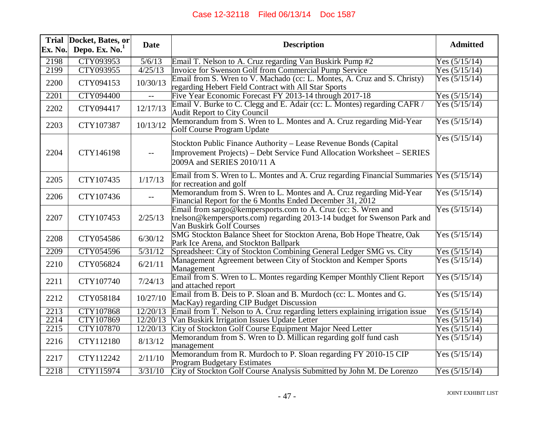| Ex. No. | Trial Docket, Bates, or<br>Depo. Ex. $No.1$ | <b>Date</b> | <b>Description</b>                                                                                                                                                        | <b>Admitted</b> |
|---------|---------------------------------------------|-------------|---------------------------------------------------------------------------------------------------------------------------------------------------------------------------|-----------------|
| 2198    | CTY093953                                   | 5/6/13      | Email T. Nelson to A. Cruz regarding Van Buskirk Pump #2                                                                                                                  | Yes $(5/15/14)$ |
| 2199    | CTY093955                                   | 4/25/13     | Invoice for Swenson Golf from Commercial Pump Service                                                                                                                     | Yes $(5/15/14)$ |
| 2200    | CTY094153                                   | 10/30/13    | Email from S. Wren to V. Machado (cc: L. Montes, A. Cruz and S. Christy)<br>regarding Hebert Field Contract with All Star Sports                                          | Yes $(5/15/14)$ |
| 2201    | <b>CTY094400</b>                            |             | Five Year Economic Forecast FY 2013-14 through 2017-18                                                                                                                    | Yes $(5/15/14)$ |
| 2202    | CTY094417                                   | 12/17/13    | Email V. Burke to C. Clegg and E. Adair (cc: L. Montes) regarding CAFR /<br><b>Audit Report to City Council</b>                                                           | Yes $(5/15/14)$ |
| 2203    | CTY107387                                   | 10/13/12    | Memorandum from S. Wren to L. Montes and A. Cruz regarding Mid-Year<br>Golf Course Program Update                                                                         | Yes $(5/15/14)$ |
| 2204    | CTY146198                                   | $-$         | Stockton Public Finance Authority - Lease Revenue Bonds (Capital<br>Improvement Projects) – Debt Service Fund Allocation Worksheet – SERIES<br>2009A and SERIES 2010/11 A | Yes $(5/15/14)$ |
| 2205    | CTY107435                                   | 1/17/13     | Email from S. Wren to L. Montes and A. Cruz regarding Financial Summaries Yes (5/15/14)<br>for recreation and golf                                                        |                 |
| 2206    | CTY107436                                   |             | Memorandum from S. Wren to L. Montes and A. Cruz regarding Mid-Year<br>Financial Report for the 6 Months Ended December 31, 2012                                          | Yes $(5/15/14)$ |
| 2207    | CTY107453                                   | 2/25/13     | Email from sargo@kempersports.com to A. Cruz (cc: S. Wren and<br>tnelson@kempersports.com) regarding 2013-14 budget for Swenson Park and<br>Van Buskirk Golf Courses      | Yes $(5/15/14)$ |
| 2208    | CTY054586                                   | 6/30/12     | SMG Stockton Balance Sheet for Stockton Arena, Bob Hope Theatre, Oak<br>Park Ice Arena, and Stockton Ballpark                                                             | Yes $(5/15/14)$ |
| 2209    | CTY054596                                   | 5/31/12     | Spreadsheet: City of Stockton Combining General Ledger SMG vs. City                                                                                                       | Yes $(5/15/14)$ |
| 2210    | CTY056824                                   | 6/21/11     | Management Agreement between City of Stockton and Kemper Sports<br>Management                                                                                             | Yes $(5/15/14)$ |
| 2211    | CTY107740                                   | 7/24/13     | Email from S. Wren to L. Montes regarding Kemper Monthly Client Report<br>and attached report                                                                             | Yes $(5/15/14)$ |
| 2212    | CTY058184                                   | 10/27/10    | Email from B. Deis to P. Sloan and B. Murdoch (cc: L. Montes and G.<br>MacKay) regarding CIP Budget Discussion                                                            | Yes $(5/15/14)$ |
| 2213    | <b>CTY107868</b>                            | 12/20/13    | Email from T. Nelson to A. Cruz regarding letters explaining irrigation issue                                                                                             | Yes $(5/15/14)$ |
| 2214    | <b>CTY107869</b>                            | 12/20/13    | Van Buskirk Irrigation Issues Update Letter                                                                                                                               | Yes $(5/15/14)$ |
| 2215    | <b>CTY107870</b>                            | 12/20/13    | City of Stockton Golf Course Equipment Major Need Letter                                                                                                                  | Yes $(5/15/14)$ |
| 2216    | CTY112180                                   | 8/13/12     | Memorandum from S. Wren to D. Millican regarding golf fund cash<br>management                                                                                             | Yes $(5/15/14)$ |
| 2217    | CTY112242                                   | 2/11/10     | Memorandum from R. Murdoch to P. Sloan regarding FY 2010-15 CIP<br><b>Program Budgetary Estimates</b>                                                                     | Yes $(5/15/14)$ |
| 2218    | <b>CTY115974</b>                            | 3/31/10     | City of Stockton Golf Course Analysis Submitted by John M. De Lorenzo                                                                                                     | Yes $(5/15/14)$ |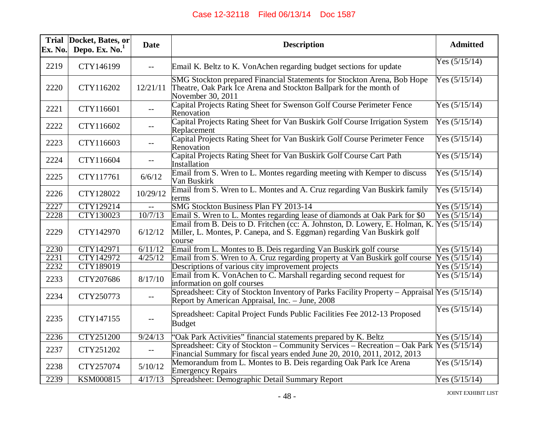| Ex. No. | Trial Docket, Bates, or<br>Depo. Ex. $No.1$ | <b>Date</b>              | <b>Description</b>                                                                                                                                                              | <b>Admitted</b> |
|---------|---------------------------------------------|--------------------------|---------------------------------------------------------------------------------------------------------------------------------------------------------------------------------|-----------------|
| 2219    | CTY146199                                   | $\mathbb{L} \mathbb{L}$  | Email K. Beltz to K. VonAchen regarding budget sections for update                                                                                                              | Yes $(5/15/14)$ |
| 2220    | CTY116202                                   | 12/21/11                 | SMG Stockton prepared Financial Statements for Stockton Arena, Bob Hope<br>Theatre, Oak Park Ice Arena and Stockton Ballpark for the month of<br>November 30, 2011              | Yes $(5/15/14)$ |
| 2221    | CTY116601                                   |                          | Capital Projects Rating Sheet for Swenson Golf Course Perimeter Fence<br>Renovation                                                                                             | Yes $(5/15/14)$ |
| 2222    | CTY116602                                   |                          | Capital Projects Rating Sheet for Van Buskirk Golf Course Irrigation System<br>Replacement                                                                                      | Yes $(5/15/14)$ |
| 2223    | CTY116603                                   | $\overline{\phantom{m}}$ | Capital Projects Rating Sheet for Van Buskirk Golf Course Perimeter Fence<br>Renovation                                                                                         | Yes $(5/15/14)$ |
| 2224    | CTY116604                                   | $-$                      | Capital Projects Rating Sheet for Van Buskirk Golf Course Cart Path<br>Installation                                                                                             | Yes $(5/15/14)$ |
| 2225    | CTY117761                                   | 6/6/12                   | Email from S. Wren to L. Montes regarding meeting with Kemper to discuss<br>Van Buskirk                                                                                         | Yes $(5/15/14)$ |
| 2226    | CTY128022                                   | 10/29/12                 | Email from S. Wren to L. Montes and A. Cruz regarding Van Buskirk family<br>terms                                                                                               | Yes $(5/15/14)$ |
| 2227    | <b>CTY129214</b>                            |                          | SMG Stockton Business Plan FY 2013-14                                                                                                                                           | Yes $(5/15/14)$ |
| 2228    | CTY130023                                   | 10/7/13                  | Email S. Wren to L. Montes regarding lease of diamonds at Oak Park for \$0                                                                                                      | Yes $(5/15/14)$ |
| 2229    | CTY142970                                   | 6/12/12                  | Email from B. Deis to D. Fritchen (cc: A. Johnston, D. Lowery, E. Holman, K. Yes (5/15/14)<br>Miller, L. Montes, P. Canepa, and S. Eggman) regarding Van Buskirk golf<br>course |                 |
| 2230    | <b>CTY142971</b>                            | 6/11/12                  | Email from L. Montes to B. Deis regarding Van Buskirk golf course                                                                                                               | Yes $(5/15/14)$ |
| 2231    | CTY142972                                   | 4/25/12                  | Email from S. Wren to A. Cruz regarding property at Van Buskirk golf course                                                                                                     | Yes $(5/15/14)$ |
| 2232    | <b>CTY189019</b>                            |                          | Descriptions of various city improvement projects                                                                                                                               | Yes $(5/15/14)$ |
| 2233    | CTY207686                                   | 8/17/10                  | Email from K. VonAchen to C. Marshall regarding second request for<br>information on golf courses                                                                               | Yes $(5/15/14)$ |
| 2234    | CTY250773                                   | $-$                      | Spreadsheet: City of Stockton Inventory of Parks Facility Property - Appraisal Yes (5/15/14)<br>Report by American Appraisal, Inc. – June, 2008                                 |                 |
| 2235    | CTY147155                                   |                          | Spreadsheet: Capital Project Funds Public Facilities Fee 2012-13 Proposed<br><b>Budget</b>                                                                                      | Yes $(5/15/14)$ |
| 2236    | <b>CTY251200</b>                            | 9/24/13                  | 'Oak Park Activities'' financial statements prepared by K. Beltz                                                                                                                | Yes $(5/15/14)$ |
| 2237    | CTY251202                                   | $- -$                    | Spreadsheet: City of Stockton – Community Services – Recreation – Oak Park Yes (5/15/14)<br>Financial Summary for fiscal years ended June 20, 2010, 2011, 2012, 2013            |                 |
| 2238    | CTY257074                                   | 5/10/12                  | Memorandum from L. Montes to B. Deis regarding Oak Park Ice Arena<br><b>Emergency Repairs</b>                                                                                   | Yes $(5/15/14)$ |
| 2239    | KSM000815                                   | 4/17/13                  | Spreadsheet: Demographic Detail Summary Report                                                                                                                                  | Yes $(5/15/14)$ |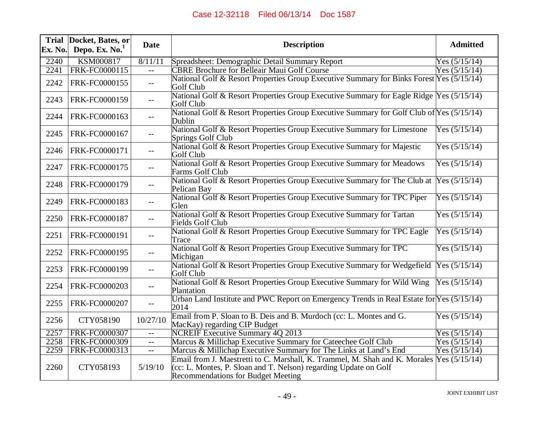| Ex. No. | Trial Docket, Bates, or<br>Depo. Ex. No. <sup>1</sup> | <b>Date</b> | <b>Description</b>                                                                                                                                                                           | <b>Admitted</b> |
|---------|-------------------------------------------------------|-------------|----------------------------------------------------------------------------------------------------------------------------------------------------------------------------------------------|-----------------|
| 2240    | <b>KSM000817</b>                                      | 8/11/11     | Spreadsheet: Demographic Detail Summary Report                                                                                                                                               | Yes $(5/15/14)$ |
| 2241    | FRK-FC0000115                                         | $-$         | <b>CBRE Brochure for Belleair Maui Golf Course</b>                                                                                                                                           | Yes $(5/15/14)$ |
| 2242    | FRK-FC0000155                                         | $- -$       | National Golf & Resort Properties Group Executive Summary for Binks Forest Yes (5/15/14)<br>Golf Club                                                                                        |                 |
| 2243    | FRK-FC0000159                                         | $-$         | National Golf & Resort Properties Group Executive Summary for Eagle Ridge Yes (5/15/14)<br>Golf Club                                                                                         |                 |
| 2244    | FRK-FC0000163                                         | $-$         | National Golf & Resort Properties Group Executive Summary for Golf Club of Yes (5/15/14)<br>Dublin                                                                                           |                 |
| 2245    | FRK-FC0000167                                         | $--$        | National Golf & Resort Properties Group Executive Summary for Limestone<br>Springs Golf Club                                                                                                 | Yes $(5/15/14)$ |
| 2246    | FRK-FC0000171                                         | $- -$       | National Golf & Resort Properties Group Executive Summary for Majestic<br>Golf Club                                                                                                          | Yes $(5/15/14)$ |
| 2247    | FRK-FC0000175                                         | $-$         | National Golf & Resort Properties Group Executive Summary for Meadows<br>Farms Golf Club                                                                                                     | Yes $(5/15/14)$ |
| 2248    | FRK-FC0000179                                         | $-$         | National Golf & Resort Properties Group Executive Summary for The Club at<br>Pelican Bay                                                                                                     | Yes $(5/15/14)$ |
| 2249    | FRK-FC0000183                                         | $--$        | National Golf & Resort Properties Group Executive Summary for TPC Piper<br>Glen                                                                                                              | Yes $(5/15/14)$ |
| 2250    | FRK-FC0000187                                         | $-$         | National Golf & Resort Properties Group Executive Summary for Tartan<br><b>Fields Golf Club</b>                                                                                              | Yes $(5/15/14)$ |
| 2251    | FRK-FC0000191                                         | $-$         | National Golf & Resort Properties Group Executive Summary for TPC Eagle<br>Trace                                                                                                             | Yes $(5/15/14)$ |
| 2252    | FRK-FC0000195                                         | $--$        | National Golf & Resort Properties Group Executive Summary for TPC<br>Michigan                                                                                                                | Yes $(5/15/14)$ |
| 2253    | FRK-FC0000199                                         | $-$         | National Golf & Resort Properties Group Executive Summary for Wedgefield<br>Golf Club                                                                                                        | Yes $(5/15/14)$ |
| 2254    | FRK-FC0000203                                         |             | National Golf & Resort Properties Group Executive Summary for Wild Wing<br>Plantation                                                                                                        | Yes $(5/15/14)$ |
| 2255    | FRK-FC0000207                                         | $- -$       | Urban Land Institute and PWC Report on Emergency Trends in Real Estate for Yes (5/15/14)<br>2014                                                                                             |                 |
| 2256    | CTY058190                                             | 10/27/10    | Email from P. Sloan to B. Deis and B. Murdoch (cc: L. Montes and G.<br>MacKay) regarding CIP Budget                                                                                          | Yes $(5/15/14)$ |
| 2257    | <b>FRK-FC0000307</b>                                  | $-$         | <b>NCREIF Executive Summary 4Q 2013</b>                                                                                                                                                      | Yes $(5/15/14)$ |
| 2258    | <b>FRK-FC0000309</b>                                  | $-$         | Marcus & Millichap Executive Summary for Cateechee Golf Club                                                                                                                                 | Yes $(5/15/14)$ |
| 2259    | FRK-FC0000313                                         | $- -$       | Marcus & Millichap Executive Summary for The Links at Land's End                                                                                                                             | Yes $(5/15/14)$ |
| 2260    | CTY058193                                             | 5/19/10     | Email from J. Maestretti to C. Marshall, K. Trammel, M. Shah and K. Morales<br>(cc: L. Montes, P. Sloan and T. Nelson) regarding Update on Golf<br><b>Recommendations for Budget Meeting</b> | Yes $(5/15/14)$ |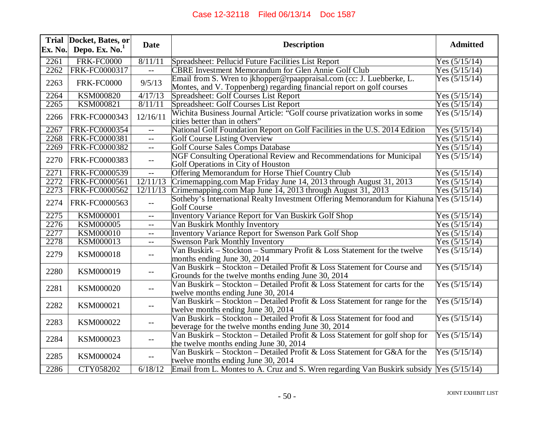| Ex. No. | Trial Docket, Bates, or<br>Depo. Ex. No. <sup>1</sup> | <b>Date</b>                                   | <b>Description</b>                                                                                                                             | <b>Admitted</b> |
|---------|-------------------------------------------------------|-----------------------------------------------|------------------------------------------------------------------------------------------------------------------------------------------------|-----------------|
| 2261    | <b>FRK-FC0000</b>                                     | 8/11/11                                       | Spreadsheet: Pellucid Future Facilities List Report                                                                                            | Yes $(5/15/14)$ |
| 2262    | FRK-FC0000317                                         | $-$                                           | <b>CBRE Investment Memorandum for Glen Annie Golf Club</b>                                                                                     | Yes $(5/15/14)$ |
| 2263    | <b>FRK-FC0000</b>                                     | 9/5/13                                        | Email from S. Wren to jkhopper@rpaappraisal.com (cc: J. Luebberke, L.<br>Montes, and V. Toppenberg) regarding financial report on golf courses | Yes $(5/15/14)$ |
| 2264    | <b>KSM000820</b>                                      | 4/17/13                                       | Spreadsheet: Golf Courses List Report                                                                                                          | Yes $(5/15/14)$ |
| 2265    | <b>KSM000821</b>                                      | 8/11/11                                       | Spreadsheet: Golf Courses List Report                                                                                                          | Yes $(5/15/14)$ |
| 2266    | FRK-FC0000343                                         | 12/16/11                                      | Wichita Business Journal Article: "Golf course privatization works in some<br>cities better than in others"                                    | Yes $(5/15/14)$ |
| 2267    | FRK-FC0000354                                         | $-$                                           | National Golf Foundation Report on Golf Facilities in the U.S. 2014 Edition                                                                    | Yes $(5/15/14)$ |
| 2268    | <b>FRK-FC0000381</b>                                  | $-$                                           | <b>Golf Course Listing Overview</b>                                                                                                            | Yes $(5/15/14)$ |
| 2269    | FRK-FC0000382                                         | $- -$                                         | <b>Golf Course Sales Comps Database</b>                                                                                                        | Yes $(5/15/14)$ |
| 2270    | FRK-FC0000383                                         | $-$                                           | NGF Consulting Operational Review and Recommendations for Municipal<br>Golf Operations in City of Houston                                      | Yes $(5/15/14)$ |
| 2271    | FRK-FC0000539                                         | $- -$                                         | Offering Memorandum for Horse Thief Country Club                                                                                               | Yes $(5/15/14)$ |
| 2272    | <b>FRK-FC0000561</b>                                  | 12/11/13                                      | Crimemapping.com Map Friday June 14, 2013 through August 31, 2013                                                                              | Yes $(5/15/14)$ |
| 2273    | FRK-FC0000562                                         | 12/11/13                                      | Crimemapping.com Map June 14, 2013 through August 31, 2013                                                                                     | Yes $(5/15/14)$ |
| 2274    | FRK-FC0000563                                         | $-\,-$                                        | Sotheby's International Realty Investment Offering Memorandum for Kiahuna Yes (5/15/14)<br><b>Golf Course</b>                                  |                 |
| 2275    | <b>KSM000001</b>                                      | $-$                                           | <b>Inventory Variance Report for Van Buskirk Golf Shop</b>                                                                                     | Yes $(5/15/14)$ |
| 2276    | <b>KSM000005</b>                                      | $\mathord{\hspace{1pt}\text{--}\hspace{1pt}}$ | Van Buskirk Monthly Inventory                                                                                                                  | Yes $(5/15/14)$ |
| 2277    | <b>KSM000010</b>                                      | $-$                                           | <b>Inventory Variance Report for Swenson Park Golf Shop</b>                                                                                    | Yes $(5/15/14)$ |
| 2278    | <b>KSM000013</b>                                      | $\overline{\phantom{m}}$                      | <b>Swenson Park Monthly Inventory</b>                                                                                                          | Yes $(5/15/14)$ |
| 2279    | KSM000018                                             | $-$                                           | Van Buskirk - Stockton - Summary Profit & Loss Statement for the twelve<br>months ending June 30, 2014                                         | Yes $(5/15/14)$ |
| 2280    | KSM000019                                             | $\mathord{\hspace{1pt}\text{--}\hspace{1pt}}$ | Van Buskirk – Stockton – Detailed Profit & Loss Statement for Course and<br>Grounds for the twelve months ending June 30, 2014                 | Yes $(5/15/14)$ |
| 2281    | KSM000020                                             | $-$                                           | Van Buskirk – Stockton – Detailed Profit & Loss Statement for carts for the<br>twelve months ending June 30, 2014                              | Yes $(5/15/14)$ |
| 2282    | KSM000021                                             | $-$                                           | Van Buskirk – Stockton – Detailed Profit & Loss Statement for range for the<br>twelve months ending June 30, 2014                              | Yes $(5/15/14)$ |
| 2283    | KSM000022                                             |                                               | Van Buskirk – Stockton – Detailed Profit & Loss Statement for food and<br>beverage for the twelve months ending June 30, 2014                  | Yes $(5/15/14)$ |
| 2284    | KSM000023                                             | $-$                                           | Van Buskirk – Stockton – Detailed Profit & Loss Statement for golf shop for<br>the twelve months ending June 30, 2014                          | Yes $(5/15/14)$ |
| 2285    | KSM000024                                             | $-$                                           | Van Buskirk – Stockton – Detailed Profit & Loss Statement for G&A for the<br>twelve months ending June 30, 2014                                | Yes $(5/15/14)$ |
| 2286    | CTY058202                                             | 6/18/12                                       | Email from L. Montes to A. Cruz and S. Wren regarding Van Buskirk subsidy Yes (5/15/14)                                                        |                 |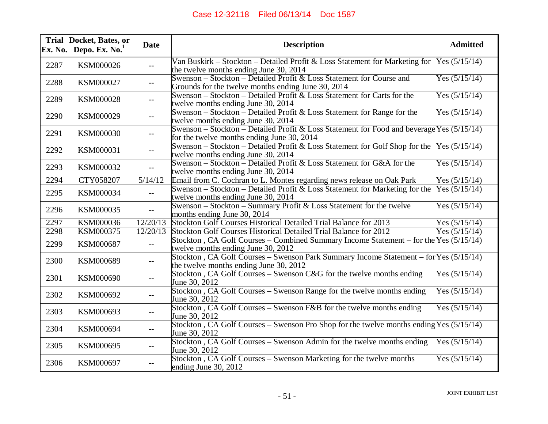| Ex. No. | Trial Docket, Bates, or<br>Depo. Ex. $No.1$ | <b>Date</b>                                   | <b>Description</b>                                                                                                                        | <b>Admitted</b> |
|---------|---------------------------------------------|-----------------------------------------------|-------------------------------------------------------------------------------------------------------------------------------------------|-----------------|
| 2287    | KSM000026                                   | $\overline{\phantom{m}}$                      | Van Buskirk – Stockton – Detailed Profit & Loss Statement for Marketing for<br>the twelve months ending June 30, 2014                     | Yes $(5/15/14)$ |
| 2288    | KSM000027                                   | $- -$                                         | Swenson - Stockton - Detailed Profit & Loss Statement for Course and<br>Grounds for the twelve months ending June 30, 2014                | Yes $(5/15/14)$ |
| 2289    | KSM000028                                   | $-$                                           | Swenson – Stockton – Detailed Profit & Loss Statement for Carts for the<br>twelve months ending June 30, 2014                             | Yes $(5/15/14)$ |
| 2290    | KSM000029                                   | $-$                                           | Swenson – Stockton – Detailed Profit & Loss Statement for Range for the<br>twelve months ending June 30, 2014                             | Yes $(5/15/14)$ |
| 2291    | KSM000030                                   |                                               | Swenson – Stockton – Detailed Profit & Loss Statement for Food and beverage Yes $(5/15/14)$<br>for the twelve months ending June 30, 2014 |                 |
| 2292    | KSM000031                                   | $-$                                           | Swenson - Stockton - Detailed Profit & Loss Statement for Golf Shop for the<br>twelve months ending June 30, 2014                         | Yes (5/15/14)   |
| 2293    | KSM000032                                   | $-$                                           | Swenson – Stockton – Detailed Profit & Loss Statement for G&A for the<br>twelve months ending June 30, 2014                               | Yes $(5/15/14)$ |
| 2294    | <b>CTY058207</b>                            | 5/14/12                                       | Email from C. Cochran to L. Montes regarding news release on Oak Park                                                                     | Yes $(5/15/14)$ |
| 2295    | KSM000034                                   | $-$                                           | Swenson – Stockton – Detailed Profit & Loss Statement for Marketing for the<br>twelve months ending June 30, 2014                         | Yes $(5/15/14)$ |
| 2296    | KSM000035                                   | $\overline{a}$                                | Swenson – Stockton – Summary Profit & Loss Statement for the twelve<br>months ending June 30, 2014                                        | Yes $(5/15/14)$ |
| 2297    | <b>KSM000036</b>                            | 12/20/13                                      | Stockton Golf Courses Historical Detailed Trial Balance for 2013                                                                          | Yes $(5/15/14)$ |
| 2298    | <b>KSM000375</b>                            | 12/20/13                                      | Stockton Golf Courses Historical Detailed Trial Balance for 2012                                                                          | Yes $(5/15/14)$ |
| 2299    | KSM000687                                   | $\mathord{\hspace{1pt}\text{--}\hspace{1pt}}$ | Stockton, CA Golf Courses – Combined Summary Income Statement – for the Yes (5/15/14)<br>twelve months ending June 30, 2012               |                 |
| 2300    | KSM000689                                   | $\overline{\phantom{m}}$                      | Stockton, CA Golf Courses – Swenson Park Summary Income Statement – for Yes $(5/15/14)$<br>the twelve months ending June 30, 2012         |                 |
| 2301    | KSM000690                                   | $-$                                           | Stockton, CA Golf Courses - Swenson C&G for the twelve months ending<br>June 30, 2012                                                     | Yes $(5/15/14)$ |
| 2302    | KSM000692                                   |                                               | Stockton, CA Golf Courses - Swenson Range for the twelve months ending<br>June 30, 2012                                                   | Yes $(5/15/14)$ |
| 2303    | KSM000693                                   | $-$                                           | Stockton, CA Golf Courses – Swenson F&B for the twelve months ending<br>June 30, 2012                                                     | Yes $(5/15/14)$ |
| 2304    | KSM000694                                   | $-$                                           | Stockton, CA Golf Courses – Swenson Pro Shop for the twelve months ending Yes $(5/15/14)$<br>June 30, 2012                                |                 |
| 2305    | KSM000695                                   | $-$                                           | Stockton, CA Golf Courses – Swenson Admin for the twelve months ending<br>June 30, 2012                                                   | Yes $(5/15/14)$ |
| 2306    | KSM000697                                   |                                               | Stockton, CA Golf Courses - Swenson Marketing for the twelve months<br>ending June $30, 2012$                                             | Yes $(5/15/14)$ |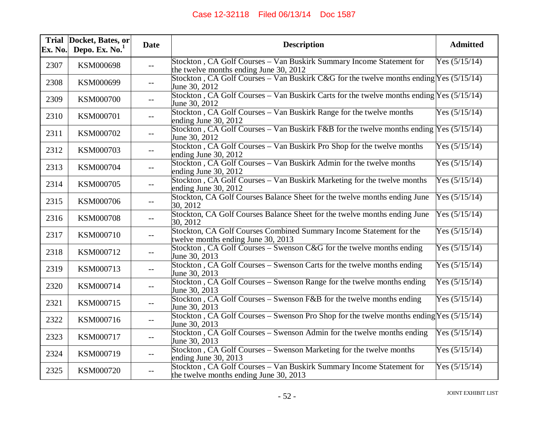| Ex. No. | Trial Docket, Bates, or<br>Depo. Ex. $No.1$ | <b>Date</b>              | <b>Description</b>                                                                                             | <b>Admitted</b> |
|---------|---------------------------------------------|--------------------------|----------------------------------------------------------------------------------------------------------------|-----------------|
| 2307    | KSM000698                                   | $-$                      | Stockton, CA Golf Courses - Van Buskirk Summary Income Statement for<br>the twelve months ending June 30, 2012 | Yes $(5/15/14)$ |
| 2308    | KSM000699                                   | $-$                      | Stockton, CA Golf Courses – Van Buskirk C&G for the twelve months ending Yes $(5/15/14)$<br>June 30, 2012      |                 |
| 2309    | KSM000700                                   | --                       | Stockton, CA Golf Courses – Van Buskirk Carts for the twelve months ending $Yes (5/15/14)$<br>June 30, 2012    |                 |
| 2310    | KSM000701                                   | $-$                      | Stockton, CA Golf Courses - Van Buskirk Range for the twelve months<br>ending June 30, 2012                    | Yes $(5/15/14)$ |
| 2311    | KSM000702                                   | $- -$                    | Stockton, CA Golf Courses – Van Buskirk F&B for the twelve months ending Yes $(5/15/14)$<br>June 30, 2012      |                 |
| 2312    | KSM000703                                   | $-$                      | Stockton, CA Golf Courses – Van Buskirk Pro Shop for the twelve months<br>ending June $30, 2012$               | Yes $(5/15/14)$ |
| 2313    | KSM000704                                   | $-$                      | Stockton, CA Golf Courses - Van Buskirk Admin for the twelve months<br>ending June 30, 2012                    | Yes $(5/15/14)$ |
| 2314    | KSM000705                                   | $-$                      | Stockton, CA Golf Courses - Van Buskirk Marketing for the twelve months<br>ending June $30, 2012$              | Yes $(5/15/14)$ |
| 2315    | KSM000706                                   | $\overline{\phantom{a}}$ | Stockton, CA Golf Courses Balance Sheet for the twelve months ending June<br>30, 2012                          | Yes $(5/15/14)$ |
| 2316    | <b>KSM000708</b>                            | --                       | Stockton, CA Golf Courses Balance Sheet for the twelve months ending June<br>30, 2012                          | Yes $(5/15/14)$ |
| 2317    | KSM000710                                   | $-$                      | Stockton, CA Golf Courses Combined Summary Income Statement for the<br>twelve months ending June 30, 2013      | Yes $(5/15/14)$ |
| 2318    | KSM000712                                   | $-$                      | Stockton, CA Golf Courses – Swenson C&G for the twelve months ending<br>June 30, 2013                          | Yes $(5/15/14)$ |
| 2319    | KSM000713                                   | $- -$                    | Stockton, CA Golf Courses – Swenson Carts for the twelve months ending<br>June 30, 2013                        | Yes $(5/15/14)$ |
| 2320    | KSM000714                                   | $-$                      | Stockton, CA Golf Courses - Swenson Range for the twelve months ending<br>June 30, 2013                        | Yes $(5/15/14)$ |
| 2321    | KSM000715                                   | $-$                      | Stockton, CA Golf Courses – Swenson F&B for the twelve months ending<br>June 30, 2013                          | Yes $(5/15/14)$ |
| 2322    | KSM000716                                   | $- -$                    | Stockton, CA Golf Courses – Swenson Pro Shop for the twelve months ending $Yes (5/15/14)$<br>June 30, 2013     |                 |
| 2323    | KSM000717                                   | --                       | Stockton, CA Golf Courses - Swenson Admin for the twelve months ending<br>June 30, 2013                        | Yes $(5/15/14)$ |
| 2324    | KSM000719                                   | $-$                      | Stockton, CA Golf Courses - Swenson Marketing for the twelve months<br>ending June 30, 2013                    | Yes $(5/15/14)$ |
| 2325    | KSM000720                                   | $-$                      | Stockton, CA Golf Courses - Van Buskirk Summary Income Statement for<br>the twelve months ending June 30, 2013 | Yes $(5/15/14)$ |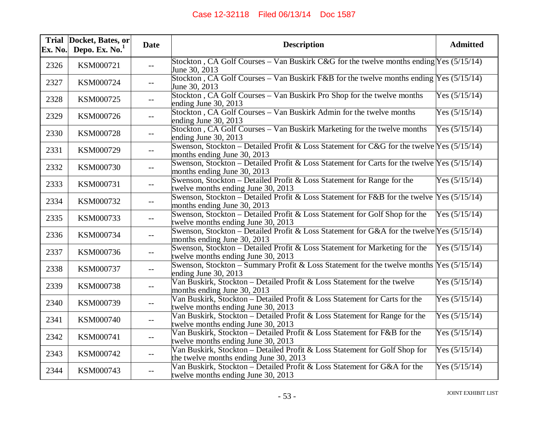| Ex. No. | Trial Docket, Bates, or<br>Depo. Ex. $No.1$ | <b>Date</b>                                   | <b>Description</b>                                                                                                           | <b>Admitted</b> |
|---------|---------------------------------------------|-----------------------------------------------|------------------------------------------------------------------------------------------------------------------------------|-----------------|
| 2326    | KSM000721                                   | $-$                                           | Stockton, CA Golf Courses – Van Buskirk C&G for the twelve months ending Yes $(5/15/14)$<br>June 30, 2013                    |                 |
| 2327    | KSM000724                                   | $-$                                           | Stockton, CA Golf Courses – Van Buskirk F&B for the twelve months ending $Y$ es (5/15/14)<br>June 30, 2013                   |                 |
| 2328    | KSM000725                                   | $- -$                                         | Stockton, CA Golf Courses - Van Buskirk Pro Shop for the twelve months<br>ending June $30, 2013$                             | Yes $(5/15/14)$ |
| 2329    | KSM000726                                   | $- -$                                         | Stockton, CA Golf Courses – Van Buskirk Admin for the twelve months<br>ending June 30, 2013                                  | Yes $(5/15/14)$ |
| 2330    | KSM000728                                   | $\mathord{\hspace{1pt}\text{--}\hspace{1pt}}$ | Stockton, CA Golf Courses - Van Buskirk Marketing for the twelve months<br>ending June $30, 2013$                            | Yes $(5/15/14)$ |
| 2331    | KSM000729                                   | $-$                                           | Swenson, Stockton – Detailed Profit & Loss Statement for C&G for the twelve Yes $(5/15/14)$<br>months ending June 30, 2013   |                 |
| 2332    | KSM000730                                   | $-$                                           | Swenson, Stockton – Detailed Profit & Loss Statement for Carts for the twelve $Yes (5/15/14)$<br>months ending June 30, 2013 |                 |
| 2333    | KSM000731                                   | $-$                                           | Swenson, Stockton – Detailed Profit & Loss Statement for Range for the<br>twelve months ending June 30, 2013                 | Yes $(5/15/14)$ |
| 2334    | KSM000732                                   | $- -$                                         | Swenson, Stockton – Detailed Profit & Loss Statement for F&B for the twelve Yes (5/15/14)<br>months ending June 30, 2013     |                 |
| 2335    | KSM000733                                   | $--$                                          | Swenson, Stockton – Detailed Profit & Loss Statement for Golf Shop for the<br>twelve months ending June 30, 2013             | Yes $(5/15/14)$ |
| 2336    | KSM000734                                   | $- -$                                         | Swenson, Stockton – Detailed Profit & Loss Statement for G&A for the twelve Yes $(5/15/14)$<br>months ending June 30, 2013   |                 |
| 2337    | KSM000736                                   | $-$                                           | Swenson, Stockton – Detailed Profit & Loss Statement for Marketing for the<br>twelve months ending June 30, 2013             | Yes $(5/15/14)$ |
| 2338    | KSM000737                                   | $- -$                                         | Swenson, Stockton – Summary Profit & Loss Statement for the twelve months $Yes (5/15/14)$<br>ending June 30, 2013            |                 |
| 2339    | KSM000738                                   | $-$                                           | Van Buskirk, Stockton – Detailed Profit & Loss Statement for the twelve<br>months ending June 30, 2013                       | Yes $(5/15/14)$ |
| 2340    | KSM000739                                   | $- -$                                         | Van Buskirk, Stockton - Detailed Profit & Loss Statement for Carts for the<br>twelve months ending June 30, 2013             | Yes $(5/15/14)$ |
| 2341    | KSM000740                                   | $--$                                          | Van Buskirk, Stockton – Detailed Profit & Loss Statement for Range for the<br>twelve months ending June 30, 2013             | Yes $(5/15/14)$ |
| 2342    | KSM000741                                   | $--$                                          | Van Buskirk, Stockton – Detailed Profit & Loss Statement for F&B for the<br>twelve months ending June 30, 2013               | Yes $(5/15/14)$ |
| 2343    | KSM000742                                   | $\overline{\phantom{m}}$                      | Van Buskirk, Stockton - Detailed Profit & Loss Statement for Golf Shop for<br>the twelve months ending June 30, 2013         | Yes $(5/15/14)$ |
| 2344    | KSM000743                                   | $-$                                           | Van Buskirk, Stockton – Detailed Profit & Loss Statement for G&A for the<br>twelve months ending June 30, 2013               | Yes $(5/15/14)$ |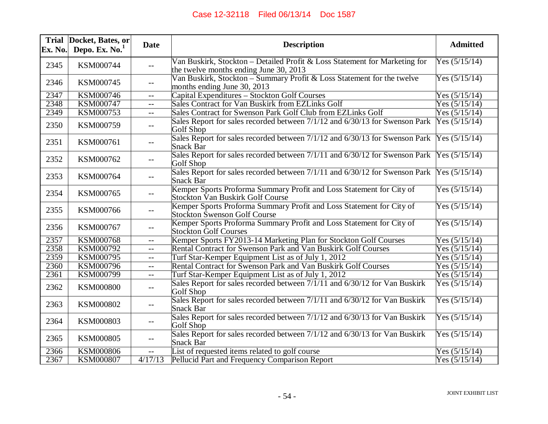| Ex. No. | Trial Docket, Bates, or<br>Depo. Ex. $No.1$ | <b>Date</b>              | <b>Description</b>                                                                                                   | <b>Admitted</b> |
|---------|---------------------------------------------|--------------------------|----------------------------------------------------------------------------------------------------------------------|-----------------|
| 2345    | KSM000744                                   | $--$                     | Van Buskirk, Stockton - Detailed Profit & Loss Statement for Marketing for<br>the twelve months ending June 30, 2013 | Yes $(5/15/14)$ |
| 2346    | KSM000745                                   | $-$                      | Van Buskirk, Stockton - Summary Profit & Loss Statement for the twelve<br>months ending June 30, 2013                | Yes $(5/15/14)$ |
| 2347    | <b>KSM000746</b>                            | $-$                      | Capital Expenditures - Stockton Golf Courses                                                                         | Yes $(5/15/14)$ |
| 2348    | <b>KSM000747</b>                            | $- -$                    | Sales Contract for Van Buskirk from EZLinks Golf                                                                     | Yes $(5/15/14)$ |
| 2349    | KSM000753                                   | $\overline{a}$           | Sales Contract for Swenson Park Golf Club from EZLinks Golf                                                          | Yes $(5/15/14)$ |
| 2350    | KSM000759                                   | $- -$                    | Sales Report for sales recorded between 7/1/12 and 6/30/13 for Swenson Park<br>Golf Shop                             | Yes $(5/15/14)$ |
| 2351    | KSM000761                                   | $-$                      | Sales Report for sales recorded between 7/1/12 and 6/30/13 for Swenson Park<br>Snack Bar                             | Yes $(5/15/14)$ |
| 2352    | KSM000762                                   | $- -$                    | Sales Report for sales recorded between 7/1/11 and 6/30/12 for Swenson Park<br>Golf Shop                             | Yes $(5/15/14)$ |
| 2353    | KSM000764                                   | $\overline{\phantom{a}}$ | Sales Report for sales recorded between 7/1/11 and 6/30/12 for Swenson Park<br>Snack Bar                             | Yes $(5/15/14)$ |
| 2354    | KSM000765                                   | $--$                     | Kemper Sports Proforma Summary Profit and Loss Statement for City of<br><b>Stockton Van Buskirk Golf Course</b>      | Yes $(5/15/14)$ |
| 2355    | KSM000766                                   | $- -$                    | Kemper Sports Proforma Summary Profit and Loss Statement for City of<br><b>Stockton Swenson Golf Course</b>          | Yes $(5/15/14)$ |
| 2356    | KSM000767                                   | $-$                      | Kemper Sports Proforma Summary Profit and Loss Statement for City of<br><b>Stockton Golf Courses</b>                 | Yes $(5/15/14)$ |
| 2357    | <b>KSM000768</b>                            | $- -$                    | Kemper Sports FY2013-14 Marketing Plan for Stockton Golf Courses                                                     | Yes (5/15/14)   |
| 2358    | KSM000792                                   | $-$                      | Rental Contract for Swenson Park and Van Buskirk Golf Courses                                                        | Yes $(5/15/14)$ |
| 2359    | <b>KSM000795</b>                            | $- -$                    | Turf Star-Kemper Equipment List as of July 1, 2012                                                                   | Yes $(5/15/14)$ |
| 2360    | <b>KSM000796</b>                            | $- -$                    | Rental Contract for Swenson Park and Van Buskirk Golf Courses                                                        | Yes $(5/15/14)$ |
| 2361    | <b>KSM000799</b>                            | $- -$                    | Turf Star-Kemper Equipment List as of July 1, 2012                                                                   | Yes $(5/15/14)$ |
| 2362    | <b>KSM000800</b>                            | $--$                     | Sales Report for sales recorded between 7/1/11 and 6/30/12 for Van Buskirk<br>Golf Shop                              | Yes $(5/15/14)$ |
| 2363    | KSM000802                                   | $- -$                    | Sales Report for sales recorded between 7/1/11 and 6/30/12 for Van Buskirk<br>Snack Bar                              | Yes $(5/15/14)$ |
| 2364    | KSM000803                                   | $- -$                    | Sales Report for sales recorded between 7/1/12 and 6/30/13 for Van Buskirk<br>Golf Shop                              | Yes $(5/15/14)$ |
| 2365    | KSM000805                                   | $--$                     | Sales Report for sales recorded between 7/1/12 and 6/30/13 for Van Buskirk<br>Snack Bar                              | Yes $(5/15/14)$ |
| 2366    | <b>KSM000806</b>                            | $- -$                    | List of requested items related to golf course                                                                       | Yes $(5/15/14)$ |
| 2367    | <b>KSM000807</b>                            | 4/17/13                  | Pellucid Part and Frequency Comparison Report                                                                        | Yes $(5/15/14)$ |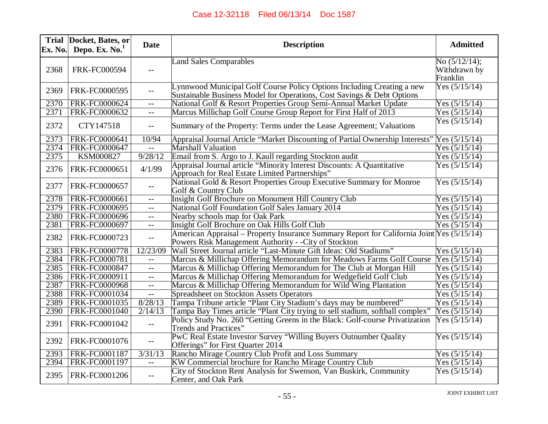| Ex. No. | Trial  Docket, Bates, or<br>Depo. Ex. No. <sup>1</sup> | <b>Date</b>              | <b>Description</b>                                                                                                                                  | <b>Admitted</b>                              |
|---------|--------------------------------------------------------|--------------------------|-----------------------------------------------------------------------------------------------------------------------------------------------------|----------------------------------------------|
| 2368    | <b>FRK-FC000594</b>                                    | $- -$                    | <b>Land Sales Comparables</b>                                                                                                                       | No $(5/12/14)$ ;<br>Withdrawn by<br>Franklin |
| 2369    | FRK-FC0000595                                          | $- -$                    | Lynnwood Municipal Golf Course Policy Options Including Creating a new<br>Sustainable Business Model for Operations, Cost Savings $\&$ Debt Options | Yes $(5/15/14)$                              |
| 2370    | FRK-FC0000624                                          | $-$                      | National Golf & Resort Properties Group Semi-Annual Market Update                                                                                   | Yes $(5/15/14)$                              |
| 2371    | FRK-FC0000632                                          | $\mathbf{u}$             | Marcus Millichap Golf Course Group Report for First Half of 2013                                                                                    | Yes $(5/15/14)$                              |
| 2372    | CTY147518                                              | $\overline{\phantom{m}}$ | Summary of the Property: Terms under the Lease Agreement; Valuations                                                                                | Yes $(5/15/14)$                              |
| 2373    | FRK-FC0000641                                          | 10/94                    | Appraisal Journal Article "Market Discounting of Partial Ownership Interests"                                                                       | Yes $(5/15/14)$                              |
| 2374    | FRK-FC0000647                                          | $- -$                    | <b>Marshall Valuation</b>                                                                                                                           | Yes $(5/15/14)$                              |
| 2375    | <b>KSM000827</b>                                       | 9/28/12                  | Email from S. Argo to J. Kaull regarding Stockton audit                                                                                             | Yes $(5/15/14)$                              |
| 2376    | FRK-FC0000651                                          | 4/1/99                   | Appraisal Journal article "Minority Interest Discounts: A Quantitative<br>Approach for Real Estate Limited Partnerships"                            | Yes $(5/15/14)$                              |
| 2377    | FRK-FC0000657                                          | $-$                      | National Gold & Resort Properties Group Executive Summary for Monroe<br>Golf & Country Club                                                         | Yes $(5/15/14)$                              |
| 2378    | FRK-FC0000661                                          | $- -$                    | Insight Golf Brochure on Monument Hill Country Club                                                                                                 | Yes $(5/15/14)$                              |
| 2379    | <b>FRK-FC0000695</b>                                   | $-$                      | <b>National Golf Foundation Golf Sales January 2014</b>                                                                                             | Yes $(5/15/14)$                              |
| 2380    | FRK-FC0000696                                          | $- -$                    | Nearby schools map for Oak Park                                                                                                                     | Yes $(5/15/14)$                              |
| 2381    | FRK-FC0000697                                          | $-$                      | Insight Golf Brochure on Oak Hills Golf Club                                                                                                        | Yes $(5/15/14)$                              |
| 2382    | FRK-FC0000723                                          | $\overline{\phantom{m}}$ | American Appraisal – Property Insurance Summary Report for California Joint Yes (5/15/14)<br>Powers Risk Management Authority - - City of Stockton  |                                              |
| 2383    | FRK-FC0000778                                          | 12/23/09                 | Wall Street Journal article "Last-Minute Gift Ideas: Old Stadiums"                                                                                  | Yes $(5/15/14)$                              |
| 2384    | <b>FRK-FC0000781</b>                                   | $-$                      | Marcus & Millichap Offering Memorandum for Meadows Farms Golf Course                                                                                | Yes $(5/15/14)$                              |
| 2385    | FRK-FC0000847                                          | $-$                      | Marcus & Millichap Offering Memorandum for The Club at Morgan Hill                                                                                  | Yes $(5/15/14)$                              |
| 2386    | FRK-FC0000911                                          | $-$                      | Marcus & Millichap Offering Memorandum for Wedgefield Golf Club                                                                                     | Yes $(5/15/14)$                              |
| 2387    | <b>FRK-FC0000968</b>                                   | $- -$                    | Marcus & Millichap Offering Memorandum for Wild Wing Plantation                                                                                     | Yes $(5/15/14)$                              |
| 2388    | FRK-FC0001034                                          | $\overline{\phantom{m}}$ | Spreadsheet on Stockton Assets Operators                                                                                                            | Yes $(5/15/14)$                              |
| 2389    | FRK-FC0001035                                          | 8/28/13                  | Tampa Tribune article "Plant City Stadium's days may be numbered"                                                                                   | Yes $(5/15/14)$                              |
| 2390    | <b>FRK-FC0001040</b>                                   | 2/14/13                  | Tampa Bay Times article "Plant City trying to sell stadium, softball complex"                                                                       | Yes $(5/15/14)$                              |
| 2391    | FRK-FC0001042                                          | $\overline{a}$           | Policy Study No. 260 "Getting Greens in the Black: Golf-course Privatization<br>Trends and Practices"                                               | Yes $(5/15/14)$                              |
| 2392    | FRK-FC0001076                                          | $-\,-$                   | PwC Real Estate Investor Survey "Willing Buyers Outnumber Quality<br>Offerings" for First Quarter 2014                                              | Yes $(5/15/14)$                              |
| 2393    | FRK-FC0001187                                          | 3/31/13                  | Rancho Mirage Country Club Profit and Loss Summary                                                                                                  | Yes $(5/15/14)$                              |
| 2394    | FRK-FC0001197                                          | $-$                      | KW Commercial brochure for Rancho Mirage Country Club                                                                                               | Yes $(5/15/14)$                              |
| 2395    | FRK-FC0001206                                          | $-$                      | City of Stockton Rent Analysis for Swenson, Van Buskirk, Community<br>Center, and Oak Park                                                          | Yes $(5/15/14)$                              |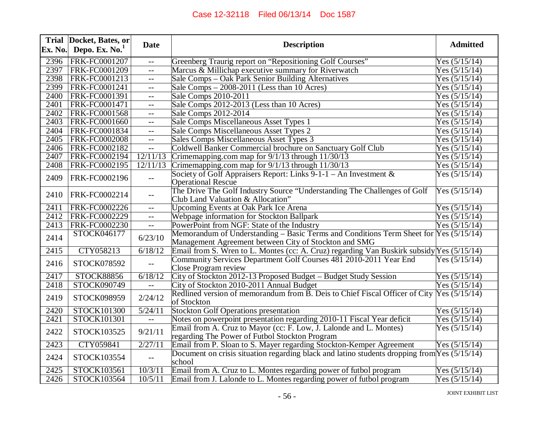| Ex. No. | Trial Docket, Bates, or<br>Depo. Ex. $No.1$ | <b>Date</b>                 | <b>Description</b>                                                                                                                             | <b>Admitted</b>       |
|---------|---------------------------------------------|-----------------------------|------------------------------------------------------------------------------------------------------------------------------------------------|-----------------------|
| 2396    | FRK-FC0001207                               | $-$                         | Greenberg Traurig report on "Repositioning Golf Courses"                                                                                       | Yes $(5/15/14)$       |
| 2397    | <b>FRK-FC0001209</b>                        | $-$                         | Marcus & Millichap executive summary for Riverwatch                                                                                            | Yes $(5/15/14)$       |
| 2398    | FRK-FC0001213                               | $-$                         | Sale Comps – Oak Park Senior Building Alternatives                                                                                             | Yes $(5/15/14)$       |
| 2399    | FRK-FC0001241                               | $- -$                       | Sale Comps $-2008-2011$ (Less than 10 Acres)                                                                                                   | Yes $(5/15/14)$       |
| 2400    | FRK-FC0001391                               | $- -$                       | Sale Comps 2010-2011                                                                                                                           | Yes $(5/15/14)$       |
| 2401    | FRK-FC0001471                               | $-$                         | Sale Comps 2012-2013 (Less than 10 Acres)                                                                                                      | Yes $(5/15/14)$       |
| 2402    | FRK-FC0001568                               | $- -$                       | Sale Comps 2012-2014                                                                                                                           | Yes $(5/15/14)$       |
| 2403    | FRK-FC0001660                               | $-$                         | Sale Comps Miscellaneous Asset Types 1                                                                                                         | Yes $(5/15/14)$       |
| 2404    | FRK-FC0001834                               | $-$                         | Sale Comps Miscellaneous Asset Types 2                                                                                                         | Yes $(5/15/14)$       |
| 2405    | <b>FRK-FC0002008</b>                        | $\overline{a}$              | Sales Comps Miscellaneous Asset Types 3                                                                                                        | Yes $(5/15/14)$       |
| 2406    | FRK-FC0002182                               | $\mathbb{H} \to \mathbb{H}$ | Coldwell Banker Commercial brochure on Sanctuary Golf Club                                                                                     | Yes $(5/15/14)$       |
| 2407    | FRK-FC0002194                               | 12/11/13                    | Crimemapping.com map for 9/1/13 through 11/30/13                                                                                               | Yes $(5/15/14)$       |
| 2408    | FRK-FC0002195                               | 12/11/13                    | Crimemapping.com map for $9/1/13$ through $11/30/13$                                                                                           | Yes $(5/15/14)$       |
| 2409    | FRK-FC0002196                               | $-$                         | Society of Golf Appraisers Report: Links $9-1-1$ – An Investment &<br><b>Operational Rescue</b>                                                | Yes $(5/15/14)$       |
| 2410    | FRK-FC0002214                               | $-$                         | The Drive The Golf Industry Source "Understanding The Challenges of Golf<br>Club Land Valuation & Allocation"                                  | Yes $(5/15/14)$       |
| 2411    | FRK-FC0002226                               | $- -$                       | <b>Upcoming Events at Oak Park Ice Arena</b>                                                                                                   | Yes $(5/15/14)$       |
| 2412    | FRK-FC0002229                               | $-$                         | Webpage information for Stockton Ballpark                                                                                                      | Yes $(5/15/14)$       |
| 2413    | FRK-FC0002230                               | $-$                         | PowerPoint from NGF: State of the Industry                                                                                                     | Yes $(5/15/14)$       |
| 2414    | STOCK046177                                 | 6/23/10                     | Memorandum of Understanding – Basic Terms and Conditions Term Sheet for Yes (5/15/14)<br>Management Agreement between City of Stockton and SMG |                       |
| 2415    | CTY058213                                   | 6/18/12                     | Email from S. Wren to L. Montes (cc: A. Cruz) regarding Van Buskirk subsidy Yes (5/15/14)                                                      |                       |
| 2416    | STOCK078592                                 |                             | Community Services Department Golf Courses 481 2010-2011 Year End<br>Close Program review                                                      | Yes $(5\sqrt{15/14})$ |
| 2417    | <b>STOCK88856</b>                           | 6/18/12                     | City of Stockton 2012-13 Proposed Budget - Budget Study Session                                                                                | Yes $(5/15/14)$       |
| 2418    | STOCK090749                                 |                             | City of Stockton 2010-2011 Annual Budget                                                                                                       | Yes $(5/15/14)$       |
| 2419    | STOCK098959                                 | 2/24/12                     | Redlined version of memorandum from B. Deis to Chief Fiscal Officer of City Yes (5/15/14)<br>of Stockton                                       |                       |
| 2420    | STOCK101300                                 | $\sqrt{5/24/11}$            | <b>Stockton Golf Operations presentation</b>                                                                                                   | Yes $(5/15/14)$       |
| 2421    | STOCK101301                                 | $\mathbb{H}^{\perp}$        | Notes on powerpoint presentation regarding 2010-11 Fiscal Year deficit                                                                         | Yes $(5/15/14)$       |
| 2422    | STOCK103525                                 | 9/21/11                     | Email from A. Cruz to Mayor (cc: F. Low, J. Lalonde and L. Montes)<br>regarding The Power of Futbol Stockton Program                           | Yes $(5/15/14)$       |
| 2423    | CTY059841                                   | 2/27/11                     | Email from P. Sloan to S. Mayer regarding Stockton-Kemper Agreement                                                                            | Yes $(5/15/14)$       |
| 2424    | STOCK103554                                 | $-\, -$                     | Document on crisis situation regarding black and latino students dropping from $Yes (5/15/14)$<br>school                                       |                       |
| 2425    | STOCK103561                                 | 10/3/11                     | Email from A. Cruz to L. Montes regarding power of futbol program                                                                              | Yes $(5/15/14)$       |
| 2426    | STOCK103564                                 | 10/5/11                     | Email from J. Lalonde to L. Montes regarding power of futbol program                                                                           | Yes $(5/15/14)$       |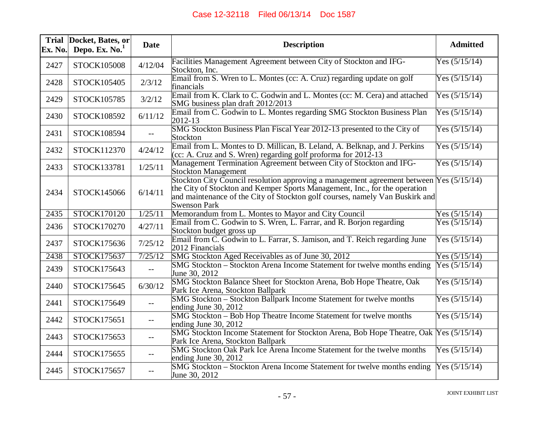| Ex. No. | Trial Docket, Bates, or<br>Depo. Ex. $No.1$ | <b>Date</b>                                   | <b>Description</b>                                                                                                                                                                                                                                                           | <b>Admitted</b> |
|---------|---------------------------------------------|-----------------------------------------------|------------------------------------------------------------------------------------------------------------------------------------------------------------------------------------------------------------------------------------------------------------------------------|-----------------|
| 2427    | STOCK105008                                 | 4/12/04                                       | Facilities Management Agreement between City of Stockton and IFG-<br>Stockton, Inc.                                                                                                                                                                                          | Yes $(5/15/14)$ |
| 2428    | STOCK105405                                 | 2/3/12                                        | Email from S. Wren to L. Montes (cc: A. Cruz) regarding update on golf<br>financials                                                                                                                                                                                         | Yes $(5/15/14)$ |
| 2429    | STOCK105785                                 | 3/2/12                                        | Email from K. Clark to C. Godwin and L. Montes (cc: M. Cera) and attached<br>SMG business plan draft 2012/2013                                                                                                                                                               | Yes $(5/15/14)$ |
| 2430    | STOCK108592                                 | 6/11/12                                       | Email from C. Godwin to L. Montes regarding SMG Stockton Business Plan<br>2012-13                                                                                                                                                                                            | Yes $(5/15/14)$ |
| 2431    | STOCK108594                                 | $\overline{\phantom{m}}$                      | SMG Stockton Business Plan Fiscal Year 2012-13 presented to the City of<br>Stockton                                                                                                                                                                                          | Yes $(5/15/14)$ |
| 2432    | STOCK112370                                 | 4/24/12                                       | Email from L. Montes to D. Millican, B. Leland, A. Belknap, and J. Perkins<br>(cc: A. Cruz and S. Wren) regarding golf proforma for $2012-13$                                                                                                                                | Yes $(5/15/14)$ |
| 2433    | STOCK133781                                 | 1/25/11                                       | Management Termination Agreement between City of Stockton and IFG-<br><b>Stockton Management</b>                                                                                                                                                                             | Yes $(5/15/14)$ |
| 2434    | STOCK145066                                 | 6/14/11                                       | Stockton City Council resolution approving a management agreement between Yes (5/15/14)<br>the City of Stockton and Kemper Sports Management, Inc., for the operation<br>and maintenance of the City of Stockton golf courses, namely Van Buskirk and<br><b>Swenson Park</b> |                 |
| 2435    | STOCK170120                                 | 1/25/11                                       | Memorandum from L. Montes to Mayor and City Council                                                                                                                                                                                                                          | Yes $(5/15/14)$ |
| 2436    | STOCK170270                                 | 4/27/11                                       | Email from C. Godwin to S. Wren, L. Farrar, and R. Borjon regarding<br>Stockton budget gross up                                                                                                                                                                              | Yes $(5/15/14)$ |
| 2437    | STOCK175636                                 | 7/25/12                                       | Email from C. Godwin to L. Farrar, S. Jamison, and T. Reich regarding June<br>2012 Financials                                                                                                                                                                                | Yes $(5/15/14)$ |
| 2438    | STOCK175637                                 | 7/25/12                                       | SMG Stockton Aged Receivables as of June 30, 2012                                                                                                                                                                                                                            | Yes $(5/15/14)$ |
| 2439    | STOCK175643                                 | $\mathord{\hspace{1pt}\text{--}\hspace{1pt}}$ | SMG Stockton – Stockton Arena Income Statement for twelve months ending<br>June 30, 2012                                                                                                                                                                                     | Yes $(5/15/14)$ |
| 2440    | STOCK175645                                 | 6/30/12                                       | SMG Stockton Balance Sheet for Stockton Arena, Bob Hope Theatre, Oak<br>Park Ice Arena, Stockton Ballpark                                                                                                                                                                    | Yes $(5/15/14)$ |
| 2441    | STOCK175649                                 | $\overline{\phantom{m}}$                      | SMG Stockton - Stockton Ballpark Income Statement for twelve months<br>ending June 30, 2012                                                                                                                                                                                  | Yes $(5/15/14)$ |
| 2442    | STOCK175651                                 | $-$                                           | SMG Stockton - Bob Hop Theatre Income Statement for twelve months<br>ending June 30, 2012                                                                                                                                                                                    | Yes $(5/15/14)$ |
| 2443    | STOCK175653                                 | $-$                                           | SMG Stockton Income Statement for Stockton Arena, Bob Hope Theatre, Oak Yes (5/15/14)<br>Park Ice Arena, Stockton Ballpark                                                                                                                                                   |                 |
| 2444    | STOCK175655                                 | $-$                                           | SMG Stockton Oak Park Ice Arena Income Statement for the twelve months<br>ending June 30, 2012                                                                                                                                                                               | Yes $(5/15/14)$ |
| 2445    | STOCK175657                                 | $- -$                                         | SMG Stockton – Stockton Arena Income Statement for twelve months ending<br>June 30, 2012                                                                                                                                                                                     | Yes $(5/15/14)$ |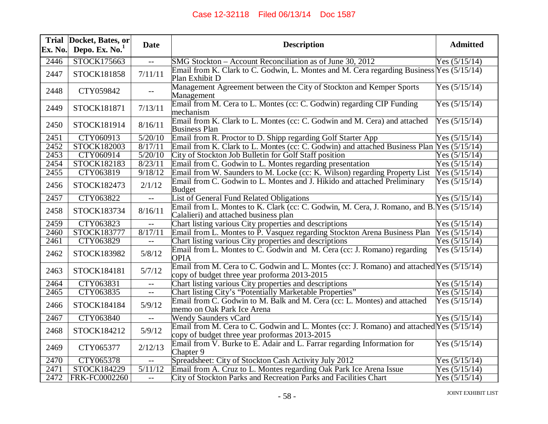| Ex. No. | Trial Docket, Bates, or<br>Depo. Ex. $No.1$ | <b>Date</b>                                   | <b>Description</b>                                                                                                                        | <b>Admitted</b> |
|---------|---------------------------------------------|-----------------------------------------------|-------------------------------------------------------------------------------------------------------------------------------------------|-----------------|
| 2446    | STOCK175663                                 |                                               | SMG Stockton – Account Reconciliation as of June 30, 2012                                                                                 | Yes $(5/15/14)$ |
| 2447    | STOCK181858                                 | 7/11/11                                       | Email from K. Clark to C. Godwin, L. Montes and M. Cera regarding Business Yes (5/15/14)<br>Plan Exhibit D                                |                 |
| 2448    | CTY059842                                   |                                               | Management Agreement between the City of Stockton and Kemper Sports<br>Management                                                         | Yes $(5/15/14)$ |
| 2449    | STOCK181871                                 | 7/13/11                                       | Email from M. Cera to L. Montes (cc: C. Godwin) regarding CIP Funding<br>mechanism                                                        | Yes $(5/15/14)$ |
| 2450    | STOCK181914                                 | 8/16/11                                       | Email from K. Clark to L. Montes (cc: C. Godwin and M. Cera) and attached<br><b>Business Plan</b>                                         | Yes $(5/15/14)$ |
| 2451    | CTY060913                                   | 5/20/10                                       | Email from R. Proctor to D. Shipp regarding Golf Starter App                                                                              | Yes $(5/15/14)$ |
| 2452    | STOCK182003                                 | 8/17/11                                       | Email from K. Clark to L. Montes (cc: C. Godwin) and attached Business Plan                                                               | Yes $(5/15/14)$ |
| 2453    | CTY060914                                   | 5/20/10                                       | City of Stockton Job Bulletin for Golf Staff position                                                                                     | Yes $(5/15/14)$ |
| 2454    | STOCK182183                                 | 8/23/11                                       | Email from C. Godwin to L. Montes regarding presentation                                                                                  | Yes $(5/15/14)$ |
| 2455    | CTY063819                                   | 9/18/12                                       | Email from W. Saunders to M. Locke (cc: K. Wilson) regarding Property List                                                                | Yes $(5/15/14)$ |
| 2456    | STOCK182473                                 | 2/1/12                                        | Email from C. Godwin to L. Montes and J. Hikido and attached Preliminary<br><b>Budget</b>                                                 | Yes $(5/15/14)$ |
| 2457    | CTY063822                                   | $- -$                                         | List of General Fund Related Obligations                                                                                                  | Yes $(5/15/14)$ |
| 2458    | STOCK183734                                 | 8/16/11                                       | Email from L. Montes to K. Clark (cc: C. Godwin, M. Cera, J. Romano, and B. Yes (5/15/14)<br>Calalieri) and attached business plan        |                 |
| 2459    | CTY063823                                   |                                               | Chart listing various City properties and descriptions                                                                                    | Yes $(5/15/14)$ |
| 2460    | STOCK183777                                 | 8/17/11                                       | Email from L. Montes to P. Vasquez regarding Stockton Arena Business Plan                                                                 | Yes $(5/15/14)$ |
| 2461    | CTY063829                                   |                                               | Chart listing various City properties and descriptions                                                                                    | Yes $(5/15/14)$ |
| 2462    | STOCK183982                                 | 5/8/12                                        | Email from L. Montes to C. Godwin and M. Cera (cc: J. Romano) regarding<br><b>OPIA</b>                                                    | Yes $(5/15/14)$ |
| 2463    | STOCK184181                                 | 5/7/12                                        | Email from M. Cera to C. Godwin and L. Montes (cc: J. Romano) and attached Yes (5/15/14)<br>copy of budget three year proforma 2013-2015  |                 |
| 2464    | CTY063831                                   | $- -$                                         | Chart listing various City properties and descriptions                                                                                    | Yes $(5/15/14)$ |
| 2465    | CTY063835                                   | $\mathord{\hspace{1pt}\text{--}\hspace{1pt}}$ | Chart listing City's "Potentially Marketable Properties"                                                                                  | Yes $(5/15/14)$ |
| 2466    | STOCK184184                                 | 5/9/12                                        | Email from C. Godwin to M. Balk and M. Cera (cc: L. Montes) and attached<br>memo on Oak Park Ice Arena                                    | Yes $(5/15/14)$ |
| 2467    | CTY063840                                   |                                               | <b>Wendy Saunders vCard</b>                                                                                                               | Yes $(5/15/14)$ |
| 2468    | STOCK184212                                 | 5/9/12                                        | Email from M. Cera to C. Godwin and L. Montes (cc: J. Romano) and attached Yes (5/15/14)<br>copy of budget three year proformas 2013-2015 |                 |
| 2469    | CTY065377                                   | 2/12/13                                       | Email from V. Burke to E. Adair and L. Farrar regarding Information for<br>Chapter 9                                                      | Yes $(5/15/14)$ |
| 2470    | CTY065378                                   | $-$                                           | Spreadsheet: City of Stockton Cash Activity July 2012                                                                                     | Yes $(5/15/14)$ |
| 2471    | STOCK184229                                 | 5/11/12                                       | Email from A. Cruz to L. Montes regarding Oak Park Ice Arena Issue                                                                        | Yes $(5/15/14)$ |
| 2472    | FRK-FC0002260                               | $- -$                                         | City of Stockton Parks and Recreation Parks and Facilities Chart                                                                          | Yes $(5/15/14)$ |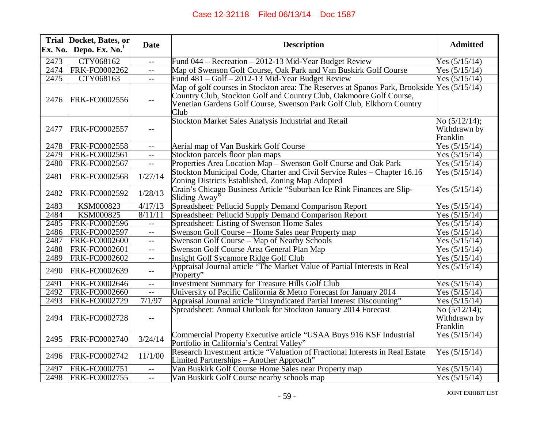| Ex. No. | Trial Docket, Bates, or<br>Depo. Ex. No. <sup>1</sup> | <b>Date</b>                                   | <b>Description</b>                                                                                                                                                                                                                   | <b>Admitted</b>                              |
|---------|-------------------------------------------------------|-----------------------------------------------|--------------------------------------------------------------------------------------------------------------------------------------------------------------------------------------------------------------------------------------|----------------------------------------------|
| 2473    | CTY068162                                             |                                               | Fund 044 – Recreation – 2012-13 Mid-Year Budget Review                                                                                                                                                                               | Yes $(5/15/14)$                              |
| 2474    | FRK-FC0002262                                         | $- -$                                         | Map of Swenson Golf Course, Oak Park and Van Buskirk Golf Course                                                                                                                                                                     | Yes $(5/15/14)$                              |
| 2475    | CTY068163                                             | $\overline{\phantom{m}}$                      | Fund 481 – Golf – 2012-13 Mid-Year Budget Review                                                                                                                                                                                     | Yes $(5/15/14)$                              |
| 2476    | FRK-FC0002556                                         |                                               | Map of golf courses in Stockton area: The Reserves at Spanos Park, Brookside<br>Country Club, Stockton Golf and Country Club, Oakmoore Golf Course,<br>Venetian Gardens Golf Course, Swenson Park Golf Club, Elkhorn Country<br>Club | Yes $(5/15/14)$                              |
| 2477    | FRK-FC0002557                                         |                                               | Stockton Market Sales Analysis Industrial and Retail                                                                                                                                                                                 | No $(5/12/14);$<br>Withdrawn by<br>Franklin  |
| 2478    | <b>FRK-FC0002558</b>                                  | $-$                                           | Aerial map of Van Buskirk Golf Course                                                                                                                                                                                                | Yes $(5/15/14)$                              |
| 2479    | FRK-FC0002561                                         | $-$                                           | Stockton parcels floor plan maps                                                                                                                                                                                                     | Yes $(5/15/14)$                              |
| 2480    | FRK-FC0002567                                         | $-$                                           | Properties Area Location Map - Swenson Golf Course and Oak Park                                                                                                                                                                      | Yes $(5/15/14)$                              |
| 2481    | FRK-FC0002568                                         | 1/27/14                                       | Stockton Municipal Code, Charter and Civil Service Rules – Chapter 16.16<br>Zoning Districts Established, Zoning Map Adopted                                                                                                         | Yes $(5/15/14)$                              |
| 2482    | FRK-FC0002592                                         | 1/28/13                                       | Crain's Chicago Business Article "Suburban Ice Rink Finances are Slip-<br>Sliding Away <sup>"</sup>                                                                                                                                  | Yes $(5/15/14)$                              |
| 2483    | <b>KSM000823</b>                                      | 4/17/13                                       | Spreadsheet: Pellucid Supply Demand Comparison Report                                                                                                                                                                                | Yes $(5/15/14)$                              |
| 2484    | <b>KSM000825</b>                                      | 8/11/11                                       | Spreadsheet: Pellucid Supply Demand Comparison Report                                                                                                                                                                                | Yes $(5/15/14)$                              |
| 2485    | FRK-FC0002596                                         | $\overline{a}$                                | Spreadsheet: Listing of Swenson Home Sales                                                                                                                                                                                           | Yes $(5/15/14)$                              |
| 2486    | <b>FRK-FC0002597</b>                                  | $\mathbf{u}$                                  | Swenson Golf Course – Home Sales near Property map                                                                                                                                                                                   | Yes $(5/15/14)$                              |
| 2487    | <b>FRK-FC0002600</b>                                  | $\mathord{\hspace{1pt}\text{--}\hspace{1pt}}$ | Swenson Golf Course – Map of Nearby Schools                                                                                                                                                                                          | Yes $(5/15/14)$                              |
| 2488    | FRK-FC0002601                                         | $--$                                          | Swenson Golf Course Area General Plan Map                                                                                                                                                                                            | Yes $(5/15/14)$                              |
| 2489    | FRK-FC0002602                                         | $- -$                                         | <b>Insight Golf Sycamore Ridge Golf Club</b>                                                                                                                                                                                         | Yes $(5/15/14)$                              |
| 2490    | FRK-FC0002639                                         | $-$                                           | Appraisal Journal article "The Market Value of Partial Interests in Real<br>Property"                                                                                                                                                | Yes $(5/15/14)$                              |
| 2491    | FRK-FC0002646                                         | $-$                                           | <b>Investment Summary for Treasure Hills Golf Club</b>                                                                                                                                                                               | Yes $(5/15/14)$                              |
| 2492    | <b>FRK-FC0002660</b>                                  | $\mathbb{L}^{\perp}$                          | University of Pacific California & Metro Forecast for January 2014                                                                                                                                                                   | Yes $(5/15/14)$                              |
| 2493    | FRK-FC0002729                                         | 7/1/97                                        | Appraisal Journal article "Unsyndicated Partial Interest Discounting"                                                                                                                                                                | Yes $(5/15/14)$                              |
| 2494    | FRK-FC0002728                                         | $-$                                           | Spreadsheet: Annual Outlook for Stockton January 2014 Forecast                                                                                                                                                                       | No $(5/12/14)$ ;<br>Withdrawn by<br>Franklin |
| 2495    | FRK-FC0002740                                         | 3/24/14                                       | Commercial Property Executive article "USAA Buys 916 KSF Industrial<br>Portfolio in California's Central Valley"                                                                                                                     | Yes $(5/15/14)$                              |
| 2496    | FRK-FC0002742                                         | 11/1/00                                       | Research Investment article "Valuation of Fractional Interests in Real Estate<br>Limited Partnerships - Another Approach"                                                                                                            | Yes $(5/15/14)$                              |
| 2497    | FRK-FC0002751                                         | $- -$                                         | Van Buskirk Golf Course Home Sales near Property map                                                                                                                                                                                 | Yes $(5/15/14)$                              |
| 2498    | FRK-FC0002755                                         | $-$                                           | Van Buskirk Golf Course nearby schools map                                                                                                                                                                                           | Yes $(5/15/14)$                              |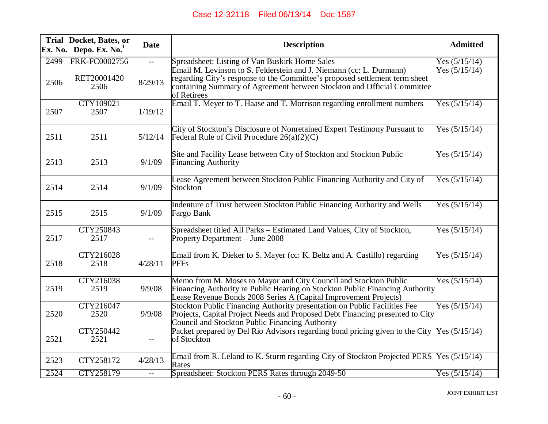| Ex. No. | Trial Docket, Bates, or<br>Depo. Ex. $No.1$ | <b>Date</b> | <b>Description</b>                                                                                                                                                                                                                           | <b>Admitted</b> |
|---------|---------------------------------------------|-------------|----------------------------------------------------------------------------------------------------------------------------------------------------------------------------------------------------------------------------------------------|-----------------|
| 2499    | FRK-FC0002756                               | $-$         | Spreadsheet: Listing of Van Buskirk Home Sales                                                                                                                                                                                               | Yes $(5/15/14)$ |
| 2506    | RET20001420<br>2506                         | 8/29/13     | Email M. Levinson to S. Felderstein and J. Niemann (cc: L. Durmann)<br>regarding City's response to the Committee's proposed settlement term sheet<br>containing Summary of Agreement between Stockton and Official Committee<br>of Retirees | Yes $(5/15/14)$ |
| 2507    | CTY109021<br>2507                           | 1/19/12     | Email T. Meyer to T. Haase and T. Morrison regarding enrollment numbers                                                                                                                                                                      | Yes $(5/15/14)$ |
| 2511    | 2511                                        | 5/12/14     | City of Stockton's Disclosure of Nonretained Expert Testimony Pursuant to<br>Federal Rule of Civil Procedure $26(a)(2)(C)$                                                                                                                   | Yes $(5/15/14)$ |
| 2513    | 2513                                        | 9/1/09      | Site and Facility Lease between City of Stockton and Stockton Public<br><b>Financing Authority</b>                                                                                                                                           | Yes $(5/15/14)$ |
| 2514    | 2514                                        | 9/1/09      | Lease Agreement between Stockton Public Financing Authority and City of<br>Stockton                                                                                                                                                          | Yes $(5/15/14)$ |
| 2515    | 2515                                        | 9/1/09      | Indenture of Trust between Stockton Public Financing Authority and Wells<br>Fargo Bank                                                                                                                                                       | Yes $(5/15/14)$ |
| 2517    | CTY250843<br>2517                           | $--$        | Spreadsheet titled All Parks – Estimated Land Values, City of Stockton,<br>Property Department - June 2008                                                                                                                                   | Yes $(5/15/14)$ |
| 2518    | CTY216028<br>2518                           | 4/28/11     | Email from K. Dieker to S. Mayer (cc: K. Beltz and A. Castillo) regarding<br><b>PFFs</b>                                                                                                                                                     | Yes $(5/15/14)$ |
| 2519    | CTY216038<br>2519                           | 9/9/08      | Memo from M. Moses to Mayor and City Council and Stockton Public<br>Financing Authority re Public Hearing on Stockton Public Financing Authority<br>Lease Revenue Bonds 2008 Series A (Capital Improvement Projects)                         | Yes $(5/15/14)$ |
| 2520    | CTY216047<br>2520                           | 9/9/08      | Stockton Public Financing Authority presentation on Public Facilities Fee<br>Projects, Capital Project Needs and Proposed Debt Financing presented to City<br>Council and Stockton Public Financing Authority                                | Yes $(5/15/14)$ |
| 2521    | CTY250442<br>2521                           | $- -$       | Packet prepared by Del Rio Advisors regarding bond pricing given to the City<br>of Stockton                                                                                                                                                  | Yes $(5/15/14)$ |
| 2523    | CTY258172                                   | 4/28/13     | Email from R. Leland to K. Sturm regarding City of Stockton Projected PERS Yes (5/15/14)<br>Rates                                                                                                                                            |                 |
| 2524    | CTY258179                                   | $-$         | Spreadsheet: Stockton PERS Rates through 2049-50                                                                                                                                                                                             | Yes $(5/15/14)$ |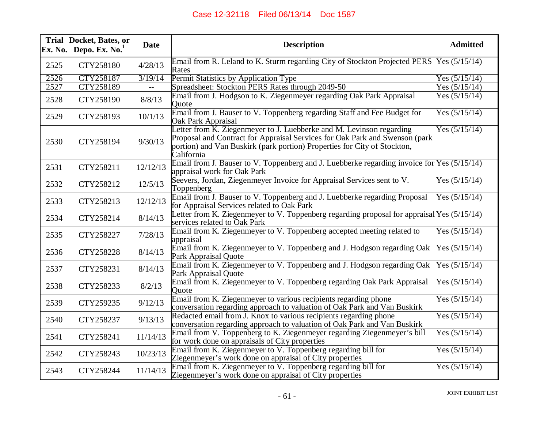| Ex. No. | Trial Docket, Bates, or<br>Depo. Ex. $No.1$ | <b>Date</b> | <b>Description</b>                                                                                                                                                                                                                            | <b>Admitted</b> |
|---------|---------------------------------------------|-------------|-----------------------------------------------------------------------------------------------------------------------------------------------------------------------------------------------------------------------------------------------|-----------------|
| 2525    | CTY258180                                   | 4/28/13     | Email from R. Leland to K. Sturm regarding City of Stockton Projected PERS  Yes (5/15/14)<br>Rates                                                                                                                                            |                 |
| 2526    | CTY258187                                   | 3/19/14     | Permit Statistics by Application Type                                                                                                                                                                                                         | Yes $(5/15/14)$ |
| 2527    | CTY258189                                   |             | Spreadsheet: Stockton PERS Rates through 2049-50                                                                                                                                                                                              | Yes $(5/15/14)$ |
| 2528    | CTY258190                                   | 8/8/13      | Email from J. Hodgson to K. Ziegenmeyer regarding Oak Park Appraisal<br>Quote                                                                                                                                                                 | Yes $(5/15/14)$ |
| 2529    | CTY258193                                   | 10/1/13     | Email from J. Bauser to V. Toppenberg regarding Staff and Fee Budget for<br>Oak Park Appraisal                                                                                                                                                | Yes $(5/15/14)$ |
| 2530    | CTY258194                                   | 9/30/13     | Letter from K. Ziegenmeyer to J. Luebberke and M. Levinson regarding<br>Proposal and Contract for Appraisal Services for Oak Park and Swenson (park<br>portion) and Van Buskirk (park portion) Properties for City of Stockton,<br>California | Yes $(5/15/14)$ |
| 2531    | CTY258211                                   | 12/12/13    | Email from J. Bauser to V. Toppenberg and J. Luebberke regarding invoice for $Yes (5/15/14)$<br>appraisal work for Oak Park                                                                                                                   |                 |
| 2532    | CTY258212                                   | 12/5/13     | Seevers, Jordan, Ziegenmeyer Invoice for Appraisal Services sent to V.<br>Toppenberg                                                                                                                                                          | Yes $(5/15/14)$ |
| 2533    | CTY258213                                   | 12/12/13    | Email from J. Bauser to V. Toppenberg and J. Luebberke regarding Proposal<br>for Appraisal Services related to Oak Park                                                                                                                       | Yes $(5/15/14)$ |
| 2534    | CTY258214                                   | 8/14/13     | Letter from K. Ziegenmeyer to V. Toppenberg regarding proposal for appraisal $Yes (5/15/14)$<br>services related to Oak Park                                                                                                                  |                 |
| 2535    | CTY258227                                   | 7/28/13     | Email from K. Ziegenmeyer to V. Toppenberg accepted meeting related to<br>appraisal                                                                                                                                                           | Yes $(5/15/14)$ |
| 2536    | CTY258228                                   | 8/14/13     | Email from K. Ziegenmeyer to V. Toppenberg and J. Hodgson regarding Oak<br>Park Appraisal Quote                                                                                                                                               | Yes $(5/15/14)$ |
| 2537    | CTY258231                                   | 8/14/13     | Email from K. Ziegenmeyer to V. Toppenberg and J. Hodgson regarding Oak<br>Park Appraisal Quote                                                                                                                                               | Yes $(5/15/14)$ |
| 2538    | CTY258233                                   | 8/2/13      | Email from K. Ziegenmeyer to V. Toppenberg regarding Oak Park Appraisal<br>Ouote                                                                                                                                                              | Yes $(5/15/14)$ |
| 2539    | CTY259235                                   | 9/12/13     | Email from K. Ziegenmeyer to various recipients regarding phone<br>conversation regarding approach to valuation of Oak Park and Van Buskirk                                                                                                   | Yes $(5/15/14)$ |
| 2540    | CTY258237                                   | 9/13/13     | Redacted email from J. Knox to various recipients regarding phone<br>conversation regarding approach to valuation of Oak Park and Van Buskirk                                                                                                 | Yes $(5/15/14)$ |
| 2541    | CTY258241                                   | 11/14/13    | Email from V. Toppenberg to K. Ziegenmeyer regarding Ziegenmeyer's bill<br>for work done on appraisals of City properties                                                                                                                     | Yes $(5/15/14)$ |
| 2542    | CTY258243                                   | 10/23/13    | Email from K. Ziegenmeyer to V. Toppenberg regarding bill for<br>Ziegenmeyer's work done on appraisal of City properties                                                                                                                      | Yes $(5/15/14)$ |
| 2543    | CTY258244                                   | 11/14/13    | Email from K. Ziegenmeyer to V. Toppenberg regarding bill for<br>Ziegenmeyer's work done on appraisal of City properties                                                                                                                      | Yes $(5/15/14)$ |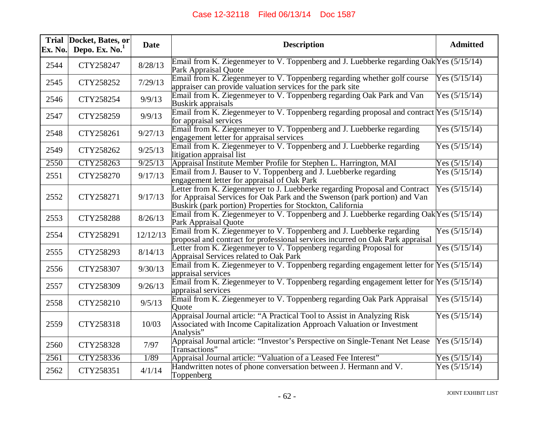| Ex. No. | Trial Docket, Bates, or<br>Depo. Ex. $No.1$ | <b>Date</b> | <b>Description</b>                                                                                                                                                                                                     | <b>Admitted</b> |
|---------|---------------------------------------------|-------------|------------------------------------------------------------------------------------------------------------------------------------------------------------------------------------------------------------------------|-----------------|
| 2544    | CTY258247                                   | 8/28/13     | Email from K. Ziegenmeyer to V. Toppenberg and J. Luebberke regarding Oak Yes (5/15/14)<br>Park Appraisal Quote                                                                                                        |                 |
| 2545    | CTY258252                                   | 7/29/13     | Email from K. Ziegenmeyer to V. Toppenberg regarding whether golf course<br>appraiser can provide valuation services for the park site                                                                                 | Yes $(5/15/14)$ |
| 2546    | CTY258254                                   | 9/9/13      | Email from K. Ziegenmeyer to V. Toppenberg regarding Oak Park and Van<br><b>Buskirk appraisals</b>                                                                                                                     | Yes $(5/15/14)$ |
| 2547    | CTY258259                                   | 9/9/13      | Email from K. Ziegenmeyer to V. Toppenberg regarding proposal and contract $Yes (5/15/14)$<br>for appraisal services                                                                                                   |                 |
| 2548    | CTY258261                                   | 9/27/13     | Email from K. Ziegenmeyer to V. Toppenberg and J. Luebberke regarding<br>engagement letter for appraisal services                                                                                                      | Yes $(5/15/14)$ |
| 2549    | CTY258262                                   | 9/25/13     | Email from K. Ziegenmeyer to V. Toppenberg and J. Luebberke regarding<br>litigation appraisal list                                                                                                                     | Yes $(5/15/14)$ |
| 2550    | CTY258263                                   | 9/25/13     | Appraisal Institute Member Profile for Stephen L. Harrington, MAI                                                                                                                                                      | Yes $(5/15/14)$ |
| 2551    | CTY258270                                   | 9/17/13     | Email from J. Bauser to V. Toppenberg and J. Luebberke regarding<br>engagement letter for appraisal of Oak Park                                                                                                        | Yes $(5/15/14)$ |
| 2552    | CTY258271                                   | 9/17/13     | Letter from K. Ziegenmeyer to J. Luebberke regarding Proposal and Contract<br>for Appraisal Services for Oak Park and the Swenson (park portion) and Van<br>Buskirk (park portion) Properties for Stockton, California | Yes $(5/15/14)$ |
| 2553    | CTY258288                                   | 8/26/13     | Email from K. Ziegenmeyer to V. Toppenberg and J. Luebberke regarding Oak Yes (5/15/14)<br>Park Appraisal Quote                                                                                                        |                 |
| 2554    | CTY258291                                   | 12/12/13    | Email from K. Ziegenmeyer to V. Toppenberg and J. Luebberke regarding<br>proposal and contract for professional services incurred on Oak Park appraisal                                                                | Yes $(5/15/14)$ |
| 2555    | CTY258293                                   | 8/14/13     | Letter from K. Ziegenmeyer to V. Toppenberg regarding Proposal for<br>Appraisal Services related to Oak Park                                                                                                           | Yes $(5/15/14)$ |
| 2556    | CTY258307                                   | 9/30/13     | Email from K. Ziegenmeyer to V. Toppenberg regarding engagement letter for $Yes (5/15/14)$<br>appraisal services                                                                                                       |                 |
| 2557    | CTY258309                                   | 9/26/13     | Email from K. Ziegenmeyer to V. Toppenberg regarding engagement letter for $Yes (5/15/14)$<br>appraisal services                                                                                                       |                 |
| 2558    | CTY258210                                   | 9/5/13      | Email from K. Ziegenmeyer to V. Toppenberg regarding Oak Park Appraisal<br>Ouote                                                                                                                                       | Yes $(5/15/14)$ |
| 2559    | CTY258318                                   | 10/03       | Appraisal Journal article: "A Practical Tool to Assist in Analyzing Risk<br>Associated with Income Capitalization Approach Valuation or Investment<br>Analysis"                                                        | Yes $(5/15/14)$ |
| 2560    | CTY258328                                   | 7/97        | Appraisal Journal article: "Investor's Perspective on Single-Tenant Net Lease<br>Transactions"                                                                                                                         | Yes $(5/15/14)$ |
| 2561    | CTY258336                                   | 1/89        | Appraisal Journal article: "Valuation of a Leased Fee Interest"                                                                                                                                                        | Yes $(5/15/14)$ |
| 2562    | CTY258351                                   | 4/1/14      | Handwritten notes of phone conversation between J. Hermann and V.<br>Toppenberg                                                                                                                                        | Yes $(5/15/14)$ |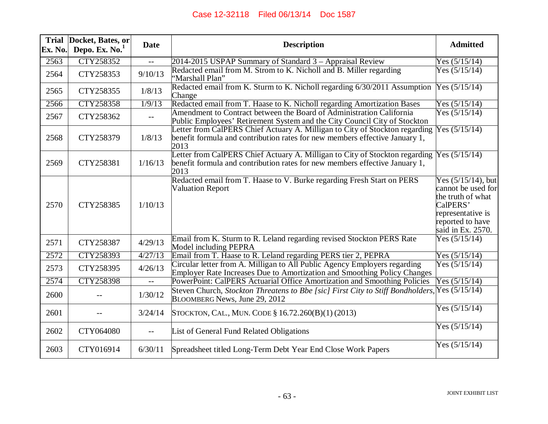|         | Trial Docket, Bates, or | <b>Date</b>              | <b>Description</b>                                                                                                                                                 | <b>Admitted</b>                                                                                                                            |
|---------|-------------------------|--------------------------|--------------------------------------------------------------------------------------------------------------------------------------------------------------------|--------------------------------------------------------------------------------------------------------------------------------------------|
| Ex. No. | Depo. Ex. $No.1$        |                          |                                                                                                                                                                    |                                                                                                                                            |
| 2563    | CTY258352               |                          | 2014-2015 USPAP Summary of Standard 3 – Appraisal Review                                                                                                           | Yes $(5/15/14)$                                                                                                                            |
| 2564    | CTY258353               | 9/10/13                  | Redacted email from M. Strom to K. Nicholl and B. Miller regarding<br>"Marshall Plan"                                                                              | Yes $(5/15/14)$                                                                                                                            |
| 2565    | CTY258355               | 1/8/13                   | Redacted email from K. Sturm to K. Nicholl regarding 6/30/2011 Assumption<br>Change                                                                                | Yes $(5/15/14)$                                                                                                                            |
| 2566    | <b>CTY258358</b>        | 1/9/13                   | Redacted email from T. Haase to K. Nicholl regarding Amortization Bases                                                                                            | Yes $(5/15/14)$                                                                                                                            |
| 2567    | CTY258362               | $\overline{\phantom{m}}$ | Amendment to Contract between the Board of Administration California<br>Public Employees' Retirement System and the City Council City of Stockton                  | Yes $(5/15/14)$                                                                                                                            |
| 2568    | CTY258379               | 1/8/13                   | Letter from CalPERS Chief Actuary A. Milligan to City of Stockton regarding<br>benefit formula and contribution rates for new members effective January 1,<br>2013 | Yes $(5/15/14)$                                                                                                                            |
| 2569    | CTY258381               | 1/16/13                  | Letter from CalPERS Chief Actuary A. Milligan to City of Stockton regarding<br>benefit formula and contribution rates for new members effective January 1,<br>2013 | Yes $(5/15/14)$                                                                                                                            |
| 2570    | CTY258385               | 1/10/13                  | Redacted email from T. Haase to V. Burke regarding Fresh Start on PERS<br><b>Valuation Report</b>                                                                  | Yes $(5/15/14)$ , but<br>cannot be used for<br>the truth of what<br>CalPERS'<br>representative is<br>reported to have<br>said in Ex. 2570. |
| 2571    | CTY258387               | 4/29/13                  | Email from K. Sturm to R. Leland regarding revised Stockton PERS Rate<br>Model including PEPRA                                                                     | Yes $(5/15/14)$                                                                                                                            |
| 2572    | CTY258393               | 4/27/13                  | Email from T. Haase to R. Leland regarding PERS tier 2, PEPRA                                                                                                      | Yes $(5/15/14)$                                                                                                                            |
| 2573    | CTY258395               | 4/26/13                  | Circular letter from A. Milligan to All Public Agency Employers regarding<br>Employer Rate Increases Due to Amortization and Smoothing Policy Changes              | Yes $(5/15/14)$                                                                                                                            |
| 2574    | <b>CTY258398</b>        | $-$                      | PowerPoint: CalPERS Actuarial Office Amortization and Smoothing Policies                                                                                           | Yes $(5/15/14)$                                                                                                                            |
| 2600    |                         | 1/30/12                  | Steven Church, Stockton Threatens to Bbe [sic] First City to Stiff Bondholders,<br>BLOOMBERG News, June 29, 2012                                                   | Yes $(5/15/14)$                                                                                                                            |
| 2601    |                         | 3/24/14                  | STOCKTON, CAL., MUN. CODE § 16.72.260(B)(1)(2013)                                                                                                                  | Yes $(5/15/14)$                                                                                                                            |
| 2602    | CTY064080               | $- -$                    | List of General Fund Related Obligations                                                                                                                           | Yes $(5/15/14)$                                                                                                                            |
| 2603    | CTY016914               | 6/30/11                  | Spreadsheet titled Long-Term Debt Year End Close Work Papers                                                                                                       | Yes $(5/15/14)$                                                                                                                            |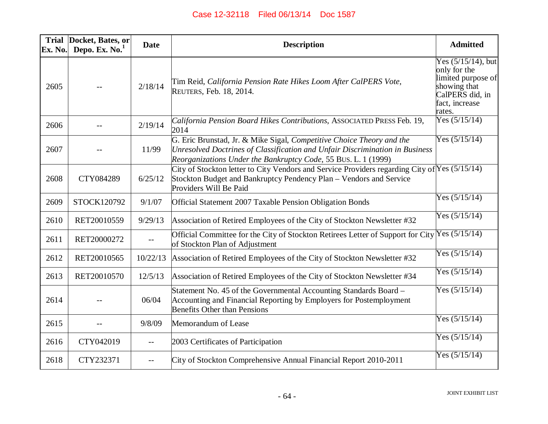| <b>Trial</b><br>Ex. No. | Docket, Bates, or<br>Depo. Ex. $No.1$ | <b>Date</b> | <b>Description</b>                                                                                                                                                                                                      | <b>Admitted</b>                                                                                                            |
|-------------------------|---------------------------------------|-------------|-------------------------------------------------------------------------------------------------------------------------------------------------------------------------------------------------------------------------|----------------------------------------------------------------------------------------------------------------------------|
| 2605                    |                                       | 2/18/14     | Tim Reid, California Pension Rate Hikes Loom After CalPERS Vote,<br>REUTERS, Feb. 18, 2014.                                                                                                                             | Yes $(5/15/14)$ , but<br>only for the<br>limited purpose of<br>showing that<br>CalPERS did, in<br>fact, increase<br>rates. |
| 2606                    |                                       | 2/19/14     | California Pension Board Hikes Contributions, ASSOCIATED PRESS Feb. 19,<br>2014                                                                                                                                         | Yes $(5/15/14)$                                                                                                            |
| 2607                    |                                       | 11/99       | G. Eric Brunstad, Jr. & Mike Sigal, Competitive Choice Theory and the<br>Unresolved Doctrines of Classification and Unfair Discrimination in Business<br>Reorganizations Under the Bankruptcy Code, 55 BUS. L. 1 (1999) | Yes $(5/15/14)$                                                                                                            |
| 2608                    | CTY084289                             | 6/25/12     | City of Stockton letter to City Vendors and Service Providers regarding City of $\lvert \text{Yes (5/15/14)} \rvert$<br>Stockton Budget and Bankruptcy Pendency Plan – Vendors and Service<br>Providers Will Be Paid    |                                                                                                                            |
| 2609                    | STOCK120792                           | 9/1/07      | Official Statement 2007 Taxable Pension Obligation Bonds                                                                                                                                                                | Yes $(5/15/14)$                                                                                                            |
| 2610                    | RET20010559                           | 9/29/13     | Association of Retired Employees of the City of Stockton Newsletter #32                                                                                                                                                 | Yes $(5/15/14)$                                                                                                            |
| 2611                    | RET20000272                           | $-$         | Official Committee for the City of Stockton Retirees Letter of Support for City $\sqrt{\text{Yes (5/15/14)}}$<br>of Stockton Plan of Adjustment                                                                         |                                                                                                                            |
| 2612                    | RET20010565                           | 10/22/13    | Association of Retired Employees of the City of Stockton Newsletter #32                                                                                                                                                 | Yes $(5/15/14)$                                                                                                            |
| 2613                    | RET20010570                           | 12/5/13     | Association of Retired Employees of the City of Stockton Newsletter #34                                                                                                                                                 | Yes $(5/15/14)$                                                                                                            |
| 2614                    |                                       | 06/04       | Statement No. 45 of the Governmental Accounting Standards Board –<br>Accounting and Financial Reporting by Employers for Postemployment<br><b>Benefits Other than Pensions</b>                                          | Yes $(5/15/14)$                                                                                                            |
| 2615                    |                                       | 9/8/09      | Memorandum of Lease                                                                                                                                                                                                     | Yes $(5/15/14)$                                                                                                            |
| 2616                    | CTY042019                             | $-$         | 2003 Certificates of Participation                                                                                                                                                                                      | Yes $(5/15/14)$                                                                                                            |
| 2618                    | CTY232371                             | $-$         | City of Stockton Comprehensive Annual Financial Report 2010-2011                                                                                                                                                        | Yes $(5/15/14)$                                                                                                            |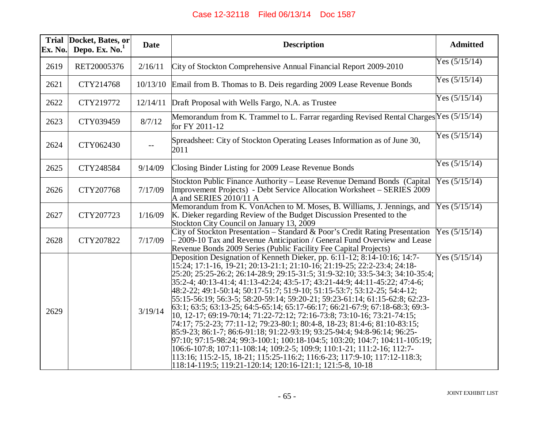| Ex. No. | Trial Docket, Bates, or<br>Depo. Ex. $No.1$ | <b>Date</b> | <b>Description</b>                                                                                                                                                                                                                                                                                                                                                                                                                                                                                                                                                                                                                                                                                                                                                                                                                                                                                                                                                                                                                                                                                          | <b>Admitted</b> |
|---------|---------------------------------------------|-------------|-------------------------------------------------------------------------------------------------------------------------------------------------------------------------------------------------------------------------------------------------------------------------------------------------------------------------------------------------------------------------------------------------------------------------------------------------------------------------------------------------------------------------------------------------------------------------------------------------------------------------------------------------------------------------------------------------------------------------------------------------------------------------------------------------------------------------------------------------------------------------------------------------------------------------------------------------------------------------------------------------------------------------------------------------------------------------------------------------------------|-----------------|
| 2619    | RET20005376                                 | 2/16/11     | City of Stockton Comprehensive Annual Financial Report 2009-2010                                                                                                                                                                                                                                                                                                                                                                                                                                                                                                                                                                                                                                                                                                                                                                                                                                                                                                                                                                                                                                            | Yes $(5/15/14)$ |
| 2621    | CTY214768                                   | 10/13/10    | Email from B. Thomas to B. Deis regarding 2009 Lease Revenue Bonds                                                                                                                                                                                                                                                                                                                                                                                                                                                                                                                                                                                                                                                                                                                                                                                                                                                                                                                                                                                                                                          | Yes $(5/15/14)$ |
| 2622    | CTY219772                                   | 12/14/11    | Draft Proposal with Wells Fargo, N.A. as Trustee                                                                                                                                                                                                                                                                                                                                                                                                                                                                                                                                                                                                                                                                                                                                                                                                                                                                                                                                                                                                                                                            | Yes $(5/15/14)$ |
| 2623    | CTY039459                                   | 8/7/12      | Memorandum from K. Trammel to L. Farrar regarding Revised Rental Charges Yes (5/15/14)<br>for FY 2011-12                                                                                                                                                                                                                                                                                                                                                                                                                                                                                                                                                                                                                                                                                                                                                                                                                                                                                                                                                                                                    |                 |
| 2624    | CTY062430                                   |             | Spreadsheet: City of Stockton Operating Leases Information as of June 30,<br>2011                                                                                                                                                                                                                                                                                                                                                                                                                                                                                                                                                                                                                                                                                                                                                                                                                                                                                                                                                                                                                           | Yes $(5/15/14)$ |
| 2625    | CTY248584                                   | 9/14/09     | Closing Binder Listing for 2009 Lease Revenue Bonds                                                                                                                                                                                                                                                                                                                                                                                                                                                                                                                                                                                                                                                                                                                                                                                                                                                                                                                                                                                                                                                         | Yes $(5/15/14)$ |
| 2626    | CTY207768                                   | 7/17/09     | Stockton Public Finance Authority – Lease Revenue Demand Bonds (Capital<br>Improvement Projects) - Debt Service Allocation Worksheet – SERIES 2009<br>A and SERIES 2010/11 A                                                                                                                                                                                                                                                                                                                                                                                                                                                                                                                                                                                                                                                                                                                                                                                                                                                                                                                                | Yes $(5/15/14)$ |
| 2627    | CTY207723                                   | 1/16/09     | Memorandum from K. VonAchen to M. Moses, B. Williams, J. Jennings, and<br>K. Dieker regarding Review of the Budget Discussion Presented to the<br>Stockton City Council on January 13, 2009                                                                                                                                                                                                                                                                                                                                                                                                                                                                                                                                                                                                                                                                                                                                                                                                                                                                                                                 | Yes $(5/15/14)$ |
| 2628    | CTY207822                                   | 7/17/09     | City of Stockton Presentation - Standard & Poor's Credit Rating Presentation<br>2009-10 Tax and Revenue Anticipation / General Fund Overview and Lease<br>Revenue Bonds 2009 Series (Public Facility Fee Capital Projects)                                                                                                                                                                                                                                                                                                                                                                                                                                                                                                                                                                                                                                                                                                                                                                                                                                                                                  | Yes $(5/15/14)$ |
| 2629    |                                             | 3/19/14     | Deposition Designation of Kenneth Dieker, pp. 6:11-12; 8:14-10:16; 14:7-<br> 15:24; 17:1-16, 19-21; 20:13-21:1; 21:10-16; 21:19-25; 22:2-23:4; 24:18-<br>25:20; 25:25-26:2; 26:14-28:9; 29:15-31:5; 31:9-32:10; 33:5-34:3; 34:10-35:4;<br> 35:2-4; 40:13-41:4; 41:13-42:24; 43:5-17; 43:21-44:9; 44:11-45:22; 47:4-6;<br>48:2-22; 49:1-50:14; 50:17-51:7; 51:9-10; 51:15-53:7; 53:12-25; 54:4-12;<br>55:15-56:19; 56:3-5; 58:20-59:14; 59:20-21; 59:23-61:14; 61:15-62:8; 62:23-<br>63:1; 63:5; 63:13-25; 64:5-65:14; 65:17-66:17; 66:21-67:9; 67:18-68:3; 69:3-<br> 10, 12-17; 69:19-70:14; 71:22-72:12; 72:16-73:8; 73:10-16; 73:21-74:15;<br>74:17; 75:2-23; 77:11-12; 79:23-80:1; 80:4-8, 18-23; 81:4-6; 81:10-83:15;<br>85:9-23; 86:1-7; 86:6-91:18; 91:22-93:19; 93:25-94:4; 94:8-96:14; 96:25-<br>$97:10; 97:15-98:24; 99:3-100:1; 100:18-104:5; 103:20; 104:7; 104:11-105:19;$<br> 106:6-107:8; 107:11-108:14; 109:2-5; 109:9; 110:1-21; 111:2-16; 112:7-<br>113:16; 115:2-15, 18-21; 115:25-116:2; 116:6-23; 117:9-10; 117:12-118:3;<br> 118:14-119:5; 119:21-120:14; 120:16-121:1; 121:5-8, 10-18 | Yes $(5/15/14)$ |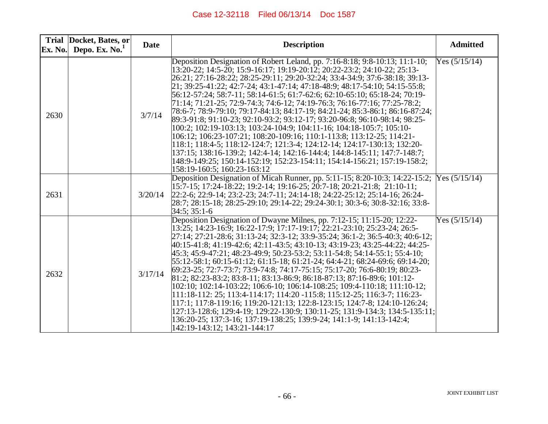|      | Trial Docket, Bates, or<br>Ex. No. Depo. Ex. No. $1$ | <b>Date</b> | <b>Description</b>                                                                                                                                                                                                                                                                                                                                                                                                                                                                                                                                                                                                                                                                                                                                                                                                                                                                                                                                                                                                                                                                       | <b>Admitted</b> |
|------|------------------------------------------------------|-------------|------------------------------------------------------------------------------------------------------------------------------------------------------------------------------------------------------------------------------------------------------------------------------------------------------------------------------------------------------------------------------------------------------------------------------------------------------------------------------------------------------------------------------------------------------------------------------------------------------------------------------------------------------------------------------------------------------------------------------------------------------------------------------------------------------------------------------------------------------------------------------------------------------------------------------------------------------------------------------------------------------------------------------------------------------------------------------------------|-----------------|
| 2630 |                                                      | 3/7/14      | Deposition Designation of Robert Leland, pp. 7:16-8:18; 9:8-10:13; 11:1-10;<br>13:20-22; 14:5-20; 15:9-16:17; 19:19-20:12; 20:22-23:2; 24:10-22; 25:13-<br>26:21; 27:16-28:22; 28:25-29:11; 29:20-32:24; 33:4-34:9; 37:6-38:18; 39:13-<br>21; 39:25-41:22; 42:7-24; 43:1-47:14; 47:18-48:9; 48:17-54:10; 54:15-55:8;<br>56:12-57:24; 58:7-11; 58:14-61:5; 61:7-62:6; 62:10-65:10; 65:18-24; 70:19-<br>71:14; 71:21-25; 72:9-74:3; 74:6-12; 74:19-76:3; 76:16-77:16; 77:25-78:2;<br>78:6-7; 78:9-79:10; 79:17-84:13; 84:17-19; 84:21-24; 85:3-86:1; 86:16-87:24;<br>89:3-91:8; 91:10-23; 92:10-93:2; 93:12-17; 93:20-96:8; 96:10-98:14; 98:25-<br>100:2; 102:19-103:13; 103:24-104:9; 104:11-16; 104:18-105:7; 105:10-<br>106:12; 106:23-107:21; 108:20-109:16; 110:1-113:8; 113:12-25; 114:21-<br>118:1; 118:4-5; 118:12-124:7; 121:3-4; 124:12-14; 124:17-130:13; 132:20-<br>137:15; 138:16-139:2; 142:4-14; 142:16-144:4; 144:8-145:11; 147:7-148:7;<br>148:9-149:25; 150:14-152:19; 152:23-154:11; 154:14-156:21; 157:19-158:2;<br>158:19-160:5; 160:23-163:12                        | Yes $(5/15/14)$ |
| 2631 |                                                      | 3/20/14     | Deposition Designation of Micah Runner, pp. 5:11-15; 8:20-10:3; 14:22-15:2;<br>15:7-15; 17:24-18:22; 19:2-14; 19:16-25; 20:7-18; 20:21-21:8; 21:10-11;<br>22:2-6; 22:9-14; 23:2-23; 24:7-11; 24:14-18; 24:22-25:12; 25:14-16; 26:24-<br>28:7; 28:15-18; 28:25-29:10; 29:14-22; 29:24-30:1; 30:3-6; 30:8-32:16; 33:8-<br>$34:5:35:1-6$                                                                                                                                                                                                                                                                                                                                                                                                                                                                                                                                                                                                                                                                                                                                                    | Yes $(5/15/14)$ |
| 2632 |                                                      | 3/17/14     | Deposition Designation of Dwayne Milnes, pp. 7:12-15; 11:15-20; 12:22-<br>13.25; 14:23-16:9; 16:22-17:9; 17:17-19:17; 22:21-23:10; 25:23-24; 26:5-<br>27:14; 27:21-28:6; 31:13-24; 32:3-12; 33:9-35:24; 36:1-2; 36:5-40:3; 40:6-12;<br>40:15-41:8; 41:19-42:6; 42:11-43:5; 43:10-13; 43:19-23; 43:25-44:22; 44:25-<br>45:3; 45:9-47:21; 48:23-49:9; 50:23-53:2; 53:11-54:8; 54:14-55:1; 55:4-10;<br>$55:12-58:1$ ; $60:15-61:12$ ; $61:15-18$ ; $61:21-24$ ; $64:4-21$ ; $68:24-69:6$ ; $69:14-20$ ;<br>69:23-25; 72:7-73:7; 73:9-74:8; 74:17-75:15; 75:17-20; 76:6-80:19; 80:23-<br>81:2; 82:23-83:2; 83:8-11; 83:13-86:9; 86:18-87:13; 87:16-89:6; 101:12-<br>102:10; 102:14-103:22; 106:6-10; 106:14-108:25; 109:4-110:18; 111:10-12;<br>111:18-112: 25; 113:4-114:17; 114:20 -115:8; 115:12-25; 116:3-7; 116:23-<br>117:1; 117:8-119:16; 119:20-121:13; 122:8-123:15; 124:7-8; 124:10-126:24;<br>127:13-128:6; 129:4-19; 129:22-130:9; 130:11-25; 131:9-134:3; 134:5-135:11;<br>136:20-25; 137:3-16; 137:19-138:25; 139:9-24; 141:1-9; 141:13-142:4;<br>142:19-143:12; 143:21-144:17 | Yes $(5/15/14)$ |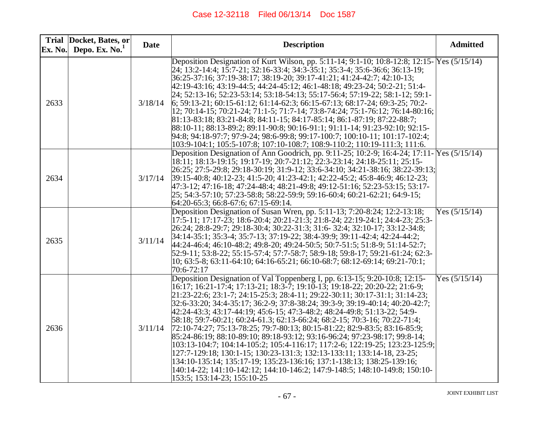| Ex. No. | Trial Docket, Bates, or<br>Depo. Ex. $No.1$ | <b>Date</b> | <b>Description</b>                                                                                                                                                                                                                                                                                                                                                                                                                                                                                                                                                                                                                                                                                                                                                                                                                                                                                                                                                                         | <b>Admitted</b> |
|---------|---------------------------------------------|-------------|--------------------------------------------------------------------------------------------------------------------------------------------------------------------------------------------------------------------------------------------------------------------------------------------------------------------------------------------------------------------------------------------------------------------------------------------------------------------------------------------------------------------------------------------------------------------------------------------------------------------------------------------------------------------------------------------------------------------------------------------------------------------------------------------------------------------------------------------------------------------------------------------------------------------------------------------------------------------------------------------|-----------------|
| 2633    |                                             | 3/18/14     | Deposition Designation of Kurt Wilson, pp. 5:11-14; 9:1-10; 10:8-12:8; 12:15- Yes (5/15/14)<br>24, 13:2-14:4; 15:7-21; 32:16-33:4; 34:3-35:1; 35:3-4; 35:6-36:6; 36:13-19;<br>36:25-37:16; 37:19-38:17; 38:19-20; 39:17-41:21; 41:24-42:7; 42:10-13;<br>42:19-43:16; 43:19-44:5; 44:24-45:12; 46:1-48:18; 49:23-24; 50:2-21; 51:4-<br>24; 52:13-16; 52:23-53:14; 53:18-54:13; 55:17-56:4; 57:19-22; 58:1-12; 59:1-<br>$6; 59:13-21; 60:15-61:12; 61:14-62:3; 66:15-67:13; 68:17-24; 69:3-25; 70:2-$<br> 12; 70:14-15; 70:21-24; 71:1-5; 71:7-14; 73:8-74:24; 75:1-76:12; 76:14-80:16;<br>81:13-83:18; 83:21-84:8; 84:11-15; 84:17-85:14; 86:1-87:19; 87:22-88:7;<br>88:10-11; 88:13-89:2; 89:11-90:8; 90:16-91:1; 91:11-14; 91:23-92:10; 92:15-<br>94:8; 94:18-97:7; 97:9-24; 98:6-99:8; 99:17-100:7; 100:10-11; 101:17-102:4;<br>103:9-104:1; 105:5-107:8; 107:10-108:7; 108:9-110:2; 110:19-111:3; 111:6.                                                                                |                 |
| 2634    |                                             | 3/17/14     | Deposition Designation of Ann Goodrich, pp. 9:11-25; 10:2-9; 16:4-24; 17:11- Yes (5/15/14)<br>18:11; 18:13-19:15; 19:17-19; 20:7-21:12; 22:3-23:14; 24:18-25:11; 25:15-<br>26:25; 27:5-29:8; 29:18-30:19; 31:9-12; 33:6-34:10; 34:21-38:16; 38:22-39:13;<br>39:15-40:8; 40:12-23; 41:5-20; 41:23-42:1; 42:22-45:2; 45:8-46:9; 46:12-23;<br>47:3-12; 47:16-18; 47:24-48:4; 48:21-49:8; 49:12-51:16; 52:23-53:15; 53:17-<br>25; 54:3-57:10; 57:23-58:8; 58:22-59:9; 59:16-60:4; 60:21-62:21; 64:9-15;<br>64:20-65:3; 66:8-67:6; 67:15-69:14.                                                                                                                                                                                                                                                                                                                                                                                                                                                 |                 |
| 2635    |                                             | 3/11/14     | Deposition Designation of Susan Wren, pp. 5:11-13; 7:20-8:24; 12:2-13:18;<br>17:5-11; 17:17-23; 18:6-20:4; 20:21-21:3; 21:8-24; 22:19-24:1; 24:4-23; 25:3-<br>26:24; 28:8-29:7; 29:18-30:4; 30:22-31:3; 31:6- 32:4; 32:10-17; 33:12-34:8;<br> 34:14-35:1; 35:3-4; 35:7-13; 37:19-22; 38:4-39:9; 39:11-42:4; 42:24-44:2;<br>44:24-46:4; 46:10-48:2; 49:8-20; 49:24-50:5; 50:7-51:5; 51:8-9; 51:14-52:7;<br>52:9-11; 53:8-22; 55:15-57:4; 57:7-58:7; 58:9-18; 59:8-17; 59:21-61:24; 62:3-<br>$10; 63:5-8; 63:11-64:10; 64:16-65:21; 66:10-68:7; 68:12-69:14; 69:21-70:1;$<br>70:6-72:17                                                                                                                                                                                                                                                                                                                                                                                                      | Yes $(5/15/14)$ |
| 2636    |                                             | 3/11/14     | Deposition Designation of Val Toppenberg I, pp. 6:13-15; 9:20-10:8; 12:15-<br>16:17; 16:21-17:4; 17:13-21; 18:3-7; 19:10-13; 19:18-22; 20:20-22; 21:6-9;<br>21:23-22:6; 23:1-7; 24:15-25:3; 28:4-11; 29:22-30:11; 30:17-31:1; 31:14-23;<br> 32:6-33:20; 34:4-35:17; 36:2-9; 37:8-38:24; 39:3-9; 39:19-40:14; 40:20-42:7;<br>42:24-43:3; 43:17-44:19; 45:6-15; 47:3-48:2; 48:24-49:8; 51:13-22; 54:9-<br>58:18; 59:7-60:21; 60:24-61.3; 62:13-66:24; 68:2-15; 70:3-16; 70:22-71:4;<br>72:10-74:27; 75:13-78:25; 79:7-80:13; 80:15-81:22; 82:9-83:5; 83:16-85:9;<br>85:24-86:19; 88:10-89:10; 89:18-93:12; 93:16-96:24; 97:23-98:17; 99:8-14;<br>103:13-104:7; 104:14-105:2; 105:4-116:17; 117:2-6; 122:19-25; 123:23-125:9;<br>127:7-129:18; 130:1-15; 130:23-131:3; 132:13-133:11; 133:14-18, 23-25;<br>134:10-135:14; 135:17-19; 135:23-136:16; 137:1-138:13; 138:25-139:16;<br>140:14-22; 141:10-142:12; 144:10-146:2; 147:9-148:5; 148:10-149:8; 150:10-<br>153:5; 153:14-23; 155:10-25 | Yes $(5/15/14)$ |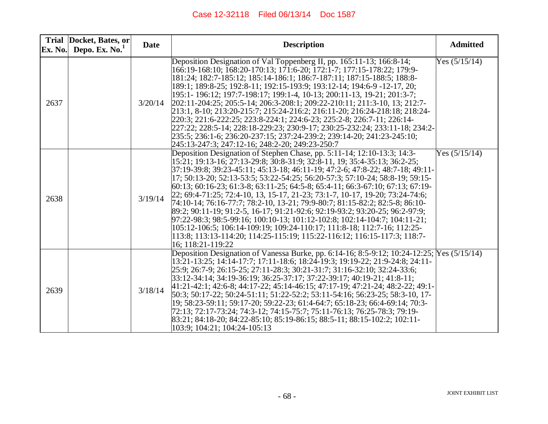| Ex. No. | Trial Docket, Bates, or<br>Depo. Ex. $No.1$ | <b>Date</b> | <b>Description</b>                                                                                                                                                                                                                                                                                                                                                                                                                                                                                                                                                                                                                                                                                                                                                                                                                                                                                                                 | <b>Admitted</b> |
|---------|---------------------------------------------|-------------|------------------------------------------------------------------------------------------------------------------------------------------------------------------------------------------------------------------------------------------------------------------------------------------------------------------------------------------------------------------------------------------------------------------------------------------------------------------------------------------------------------------------------------------------------------------------------------------------------------------------------------------------------------------------------------------------------------------------------------------------------------------------------------------------------------------------------------------------------------------------------------------------------------------------------------|-----------------|
| 2637    |                                             | 3/20/14     | Deposition Designation of Val Toppenberg II, pp. 165:11-13; 166:8-14;<br>166:19-168:10; 168:20-170:13; 171:6-20; 172:1-7; 177:15-178:22; 179:9-<br>181:24; 182:7-185:12; 185:14-186:1; 186:7-187:11; 187:15-188:5; 188:8-<br>189:1; 189:8-25; 192:8-11; 192:15-193:9; 193:12-14; 194:6-9 -12-17, 20;<br>195:1-196:12; 197:7-198:17; 199:1-4, 10-13; 200:11-13, 19-21; 201:3-7;<br>202:11-204:25; 205:5-14; 206:3-208:1; 209:22-210:11; 211:3-10, 13; 212:7-<br>213:1, 8-10; 213:20-215:7; 215:24-216:2; 216:11-20; 216:24-218:18; 218:24-<br>220:3; 221:6-222:25; 223:8-224:1; 224:6-23; 225:2-8; 226:7-11; 226:14-<br>227:22; 228:5-14; 228:18-229:23; 230:9-17; 230:25-232:24; 233:11-18; 234:2-<br>235:5; 236:1-6; 236:20-237:15; 237:24-239:2; 239:14-20; 241:23-245:10;<br>245:13-247:3; 247:12-16; 248:2-20; 249:23-250:7                                                                                                    | Yes $(5/15/14)$ |
| 2638    |                                             | 3/19/14     | Deposition Designation of Stephen Chase, pp. 5:11-14; 12:10-13:3; 14:3-<br>15:21; 19:13-16; 27:13-29:8; 30:8-31:9; 32:8-11, 19; 35:4-35:13; 36:2-25;<br>37:19-39:8; 39:23-45:11; 45:13-18; 46:11-19; 47:2-6; 47:8-22; 48:7-18; 49:11-<br>17; 50:13-20; 52:13-53:5; 53:22-54:25; 56:20-57:3; 57:10-24; 58:8-19; 59:15-<br>$(60:13; 60:16-23; 61:3-8; 63:11-25; 64:5-8; 65:4-11; 66:3-67:10; 67:13; 67:19-$<br>22; 69:4-71:25; 72:4-10, 13, 15-17, 21-23; 73:1-7, 10-17, 19-20; 73:24-74:6;<br>74:10-14; 76:16-77:7; 78:2-10, 13-21; 79:9-80:7; 81:15-82:2; 82:5-8; 86:10-<br>89:2; 90:11-19; 91:2-5, 16-17; 91:21-92:6; 92:19-93:2; 93:20-25; 96:2-97:9;<br>$97:22-98:3$ ; $98:5-99:16$ ; $100:10-13$ ; $101:12-102:8$ ; $102:14-104:7$ ; $104:11-21$ ;<br>105:12-106:5; 106:14-109:19; 109:24-110:17; 111:8-18; 112:7-16; 112:25-<br>113:8; 113:13-114:20; 114:25-115:19; 115:22-116:12; 116:15-117:3; 118:7-<br>16; 118:21-119:22 | Yes $(5/15/14)$ |
| 2639    |                                             | 3/18/14     | Deposition Designation of Vanessa Burke, pp. 6:14-16; 8:5-9:12; 10:24-12:25; Yes (5/15/14)<br>13:21-13:25; 14:14-17:7; 17:11-18:6; 18:24-19:3; 19:19-22; 21:9-24:8; 24:11-<br>25:9; 26:7-9; 26:15-25; 27:11-28:3; 30:21-31:7; 31:16-32:10; 32:24-33:6;<br>33:12-34:14; 34:19-36:19; 36:25-37:17; 37:22-39:17; 40:19-21; 41:8-11;<br>41:21-42:1; 42:6-8; 44:17-22; 45:14-46:15; 47:17-19; 47:21-24; 48:2-22; 49:1-<br>50:3; 50:17-22; 50:24-51:11; 51:22-52:2; 53:11-54:16; 56:23-25; 58:3-10, 17-<br>19; 58:23-59:11; 59:17-20; 59:22-23; 61:4-64:7; 65:18-23; 66:4-69:14; 70:3-<br>72:13; 72:17-73:24; 74:3-12; 74:15-75:7; 75:11-76:13; 76:25-78:3; 79:19-<br>83:21; 84:18-20; 84:22-85:10; 85:19-86:15; 88:5-11; 88:15-102:2; 102:11-<br>103:9; 104:21; 104:24-105:13                                                                                                                                                           |                 |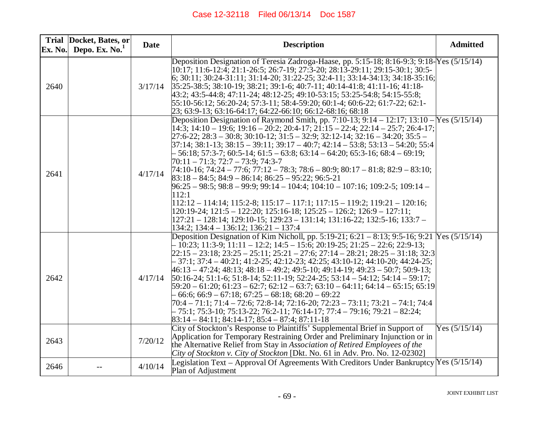| Ex. No. | Trial Docket, Bates, or<br>Depo. Ex. $No.1$ | <b>Date</b> | <b>Description</b>                                                                                                                                                                                                                                                                                                                                                                                                                                                                                                                                                                                                                                                                                                                                                                                                                                                                                                                                                                                                                                                                                                                                                               | <b>Admitted</b> |
|---------|---------------------------------------------|-------------|----------------------------------------------------------------------------------------------------------------------------------------------------------------------------------------------------------------------------------------------------------------------------------------------------------------------------------------------------------------------------------------------------------------------------------------------------------------------------------------------------------------------------------------------------------------------------------------------------------------------------------------------------------------------------------------------------------------------------------------------------------------------------------------------------------------------------------------------------------------------------------------------------------------------------------------------------------------------------------------------------------------------------------------------------------------------------------------------------------------------------------------------------------------------------------|-----------------|
| 2640    |                                             | 3/17/14     | Deposition Designation of Teresia Zadroga-Haase, pp. 5:15-18; 8:16-9:3; 9:18-Yes (5/15/14)<br>$ 10.17; 11.6-12.4; 21.1-26.5; 26.7-19; 27.3-20; 28.13-29.11; 29.15-30.1; 30.5-$<br>$\vert 6; 30:11; 30:24-31:11; 31:14-20; 31:22-25; 32:4-11; 33:14-34:13; 34:18-35:16;$<br>$[35:25-38:5; 38:10-19; 38:21; 39:1-6; 40:7-11; 40:14-41:8; 41:11-16; 41:18-$<br>43:2; 43:5-44:8; 47:11-24; 48:12-25; 49:10-53:15; 53:25-54:8; 54:15-55:8;<br>55:10-56:12; 56:20-24; 57:3-11; 58:4-59:20; 60:1-4; 60:6-22; 61:7-22; 62:1-<br>23; 63:9-13; 63:16-64:17; 64:22-66:10; 66:12-68:16; 68:18                                                                                                                                                                                                                                                                                                                                                                                                                                                                                                                                                                                                |                 |
| 2641    |                                             | 4/17/14     | Deposition Designation of Raymond Smith, pp. 7:10-13; 9:14 – 12:17; 13:10 – Yes $(5/15/14)$<br>$ 14\overline{.}3; 14\overline{.}10 - 19\overline{.}6; 19\overline{.}16 - 20\overline{.}2; 20\overline{.}4 - 17; 21\overline{.}15 - 22\overline{.}4; 22\overline{.}14 - 25\overline{.}7; 26\overline{.}4 - 17;$<br>$[27:6-22; 28:3-30:8; 30:10-12; 31:5-32:9; 32:12-14; 32:16-34:20; 35:5-$<br>$[37:14; 38:1-13; 38:15-39:11; 39:17-40:7; 42:14-53:8; 53:13-54:20; 55:4]$<br>$-56:18$ ; 57:3-7; 60:5-14; 61:5 - 63:8; 63:14 - 64:20; 65:3-16; 68:4 - 69:19;<br>$[70:11 - 71:3; 72:7 - 73:9; 74:3-7]$<br>$[74:10-16; 74:24 - 77:6; 77:12 - 78:3; 78:6 - 80:9; 80:17 - 81:8; 82:9 - 83:10;$<br>$83:18 - 84:5$ ; $84:9 - 86:14$ ; $86:25 - 95:22$ ; $96:5-21$<br>$96:25 - 98:5$ ; $98:8 - 99:9$ ; $99:14 - 104:4$ ; $104:10 - 107:16$ ; $109:2-5$ ; $109:14 -$<br>112:1<br>$ 112:12 - 114:14; 115:2-8; 115:17 - 117:1; 117:15 - 119:2; 119:21 - 120:16;$<br>$[120:19-24; 121:5-122:20; 125:16-18; 125:25-126:2; 126:9-127:11;$<br>$ 127:21 - 128:14$ ; $129:10 - 15$ ; $129:23 - 131:14$ ; $131:16 - 22$ ; $132:5 - 16$ ; $133:7 -$<br>$134:2$ ; $134:4 - 136:12$ ; $136:21 - 137:4$ |                 |
| 2642    |                                             | 4/17/14     | Deposition Designation of Kim Nicholl, pp. 5:19-21; 6:21 - 8:13; 9:5-16; 9:21 Yes (5/15/14)<br>$-10:23; 11:3-9; 11:11-12:2; 14:5-15:6; 20:19-25; 21:25-22:6; 22:9-13;$<br>$22:15 - 23:18$ ; $23:25 - 25:11$ ; $25:21 - 27:6$ ; $27:14 - 28:21$ ; $28:25 - 31:18$ ; $32:3$<br>$-37:1; 37:4 - 40:21; 41:2-25; 42:12-23; 42:25; 43:10-12; 44:10-20; 44:24-25;$<br>$46:13 - 47:24$ ; $48:13$ ; $48:18 - 49:2$ ; $49:5 - 10$ ; $49:14 - 19$ ; $49:23 - 50:7$ ; $50:9 - 13$ ;<br>$[50:16-24; 51:1-6; 51:8-14; 52:11-19; 52:24-25; 53:14-54:12; 54:14-59:17;$<br>$[59:20 - 61:20; 61:23 - 62:7; 62:12 - 63:7; 63:10 - 64:11; 64:14 - 65:15; 65:19]$<br>$-66:6$ ; 66:9 $-67:18$ ; 67:25 $-68:18$ ; 68:20 $-69:22$<br>70:4 - 71:1; 71:4 - 72:6; 72:8-14; 72:16-20; 72:23 - 73:11; 73:21 - 74:1; 74:4<br>$-75:1$ ; 75:3-10; 75:13-22; 76:2-11; 76:14-17; 77:4 - 79:16; 79:21 - 82:24;<br>$83:14 - 84:11$ ; $84:14 - 17$ ; $85:4 - 87:4$ ; $87:11 - 18$                                                                                                                                                                                                                                     |                 |
| 2643    |                                             | 7/20/12     | City of Stockton's Response to Plaintiffs' Supplemental Brief in Support of<br>Application for Temporary Restraining Order and Preliminary Injunction or in<br>the Alternative Relief from Stay in Association of Retired Employees of the<br>City of Stockton v. City of Stockton [Dkt. No. 61 in Adv. Pro. No. 12-02302]                                                                                                                                                                                                                                                                                                                                                                                                                                                                                                                                                                                                                                                                                                                                                                                                                                                       | Yes $(5/15/14)$ |
| 2646    |                                             | 4/10/14     | Legislation Text – Approval Of Agreements With Creditors Under Bankruptcy Yes $(5/15/14)$<br>Plan of Adjustment                                                                                                                                                                                                                                                                                                                                                                                                                                                                                                                                                                                                                                                                                                                                                                                                                                                                                                                                                                                                                                                                  |                 |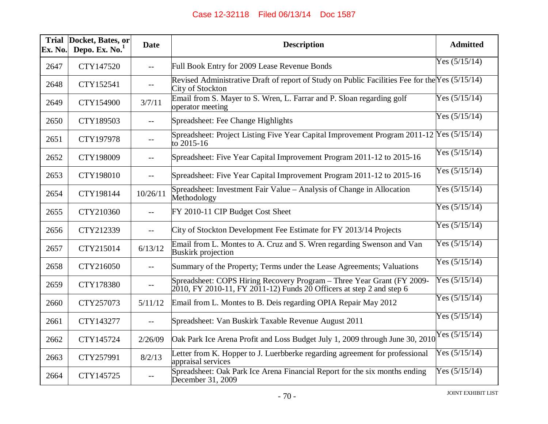| <b>Trial</b><br>Ex. No. | Docket, Bates, or<br>Depo. Ex. $No.1$ | <b>Date</b> | <b>Description</b>                                                                                                                                | <b>Admitted</b>  |
|-------------------------|---------------------------------------|-------------|---------------------------------------------------------------------------------------------------------------------------------------------------|------------------|
| 2647                    | CTY147520                             | $-$         | Full Book Entry for 2009 Lease Revenue Bonds                                                                                                      | Yes $(5/15/14)$  |
| 2648                    | CTY152541                             | $- -$       | Revised Administrative Draft of report of Study on Public Facilities Fee for the Yes (5/15/14)<br>City of Stockton                                |                  |
| 2649                    | CTY154900                             | 3/7/11      | Email from S. Mayer to S. Wren, L. Farrar and P. Sloan regarding golf<br>operator meeting                                                         | Yes $(5/15/14)$  |
| 2650                    | CTY189503                             | $-$         | Spreadsheet: Fee Change Highlights                                                                                                                | Yes $(5/15/14)$  |
| 2651                    | CTY197978                             | $-$         | Spreadsheet: Project Listing Five Year Capital Improvement Program $2011-12$ Yes $(5/15/14)$<br>to 2015-16                                        |                  |
| 2652                    | CTY198009                             | $-$         | Spreadsheet: Five Year Capital Improvement Program 2011-12 to 2015-16                                                                             | Yes $(5/15/14)$  |
| 2653                    | CTY198010                             | $- -$       | Spreadsheet: Five Year Capital Improvement Program 2011-12 to 2015-16                                                                             | Yes $(5/15/14)$  |
| 2654                    | CTY198144                             | 10/26/11    | Spreadsheet: Investment Fair Value – Analysis of Change in Allocation<br>Methodology                                                              | Yes $(5/15/14)$  |
| 2655                    | CTY210360                             | $-$         | FY 2010-11 CIP Budget Cost Sheet                                                                                                                  | Yes $(5/15/14)$  |
| 2656                    | CTY212339                             | $- -$       | City of Stockton Development Fee Estimate for FY 2013/14 Projects                                                                                 | Yes $(5/15/14)$  |
| 2657                    | CTY215014                             | 6/13/12     | Email from L. Montes to A. Cruz and S. Wren regarding Swenson and Van<br><b>Buskirk</b> projection                                                | Yes $(5/15/14)$  |
| 2658                    | CTY216050                             | $-$         | Summary of the Property; Terms under the Lease Agreements; Valuations                                                                             | Yes $(5/15/14)$  |
| 2659                    | CTY178380                             | $-$         | Spreadsheet: COPS Hiring Recovery Program - Three Year Grant (FY 2009-<br>$2010$ , FY 2010-11, FY 2011-12) Funds 20 Officers at step 2 and step 6 | Yes $(5/15/14)$  |
| 2660                    | CTY257073                             | 5/11/12     | Email from L. Montes to B. Deis regarding OPIA Repair May 2012                                                                                    | Yes $(5/15/14)$  |
| 2661                    | CTY143277                             | $- -$       | Spreadsheet: Van Buskirk Taxable Revenue August 2011                                                                                              | Yes $(5/15/14)$  |
| 2662                    | CTY145724                             | 2/26/09     | Oak Park Ice Arena Profit and Loss Budget July 1, 2009 through June 30, 2010                                                                      | $Y$ es (5/15/14) |
| 2663                    | CTY257991                             | 8/2/13      | Letter from K. Hopper to J. Luerbberke regarding agreement for professional<br>appraisal services                                                 | Yes $(5/15/14)$  |
| 2664                    | CTY145725                             | $-$         | Spreadsheet: Oak Park Ice Arena Financial Report for the six months ending<br>December 31, 2009                                                   | Yes $(5/15/14)$  |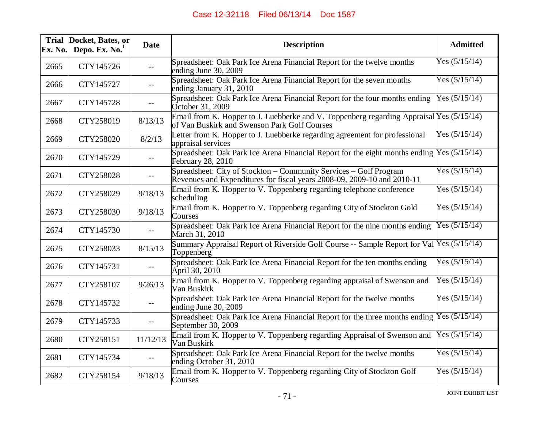| Ex. No. | Trial Docket, Bates, or<br>Depo. Ex. $No.1$ | <b>Date</b>       | <b>Description</b>                                                                                                                           | <b>Admitted</b> |
|---------|---------------------------------------------|-------------------|----------------------------------------------------------------------------------------------------------------------------------------------|-----------------|
| 2665    | CTY145726                                   | $-$               | Spreadsheet: Oak Park Ice Arena Financial Report for the twelve months<br>ending June 30, 2009                                               | Yes $(5/15/14)$ |
| 2666    | CTY145727                                   | $-$               | Spreadsheet: Oak Park Ice Arena Financial Report for the seven months<br>ending January 31, 2010                                             | Yes $(5/15/14)$ |
| 2667    | CTY145728                                   |                   | Spreadsheet: Oak Park Ice Arena Financial Report for the four months ending<br>October 31, 2009                                              | Yes $(5/15/14)$ |
| 2668    | CTY258019                                   | 8/13/13           | Email from K. Hopper to J. Luebberke and V. Toppenberg regarding Appraisal Yes $(5/15/14)$<br>of Van Buskirk and Swenson Park Golf Courses   |                 |
| 2669    | CTY258020                                   | 8/2/13            | Letter from K. Hopper to J. Luebberke regarding agreement for professional<br>appraisal services                                             | Yes $(5/15/14)$ |
| 2670    | CTY145729                                   | $-$               | Spreadsheet: Oak Park Ice Arena Financial Report for the eight months ending $Y$ es $(5/15/14)$<br>February 28, 2010                         |                 |
| 2671    | CTY258028                                   | $--$              | Spreadsheet: City of Stockton – Community Services – Golf Program<br>Revenues and Expenditures for fiscal years 2008-09, 2009-10 and 2010-11 | Yes $(5/15/14)$ |
| 2672    | CTY258029                                   | 9/18/13           | Email from K. Hopper to V. Toppenberg regarding telephone conference<br>scheduling                                                           | Yes $(5/15/14)$ |
| 2673    | CTY258030                                   | 9/18/13           | Email from K. Hopper to V. Toppenberg regarding City of Stockton Gold<br>Courses                                                             | Yes $(5/15/14)$ |
| 2674    | CTY145730                                   | $-$               | Spreadsheet: Oak Park Ice Arena Financial Report for the nine months ending<br>March 31, 2010                                                | Yes $(5/15/14)$ |
| 2675    | CTY258033                                   | 8/15/13           | Summary Appraisal Report of Riverside Golf Course -- Sample Report for Val Yes (5/15/14)<br>Toppenberg                                       |                 |
| 2676    | CTY145731                                   |                   | Spreadsheet: Oak Park Ice Arena Financial Report for the ten months ending<br>April 30, 2010                                                 | Yes $(5/15/14)$ |
| 2677    | CTY258107                                   | 9/26/13           | Email from K. Hopper to V. Toppenberg regarding appraisal of Swenson and<br>Van Buskirk                                                      | Yes $(5/15/14)$ |
| 2678    | CTY145732                                   | $- -$             | Spreadsheet: Oak Park Ice Arena Financial Report for the twelve months<br>ending June 30, 2009                                               | Yes $(5/15/14)$ |
| 2679    | CTY145733                                   | $- -$             | Spreadsheet: Oak Park Ice Arena Financial Report for the three months ending $Y$ es (5/15/14)<br>September 30, 2009                          |                 |
| 2680    | CTY258151                                   | 11/12/13          | Email from K. Hopper to V. Toppenberg regarding Appraisal of Swenson and<br>Van Buskirk                                                      | Yes $(5/15/14)$ |
| 2681    | CTY145734                                   | $\qquad \qquad -$ | Spreadsheet: Oak Park Ice Arena Financial Report for the twelve months<br>ending October 31, 2010                                            | Yes $(5/15/14)$ |
| 2682    | CTY258154                                   | 9/18/13           | Email from K. Hopper to V. Toppenberg regarding City of Stockton Golf<br>Courses                                                             | Yes $(5/15/14)$ |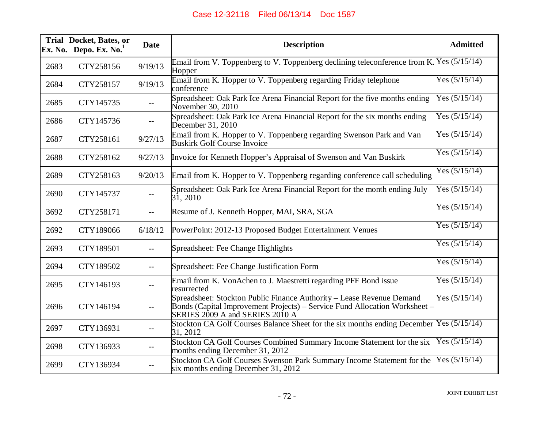| Ex. No. | Trial Docket, Bates, or<br>Depo. Ex. $No.1$ | <b>Date</b> | <b>Description</b>                                                                                                                                                                     | <b>Admitted</b> |
|---------|---------------------------------------------|-------------|----------------------------------------------------------------------------------------------------------------------------------------------------------------------------------------|-----------------|
| 2683    | CTY258156                                   | 9/19/13     | Email from V. Toppenberg to V. Toppenberg declining teleconference from K. Yes $(5/15/14)$<br>Hopper                                                                                   |                 |
| 2684    | CTY258157                                   | 9/19/13     | Email from K. Hopper to V. Toppenberg regarding Friday telephone<br>conference                                                                                                         | Yes $(5/15/14)$ |
| 2685    | CTY145735                                   | $- -$       | Spreadsheet: Oak Park Ice Arena Financial Report for the five months ending<br>November 30, 2010                                                                                       | Yes $(5/15/14)$ |
| 2686    | CTY145736                                   | $--$        | Spreadsheet: Oak Park Ice Arena Financial Report for the six months ending<br>December 31, 2010                                                                                        | Yes $(5/15/14)$ |
| 2687    | CTY258161                                   | 9/27/13     | Email from K. Hopper to V. Toppenberg regarding Swenson Park and Van<br><b>Buskirk Golf Course Invoice</b>                                                                             | Yes $(5/15/14)$ |
| 2688    | CTY258162                                   | 9/27/13     | Invoice for Kenneth Hopper's Appraisal of Swenson and Van Buskirk                                                                                                                      | Yes $(5/15/14)$ |
| 2689    | CTY258163                                   | 9/20/13     | Email from K. Hopper to V. Toppenberg regarding conference call scheduling                                                                                                             | Yes $(5/15/14)$ |
| 2690    | CTY145737                                   | $- -$       | Spreadsheet: Oak Park Ice Arena Financial Report for the month ending July<br>$3\overline{1}$ , 2010                                                                                   | Yes $(5/15/14)$ |
| 3692    | CTY258171                                   | $-$         | Resume of J. Kenneth Hopper, MAI, SRA, SGA                                                                                                                                             | Yes $(5/15/14)$ |
| 2692    | CTY189066                                   | 6/18/12     | PowerPoint: 2012-13 Proposed Budget Entertainment Venues                                                                                                                               | Yes $(5/15/14)$ |
| 2693    | CTY189501                                   | $-$         | Spreadsheet: Fee Change Highlights                                                                                                                                                     | Yes $(5/15/14)$ |
| 2694    | CTY189502                                   | $- -$       | Spreadsheet: Fee Change Justification Form                                                                                                                                             | Yes $(5/15/14)$ |
| 2695    | CTY146193                                   | $- -$       | Email from K. VonAchen to J. Maestretti regarding PFF Bond issue<br>resurrected                                                                                                        | Yes $(5/15/14)$ |
| 2696    | CTY146194                                   | $- -$       | Spreadsheet: Stockton Public Finance Authority – Lease Revenue Demand<br>Bonds (Capital Improvement Projects) – Service Fund Allocation Worksheet –<br>SERIES 2009 A and SERIES 2010 A | Yes $(5/15/14)$ |
| 2697    | CTY136931                                   |             | Stockton CA Golf Courses Balance Sheet for the six months ending December Yes (5/15/14)<br>31, 2012                                                                                    |                 |
| 2698    | CTY136933                                   | $-$         | Stockton CA Golf Courses Combined Summary Income Statement for the six<br>months ending December 31, 2012                                                                              | Yes $(5/15/14)$ |
| 2699    | CTY136934                                   | $- -$       | Stockton CA Golf Courses Swenson Park Summary Income Statement for the<br>six months ending December 31, 2012                                                                          | Yes $(5/15/14)$ |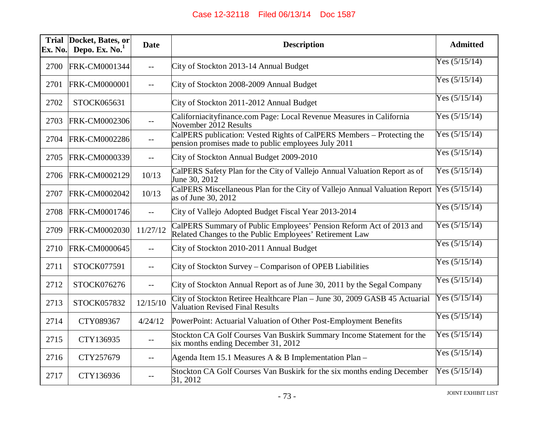| <b>Trial</b><br>Ex. No. | Docket, Bates, or<br>Depo. Ex. $No.1$ | <b>Date</b> | <b>Description</b>                                                                                                             | <b>Admitted</b> |
|-------------------------|---------------------------------------|-------------|--------------------------------------------------------------------------------------------------------------------------------|-----------------|
| 2700                    | FRK-CM0001344                         | $-$         | City of Stockton 2013-14 Annual Budget                                                                                         | Yes $(5/15/14)$ |
| 2701                    | FRK-CM0000001                         | $-$         | City of Stockton 2008-2009 Annual Budget                                                                                       | Yes $(5/15/14)$ |
| 2702                    | STOCK065631                           |             | City of Stockton 2011-2012 Annual Budget                                                                                       | Yes $(5/15/14)$ |
| 2703                    | FRK-CM0002306                         | $-$         | Californiacityfinance.com Page: Local Revenue Measures in California<br>November 2012 Results                                  | Yes $(5/15/14)$ |
| 2704                    | <b>FRK-CM0002286</b>                  | $-1$        | CalPERS publication: Vested Rights of CalPERS Members – Protecting the<br>pension promises made to public employees July 2011  | Yes $(5/15/14)$ |
| 2705                    | FRK-CM0000339                         | $- -$       | City of Stockton Annual Budget 2009-2010                                                                                       | Yes $(5/15/14)$ |
| 2706                    | FRK-CM0002129                         | 10/13       | CalPERS Safety Plan for the City of Vallejo Annual Valuation Report as of<br>June 30, 2012                                     | Yes $(5/15/14)$ |
| 2707                    | FRK-CM0002042                         | 10/13       | CalPERS Miscellaneous Plan for the City of Vallejo Annual Valuation Report<br>as of June 30, 2012                              | Yes $(5/15/14)$ |
| 2708                    | <b>FRK-CM0001746</b>                  | $- -$       | City of Vallejo Adopted Budget Fiscal Year 2013-2014                                                                           | Yes $(5/15/14)$ |
| 2709                    | <b>FRK-CM0002030</b>                  | 11/27/12    | CalPERS Summary of Public Employees' Pension Reform Act of 2013 and<br>Related Changes to the Public Employees' Retirement Law | Yes $(5/15/14)$ |
| 2710                    | <b>FRK-CM0000645</b>                  | $- -$       | City of Stockton 2010-2011 Annual Budget                                                                                       | Yes $(5/15/14)$ |
| 2711                    | STOCK077591                           | $-$         | City of Stockton Survey - Comparison of OPEB Liabilities                                                                       | Yes $(5/15/14)$ |
| 2712                    | STOCK076276                           | $-$         | City of Stockton Annual Report as of June 30, 2011 by the Segal Company                                                        | Yes $(5/15/14)$ |
| 2713                    | STOCK057832                           | 12/15/10    | City of Stockton Retiree Healthcare Plan - June 30, 2009 GASB 45 Actuarial<br>Valuation Revised Final Results                  | Yes $(5/15/14)$ |
| 2714                    | CTY089367                             | 4/24/12     | PowerPoint: Actuarial Valuation of Other Post-Employment Benefits                                                              | Yes $(5/15/14)$ |
| 2715                    | CTY136935                             | $-$         | Stockton CA Golf Courses Van Buskirk Summary Income Statement for the<br>six months ending December 31, 2012                   | Yes $(5/15/14)$ |
| 2716                    | CTY257679                             | $-$         | Agenda Item 15.1 Measures A & B Implementation Plan $-$                                                                        | Yes $(5/15/14)$ |
| 2717                    | CTY136936                             | $- -$       | Stockton CA Golf Courses Van Buskirk for the six months ending December<br>31, 2012                                            | Yes $(5/15/14)$ |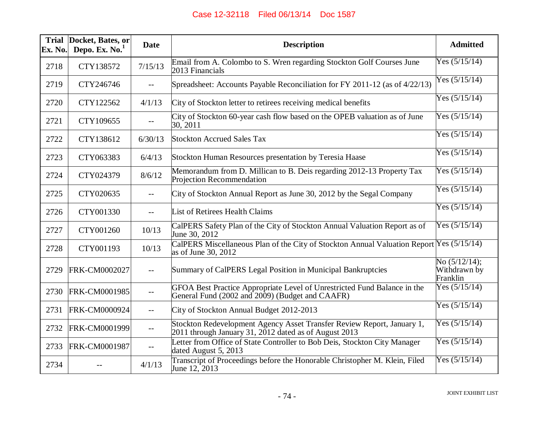| <b>Trial</b><br>Ex. No. | Docket, Bates, or<br>Depo. Ex. No. <sup>1</sup> | <b>Date</b> | <b>Description</b>                                                                                                                  | <b>Admitted</b>                              |
|-------------------------|-------------------------------------------------|-------------|-------------------------------------------------------------------------------------------------------------------------------------|----------------------------------------------|
| 2718                    | CTY138572                                       | 7/15/13     | Email from A. Colombo to S. Wren regarding Stockton Golf Courses June<br>2013 Financials                                            | Yes $(5/15/14)$                              |
| 2719                    | CTY246746                                       | $- -$       | Spreadsheet: Accounts Payable Reconciliation for FY 2011-12 (as of 4/22/13)                                                         | Yes $(5/15/14)$                              |
| 2720                    | CTY122562                                       | 4/1/13      | City of Stockton letter to retirees receiving medical benefits                                                                      | Yes $(5/15/14)$                              |
| 2721                    | CTY109655                                       | $-$         | City of Stockton 60-year cash flow based on the OPEB valuation as of June<br>30, 2011                                               | Yes $(5/15/14)$                              |
| 2722                    | CTY138612                                       | 6/30/13     | <b>Stockton Accrued Sales Tax</b>                                                                                                   | Yes $(5/15/14)$                              |
| 2723                    | CTY063383                                       | 6/4/13      | Stockton Human Resources presentation by Teresia Haase                                                                              | Yes $(5/15/14)$                              |
| 2724                    | CTY024379                                       | 8/6/12      | Memorandum from D. Millican to B. Deis regarding 2012-13 Property Tax<br>Projection Recommendation                                  | Yes $(5/15/14)$                              |
| 2725                    | CTY020635                                       | $-$         | City of Stockton Annual Report as June 30, 2012 by the Segal Company                                                                | Yes $(5/15/14)$                              |
| 2726                    | CTY001330                                       | $-$         | List of Retirees Health Claims                                                                                                      | Yes $(5/15/14)$                              |
| 2727                    | CTY001260                                       | 10/13       | CalPERS Safety Plan of the City of Stockton Annual Valuation Report as of<br>June 30, 2012                                          | Yes $(5/15/14)$                              |
| 2728                    | CTY001193                                       | 10/13       | CalPERS Miscellaneous Plan of the City of Stockton Annual Valuation Report Yes (5/15/14)<br>as of June 30, 2012                     |                                              |
| 2729                    | FRK-CM0002027                                   |             | Summary of CalPERS Legal Position in Municipal Bankruptcies                                                                         | No $(5/12/14)$ ;<br>Withdrawn by<br>Franklin |
| 2730                    | FRK-CM0001985                                   | $- -$       | GFOA Best Practice Appropriate Level of Unrestricted Fund Balance in the<br>General Fund (2002 and 2009) (Budget and CAAFR)         | Yes $(5/15/14)$                              |
| 2731                    | FRK-CM0000924                                   | $-$         | City of Stockton Annual Budget 2012-2013                                                                                            | Yes $(5/15/14)$                              |
| 2732                    | <b>FRK-CM0001999</b>                            | $- -$       | Stockton Redevelopment Agency Asset Transfer Review Report, January 1,<br>$2011$ through January 31, $2012$ dated as of August 2013 | Yes $(5/15/14)$                              |
| 2733                    | <b>FRK-CM0001987</b>                            | $-$         | Letter from Office of State Controller to Bob Deis, Stockton City Manager<br>dated August 5, 2013                                   | Yes $(5/15/14)$                              |
| 2734                    |                                                 | 4/1/13      | Transcript of Proceedings before the Honorable Christopher M. Klein, Filed<br>June 12, 2013                                         | Yes $(5/15/14)$                              |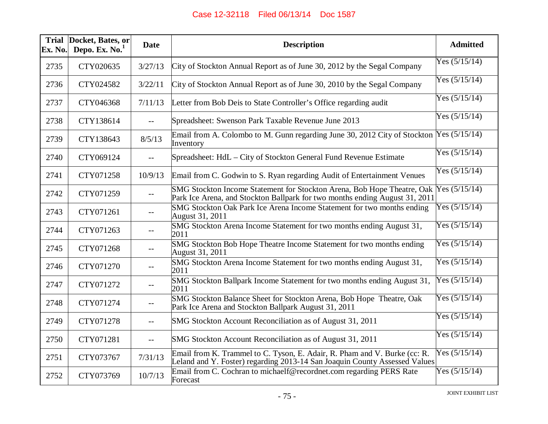| Ex. No. | Trial Docket, Bates, or<br>Depo. Ex. No. $1$ | <b>Date</b> | <b>Description</b>                                                                                                                                      | <b>Admitted</b> |
|---------|----------------------------------------------|-------------|---------------------------------------------------------------------------------------------------------------------------------------------------------|-----------------|
| 2735    | CTY020635                                    | 3/27/13     | City of Stockton Annual Report as of June 30, 2012 by the Segal Company                                                                                 | Yes $(5/15/14)$ |
| 2736    | CTY024582                                    | 3/22/11     | City of Stockton Annual Report as of June 30, 2010 by the Segal Company                                                                                 | Yes $(5/15/14)$ |
| 2737    | CTY046368                                    | 7/11/13     | Letter from Bob Deis to State Controller's Office regarding audit                                                                                       | Yes $(5/15/14)$ |
| 2738    | CTY138614                                    | $-$         | Spreadsheet: Swenson Park Taxable Revenue June 2013                                                                                                     | Yes $(5/15/14)$ |
| 2739    | CTY138643                                    | 8/5/13      | Email from A. Colombo to M. Gunn regarding June 30, 2012 City of Stockton<br>Inventory                                                                  | Yes $(5/15/14)$ |
| 2740    | CTY069124                                    | $-$         | Spreadsheet: HdL – City of Stockton General Fund Revenue Estimate                                                                                       | Yes $(5/15/14)$ |
| 2741    | CTY071258                                    | 10/9/13     | Email from C. Godwin to S. Ryan regarding Audit of Entertainment Venues                                                                                 | Yes $(5/15/14)$ |
| 2742    | CTY071259                                    | $-$         | SMG Stockton Income Statement for Stockton Arena, Bob Hope Theatre, Oak<br>Park Ice Arena, and Stockton Ballpark for two months ending August 31, 2011  | Yes $(5/15/14)$ |
| 2743    | CTY071261                                    | $--$        | SMG Stockton Oak Park Ice Arena Income Statement for two months ending<br>August 31, 2011                                                               | Yes $(5/15/14)$ |
| 2744    | CTY071263                                    | $- -$       | SMG Stockton Arena Income Statement for two months ending August 31,<br>2011                                                                            | Yes $(5/15/14)$ |
| 2745    | CTY071268                                    |             | SMG Stockton Bob Hope Theatre Income Statement for two months ending<br>August 31, 2011                                                                 | Yes $(5/15/14)$ |
| 2746    | CTY071270                                    | $-$         | SMG Stockton Arena Income Statement for two months ending August 31,<br>2011                                                                            | Yes $(5/15/14)$ |
| 2747    | CTY071272                                    | $-$         | SMG Stockton Ballpark Income Statement for two months ending August 31,<br>2011                                                                         | Yes $(5/15/14)$ |
| 2748    | CTY071274                                    | $--$        | SMG Stockton Balance Sheet for Stockton Arena, Bob Hope Theatre, Oak<br>Park Ice Arena and Stockton Ballpark August 31, 2011                            | Yes $(5/15/14)$ |
| 2749    | CTY071278                                    | $- -$       | SMG Stockton Account Reconciliation as of August 31, 2011                                                                                               | Yes $(5/15/14)$ |
| 2750    | CTY071281                                    | $- -$       | SMG Stockton Account Reconciliation as of August 31, 2011                                                                                               | Yes $(5/15/14)$ |
| 2751    | CTY073767                                    | 7/31/13     | Email from K. Trammel to C. Tyson, E. Adair, R. Pham and V. Burke (cc: R.<br>Leland and Y. Foster) regarding 2013-14 San Joaquin County Assessed Values | Yes $(5/15/14)$ |
| 2752    | CTY073769                                    | 10/7/13     | Email from C. Cochran to michaelf@recordnet.com regarding PERS Rate<br>Forecast                                                                         | Yes $(5/15/14)$ |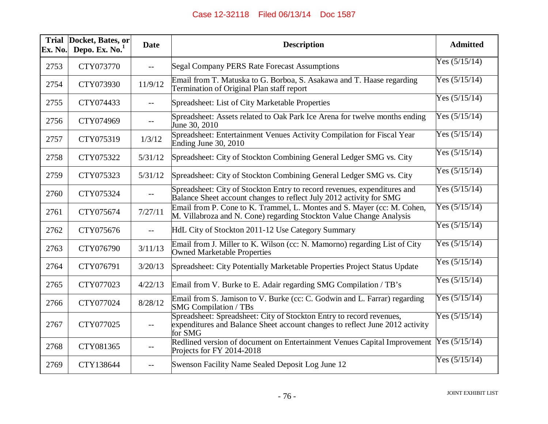| Ex. No. | Trial Docket, Bates, or<br>Depo. Ex. $No.1$ | <b>Date</b> | <b>Description</b>                                                                                                                                              | <b>Admitted</b> |
|---------|---------------------------------------------|-------------|-----------------------------------------------------------------------------------------------------------------------------------------------------------------|-----------------|
| 2753    | CTY073770                                   | $- -$       | Segal Company PERS Rate Forecast Assumptions                                                                                                                    | Yes $(5/15/14)$ |
| 2754    | CTY073930                                   | 11/9/12     | Email from T. Matuska to G. Borboa, S. Asakawa and T. Haase regarding<br>Termination of Original Plan staff report                                              | Yes $(5/15/14)$ |
| 2755    | CTY074433                                   | $-$         | Spreadsheet: List of City Marketable Properties                                                                                                                 | Yes $(5/15/14)$ |
| 2756    | CTY074969                                   | $--$        | Spreadsheet: Assets related to Oak Park Ice Arena for twelve months ending<br>June 30, 2010                                                                     | Yes $(5/15/14)$ |
| 2757    | CTY075319                                   | 1/3/12      | Spreadsheet: Entertainment Venues Activity Compilation for Fiscal Year<br>Ending June 30, 2010                                                                  | Yes $(5/15/14)$ |
| 2758    | CTY075322                                   | 5/31/12     | Spreadsheet: City of Stockton Combining General Ledger SMG vs. City                                                                                             | Yes $(5/15/14)$ |
| 2759    | CTY075323                                   | 5/31/12     | Spreadsheet: City of Stockton Combining General Ledger SMG vs. City                                                                                             | Yes $(5/15/14)$ |
| 2760    | CTY075324                                   | $-$         | Spreadsheet: City of Stockton Entry to record revenues, expenditures and<br>Balance Sheet account changes to reflect July 2012 activity for SMG                 | Yes $(5/15/14)$ |
| 2761    | CTY075674                                   | 7/27/11     | Email from P. Cone to K. Trammel, L. Montes and S. Mayer (cc: M. Cohen,<br>M. Villabroza and N. Cone) regarding Stockton Value Change Analysis                  | Yes $(5/15/14)$ |
| 2762    | CTY075676                                   | $- -$       | HdL City of Stockton 2011-12 Use Category Summary                                                                                                               | Yes $(5/15/14)$ |
| 2763    | CTY076790                                   | 3/11/13     | Email from J. Miller to K. Wilson (cc: N. Mamorno) regarding List of City<br>Owned Marketable Properties                                                        | Yes $(5/15/14)$ |
| 2764    | CTY076791                                   | 3/20/13     | Spreadsheet: City Potentially Marketable Properties Project Status Update                                                                                       | Yes $(5/15/14)$ |
| 2765    | CTY077023                                   | 4/22/13     | Email from V. Burke to E. Adair regarding SMG Compilation / TB's                                                                                                | Yes $(5/15/14)$ |
| 2766    | CTY077024                                   | 8/28/12     | Email from S. Jamison to V. Burke (cc: C. Godwin and L. Farrar) regarding<br><b>SMG Compilation / TBs</b>                                                       | Yes $(5/15/14)$ |
| 2767    | CTY077025                                   |             | Spreadsheet: Spreadsheet: City of Stockton Entry to record revenues,<br>expenditures and Balance Sheet account changes to reflect June 2012 activity<br>for SMG | Yes $(5/15/14)$ |
| 2768    | CTY081365                                   | $- -$       | Redlined version of document on Entertainment Venues Capital Improvement<br>Projects for FY 2014-2018                                                           | Yes $(5/15/14)$ |
| 2769    | CTY138644                                   | $- -$       | Swenson Facility Name Sealed Deposit Log June 12                                                                                                                | Yes $(5/15/14)$ |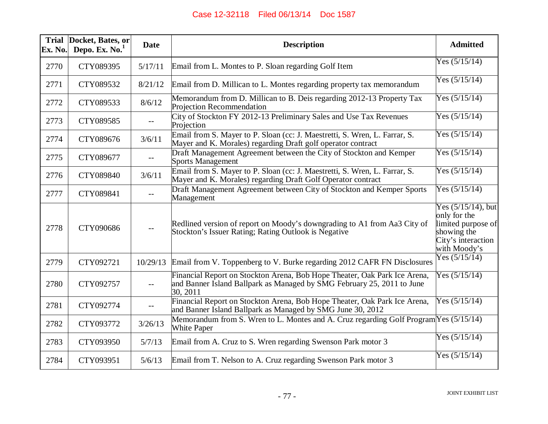| <b>Trial</b><br>Ex. No. | Docket, Bates, or<br>Depo. Ex. $No.1$ | <b>Date</b> | <b>Description</b>                                                                                                                                              | <b>Admitted</b>                                                                                                  |
|-------------------------|---------------------------------------|-------------|-----------------------------------------------------------------------------------------------------------------------------------------------------------------|------------------------------------------------------------------------------------------------------------------|
| 2770                    | CTY089395                             | 5/17/11     | Email from L. Montes to P. Sloan regarding Golf Item                                                                                                            | Yes $(5/15/14)$                                                                                                  |
| 2771                    | CTY089532                             | 8/21/12     | Email from D. Millican to L. Montes regarding property tax memorandum                                                                                           | Yes $(5/15/14)$                                                                                                  |
| 2772                    | CTY089533                             | 8/6/12      | Memorandum from D. Millican to B. Deis regarding 2012-13 Property Tax<br>Projection Recommendation                                                              | Yes $(5/15/14)$                                                                                                  |
| 2773                    | CTY089585                             | $- -$       | City of Stockton FY 2012-13 Preliminary Sales and Use Tax Revenues<br>Projection                                                                                | Yes $(5/15/14)$                                                                                                  |
| 2774                    | CTY089676                             | 3/6/11      | Email from S. Mayer to P. Sloan (cc: J. Maestretti, S. Wren, L. Farrar, S.<br>Mayer and K. Morales) regarding Draft golf operator contract                      | Yes $(5/15/14)$                                                                                                  |
| 2775                    | CTY089677                             | $--$        | Draft Management Agreement between the City of Stockton and Kemper<br><b>Sports Management</b>                                                                  | Yes $(5/15/14)$                                                                                                  |
| 2776                    | CTY089840                             | 3/6/11      | Email from S. Mayer to P. Sloan (cc: J. Maestretti, S. Wren, L. Farrar, S.<br>Mayer and K. Morales) regarding Draft Golf Operator contract                      | Yes $(5/15/14)$                                                                                                  |
| 2777                    | CTY089841                             |             | Draft Management Agreement between City of Stockton and Kemper Sports<br>Management                                                                             | Yes $(5/15/14)$                                                                                                  |
| 2778                    | CTY090686                             | $ -$        | Redlined version of report on Moody's downgrading to A1 from Aa3 City of<br>Stockton's Issuer Rating; Rating Outlook is Negative                                | Yes $(5/15/14)$ , but<br>only for the<br>limited purpose of<br>showing the<br>City's interaction<br>with Moody's |
| 2779                    | CTY092721                             | 10/29/13    | Email from V. Toppenberg to V. Burke regarding 2012 CAFR FN Disclosures                                                                                         | Yes $(5/15/14)$                                                                                                  |
| 2780                    | CTY092757                             | $- -$       | Financial Report on Stockton Arena, Bob Hope Theater, Oak Park Ice Arena,<br>and Banner Island Ballpark as Managed by SMG February 25, 2011 to June<br>30, 2011 | Yes $(5/15/14)$                                                                                                  |
| 2781                    | CTY092774                             |             | Financial Report on Stockton Arena, Bob Hope Theater, Oak Park Ice Arena,<br>and Banner Island Ballpark as Managed by SMG June 30, 2012                         | Yes $(5/15/14)$                                                                                                  |
| 2782                    | CTY093772                             | 3/26/13     | Memorandum from S. Wren to L. Montes and A. Cruz regarding Golf Program Yes (5/15/14)<br><b>White Paper</b>                                                     |                                                                                                                  |
| 2783                    | CTY093950                             | 5/7/13      | Email from A. Cruz to S. Wren regarding Swenson Park motor 3                                                                                                    | Yes $(5/15/14)$                                                                                                  |
| 2784                    | CTY093951                             | 5/6/13      | Email from T. Nelson to A. Cruz regarding Swenson Park motor 3                                                                                                  | Yes $(5/15/14)$                                                                                                  |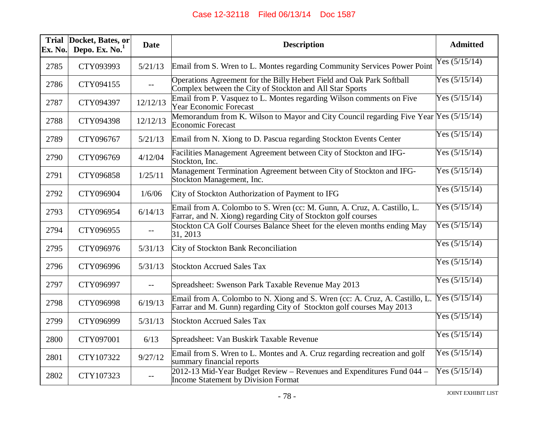| Ex. No. | Trial Docket, Bates, or<br>Depo. Ex. $No.1$ | <b>Date</b> | <b>Description</b>                                                                                                                                  | <b>Admitted</b> |
|---------|---------------------------------------------|-------------|-----------------------------------------------------------------------------------------------------------------------------------------------------|-----------------|
| 2785    | CTY093993                                   | 5/21/13     | Email from S. Wren to L. Montes regarding Community Services Power Point                                                                            | Yes $(5/15/14)$ |
| 2786    | CTY094155                                   | $-$         | Operations Agreement for the Billy Hebert Field and Oak Park Softball<br>Complex between the City of Stockton and All Star Sports                   | Yes $(5/15/14)$ |
| 2787    | CTY094397                                   | 12/12/13    | Email from P. Vasquez to L. Montes regarding Wilson comments on Five<br><b>Year Economic Forecast</b>                                               | Yes $(5/15/14)$ |
| 2788    | CTY094398                                   | 12/12/13    | Memorandum from K. Wilson to Mayor and City Council regarding Five Year Yes (5/15/14)<br><b>Economic Forecast</b>                                   |                 |
| 2789    | CTY096767                                   | 5/21/13     | Email from N. Xiong to D. Pascua regarding Stockton Events Center                                                                                   | Yes $(5/15/14)$ |
| 2790    | CTY096769                                   | 4/12/04     | Facilities Management Agreement between City of Stockton and IFG-<br>Stockton, Inc.                                                                 | Yes $(5/15/14)$ |
| 2791    | CTY096858                                   | 1/25/11     | Management Termination Agreement between City of Stockton and IFG-<br>Stockton Management, Inc.                                                     | Yes $(5/15/14)$ |
| 2792    | CTY096904                                   | 1/6/06      | City of Stockton Authorization of Payment to IFG                                                                                                    | Yes $(5/15/14)$ |
| 2793    | CTY096954                                   | 6/14/13     | Email from A. Colombo to S. Wren (cc: M. Gunn, A. Cruz, A. Castillo, L.<br>Farrar, and N. Xiong) regarding City of Stockton golf courses            | Yes $(5/15/14)$ |
| 2794    | CTY096955                                   | $- -$       | Stockton CA Golf Courses Balance Sheet for the eleven months ending May<br>31, 2013                                                                 | Yes $(5/15/14)$ |
| 2795    | CTY096976                                   | 5/31/13     | City of Stockton Bank Reconciliation                                                                                                                | Yes $(5/15/14)$ |
| 2796    | CTY096996                                   | 5/31/13     | <b>Stockton Accrued Sales Tax</b>                                                                                                                   | Yes $(5/15/14)$ |
| 2797    | CTY096997                                   | $- -$       | Spreadsheet: Swenson Park Taxable Revenue May 2013                                                                                                  | Yes $(5/15/14)$ |
| 2798    | CTY096998                                   | 6/19/13     | Email from A. Colombo to N. Xiong and S. Wren (cc: A. Cruz, A. Castillo, L.<br>Farrar and M. Gunn) regarding City of Stockton golf courses May 2013 | Yes $(5/15/14)$ |
| 2799    | CTY096999                                   | 5/31/13     | <b>Stockton Accrued Sales Tax</b>                                                                                                                   | Yes $(5/15/14)$ |
| 2800    | CTY097001                                   | 6/13        | Spreadsheet: Van Buskirk Taxable Revenue                                                                                                            | Yes $(5/15/14)$ |
| 2801    | CTY107322                                   | 9/27/12     | Email from S. Wren to L. Montes and A. Cruz regarding recreation and golf<br>summary financial reports                                              | Yes $(5/15/14)$ |
| 2802    | CTY107323                                   | $- -$       | 2012-13 Mid-Year Budget Review – Revenues and Expenditures Fund 044 –<br>Income Statement by Division Format                                        | Yes $(5/15/14)$ |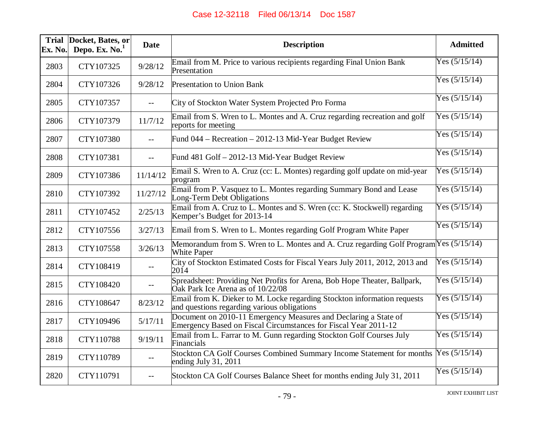| Ex. No. | Trial Docket, Bates, or<br>Depo. Ex. $No.1$ | <b>Date</b> | <b>Description</b>                                                                                                                 | <b>Admitted</b> |
|---------|---------------------------------------------|-------------|------------------------------------------------------------------------------------------------------------------------------------|-----------------|
| 2803    | CTY107325                                   | 9/28/12     | Email from M. Price to various recipients regarding Final Union Bank<br>Presentation                                               | Yes $(5/15/14)$ |
| 2804    | CTY107326                                   | 9/28/12     | <b>Presentation to Union Bank</b>                                                                                                  | Yes $(5/15/14)$ |
| 2805    | CTY107357                                   | $-$         | City of Stockton Water System Projected Pro Forma                                                                                  | Yes $(5/15/14)$ |
| 2806    | CTY107379                                   | 11/7/12     | Email from S. Wren to L. Montes and A. Cruz regarding recreation and golf<br>reports for meeting                                   | Yes $(5/15/14)$ |
| 2807    | CTY107380                                   | $- -$       | Fund 044 – Recreation – 2012-13 Mid-Year Budget Review                                                                             | Yes $(5/15/14)$ |
| 2808    | CTY107381                                   | $- -$       | Fund 481 Golf - 2012-13 Mid-Year Budget Review                                                                                     | Yes $(5/15/14)$ |
| 2809    | CTY107386                                   | 11/14/12    | Email S. Wren to A. Cruz (cc: L. Montes) regarding golf update on mid-year<br>program                                              | Yes $(5/15/14)$ |
| 2810    | CTY107392                                   | 11/27/12    | Email from P. Vasquez to L. Montes regarding Summary Bond and Lease<br>Long-Term Debt Obligations                                  | Yes $(5/15/14)$ |
| 2811    | CTY107452                                   | 2/25/13     | Email from A. Cruz to L. Montes and S. Wren (cc: K. Stockwell) regarding<br>Kemper's Budget for 2013-14                            | Yes $(5/15/14)$ |
| 2812    | CTY107556                                   | 3/27/13     | Email from S. Wren to L. Montes regarding Golf Program White Paper                                                                 | Yes $(5/15/14)$ |
| 2813    | CTY107558                                   | 3/26/13     | Memorandum from S. Wren to L. Montes and A. Cruz regarding Golf Program Yes (5/15/14)<br><b>White Paper</b>                        |                 |
| 2814    | CTY108419                                   | $-$         | City of Stockton Estimated Costs for Fiscal Years July 2011, 2012, 2013 and<br>2014                                                | Yes $(5/15/14)$ |
| 2815    | CTY108420                                   | $- -$       | Spreadsheet: Providing Net Profits for Arena, Bob Hope Theater, Ballpark,<br>Oak Park Ice Arena as of 10/22/08                     | Yes $(5/15/14)$ |
| 2816    | CTY108647                                   | 8/23/12     | Email from K. Dieker to M. Locke regarding Stockton information requests<br>and questions regarding various obligations            | Yes $(5/15/14)$ |
| 2817    | CTY109496                                   | 5/17/11     | Document on 2010-11 Emergency Measures and Declaring a State of<br>Emergency Based on Fiscal Circumstances for Fiscal Year 2011-12 | Yes $(5/15/14)$ |
| 2818    | CTY110788                                   | 9/19/11     | Email from L. Farrar to M. Gunn regarding Stockton Golf Courses July<br>Financials                                                 | Yes $(5/15/14)$ |
| 2819    | CTY110789                                   | $- -$       | Stockton CA Golf Courses Combined Summary Income Statement for months<br>ending July 31, $2011$                                    | Yes $(5/15/14)$ |
| 2820    | CTY110791                                   | $-$         | Stockton CA Golf Courses Balance Sheet for months ending July 31, 2011                                                             | Yes $(5/15/14)$ |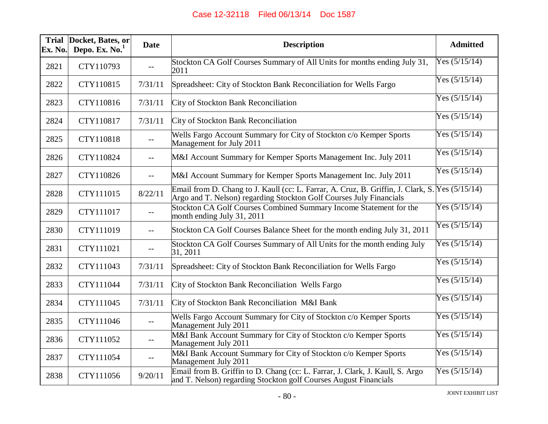| Ex. No. | Trial Docket, Bates, or<br>Depo. Ex. $No.1$ | <b>Date</b> | <b>Description</b>                                                                                                                                                     | <b>Admitted</b> |
|---------|---------------------------------------------|-------------|------------------------------------------------------------------------------------------------------------------------------------------------------------------------|-----------------|
| 2821    | CTY110793                                   | $--$        | Stockton CA Golf Courses Summary of All Units for months ending July 31,<br>2011                                                                                       | Yes $(5/15/14)$ |
| 2822    | CTY110815                                   | 7/31/11     | Spreadsheet: City of Stockton Bank Reconciliation for Wells Fargo                                                                                                      | Yes $(5/15/14)$ |
| 2823    | CTY110816                                   | 7/31/11     | City of Stockton Bank Reconciliation                                                                                                                                   | Yes $(5/15/14)$ |
| 2824    | CTY110817                                   | 7/31/11     | City of Stockton Bank Reconciliation                                                                                                                                   | Yes $(5/15/14)$ |
| 2825    | CTY110818                                   | $- -$       | Wells Fargo Account Summary for City of Stockton c/o Kemper Sports<br>Management for July 2011                                                                         | Yes $(5/15/14)$ |
| 2826    | CTY110824                                   | $-$         | M&I Account Summary for Kemper Sports Management Inc. July 2011                                                                                                        | Yes $(5/15/14)$ |
| 2827    | CTY110826                                   | $- -$       | M&I Account Summary for Kemper Sports Management Inc. July 2011                                                                                                        | Yes $(5/15/14)$ |
| 2828    | CTY111015                                   | 8/22/11     | Email from D. Chang to J. Kaull (cc: L. Farrar, A. Cruz, B. Griffin, J. Clark, S. Yes (5/15/14)<br>Argo and T. Nelson) regarding Stockton Golf Courses July Financials |                 |
| 2829    | CTY111017                                   | $- -$       | Stockton CA Golf Courses Combined Summary Income Statement for the<br>month ending July 31, 2011                                                                       | Yes $(5/15/14)$ |
| 2830    | CTY111019                                   | $-$         | Stockton CA Golf Courses Balance Sheet for the month ending July 31, 2011                                                                                              | Yes $(5/15/14)$ |
| 2831    | CTY111021                                   | --          | Stockton CA Golf Courses Summary of All Units for the month ending July<br>31, 2011                                                                                    | Yes $(5/15/14)$ |
| 2832    | CTY111043                                   | 7/31/11     | Spreadsheet: City of Stockton Bank Reconciliation for Wells Fargo                                                                                                      | Yes $(5/15/14)$ |
| 2833    | CTY111044                                   | 7/31/11     | City of Stockton Bank Reconciliation Wells Fargo                                                                                                                       | Yes $(5/15/14)$ |
| 2834    | CTY111045                                   | 7/31/11     | City of Stockton Bank Reconciliation M&I Bank                                                                                                                          | Yes $(5/15/14)$ |
| 2835    | CTY111046                                   | $--$        | Wells Fargo Account Summary for City of Stockton c/o Kemper Sports<br>Management July 2011                                                                             | Yes $(5/15/14)$ |
| 2836    | CTY111052                                   | $--$        | M&I Bank Account Summary for City of Stockton c/o Kemper Sports<br>Management July 2011                                                                                | Yes $(5/15/14)$ |
| 2837    | CTY111054                                   | $- -$       | M&I Bank Account Summary for City of Stockton c/o Kemper Sports<br>Management July 2011                                                                                | Yes $(5/15/14)$ |
| 2838    | CTY111056                                   | 9/20/11     | Email from B. Griffin to D. Chang (cc: L. Farrar, J. Clark, J. Kaull, S. Argo<br>and T. Nelson) regarding Stockton golf Courses August Financials                      | Yes $(5/15/14)$ |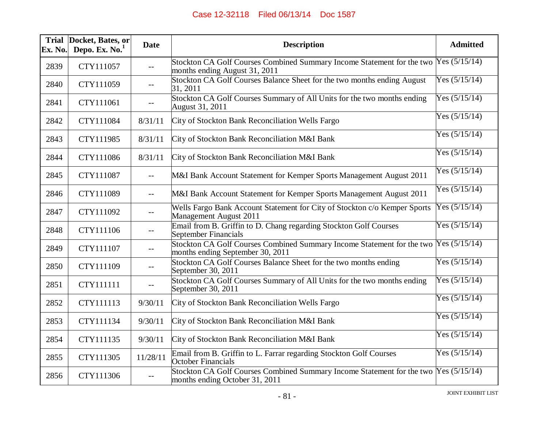| Ex. No. | Trial Docket, Bates, or<br>Depo. Ex. $No.1$ | <b>Date</b> | <b>Description</b>                                                                                                       | <b>Admitted</b> |
|---------|---------------------------------------------|-------------|--------------------------------------------------------------------------------------------------------------------------|-----------------|
| 2839    | CTY111057                                   | $- -$       | Stockton CA Golf Courses Combined Summary Income Statement for the two Yes (5/15/14)<br>months ending August 31, 2011    |                 |
| 2840    | CTY111059                                   | $-$         | Stockton CA Golf Courses Balance Sheet for the two months ending August<br>31, 2011                                      | Yes $(5/15/14)$ |
| 2841    | CTY111061                                   | $-$         | Stockton CA Golf Courses Summary of All Units for the two months ending<br>August 31, 2011                               | Yes $(5/15/14)$ |
| 2842    | CTY111084                                   | 8/31/11     | City of Stockton Bank Reconciliation Wells Fargo                                                                         | Yes $(5/15/14)$ |
| 2843    | CTY111985                                   | 8/31/11     | City of Stockton Bank Reconciliation M&I Bank                                                                            | Yes $(5/15/14)$ |
| 2844    | CTY111086                                   | 8/31/11     | City of Stockton Bank Reconciliation M&I Bank                                                                            | Yes $(5/15/14)$ |
| 2845    | CTY111087                                   | $-$         | M&I Bank Account Statement for Kemper Sports Management August 2011                                                      | Yes $(5/15/14)$ |
| 2846    | CTY111089                                   | $- -$       | M&I Bank Account Statement for Kemper Sports Management August 2011                                                      | Yes $(5/15/14)$ |
| 2847    | CTY111092                                   | $- -$       | Wells Fargo Bank Account Statement for City of Stockton c/o Kemper Sports<br>Management August 2011                      | Yes $(5/15/14)$ |
| 2848    | CTY111106                                   | $-$         | Email from B. Griffin to D. Chang regarding Stockton Golf Courses<br>September Financials                                | Yes $(5/15/14)$ |
| 2849    | CTY111107                                   | $-$         | Stockton CA Golf Courses Combined Summary Income Statement for the two Yes (5/15/14)<br>months ending September 30, 2011 |                 |
| 2850    | CTY111109                                   | $-$         | Stockton CA Golf Courses Balance Sheet for the two months ending<br>September 30, 2011                                   | Yes $(5/15/14)$ |
| 2851    | CTY111111                                   | $-\,-$      | Stockton CA Golf Courses Summary of All Units for the two months ending<br>September 30, 2011                            | Yes $(5/15/14)$ |
| 2852    | CTY111113                                   | 9/30/11     | City of Stockton Bank Reconciliation Wells Fargo                                                                         | Yes $(5/15/14)$ |
| 2853    | CTY111134                                   | 9/30/11     | City of Stockton Bank Reconciliation M&I Bank                                                                            | Yes $(5/15/14)$ |
| 2854    | CTY111135                                   | 9/30/11     | City of Stockton Bank Reconciliation M&I Bank                                                                            | Yes $(5/15/14)$ |
| 2855    | CTY111305                                   | 11/28/11    | Email from B. Griffin to L. Farrar regarding Stockton Golf Courses<br><b>October Financials</b>                          | Yes $(5/15/14)$ |
| 2856    | CTY111306                                   | $- -$       | Stockton CA Golf Courses Combined Summary Income Statement for the two Yes (5/15/14)<br>months ending October 31, 2011   |                 |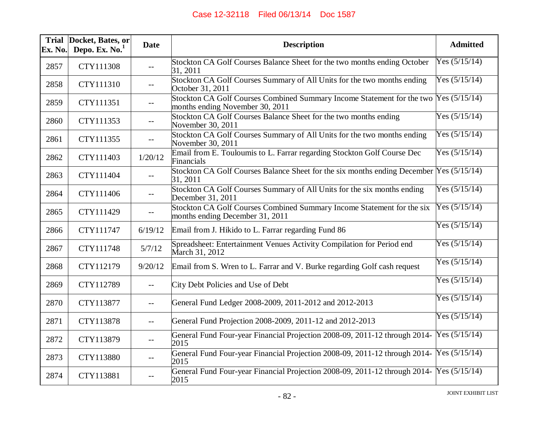| Ex. No. | Trial Docket, Bates, or<br>Depo. Ex. $No.1$ | <b>Date</b> | <b>Description</b>                                                                                                      | <b>Admitted</b> |
|---------|---------------------------------------------|-------------|-------------------------------------------------------------------------------------------------------------------------|-----------------|
| 2857    | CTY111308                                   | $- -$       | Stockton CA Golf Courses Balance Sheet for the two months ending October<br>31, 2011                                    | Yes $(5/15/14)$ |
| 2858    | CTY111310                                   | $- -$       | Stockton CA Golf Courses Summary of All Units for the two months ending<br>October 31, 2011                             | Yes $(5/15/14)$ |
| 2859    | CTY111351                                   | $- -$       | Stockton CA Golf Courses Combined Summary Income Statement for the two Yes (5/15/14)<br>months ending November 30, 2011 |                 |
| 2860    | CTY111353                                   | $-$         | Stockton CA Golf Courses Balance Sheet for the two months ending<br>November 30, 2011                                   | Yes $(5/15/14)$ |
| 2861    | CTY111355                                   | $- -$       | Stockton CA Golf Courses Summary of All Units for the two months ending<br>November 30, 2011                            | Yes $(5/15/14)$ |
| 2862    | CTY111403                                   | 1/20/12     | Email from E. Touloumis to L. Farrar regarding Stockton Golf Course Dec<br>Financials                                   | Yes $(5/15/14)$ |
| 2863    | CTY111404                                   | $--$        | Stockton CA Golf Courses Balance Sheet for the six months ending December Yes (5/15/14)<br>31, 2011                     |                 |
| 2864    | CTY111406                                   | $- -$       | Stockton CA Golf Courses Summary of All Units for the six months ending<br>December 31, 2011                            | Yes $(5/15/14)$ |
| 2865    | CTY111429                                   |             | Stockton CA Golf Courses Combined Summary Income Statement for the six<br>months ending December 31, 2011               | Yes $(5/15/14)$ |
| 2866    | CTY111747                                   | 6/19/12     | Email from J. Hikido to L. Farrar regarding Fund 86                                                                     | Yes $(5/15/14)$ |
| 2867    | CTY111748                                   | 5/7/12      | Spreadsheet: Entertainment Venues Activity Compilation for Period end<br>March 31, 2012                                 | Yes $(5/15/14)$ |
| 2868    | CTY112179                                   | 9/20/12     | Email from S. Wren to L. Farrar and V. Burke regarding Golf cash request                                                | Yes $(5/15/14)$ |
| 2869    | CTY112789                                   | $-$         | City Debt Policies and Use of Debt                                                                                      | Yes $(5/15/14)$ |
| 2870    | CTY113877                                   | $-$         | General Fund Ledger 2008-2009, 2011-2012 and 2012-2013                                                                  | Yes $(5/15/14)$ |
| 2871    | CTY113878                                   | $-$         | General Fund Projection 2008-2009, 2011-12 and 2012-2013                                                                | Yes $(5/15/14)$ |
| 2872    | CTY113879                                   | $- -$       | General Fund Four-year Financial Projection 2008-09, 2011-12 through 2014-<br>2015                                      | Yes $(5/15/14)$ |
| 2873    | CTY113880                                   | $- -$       | General Fund Four-year Financial Projection 2008-09, 2011-12 through 2014-<br>2015                                      | Yes $(5/15/14)$ |
| 2874    | CTY113881                                   | $-$         | General Fund Four-year Financial Projection 2008-09, 2011-12 through 2014-<br>2015                                      | Yes $(5/15/14)$ |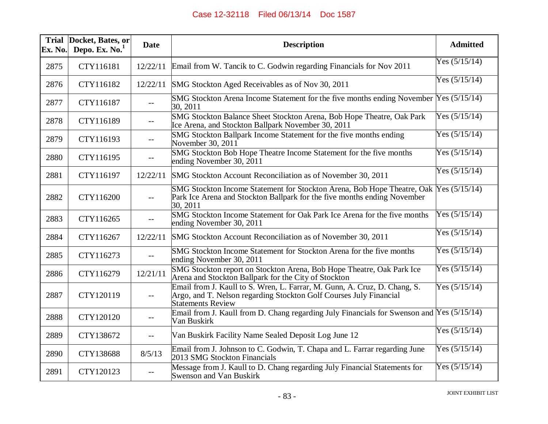| <b>Trial</b><br>Ex. No. | Docket, Bates, or<br>Depo. Ex. $No.1$ | <b>Date</b>              | <b>Description</b>                                                                                                                                                            | <b>Admitted</b> |
|-------------------------|---------------------------------------|--------------------------|-------------------------------------------------------------------------------------------------------------------------------------------------------------------------------|-----------------|
| 2875                    | CTY116181                             | 12/22/11                 | Email from W. Tancik to C. Godwin regarding Financials for Nov 2011                                                                                                           | Yes $(5/15/14)$ |
| 2876                    | CTY116182                             | 12/22/11                 | SMG Stockton Aged Receivables as of Nov 30, 2011                                                                                                                              | Yes $(5/15/14)$ |
| 2877                    | CTY116187                             | $- -$                    | SMG Stockton Arena Income Statement for the five months ending November Yes (5/15/14)<br>30, 2011                                                                             |                 |
| 2878                    | CTY116189                             | $- -$                    | SMG Stockton Balance Sheet Stockton Arena, Bob Hope Theatre, Oak Park<br>Ice Arena, and Stockton Ballpark November 30, 2011                                                   | Yes $(5/15/14)$ |
| 2879                    | CTY116193                             | $-$                      | SMG Stockton Ballpark Income Statement for the five months ending<br>November 30, 2011                                                                                        | Yes $(5/15/14)$ |
| 2880                    | CTY116195                             | $-$                      | SMG Stockton Bob Hope Theatre Income Statement for the five months<br>ending November 30, 2011                                                                                | Yes $(5/15/14)$ |
| 2881                    | CTY116197                             | 12/22/11                 | SMG Stockton Account Reconciliation as of November 30, 2011                                                                                                                   | Yes $(5/15/14)$ |
| 2882                    | CTY116200                             | $- -$                    | SMG Stockton Income Statement for Stockton Arena, Bob Hope Theatre, Oak Yes (5/15/14)<br>Park Ice Arena and Stockton Ballpark for the five months ending November<br>30, 2011 |                 |
| 2883                    | CTY116265                             | $- -$                    | SMG Stockton Income Statement for Oak Park Ice Arena for the five months<br>ending November 30, 2011                                                                          | Yes $(5/15/14)$ |
| 2884                    | CTY116267                             | 12/22/11                 | SMG Stockton Account Reconciliation as of November 30, 2011                                                                                                                   | Yes $(5/15/14)$ |
| 2885                    | CTY116273                             | $--$                     | SMG Stockton Income Statement for Stockton Arena for the five months<br>ending November 30, 2011                                                                              | Yes $(5/15/14)$ |
| 2886                    | CTY116279                             | 12/21/11                 | SMG Stockton report on Stockton Arena, Bob Hope Theatre, Oak Park Ice<br>Arena and Stockton Ballpark for the City of Stockton                                                 | Yes $(5/15/14)$ |
| 2887                    | CTY120119                             | $-$                      | Email from J. Kaull to S. Wren, L. Farrar, M. Gunn, A. Cruz, D. Chang, S.<br>Argo, and T. Nelson regarding Stockton Golf Courses July Financial<br><b>Statements Review</b>   | Yes $(5/15/14)$ |
| 2888                    | CTY120120                             | $--$                     | Email from J. Kaull from D. Chang regarding July Financials for Swenson and $Y$ es $(5/15/14)$<br>Van Buskirk                                                                 |                 |
| 2889                    | CTY138672                             | $--$                     | Van Buskirk Facility Name Sealed Deposit Log June 12                                                                                                                          | Yes $(5/15/14)$ |
| 2890                    | CTY138688                             | 8/5/13                   | Email from J. Johnson to C. Godwin, T. Chapa and L. Farrar regarding June<br>2013 SMG Stockton Financials                                                                     | Yes $(5/15/14)$ |
| 2891                    | CTY120123                             | $\overline{\phantom{a}}$ | Message from J. Kaull to D. Chang regarding July Financial Statements for<br><b>Swenson and Van Buskirk</b>                                                                   | Yes $(5/15/14)$ |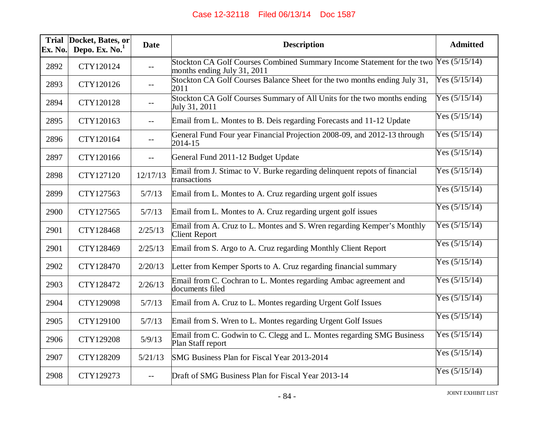| Ex. No. | Trial Docket, Bates, or<br>Depo. Ex. No. <sup>1</sup> | <b>Date</b> | <b>Description</b>                                                                                                  | <b>Admitted</b> |
|---------|-------------------------------------------------------|-------------|---------------------------------------------------------------------------------------------------------------------|-----------------|
| 2892    | CTY120124                                             | $- -$       | Stockton CA Golf Courses Combined Summary Income Statement for the two Yes (5/15/14)<br>months ending July 31, 2011 |                 |
| 2893    | CTY120126                                             | $- -$       | Stockton CA Golf Courses Balance Sheet for the two months ending July 31,<br>2011                                   | Yes $(5/15/14)$ |
| 2894    | CTY120128                                             | $- -$       | Stockton CA Golf Courses Summary of All Units for the two months ending<br>July 31, 2011                            | Yes $(5/15/14)$ |
| 2895    | CTY120163                                             | $-$         | Email from L. Montes to B. Deis regarding Forecasts and 11-12 Update                                                | Yes $(5/15/14)$ |
| 2896    | CTY120164                                             | $- -$       | General Fund Four year Financial Projection 2008-09, and 2012-13 through<br>2014-15                                 | Yes $(5/15/14)$ |
| 2897    | CTY120166                                             | $- -$       | General Fund 2011-12 Budget Update                                                                                  | Yes $(5/15/14)$ |
| 2898    | CTY127120                                             | 12/17/13    | Email from J. Stimac to V. Burke regarding delinquent repots of financial<br>transactions                           | Yes $(5/15/14)$ |
| 2899    | CTY127563                                             | 5/7/13      | Email from L. Montes to A. Cruz regarding urgent golf issues                                                        | Yes $(5/15/14)$ |
| 2900    | CTY127565                                             | 5/7/13      | Email from L. Montes to A. Cruz regarding urgent golf issues                                                        | Yes $(5/15/14)$ |
| 2901    | CTY128468                                             | 2/25/13     | Email from A. Cruz to L. Montes and S. Wren regarding Kemper's Monthly<br><b>Client Report</b>                      | Yes $(5/15/14)$ |
| 2901    | CTY128469                                             | 2/25/13     | Email from S. Argo to A. Cruz regarding Monthly Client Report                                                       | Yes $(5/15/14)$ |
| 2902    | CTY128470                                             | 2/20/13     | Letter from Kemper Sports to A. Cruz regarding financial summary                                                    | Yes $(5/15/14)$ |
| 2903    | CTY128472                                             | 2/26/13     | Email from C. Cochran to L. Montes regarding Ambac agreement and<br>documents filed                                 | Yes $(5/15/14)$ |
| 2904    | CTY129098                                             | 5/7/13      | Email from A. Cruz to L. Montes regarding Urgent Golf Issues                                                        | Yes $(5/15/14)$ |
| 2905    | CTY129100                                             | 5/7/13      | Email from S. Wren to L. Montes regarding Urgent Golf Issues                                                        | Yes $(5/15/14)$ |
| 2906    | CTY129208                                             | 5/9/13      | Email from C. Godwin to C. Clegg and L. Montes regarding SMG Business<br>Plan Staff report                          | Yes $(5/15/14)$ |
| 2907    | CTY128209                                             | 5/21/13     | SMG Business Plan for Fiscal Year 2013-2014                                                                         | Yes $(5/15/14)$ |
| 2908    | CTY129273                                             |             | Draft of SMG Business Plan for Fiscal Year 2013-14                                                                  | Yes $(5/15/14)$ |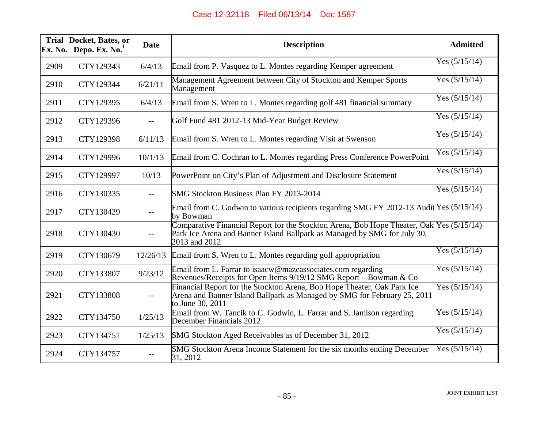| Ex. No. | Trial Docket, Bates, or<br>Depo. Ex. No. <sup>1</sup> | <b>Date</b> | <b>Description</b>                                                                                                                                                                    | <b>Admitted</b> |
|---------|-------------------------------------------------------|-------------|---------------------------------------------------------------------------------------------------------------------------------------------------------------------------------------|-----------------|
| 2909    | CTY129343                                             | 6/4/13      | Email from P. Vasquez to L. Montes regarding Kemper agreement                                                                                                                         | Yes $(5/15/14)$ |
| 2910    | CTY129344                                             | 6/21/11     | Management Agreement between City of Stockton and Kemper Sports<br>Management                                                                                                         | Yes $(5/15/14)$ |
| 2911    | CTY129395                                             | 6/4/13      | Email from S. Wren to L. Montes regarding golf 481 financial summary                                                                                                                  | Yes $(5/15/14)$ |
| 2912    | CTY129396                                             | $- -$       | Golf Fund 481 2012-13 Mid-Year Budget Review                                                                                                                                          | Yes $(5/15/14)$ |
| 2913    | CTY129398                                             | 6/11/13     | Email from S. Wren to L. Montes regarding Visit at Swenson                                                                                                                            | Yes $(5/15/14)$ |
| 2914    | CTY129996                                             | 10/1/13     | Email from C. Cochran to L. Montes regarding Press Conference PowerPoint                                                                                                              | Yes $(5/15/14)$ |
| 2915    | CTY129997                                             | 10/13       | PowerPoint on City's Plan of Adjustment and Disclosure Statement                                                                                                                      | Yes $(5/15/14)$ |
| 2916    | CTY130335                                             | $\qquad -$  | SMG Stockton Business Plan FY 2013-2014                                                                                                                                               | Yes $(5/15/14)$ |
| 2917    | CTY130429                                             | $-$         | Email from C. Godwin to various recipients regarding SMG FY 2012-13 Audit Yes $(5/15/14)$<br>by Bowman                                                                                |                 |
| 2918    | CTY130430                                             | $-$         | Comparative Financial Report for the Stockton Arena, Bob Hope Theater, Oak Yes (5/15/14)<br>Park Ice Arena and Banner Island Ballpark as Managed by SMG for July 30,<br>2013 and 2012 |                 |
| 2919    | CTY130679                                             | 12/26/13    | Email from S. Wren to L. Montes regarding golf appropriation                                                                                                                          | Yes $(5/15/14)$ |
| 2920    | CTY133807                                             | 9/23/12     | Email from L. Farrar to isaacw@mazeassociates.com regarding<br>Revenues/Receipts for Open Items 9/19/12 SMG Report – Bowman & Co                                                      | Yes $(5/15/14)$ |
| 2921    | CTY133808                                             | $-$         | Financial Report for the Stockton Arena, Bob Hope Theater, Oak Park Ice<br>Arena and Banner Island Ballpark as Managed by SMG for February 25, 2011<br>to June 30, 2011               | Yes $(5/15/14)$ |
| 2922    | CTY134750                                             | 1/25/13     | Email from W. Tancik to C. Godwin, L. Farrar and S. Jamison regarding<br>December Financials 2012                                                                                     | Yes $(5/15/14)$ |
| 2923    | CTY134751                                             | 1/25/13     | SMG Stockton Aged Receivables as of December 31, 2012                                                                                                                                 | Yes $(5/15/14)$ |
| 2924    | CTY134757                                             | $- -$       | SMG Stockton Arena Income Statement for the six months ending December<br>31, 2012                                                                                                    | Yes $(5/15/14)$ |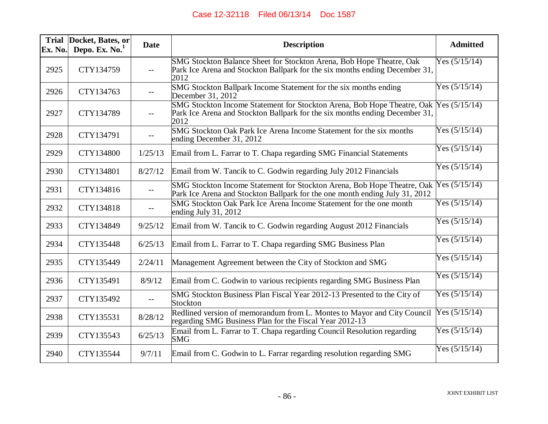| Ex. No. | Trial Docket, Bates, or<br>Depo. Ex. $No.1$ | <b>Date</b> | <b>Description</b>                                                                                                                                             | <b>Admitted</b> |
|---------|---------------------------------------------|-------------|----------------------------------------------------------------------------------------------------------------------------------------------------------------|-----------------|
| 2925    | CTY134759                                   | $- -$       | SMG Stockton Balance Sheet for Stockton Arena, Bob Hope Theatre, Oak<br>Park Ice Arena and Stockton Ballpark for the six months ending December 31,<br>2012    | Yes $(5/15/14)$ |
| 2926    | CTY134763                                   | $-$         | SMG Stockton Ballpark Income Statement for the six months ending<br>December 31, 2012                                                                          | Yes $(5/15/14)$ |
| 2927    | CTY134789                                   | $-$         | SMG Stockton Income Statement for Stockton Arena, Bob Hope Theatre, Oak<br>Park Ice Arena and Stockton Ballpark for the six months ending December 31,<br>2012 | Yes $(5/15/14)$ |
| 2928    | CTY134791                                   | $- -$       | SMG Stockton Oak Park Ice Arena Income Statement for the six months<br>ending December 31, 2012                                                                | Yes $(5/15/14)$ |
| 2929    | CTY134800                                   | 1/25/13     | Email from L. Farrar to T. Chapa regarding SMG Financial Statements                                                                                            | Yes $(5/15/14)$ |
| 2930    | CTY134801                                   | 8/27/12     | Email from W. Tancik to C. Godwin regarding July 2012 Financials                                                                                               | Yes $(5/15/14)$ |
| 2931    | CTY134816                                   | $--$        | SMG Stockton Income Statement for Stockton Arena, Bob Hope Theatre, Oak<br>Park Ice Arena and Stockton Ballpark for the one month ending July 31, 2012         | Yes $(5/15/14)$ |
| 2932    | CTY134818                                   | $- -$       | SMG Stockton Oak Park Ice Arena Income Statement for the one month<br>ending July 31, 2012                                                                     | Yes $(5/15/14)$ |
| 2933    | CTY134849                                   | 9/25/12     | Email from W. Tancik to C. Godwin regarding August 2012 Financials                                                                                             | Yes $(5/15/14)$ |
| 2934    | CTY135448                                   | 6/25/13     | Email from L. Farrar to T. Chapa regarding SMG Business Plan                                                                                                   | Yes $(5/15/14)$ |
| 2935    | CTY135449                                   | 2/24/11     | Management Agreement between the City of Stockton and SMG                                                                                                      | Yes $(5/15/14)$ |
| 2936    | CTY135491                                   | 8/9/12      | Email from C. Godwin to various recipients regarding SMG Business Plan                                                                                         | Yes $(5/15/14)$ |
| 2937    | CTY135492                                   | $- -$       | SMG Stockton Business Plan Fiscal Year 2012-13 Presented to the City of<br>Stockton                                                                            | Yes $(5/15/14)$ |
| 2938    | CTY135531                                   | 8/28/12     | Redlined version of memorandum from L. Montes to Mayor and City Council<br>regarding SMG Business Plan for the Fiscal Year 2012-13                             | Yes $(5/15/14)$ |
| 2939    | CTY135543                                   | 6/25/13     | Email from L. Farrar to T. Chapa regarding Council Resolution regarding<br><b>SMG</b>                                                                          | Yes $(5/15/14)$ |
| 2940    | CTY135544                                   | 9/7/11      | Email from C. Godwin to L. Farrar regarding resolution regarding SMG                                                                                           | Yes $(5/15/14)$ |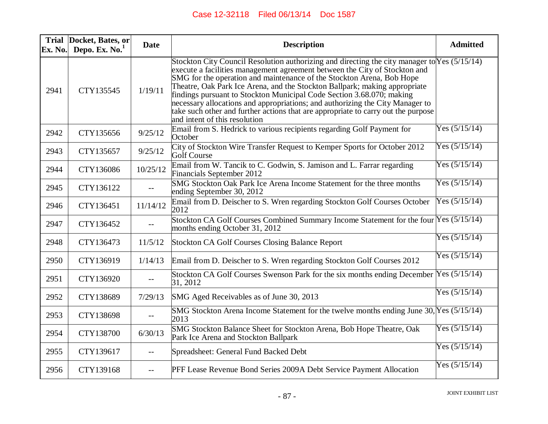| Ex. No. | Trial Docket, Bates, or<br>Depo. Ex. $No.1$ | <b>Date</b>                                   | <b>Description</b>                                                                                                                                                                                                                                                                                                                                                                                                                                                                                                                                                                                                | <b>Admitted</b> |
|---------|---------------------------------------------|-----------------------------------------------|-------------------------------------------------------------------------------------------------------------------------------------------------------------------------------------------------------------------------------------------------------------------------------------------------------------------------------------------------------------------------------------------------------------------------------------------------------------------------------------------------------------------------------------------------------------------------------------------------------------------|-----------------|
| 2941    | CTY135545                                   | 1/19/11                                       | Stockton City Council Resolution authorizing and directing the city manager to Yes (5/15/14)<br>execute a facilities management agreement between the City of Stockton and<br>SMG for the operation and maintenance of the Stockton Arena, Bob Hope<br>Theatre, Oak Park Ice Arena, and the Stockton Ballpark; making appropriate<br>findings pursuant to Stockton Municipal Code Section 3.68.070; making<br>necessary allocations and appropriations; and authorizing the City Manager to<br>take such other and further actions that are appropriate to carry out the purpose<br>and intent of this resolution |                 |
| 2942    | CTY135656                                   | 9/25/12                                       | Email from S. Hedrick to various recipients regarding Golf Payment for<br>October                                                                                                                                                                                                                                                                                                                                                                                                                                                                                                                                 | Yes $(5/15/14)$ |
| 2943    | CTY135657                                   | 9/25/12                                       | City of Stockton Wire Transfer Request to Kemper Sports for October 2012<br>Golf Course                                                                                                                                                                                                                                                                                                                                                                                                                                                                                                                           | Yes $(5/15/14)$ |
| 2944    | CTY136086                                   | 10/25/12                                      | Email from W. Tancik to C. Godwin, S. Jamison and L. Farrar regarding<br>Financials September 2012                                                                                                                                                                                                                                                                                                                                                                                                                                                                                                                | Yes $(5/15/14)$ |
| 2945    | CTY136122                                   | $\mathord{\hspace{1pt}\text{--}\hspace{1pt}}$ | SMG Stockton Oak Park Ice Arena Income Statement for the three months<br>ending September 30, 2012                                                                                                                                                                                                                                                                                                                                                                                                                                                                                                                | Yes $(5/15/14)$ |
| 2946    | CTY136451                                   | 11/14/12                                      | Email from D. Deischer to S. Wren regarding Stockton Golf Courses October<br>2012                                                                                                                                                                                                                                                                                                                                                                                                                                                                                                                                 | Yes $(5/15/14)$ |
| 2947    | CTY136452                                   | $\mathord{\hspace{1pt}\text{--}\hspace{1pt}}$ | Stockton CA Golf Courses Combined Summary Income Statement for the four Yes (5/15/14)<br>months ending October 31, 2012                                                                                                                                                                                                                                                                                                                                                                                                                                                                                           |                 |
| 2948    | CTY136473                                   | 11/5/12                                       | Stockton CA Golf Courses Closing Balance Report                                                                                                                                                                                                                                                                                                                                                                                                                                                                                                                                                                   | Yes $(5/15/14)$ |
| 2950    | CTY136919                                   | 1/14/13                                       | Email from D. Deischer to S. Wren regarding Stockton Golf Courses 2012                                                                                                                                                                                                                                                                                                                                                                                                                                                                                                                                            | Yes $(5/15/14)$ |
| 2951    | CTY136920                                   | $-$                                           | Stockton CA Golf Courses Swenson Park for the six months ending December Yes (5/15/14)<br>31, 2012                                                                                                                                                                                                                                                                                                                                                                                                                                                                                                                |                 |
| 2952    | CTY138689                                   | 7/29/13                                       | SMG Aged Receivables as of June 30, 2013                                                                                                                                                                                                                                                                                                                                                                                                                                                                                                                                                                          | Yes $(5/15/14)$ |
| 2953    | CTY138698                                   | $-$                                           | SMG Stockton Arena Income Statement for the twelve months ending June 30, Yes (5/15/14)<br>2013                                                                                                                                                                                                                                                                                                                                                                                                                                                                                                                   |                 |
| 2954    | CTY138700                                   | 6/30/13                                       | SMG Stockton Balance Sheet for Stockton Arena, Bob Hope Theatre, Oak<br>Park Ice Arena and Stockton Ballpark                                                                                                                                                                                                                                                                                                                                                                                                                                                                                                      | Yes $(5/15/14)$ |
| 2955    | CTY139617                                   | $- -$                                         | Spreadsheet: General Fund Backed Debt                                                                                                                                                                                                                                                                                                                                                                                                                                                                                                                                                                             | Yes $(5/15/14)$ |
| 2956    | CTY139168                                   | $-$                                           | PFF Lease Revenue Bond Series 2009A Debt Service Payment Allocation                                                                                                                                                                                                                                                                                                                                                                                                                                                                                                                                               | Yes $(5/15/14)$ |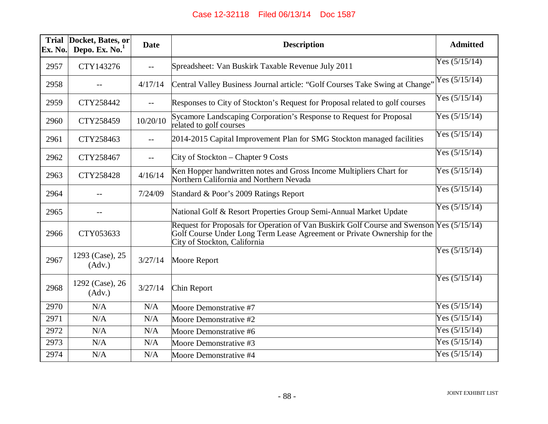| <b>Trial</b><br>Ex. No. | Docket, Bates, or<br>Depo. Ex. $No.1$ | <b>Date</b> | <b>Description</b>                                                                                                                                                                                   | <b>Admitted</b> |
|-------------------------|---------------------------------------|-------------|------------------------------------------------------------------------------------------------------------------------------------------------------------------------------------------------------|-----------------|
| 2957                    | CTY143276                             | $- -$       | Spreadsheet: Van Buskirk Taxable Revenue July 2011                                                                                                                                                   | Yes $(5/15/14)$ |
| 2958                    |                                       | 4/17/14     | Central Valley Business Journal article: "Golf Courses Take Swing at Change"                                                                                                                         | Yes $(5/15/14)$ |
| 2959                    | CTY258442                             | $- -$       | Responses to City of Stockton's Request for Proposal related to golf courses                                                                                                                         | Yes $(5/15/14)$ |
| 2960                    | CTY258459                             | 10/20/10    | Sycamore Landscaping Corporation's Response to Request for Proposal<br>related to golf courses                                                                                                       | Yes $(5/15/14)$ |
| 2961                    | CTY258463                             | $-$         | 2014-2015 Capital Improvement Plan for SMG Stockton managed facilities                                                                                                                               | Yes $(5/15/14)$ |
| 2962                    | CTY258467                             | $-$         | City of Stockton – Chapter 9 Costs                                                                                                                                                                   | Yes $(5/15/14)$ |
| 2963                    | CTY258428                             | 4/16/14     | Ken Hopper handwritten notes and Gross Income Multipliers Chart for<br>Northern California and Northern Nevada                                                                                       | Yes $(5/15/14)$ |
| 2964                    |                                       | 7/24/09     | Standard & Poor's 2009 Ratings Report                                                                                                                                                                | Yes $(5/15/14)$ |
| 2965                    |                                       |             | National Golf & Resort Properties Group Semi-Annual Market Update                                                                                                                                    | Yes $(5/15/14)$ |
| 2966                    | CTY053633                             |             | Request for Proposals for Operation of Van Buskirk Golf Course and Swenson Yes (5/15/14)<br>Golf Course Under Long Term Lease Agreement or Private Ownership for the<br>City of Stockton, California |                 |
| 2967                    | 1293 (Case), 25<br>(Adv.)             | 3/27/14     | Moore Report                                                                                                                                                                                         | Yes $(5/15/14)$ |
| 2968                    | 1292 (Case), 26<br>(Adv.)             | 3/27/14     | Chin Report                                                                                                                                                                                          | Yes $(5/15/14)$ |
| 2970                    | N/A                                   | N/A         | Moore Demonstrative #7                                                                                                                                                                               | Yes $(5/15/14)$ |
| 2971                    | N/A                                   | N/A         | Moore Demonstrative #2                                                                                                                                                                               | Yes $(5/15/14)$ |
| 2972                    | N/A                                   | N/A         | Moore Demonstrative #6                                                                                                                                                                               | Yes $(5/15/14)$ |
| 2973                    | N/A                                   | N/A         | Moore Demonstrative #3                                                                                                                                                                               | Yes $(5/15/14)$ |
| 2974                    | N/A                                   | N/A         | Moore Demonstrative #4                                                                                                                                                                               | Yes $(5/15/14)$ |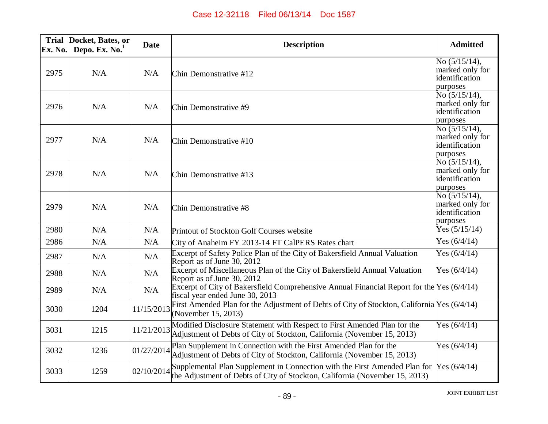| Ex. No. | Trial Docket, Bates, or<br>Depo. Ex. $No.1$ | <b>Date</b> | <b>Description</b>                                                                                                                                                     | <b>Admitted</b>                                                                     |
|---------|---------------------------------------------|-------------|------------------------------------------------------------------------------------------------------------------------------------------------------------------------|-------------------------------------------------------------------------------------|
| 2975    | N/A                                         | N/A         | Chin Demonstrative #12                                                                                                                                                 | No $(5/15/14)$ ,<br>marked only for<br>identification<br>purposes                   |
| 2976    | N/A                                         | N/A         | Chin Demonstrative #9                                                                                                                                                  | No $(5/15/14)$ ,<br>marked only for<br>identification<br>purposes                   |
| 2977    | N/A                                         | N/A         | Chin Demonstrative #10                                                                                                                                                 | No $(5/15/14)$ ,<br>marked only for<br>identification<br>purposes                   |
| 2978    | N/A                                         | N/A         | Chin Demonstrative #13                                                                                                                                                 | $\overline{No(5/15/14)}$ ,<br>marked only for<br>identification<br>purposes         |
| 2979    | N/A                                         | N/A         | Chin Demonstrative #8                                                                                                                                                  | $\overline{{\rm No}\ (5/15/14)}$ ,<br>marked only for<br>identification<br>purposes |
| 2980    | N/A                                         | N/A         | Printout of Stockton Golf Courses website                                                                                                                              | Yes $(5/15/14)$                                                                     |
| 2986    | N/A                                         | N/A         | City of Anaheim FY 2013-14 FT CalPERS Rates chart                                                                                                                      | Yes $(6/4/14)$                                                                      |
| 2987    | N/A                                         | N/A         | Excerpt of Safety Police Plan of the City of Bakersfield Annual Valuation<br>Report as of June 30, 2012                                                                | Yes $(6/4/14)$                                                                      |
| 2988    | N/A                                         | N/A         | Excerpt of Miscellaneous Plan of the City of Bakersfield Annual Valuation<br>Report as of June 30, 2012                                                                | Yes $(6/4/14)$                                                                      |
| 2989    | N/A                                         | N/A         | Excerpt of City of Bakersfield Comprehensive Annual Financial Report for the Yes (6/4/14)<br>fiscal year ended June 30, 2013                                           |                                                                                     |
| 3030    | 1204                                        | 11/15/2013  | First Amended Plan for the Adjustment of Debts of City of Stockton, California Yes (6/4/14)<br>(November 15, 2013)                                                     |                                                                                     |
| 3031    | 1215                                        | 11/21/2013  | Modified Disclosure Statement with Respect to First Amended Plan for the<br>Adjustment of Debts of City of Stockton, California (November 15, 2013)                    | Yes $(6/4/14)$                                                                      |
| 3032    | 1236                                        | 01/27/2014  | Plan Supplement in Connection with the First Amended Plan for the<br>Adjustment of Debts of City of Stockton, California (November 15, 2013)                           | Yes $(6/4/14)$                                                                      |
| 3033    | 1259                                        | 02/10/2014  | Supplemental Plan Supplement in Connection with the First Amended Plan for Yes (6/4/14)<br>the Adjustment of Debts of City of Stockton, California (November 15, 2013) |                                                                                     |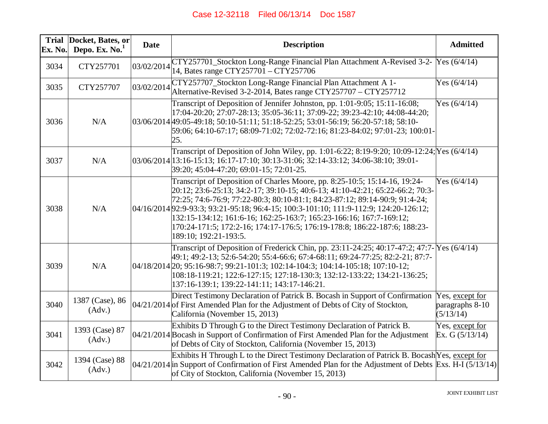| <b>Trial</b><br>Ex. No. | Docket, Bates, or<br>Depo. Ex. No. <sup>1</sup> | <b>Date</b> | <b>Description</b>                                                                                                                                                                                                                                                                                                                                                                                                                                                                                               | <b>Admitted</b>                                 |
|-------------------------|-------------------------------------------------|-------------|------------------------------------------------------------------------------------------------------------------------------------------------------------------------------------------------------------------------------------------------------------------------------------------------------------------------------------------------------------------------------------------------------------------------------------------------------------------------------------------------------------------|-------------------------------------------------|
| 3034                    | CTY257701                                       | 03/02/2014  | CTY257701_Stockton Long-Range Financial Plan Attachment A-Revised 3-2- Yes (6/4/14)<br>14, Bates range CTY257701 - CTY257706                                                                                                                                                                                                                                                                                                                                                                                     |                                                 |
| 3035                    | CTY257707                                       | 03/02/2014  | CTY257707_Stockton Long-Range Financial Plan Attachment A 1-<br>Alternative-Revised 3-2-2014, Bates range CTY257707 – CTY257712                                                                                                                                                                                                                                                                                                                                                                                  | Yes $(6/4/14)$                                  |
| 3036                    | N/A                                             |             | Transcript of Deposition of Jennifer Johnston, pp. 1:01-9:05; 15:11-16:08;<br>17:04-20:20; 27:07-28:13; 35:05-36:11; 37:09-22; 39:23-42:10; 44:08-44:20;<br>03/06/2014 49:05-49:18; 50:10-51:11; 51:18-52:25; 53:01-56:19; 56:20-57:18; 58:10-<br>59:06; 64:10-67:17; 68:09-71:02; 72:02-72:16; 81:23-84:02; 97:01-23; 100:01-<br>25.                                                                                                                                                                            | Yes $(6/4/14)$                                  |
| 3037                    | N/A                                             |             | Transcript of Deposition of John Wiley, pp. 1:01-6:22; 8:19-9:20; 10:09-12:24; Yes (6/4/14)<br>03/06/2014 13:16-15:13; 16:17-17:10; 30:13-31:06; 32:14-33:12; 34:06-38:10; 39:01-<br>39:20; 45:04-47:20; 69:01-15; 72:01-25.                                                                                                                                                                                                                                                                                     |                                                 |
| 3038                    | N/A                                             |             | Transcript of Deposition of Charles Moore, pp. 8:25-10:5; 15:14-16, 19:24-<br>20:12; 23:6-25:13; 34:2-17; 39:10-15; 40:6-13; 41:10-42:21; 65:22-66:2; 70:3-<br>72:25; 74:6-76:9; 77:22-80:3; 80:10-81:1; 84:23-87:12; 89:14-90:9; 91:4-24;<br>04/16/2014 92:9-93:3; 93:21-95:18; 96:4-15; 100:3-101:10; 111:9-112:9; 124:20-126:12;<br>132:15-134:12; 161:6-16; 162:25-163:7; 165:23-166:16; 167:7-169:12;<br>170:24-171:5; 172:2-16; 174:17-176:5; 176:19-178:8; 186:22-187:6; 188:23-<br>189:10; 192:21-193:5. | Yes $(6/4/14)$                                  |
| 3039                    | N/A                                             |             | Transcript of Deposition of Frederick Chin, pp. 23:11-24:25; 40:17-47:2; 47:7- Yes (6/4/14)<br>49:1; 49:2-13; 52:6-54:20; 55:4-66:6; 67:4-68:11; 69:24-77:25; 82:2-21; 87:7-<br>04/18/2014 20; 95:16-98:7; 99:21-101:3; 102:14-104:3; 104:14-105:18; 107:10-12;<br>108:18-119:21; 122:6-127:15; 127:18-130:3; 132:12-133:22; 134:21-136:25;<br>137:16-139:1; 139:22-141:11; 143:17-146:21.                                                                                                                       |                                                 |
| 3040                    | 1387 (Case), 86<br>(Adv.)                       |             | Direct Testimony Declaration of Patrick B. Bocash in Support of Confirmation<br>$04/21/2014$ of First Amended Plan for the Adjustment of Debts of City of Stockton,<br>California (November 15, 2013)                                                                                                                                                                                                                                                                                                            | Yes, except for<br>paragraphs 8-10<br>(5/13/14) |
| 3041                    | 1393 (Case) 87<br>(Adv.)                        |             | Exhibits D Through G to the Direct Testimony Declaration of Patrick B.<br>04/21/2014 Bocash in Support of Confirmation of First Amended Plan for the Adjustment<br>of Debts of City of Stockton, California (November 15, 2013)                                                                                                                                                                                                                                                                                  | Yes, except for<br>Ex. G $(5/13/14)$            |
| 3042                    | 1394 (Case) 88<br>(Adv.)                        |             | Exhibits H Through L to the Direct Testimony Declaration of Patrick B. Bocash Yes, except for<br>$04/21/2014$ in Support of Confirmation of First Amended Plan for the Adjustment of Debts Exs. H-I (5/13/14)<br>of City of Stockton, California (November 15, 2013)                                                                                                                                                                                                                                             |                                                 |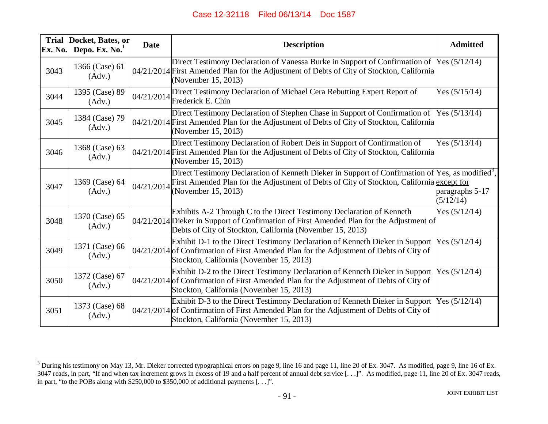| Ex. No. | Trial Docket, Bates, or<br>Depo. Ex. No. <sup>1</sup> | <b>Date</b> | <b>Description</b>                                                                                                                                                                                                               | <b>Admitted</b>              |
|---------|-------------------------------------------------------|-------------|----------------------------------------------------------------------------------------------------------------------------------------------------------------------------------------------------------------------------------|------------------------------|
| 3043    | 1366 (Case) 61<br>(Adv.)                              |             | Direct Testimony Declaration of Vanessa Burke in Support of Confirmation of Yes (5/12/14)<br>04/21/2014 First Amended Plan for the Adjustment of Debts of City of Stockton, California<br>(November 15, 2013)                    |                              |
| 3044    | 1395 (Case) 89<br>(Adv.)                              |             | Direct Testimony Declaration of Michael Cera Rebutting Expert Report of<br>$ 04/21/2014 $ Frederick E. Chin                                                                                                                      | Yes $(5/15/14)$              |
| 3045    | 1384 (Case) 79<br>(Adv.)                              |             | Direct Testimony Declaration of Stephen Chase in Support of Confirmation of<br>04/21/2014 First Amended Plan for the Adjustment of Debts of City of Stockton, California<br>(November 15, 2013)                                  | Yes $(5/13/14)$              |
| 3046    | 1368 (Case) 63<br>(Adv.)                              |             | Direct Testimony Declaration of Robert Deis in Support of Confirmation of<br>04/21/2014 First Amended Plan for the Adjustment of Debts of City of Stockton, California<br>(November 15, 2013)                                    | Yes $(5/13/14)$              |
| 3047    | 1369 (Case) 64<br>(Adv.)                              | 04/21/2014  | Direct Testimony Declaration of Kenneth Dieker in Support of Confirmation of Yes, as modified <sup>3</sup> ,<br>First Amended Plan for the Adjustment of Debts of City of Stockton, California except for<br>(November 15, 2013) | paragraphs 5-17<br>(5/12/14) |
| 3048    | 1370 (Case) 65<br>(Adv.)                              |             | Exhibits A-2 Through C to the Direct Testimony Declaration of Kenneth<br>04/21/2014 Dieker in Support of Confirmation of First Amended Plan for the Adjustment of<br>Debts of City of Stockton, California (November 15, 2013)   | Yes $(5/12/14)$              |
| 3049    | 1371 (Case) 66<br>(Adv.)                              |             | Exhibit D-1 to the Direct Testimony Declaration of Kenneth Dieker in Support<br>$0.04/21/2014$ of Confirmation of First Amended Plan for the Adjustment of Debts of City of<br>Stockton, California (November 15, 2013)          | Yes $(5/12/14)$              |
| 3050    | 1372 (Case) 67<br>(Adv.)                              |             | Exhibit D-2 to the Direct Testimony Declaration of Kenneth Dieker in Support<br>04/21/2014 of Confirmation of First Amended Plan for the Adjustment of Debts of City of<br>Stockton, California (November 15, 2013)              | Yes $(5/12/14)$              |
| 3051    | 1373 (Case) 68<br>(Adv.)                              |             | Exhibit D-3 to the Direct Testimony Declaration of Kenneth Dieker in Support<br>$04/21/2014$ of Confirmation of First Amended Plan for the Adjustment of Debts of City of<br>Stockton, California (November 15, 2013)            | Yes $(5/12/14)$              |

<sup>&</sup>lt;sup>3</sup> During his testimony on May 13, Mr. Dieker corrected typographical errors on page 9, line 16 and page 11, line 20 of Ex. 3047. As modified, page 9, line 16 of Ex. 3047 reads, in part, "If and when tax increment grows in excess of 19 and a half percent of annual debt service [...]". As modified, page 11, line 20 of Ex. 3047 reads, in part, "to the POBs along with \$250,000 to \$350,000 of additional payments [. . .]".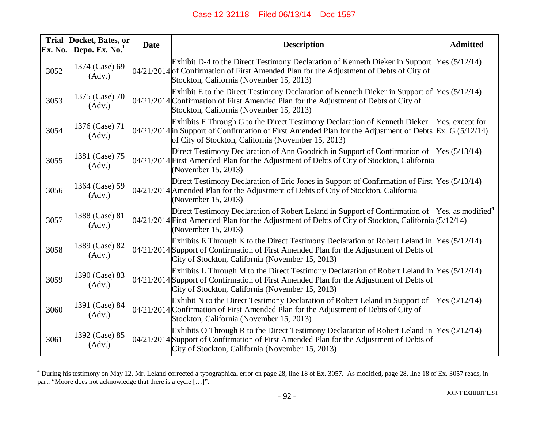| <b>Trial</b><br>Ex. No. | Docket, Bates, or<br>Depo. Ex. $No.1$ | <b>Date</b> | <b>Description</b>                                                                                                                                                                                                                               | <b>Admitted</b>               |
|-------------------------|---------------------------------------|-------------|--------------------------------------------------------------------------------------------------------------------------------------------------------------------------------------------------------------------------------------------------|-------------------------------|
| 3052                    | 1374 (Case) 69<br>(Adv.)              |             | Exhibit D-4 to the Direct Testimony Declaration of Kenneth Dieker in Support<br>$0.04/21/2014$ of Confirmation of First Amended Plan for the Adjustment of Debts of City of<br>Stockton, California (November 15, 2013)                          | Yes $(5/12/14)$               |
| 3053                    | 1375 (Case) 70<br>(Adv.)              |             | Exhibit E to the Direct Testimony Declaration of Kenneth Dieker in Support of $Yes (5/12/14)$<br>04/21/2014 Confirmation of First Amended Plan for the Adjustment of Debts of City of<br>Stockton, California (November 15, 2013)                |                               |
| 3054                    | 1376 (Case) 71<br>(Adv.)              |             | Exhibits F Through G to the Direct Testimony Declaration of Kenneth Dieker<br>$0.04/21/2014$ in Support of Confirmation of First Amended Plan for the Adjustment of Debts Ex. G (5/12/14)<br>of City of Stockton, California (November 15, 2013) | Yes, except for               |
| 3055                    | 1381 (Case) 75<br>(Adv.)              |             | Direct Testimony Declaration of Ann Goodrich in Support of Confirmation of<br>04/21/2014 First Amended Plan for the Adjustment of Debts of City of Stockton, California<br>(November 15, 2013)                                                   | Yes $(5/13/14)$               |
| 3056                    | 1364 (Case) 59<br>(Adv.)              |             | Direct Testimony Declaration of Eric Jones in Support of Confirmation of First Yes (5/13/14)<br>04/21/2014 Amended Plan for the Adjustment of Debts of City of Stockton, California<br>(November 15, 2013)                                       |                               |
| 3057                    | 1388 (Case) 81<br>(Adv.)              |             | Direct Testimony Declaration of Robert Leland in Support of Confirmation of<br>04/21/2014 First Amended Plan for the Adjustment of Debts of City of Stockton, California (5/12/14)<br>(November 15, 2013)                                        | Yes, as modified <sup>4</sup> |
| 3058                    | 1389 (Case) 82<br>(Adv.)              |             | Exhibits E Through K to the Direct Testimony Declaration of Robert Leland in $Y$ es (5/12/14)<br>04/21/2014 Support of Confirmation of First Amended Plan for the Adjustment of Debts of<br>City of Stockton, California (November 15, 2013)     |                               |
| 3059                    | 1390 (Case) 83<br>(Adv.)              |             | Exhibits L Through M to the Direct Testimony Declaration of Robert Leland in Yes (5/12/14)<br>04/21/2014 Support of Confirmation of First Amended Plan for the Adjustment of Debts of<br>City of Stockton, California (November 15, 2013)        |                               |
| 3060                    | 1391 (Case) 84<br>(Adv.)              |             | Exhibit N to the Direct Testimony Declaration of Robert Leland in Support of<br>04/21/2014 Confirmation of First Amended Plan for the Adjustment of Debts of City of<br>Stockton, California (November 15, 2013)                                 | Yes $(5/12/14)$               |
| 3061                    | 1392 (Case) 85<br>(Adv.)              |             | Exhibits O Through R to the Direct Testimony Declaration of Robert Leland in Yes (5/12/14)<br>04/21/2014 Support of Confirmation of First Amended Plan for the Adjustment of Debts of<br>City of Stockton, California (November 15, 2013)        |                               |

 $^{4}$  During his testimony on May 12, Mr. Leland corrected a typographical error on page 28, line 18 of Ex. 3057. As modified, page 28, line 18 of Ex. 3057 reads, in part, "Moore does not acknowledge that there is a cycle […]".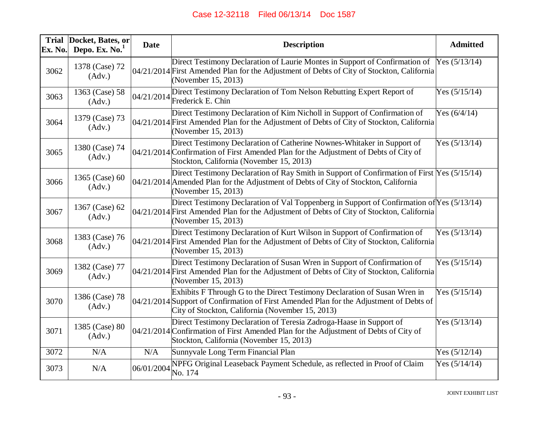| Ex. No. | Trial Docket, Bates, or<br>Depo. Ex. $No.1$ | <b>Date</b> | <b>Description</b>                                                                                                                                                                                                       | <b>Admitted</b> |
|---------|---------------------------------------------|-------------|--------------------------------------------------------------------------------------------------------------------------------------------------------------------------------------------------------------------------|-----------------|
| 3062    | 1378 (Case) 72<br>(Adv.)                    |             | Direct Testimony Declaration of Laurie Montes in Support of Confirmation of Yes (5/13/14)<br>04/21/2014 First Amended Plan for the Adjustment of Debts of City of Stockton, California<br>(November 15, 2013)            |                 |
| 3063    | 1363 (Case) 58<br>(Adv.)                    | 04/21/2014  | Direct Testimony Declaration of Tom Nelson Rebutting Expert Report of<br>Frederick E. Chin                                                                                                                               | Yes $(5/15/14)$ |
| 3064    | 1379 (Case) 73<br>(Adv.)                    |             | Direct Testimony Declaration of Kim Nicholl in Support of Confirmation of<br>04/21/2014 First Amended Plan for the Adjustment of Debts of City of Stockton, California<br>(November 15, 2013)                            | Yes $(6/4/14)$  |
| 3065    | 1380 (Case) 74<br>(Adv.)                    |             | Direct Testimony Declaration of Catherine Nownes-Whitaker in Support of<br>04/21/2014 Confirmation of First Amended Plan for the Adjustment of Debts of City of<br>Stockton, California (November 15, 2013)              | Yes $(5/13/14)$ |
| 3066    | 1365 (Case) 60<br>(Adv.)                    |             | Direct Testimony Declaration of Ray Smith in Support of Confirmation of First Yes (5/15/14)<br>04/21/2014 Amended Plan for the Adjustment of Debts of City of Stockton, California<br>(November 15, 2013)                |                 |
| 3067    | 1367 (Case) 62<br>(Adv.)                    |             | Direct Testimony Declaration of Val Toppenberg in Support of Confirmation of Yes (5/13/14)<br>04/21/2014 First Amended Plan for the Adjustment of Debts of City of Stockton, California<br>(November 15, 2013)           |                 |
| 3068    | 1383 (Case) 76<br>(Adv.)                    |             | Direct Testimony Declaration of Kurt Wilson in Support of Confirmation of<br>04/21/2014 First Amended Plan for the Adjustment of Debts of City of Stockton, California<br>(November 15, 2013)                            | Yes $(5/13/14)$ |
| 3069    | 1382 (Case) 77<br>(Adv.)                    |             | Direct Testimony Declaration of Susan Wren in Support of Confirmation of<br>04/21/2014 First Amended Plan for the Adjustment of Debts of City of Stockton, California<br>(November 15, 2013)                             | Yes $(5/15/14)$ |
| 3070    | 1386 (Case) 78<br>(Adv.)                    |             | Exhibits F Through G to the Direct Testimony Declaration of Susan Wren in<br>04/21/2014 Support of Confirmation of First Amended Plan for the Adjustment of Debts of<br>City of Stockton, California (November 15, 2013) | Yes $(5/15/14)$ |
| 3071    | 1385 (Case) 80<br>(Adv.)                    |             | Direct Testimony Declaration of Teresia Zadroga-Haase in Support of<br>04/21/2014 Confirmation of First Amended Plan for the Adjustment of Debts of City of<br>Stockton, California (November 15, 2013)                  | Yes $(5/13/14)$ |
| 3072    | N/A                                         | N/A         | Sunnyvale Long Term Financial Plan                                                                                                                                                                                       | Yes $(5/12/14)$ |
| 3073    | N/A                                         | 06/01/2004  | NPFG Original Leaseback Payment Schedule, as reflected in Proof of Claim<br>No. 174                                                                                                                                      | Yes $(5/14/14)$ |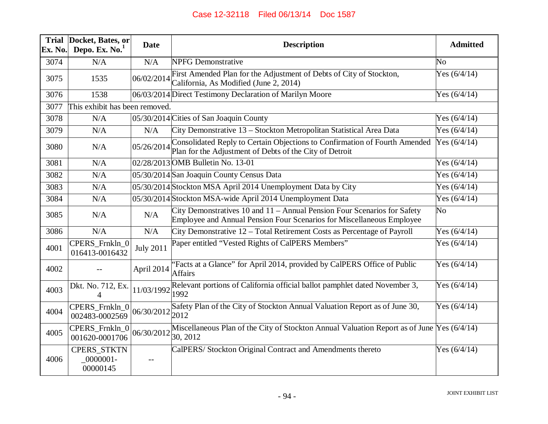| <b>Trial</b><br>Ex. No. | Docket, Bates, or<br>Depo. Ex. No.  | <b>Date</b>      | <b>Description</b>                                                                                                                                                        | <b>Admitted</b>        |
|-------------------------|-------------------------------------|------------------|---------------------------------------------------------------------------------------------------------------------------------------------------------------------------|------------------------|
| 3074                    | N/A                                 | N/A              | <b>NPFG</b> Demonstrative                                                                                                                                                 | No                     |
| 3075                    | 1535                                | 06/02/2014       | First Amended Plan for the Adjustment of Debts of City of Stockton,<br>California, As Modified (June 2, 2014)                                                             | Yes $(6/4/14)$         |
| 3076                    | 1538                                |                  | 06/03/2014 Direct Testimony Declaration of Marilyn Moore                                                                                                                  | Yes $(6/4/14)$         |
| 3077                    | This exhibit has been removed.      |                  |                                                                                                                                                                           |                        |
| 3078                    | N/A                                 |                  | 05/30/2014 Cities of San Joaquin County                                                                                                                                   | Yes $(6/4/14)$         |
| 3079                    | N/A                                 | N/A              | City Demonstrative 13 – Stockton Metropolitan Statistical Area Data                                                                                                       | Yes $(6/4/14)$         |
| 3080                    | N/A                                 |                  | Consolidated Reply to Certain Objections to Confirmation of Fourth Amended<br>$\left  \frac{05}{26/2014} \right $ Plan for the Adjustment of Debts of the City of Detroit | Yes $(6/4/14)$         |
| 3081                    | N/A                                 |                  | 02/28/2013 OMB Bulletin No. 13-01                                                                                                                                         | Yes $(6/4/14)$         |
| 3082                    | N/A                                 |                  | 05/30/2014 San Joaquin County Census Data                                                                                                                                 | Yes $(6/4/14)$         |
| 3083                    | N/A                                 |                  | 05/30/2014 Stockton MSA April 2014 Unemployment Data by City                                                                                                              | Yes $(6/4/14)$         |
| 3084                    | N/A                                 |                  | 05/30/2014 Stockton MSA-wide April 2014 Unemployment Data                                                                                                                 | Yes $(6/4/14)$         |
| 3085                    | N/A                                 | N/A              | City Demonstratives 10 and 11 – Annual Pension Four Scenarios for Safety<br>Employee and Annual Pension Four Scenarios for Miscellaneous Employee                         | $\overline{\text{No}}$ |
| 3086                    | N/A                                 | N/A              | City Demonstrative 12 - Total Retirement Costs as Percentage of Payroll                                                                                                   | Yes $(6/4/14)$         |
| 4001                    | CPERS_Frnkln_0<br>016413-0016432    | <b>July 2011</b> | Paper entitled "Vested Rights of CalPERS Members"                                                                                                                         | Yes $(6/4/14)$         |
| 4002                    |                                     | April 2014       | "Facts at a Glance" for April 2014, provided by CalPERS Office of Public<br><b>Affairs</b>                                                                                | Yes $(6/4/14)$         |
| 4003                    | Dkt. No. 712, Ex.<br>$\Delta$       | 11/03/1992       | Relevant portions of California official ballot pamphlet dated November 3,<br>1992                                                                                        | Yes $(6/4/14)$         |
| 4004                    | CPERS_Frnkln_0<br>002483-0002569    | 06/30/2012       | Safety Plan of the City of Stockton Annual Valuation Report as of June 30,<br>2012                                                                                        | Yes $(6/4/14)$         |
| 4005                    | CPERS_Frnkln_0<br>001620-0001706    | 06/30/2012       | Miscellaneous Plan of the City of Stockton Annual Valuation Report as of June $\gamma$ es (6/4/14)<br>30, 2012                                                            |                        |
| 4006                    | CPERS_STKTN<br>0000001-<br>00000145 | $-$              | CalPERS/Stockton Original Contract and Amendments thereto                                                                                                                 | Yes $(6/4/14)$         |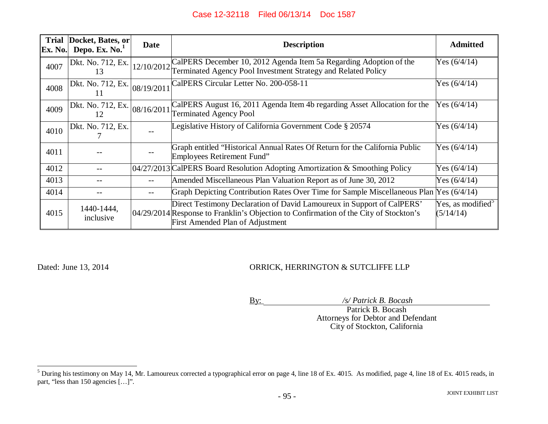| <b>Trial</b><br>Ex. No. | Docket, Bates, or<br>Depo. Ex. $No.1$ | <b>Date</b> | <b>Description</b>                                                                                                                                                                                  | <b>Admitted</b>                            |
|-------------------------|---------------------------------------|-------------|-----------------------------------------------------------------------------------------------------------------------------------------------------------------------------------------------------|--------------------------------------------|
| 4007                    | Dkt. No. 712, Ex.<br>13               | 12/10/2012  | CalPERS December 10, 2012 Agenda Item 5a Regarding Adoption of the<br>Terminated Agency Pool Investment Strategy and Related Policy                                                                 | Yes $(6/4/14)$                             |
| 4008                    | Dkt. No. 712, Ex.                     | 08/19/2011  | CalPERS Circular Letter No. 200-058-11                                                                                                                                                              | Yes $(6/4/14)$                             |
| 4009                    | Dkt. No. 712, Ex.                     | 08/16/2011  | CalPERS August 16, 2011 Agenda Item 4b regarding Asset Allocation for the<br><b>Terminated Agency Pool</b>                                                                                          | Yes $(6/4/14)$                             |
| 4010                    | Dkt. No. 712, Ex.                     | $- -$       | Legislative History of California Government Code § 20574                                                                                                                                           | Yes $(6/4/14)$                             |
| 4011                    |                                       |             | Graph entitled "Historical Annual Rates Of Return for the California Public<br>Employees Retirement Fund"                                                                                           | Yes $(6/4/14)$                             |
| 4012                    |                                       |             | 04/27/2013 CalPERS Board Resolution Adopting Amortization & Smoothing Policy                                                                                                                        | Yes $(6/4/14)$                             |
| 4013                    |                                       |             | Amended Miscellaneous Plan Valuation Report as of June 30, 2012                                                                                                                                     | Yes $(6/4/14)$                             |
| 4014                    |                                       |             | Graph Depicting Contribution Rates Over Time for Sample Miscellaneous Plan                                                                                                                          | Yes $(6/4/14)$                             |
| 4015                    | 1440-1444,<br>inclusive               |             | Direct Testimony Declaration of David Lamoureux in Support of CalPERS'<br>04/29/2014 Response to Franklin's Objection to Confirmation of the City of Stockton's<br>First Amended Plan of Adjustment | Yes, as modified <sup>5</sup><br>(5/14/14) |

#### Dated: June 13, 2014 ORRICK, HERRINGTON & SUTCLIFFE LLP

By: */s/ Patrick B. Bocash*

Patrick B. Bocash Attorneys for Debtor and Defendant City of Stockton, California

 $5$  During his testimony on May 14, Mr. Lamoureux corrected a typographical error on page 4, line 18 of Ex. 4015. As modified, page 4, line 18 of Ex. 4015 reads, in part, "less than 150 agencies [...]".